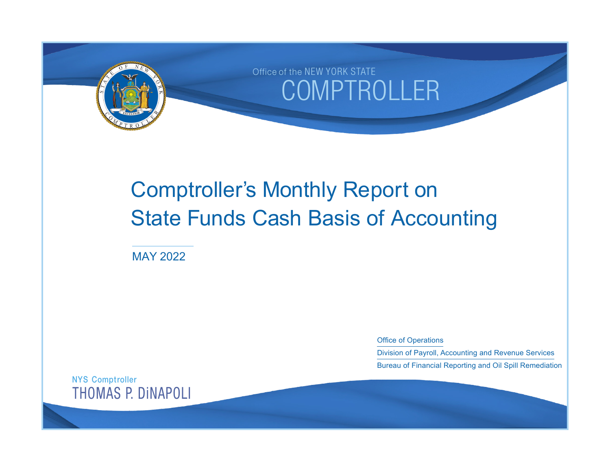

# Comptroller's Monthly Report on State Funds Cash Basis of Accounting

MAY 2022

Office of Operations

Division of Payroll, Accounting and Revenue Services Bureau of Financial Reporting and Oil Spill Remediation

NYS Comptroller THOMAS P. DiNAPOLI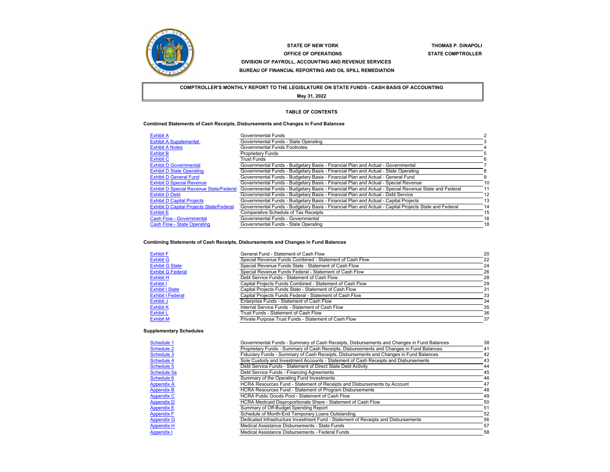

#### **STATE OF NEW YORKOFFICE OF OPERATIONS STATE COMPTROLLER DIVISION OF PAYROLL, ACCOUNTING AND REVENUE SERVICES BUREAU OF FINANCIAL REPORTING AND OIL SPILL REMEDIATION**

**THOMAS P. DiNAPOLI**

**COMPTROLLER'S MONTHLY REPORT TO THE LEGISLATURE ON STATE FUNDS - CASH BASIS OF ACCOUNTING May 31, 2022**

#### **TABLE OF CONTENTS**

#### **Combined Statements of Cash Receipts, Disbursements and Changes in Fund Balances**

| <b>Exhibit A</b>                                | Governmental Funds                                                                                    |    |
|-------------------------------------------------|-------------------------------------------------------------------------------------------------------|----|
| <b>Exhibit A Supplemental</b>                   | Governmental Funds - State Operating                                                                  |    |
| <b>Exhibit A Notes</b>                          | Governmental Funds Footnotes                                                                          |    |
| <b>Exhibit B</b>                                | <b>Proprietary Funds</b>                                                                              |    |
| <b>Exhibit C</b>                                | <b>Trust Funds</b>                                                                                    |    |
| <b>Exhibit D Governmental</b>                   | Governmental Funds - Budgetary Basis - Financial Plan and Actual - Governmental                       |    |
| <b>Exhibit D State Operating</b>                | Governmental Funds - Budgetary Basis - Financial Plan and Actual - State Operating                    |    |
| <b>Exhibit D General Fund</b>                   | Governmental Funds - Budgetary Basis - Financial Plan and Actual - General Fund                       |    |
| <b>Exhibit D Special Revenue</b>                | Governmental Funds - Budgetary Basis - Financial Plan and Actual - Special Revenue                    | 10 |
| <b>Exhibit D Special Revenue State/Federal</b>  | Governmental Funds - Budgetary Basis - Financial Plan and Actual - Special Revenue State and Federal  | 11 |
| <b>Exhibit D Debt</b>                           | Governmental Funds - Budgetary Basis - Financial Plan and Actual - Debt Service                       | 12 |
| <b>Exhibit D Capital Projects</b>               | Governmental Funds - Budgetary Basis - Financial Plan and Actual - Capital Projects                   | 13 |
| <b>Exhibit D Capital Projects State/Federal</b> | Governmental Funds - Budgetary Basis - Financial Plan and Actual - Capital Projects State and Federal | 14 |
| <b>Exhibit E</b>                                | <b>Comparative Schedule of Tax Receipts</b>                                                           | 15 |
| <b>Cash Flow - Governmental</b>                 | Governmental Funds - Governmental                                                                     | 16 |
| <b>Cash Flow - State Operating</b>              | Governmental Funds - State Operating                                                                  | 18 |

#### **Combining Statements of Cash Receipts, Disbursements and Changes in Fund Balances**

| <b>Exhibit F</b>         | General Fund - Statement of Cash Flow                    | 20 |
|--------------------------|----------------------------------------------------------|----|
| <b>Exhibit G</b>         | Special Revenue Funds Combined - Statement of Cash Flow  | 22 |
| <b>Exhibit G State</b>   | Special Revenue Funds State - Statement of Cash Flow     | 24 |
| <b>Exhibit G Federal</b> | Special Revenue Funds Federal - Statement of Cash Flow   | 26 |
| <b>Exhibit H</b>         | Debt Service Funds - Statement of Cash Flow              | 28 |
| Exhibit I                | Capital Projects Funds Combined - Statement of Cash Flow | 29 |
| <b>Exhibit I State</b>   | Capital Projects Funds State - Statement of Cash Flow    | 31 |
| <b>Exhibit I Federal</b> | Capital Projects Funds Federal - Statement of Cash Flow  | 33 |
| Exhibit J                | Enterprise Funds - Statement of Cash Flow                | 34 |
| <b>Exhibit K</b>         | Internal Service Funds - Statement of Cash Flow          | 35 |
| <b>Exhibit L</b>         | Trust Funds - Statement of Cash Flow                     | 36 |
| <b>Exhibit M</b>         | Private Purpose Trust Funds - Statement of Cash Flow     | 37 |

## **Supplementary Schedules**

| Schedule 1        | Governmental Funds - Summary of Cash Receipts, Disbursements and Changes in Fund Balances | 38 |
|-------------------|-------------------------------------------------------------------------------------------|----|
| Schedule 2        | Proprietary Funds - Summary of Cash Receipts, Disbursements and Changes in Fund Balances  | 41 |
| Schedule 3        | Fiduciary Funds - Summary of Cash Receipts, Disbursements and Changes in Fund Balances    | 42 |
| Schedule 4        | Sole Custody and Investment Accounts - Statement of Cash Receipts and Disbursements       | 43 |
| Schedule 5        | Debt Service Funds - Statement of Direct State Debt Activity                              | 44 |
| Schedule 5a       | Debt Service Funds - Financing Agreements                                                 | 45 |
| Schedule 6        | Summary of the Operating Fund Investments                                                 | 46 |
| <b>Appendix A</b> | HCRA Resources Fund - Statement of Receipts and Disbursements by Account                  | 47 |
| <b>Appendix B</b> | <b>HCRA Resources Fund - Statement of Program Disbursements</b>                           | 48 |
| <b>Appendix C</b> | HCRA Public Goods Pool - Statement of Cash Flow                                           | 49 |
| <b>Appendix D</b> | HCRA Medicaid Disproportionate Share - Statement of Cash Flow                             | 50 |
| <b>Appendix E</b> | Summary of Off-Budget Spending Report                                                     | 51 |
| <b>Appendix F</b> | Schedule of Month-End Temporary Loans Outstanding                                         | 52 |
| <b>Appendix G</b> | Dedicated Infrastructure Investment Fund - Statement of Receipts and Disbursements        | 56 |
| <b>Appendix H</b> | Medical Assistance Disbursements - State Funds                                            | 57 |
| <b>Appendix I</b> | Medical Assistance Disbursements - Federal Funds                                          | 58 |
|                   |                                                                                           |    |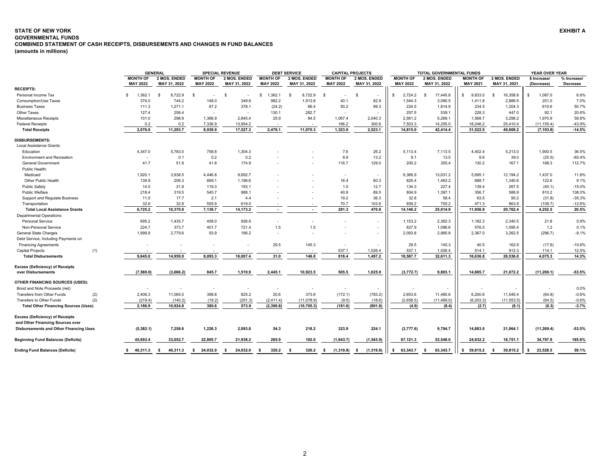#### <span id="page-2-0"></span>**STATE OF NEW YORK EXHIBIT A GOVERNMENTAL FUNDSCOMBINED STATEMENT OF CASH RECEIPTS, DISBURSEMENTS AND CHANGES IN FUND BALANCES**

**(amounts in millions)**

|                                                        |                                    | <b>GENERAL</b>               |                                    | <b>SPECIAL REVENUE</b>       |                                    | <b>DEBT SERVICE</b>          |                                    | <b>CAPITAL PROJECTS</b>      |                                    | <b>TOTAL GOVERNMENTAL FUNDS</b> |                                    |                              | YEAR OVER YEAR             |                         |  |
|--------------------------------------------------------|------------------------------------|------------------------------|------------------------------------|------------------------------|------------------------------------|------------------------------|------------------------------------|------------------------------|------------------------------------|---------------------------------|------------------------------------|------------------------------|----------------------------|-------------------------|--|
|                                                        | <b>MONTH OF</b><br><b>MAY 2022</b> | 2 MOS. ENDED<br>MAY 31, 2022 | <b>MONTH OF</b><br><b>MAY 2022</b> | 2 MOS. ENDED<br>MAY 31, 2022 | <b>MONTH OF</b><br><b>MAY 2022</b> | 2 MOS. ENDED<br>MAY 31, 2022 | <b>MONTH OF</b><br><b>MAY 2022</b> | 2 MOS. ENDED<br>MAY 31, 2022 | <b>MONTH OF</b><br><b>MAY 2022</b> | 2 MOS. ENDED<br>MAY 31, 2022    | <b>MONTH OF</b><br><b>MAY 2021</b> | 2 MOS. ENDED<br>MAY 31, 2021 | \$ Increase/<br>(Decrease) | % Increase/<br>Decrease |  |
| <b>RECEIPTS:</b>                                       |                                    |                              |                                    |                              |                                    |                              |                                    |                              |                                    |                                 |                                    |                              |                            |                         |  |
| Personal Income Tax                                    | 1,362.1<br>\$                      | 8,722.9<br>-S                | $\mathbf{R}$<br>$\sim$             | -S                           | 1,362.1<br>-S                      | 8,722.9<br>- \$              | - \$<br>$\blacksquare$             | S                            | 2,724.2                            | 17,445.8                        | 9.833.0                            | 16,358.8                     | 1,087.0                    | 6.6%                    |  |
| Consumption/Use Taxes                                  | 374.0                              | 744.2                        | 148.0                              | 349.6                        | 982.2                              | 1,913.8                      | 40.1                               | 82.9                         | 1,544.3                            | 3,090.5                         | 1,411.8                            | 2,889.5                      | 201.0                      | 7.0%                    |  |
| <b>Business Taxes</b>                                  | 111.3                              | 1,271.1                      | 87.2                               | 378.1                        | (24.2)                             | 66.4                         | 50.2                               | 99.3                         | 224.5                              | 1,814.9                         | 234.5                              | 1,204.3                      | 610.6                      | 50.7%                   |  |
| Other Taxes                                            | 127.4                              | 256.4                        | $\overline{\phantom{a}}$           |                              | 130.1                              | 282.7                        |                                    |                              | 257.5                              | 539.1                           | 228.3                              | 447.0                        | 92.1                       | 20.6%                   |  |
| Miscellaneous Receipts                                 | 101.0                              | 298.9                        | 1,366.9                            | 2,845.4                      | 25.9                               | 84.5                         | 1,067.4                            | 2,040.3                      | 2,561.2                            | 5,269.1                         | 1,568.7                            | 3,298.2                      | 1,970.9                    | 59.8%                   |  |
| <b>Federal Receipts</b>                                | 0.2                                | 0.2                          | 7,336.9                            | 13,954.2                     |                                    |                              | 166.2                              | 300.6                        | 7,503.3                            | 14,255.0                        | 18,246.2                           | 25,410.4                     | (11, 155.4)                | -43.9%                  |  |
| <b>Total Receipts</b>                                  | 2,076.0                            | 11,293.7                     | 8,939.0                            | 17,527.3                     | 2,476.1                            | 11,070.3                     | 1,323.9                            | 2,523.1                      | 14,815.0                           | 42,414.4                        | 31,522.5                           | 49,608.2                     | (7, 193.8)                 | $-14.5%$                |  |
| <b>DISBURSEMENTS:</b>                                  |                                    |                              |                                    |                              |                                    |                              |                                    |                              |                                    |                                 |                                    |                              |                            |                         |  |
| Local Assistance Grants:                               |                                    |                              |                                    |                              |                                    |                              |                                    |                              |                                    |                                 |                                    |                              |                            |                         |  |
| Education                                              | 4,347.0                            | 5,783.0                      | 758.8                              | 1,304.3                      |                                    |                              | 7.6                                | 26.2                         | 5,113.4                            | 7,113.5                         | 4,402.4                            | 5,213.0                      | 1,900.5                    | 36.5%                   |  |
| <b>Environment and Recreation</b>                      | $\overline{\phantom{a}}$           | 0.1                          | 0.2                                | 0.2                          |                                    |                              | 8.9                                | 13.2                         | 9.1                                | 13.5                            | 9.6                                | 39.0                         | (25.5)                     | $-65.4%$                |  |
| <b>General Government</b>                              | 41.7                               | 51.6                         | 41.8                               | 174.8                        |                                    |                              | 116.7                              | 129.0                        | 200.2                              | 355.4                           | 130.2                              | 167.1                        | 188.3                      | 112.7%                  |  |
| Public Health:                                         |                                    |                              |                                    |                              |                                    |                              |                                    |                              |                                    |                                 |                                    |                              |                            |                         |  |
| Medicaid                                               | 1,920.1                            | 3,938.5                      | 4,446.8                            | 9,692.7                      |                                    |                              | $\overline{\phantom{a}}$           |                              | 6,366.9                            | 13,631.2                        | 5,695.1                            | 12,194.2                     | 1,437.0                    | 11.8%                   |  |
| Other Public Health                                    | 139.9                              | 206.3                        | 669.1                              | 1,196.6                      |                                    |                              | 16.4                               | 60.3                         | 825.4                              | 1,463.2                         | 688.7                              | 1,340.6                      | 122.6                      | 9.1%                    |  |
| <b>Public Safety</b>                                   | 14.0                               | 21.6                         | 119.3                              | 193.1                        |                                    |                              | 1.0                                | 12.7                         | 134.3                              | 227.4                           | 139.4                              | 267.5                        | (40.1)                     | $-15.0%$                |  |
| <b>Public Welfare</b>                                  | 218.4                              | 319.5                        | 545.7                              | 988.1                        |                                    |                              | 40.8                               | 89.5                         | 804.9                              | 1,397.1                         | 356.7                              | 586.9                        | 810.2                      | 138.0%                  |  |
|                                                        | 11.5                               | 17.7                         | 2.1                                | 4.4                          |                                    |                              | 19.2                               | 36.3                         | 32.8                               | 58.4                            | 63.5                               | 90.2                         |                            | $-35.3%$                |  |
| Support and Regulate Business                          | 32.6                               | 32.6                         | 555.9                              |                              |                                    |                              | 70.7                               |                              | 659.2                              | 755.2                           |                                    |                              | (31.8)                     | $-12.6%$                |  |
| Transportation<br><b>Total Local Assistance Grants</b> | 6,725.2                            | 10,370.9                     | 7,139.7                            | 619.0<br>14,173.2            |                                    |                              | 281.3                              | 103.6<br>470.8               | 14,146.2                           | 25,014.9                        | 471.3<br>11,956.9                  | 863.9<br>20,762.4            | (108.7)<br>4,252.5         | 20.5%                   |  |
|                                                        |                                    |                              |                                    |                              |                                    |                              |                                    |                              |                                    |                                 |                                    |                              |                            |                         |  |
| <b>Departmental Operations:</b>                        |                                    |                              |                                    |                              |                                    |                              |                                    |                              |                                    |                                 |                                    |                              |                            |                         |  |
| <b>Personal Service</b>                                | 695.2                              | 1.435.7                      | 458.0                              | 926.6                        |                                    |                              |                                    |                              | 1.153.2                            | 2,362.3                         | 1.182.3                            | 2.340.5                      | 21.8                       | 0.9%                    |  |
| Non-Personal Service                                   | 224.7                              | 373.7                        | 401.7                              | 721.4                        | 1.5                                | 1.5                          |                                    | $\sim$                       | 627.9                              | 1,096.6                         | 576.0                              | 1,095.4                      | 1.2                        | 0.1%                    |  |
| <b>General State Charges</b>                           | 1,999.9                            | 2.779.6                      | 93.9                               | 186.2                        | $\overline{\phantom{a}}$           |                              |                                    | $\overline{\phantom{a}}$     | 2,093.8                            | 2,965.8                         | 2,367.0                            | 3,262.5                      | (296.7)                    | $-9.1%$                 |  |
| Debt Service, Including Payments on                    |                                    |                              |                                    |                              |                                    |                              |                                    |                              |                                    |                                 |                                    |                              |                            |                         |  |
| <b>Financing Agreements</b>                            |                                    |                              |                                    |                              | 29.5                               | 145.3                        | $\overline{\phantom{a}}$           |                              | 29.5                               | 145.3                           | 40.5                               | 162.9                        | (17.6)                     | $-10.8%$                |  |
| <b>Capital Projects</b><br>(1)                         |                                    |                              |                                    |                              | $\overline{\phantom{a}}$           | $\sim$                       | 537.1                              | 1,026.4                      | 537.1                              | 1,026.4                         | 514.1                              | 912.3                        | 114.1                      | 12.5%                   |  |
| <b>Total Disbursements</b>                             | 9.645.0                            | 14.959.9                     | 8.093.3                            | 16.007.4                     | 31.0                               | 146.8                        | 818.4                              | 1,497.2                      | 18,587.7                           | 32,611.3                        | 16,636.8                           | 28,536.0                     | 4,075.3                    | 14.3%                   |  |
| <b>Excess (Deficiency) of Receipts</b>                 |                                    |                              |                                    |                              |                                    |                              |                                    |                              |                                    |                                 |                                    |                              |                            |                         |  |
| over Disbursements                                     | (7, 569.0)                         | (3,666.2)                    | 845.7                              | 1,519.9                      | 2,445.1                            | 10,923.5                     | 505.5                              | 1,025.9                      | (3,772.7)                          | 9,803.1                         | 14.885.7                           | 21,072.2                     | (11, 269.1)                | $-53.5%$                |  |
| OTHER FINANCING SOURCES (USES):                        |                                    |                              |                                    |                              |                                    |                              |                                    |                              |                                    |                                 |                                    |                              |                            |                         |  |
| Bond and Note Proceeds (net)                           |                                    |                              |                                    |                              |                                    |                              |                                    |                              |                                    |                                 |                                    |                              |                            | 0.0%                    |  |
| <b>Transfers from Other Funds</b><br>(2)               | 2,406.3                            | 11,065.0                     | 398.8                              | 825.2                        | 20.6                               | 373.6                        | (172.1)                            | (783.2)                      | 2,653.6                            | 11,480.6                        | 6,200.6                            | 11,545.4                     | (64.8)                     | $-0.6%$                 |  |
| (2)<br>Transfers to Other Funds                        | (219.4)                            | (140.2)                      | (18.2)                             | (251.3)                      | (2, 411.4)                         | (11,078.9)                   | (9.5)                              | (18.6)                       | (2,658.5)                          | (11, 489.0)                     | (6, 203.3)                         | (11,553.5)                   | (64.5)                     | $-0.6%$                 |  |
| <b>Total Other Financing Sources (Uses)</b>            | 2,186.9                            | 10,924.8                     | 380.6                              | 573.9                        | (2, 390.8)                         | (10, 705.3)                  | (181.6)                            | (801.8)                      | (4.9)                              | (8.4)                           | (2.7)                              | (8.1)                        | (0.3)                      | $-3.7%$                 |  |
| <b>Excess (Deficiency) of Receipts</b>                 |                                    |                              |                                    |                              |                                    |                              |                                    |                              |                                    |                                 |                                    |                              |                            |                         |  |
| and Other Financing Sources over                       |                                    |                              |                                    |                              |                                    |                              |                                    |                              |                                    |                                 |                                    |                              |                            |                         |  |
| <b>Disbursements and Other Financing Uses</b>          | (5, 382.1)                         | 7,258.6                      | 1,226.3                            | 2,093.8                      | 54.3                               | 218.2                        | 323.9                              | 224.1                        | (3,777.6)                          | 9,794.7                         | 14,883.0                           | 21,064.1                     | (11, 269.4)                | $-53.5%$                |  |
| <b>Beginning Fund Balances (Deficits)</b>              | 45,693.4                           | 33.052.7                     | 22.805.7                           | 21.938.2                     | 265.9                              | 102.0                        | (1,643.7)                          | (1,543.9)                    | 67,121.3                           | 53.549.0                        | 24.932.2                           | 18,751.1                     | 34,797.9                   | 185.6%                  |  |
|                                                        |                                    |                              |                                    |                              |                                    |                              |                                    |                              |                                    |                                 |                                    |                              |                            |                         |  |
| <b>Ending Fund Balances (Deficits)</b>                 | \$40,311.3                         | 40,311.3<br>-S               | 24,032.0<br>s.                     | 24,032.0<br>- S              | 320.2<br>- \$                      | 320.2<br>- S                 | (1,319.8)<br>- \$                  | (1,319.8)<br>- \$            | 63,343.7<br>s.                     | 63,343.7<br>- S                 | \$39,815.2                         | - \$<br>39,815.2             | 23,528.5                   | 59.1%                   |  |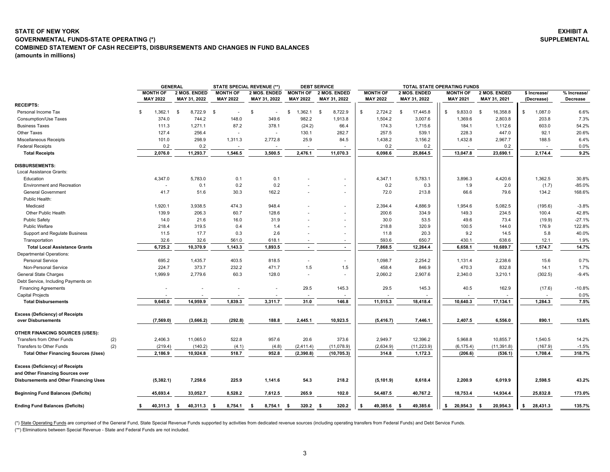## <span id="page-3-0"></span>**(amounts in millions) STATE OF NEW YORKGOVERNMENTAL FUNDS-STATE OPERATING (\*) COMBINED STATEMENT OF CASH RECEIPTS, DISBURSEMENTS AND CHANGES IN FUND BALANCES**

| <b>GENERAL</b> |                              |                                    | <b>STATE SPECIAL REVENUE (**)</b> | <b>DEBT SERVICE</b>                |    |                                     |                                    |    | TOTAL STATE OPERATING FUNDS  |    |                                    |      |                              |                            |         |                         |
|----------------|------------------------------|------------------------------------|-----------------------------------|------------------------------------|----|-------------------------------------|------------------------------------|----|------------------------------|----|------------------------------------|------|------------------------------|----------------------------|---------|-------------------------|
| OF<br>122      | 2 MOS. ENDED<br>MAY 31, 2022 | <b>MONTH OF</b><br><b>MAY 2022</b> | 2 MOS. ENDED<br>MAY 31, 2022      | <b>MONTH OF</b><br><b>MAY 2022</b> |    | <b>2 MOS. ENDED</b><br>MAY 31, 2022 | <b>MONTH OF</b><br><b>MAY 2022</b> |    | 2 MOS. ENDED<br>MAY 31, 2022 |    | <b>MONTH OF</b><br><b>MAY 2021</b> |      | 2 MOS. ENDED<br>MAY 31, 2021 | \$ Increase/<br>(Decrease) |         | % Increase/<br>Decrease |
| 362.1 \$       | 8,722.9                      | - \$                               | S<br>۰.                           | ,362.1                             | -S | 8,722.9                             | \$<br>2,724.2                      | -S | 17,445.8                     | \$ | 9,833.0                            | - \$ | 16,358.8                     |                            | 1,087.0 | 6.6%                    |
| 374.0          | 744.2                        | 148.0                              | 349.6                             | 982.2                              |    | 1.913.8                             | 1,504.2                            |    | 3,007.6                      |    | 1,369.6                            |      | 2,803.8                      |                            | 203.8   | 7.3%                    |
| 111.3          | 1.271.1                      | 87.2                               | 378.1                             | (24.2)                             |    | 66.4                                | 174.3                              |    | 1,715.6                      |    | 184.1                              |      | 1.112.6                      |                            | 603.0   | 54.2%                   |
| 127.4          | 256.4                        | $\overline{\phantom{a}}$           | ۰                                 | 130.1                              |    | 282.7                               | 257.5                              |    | 539.1                        |    | 228.3                              |      | 447.0                        |                            | 92.1    | 20.6%                   |
| 101.0          | 298.9                        | 1.311.3                            | 2.772.8                           | 25.9                               |    | 84.5                                | 1,438.2                            |    | 3,156.2                      |    | 1,432.8                            |      | 2,967.7                      |                            | 188.5   | 6.4%                    |
|                |                              |                                    |                                   |                                    |    |                                     |                                    |    |                              |    |                                    |      |                              |                            |         |                         |

**EXHIBIT A SUPPLEMENTAL**

|                                               | <b>MONTH OF</b>          | 2 MOS. ENDED  | <b>MONTH OF</b> | 2 MOS. ENDED    | <b>MONTH OF</b>    | 2 MOS. ENDED             | <b>MONTH OF</b> | 2 MOS. ENDED     | <b>MONTH OF</b> | 2 MOS. ENDED     | \$ Increase/   | % Increase/ |
|-----------------------------------------------|--------------------------|---------------|-----------------|-----------------|--------------------|--------------------------|-----------------|------------------|-----------------|------------------|----------------|-------------|
|                                               | <b>MAY 2022</b>          | MAY 31, 2022  | <b>MAY 2022</b> | MAY 31, 2022    | <b>MAY 2022</b>    | MAY 31, 2022             | <b>MAY 2022</b> | MAY 31, 2022     | <b>MAY 2021</b> | MAY 31, 2021     | (Decrease)     | Decrease    |
| <b>RECEIPTS:</b>                              |                          |               |                 |                 |                    |                          |                 |                  |                 |                  |                |             |
| Personal Income Tax                           | 1,362.1<br>\$            | \$<br>8,722.9 | <b>S</b>        | \$<br>$\sim$    | 1,362.1<br>\$      | 8,722.9<br>\$            | \$<br>2,724.2   | \$<br>17,445.8   | \$<br>9,833.0   | 16,358.8<br>\$   | \$<br>1,087.0  | 6.6%        |
| <b>Consumption/Use Taxes</b>                  | 374.0                    | 744.2         | 148.0           | 349.6           | 982.2              | 1,913.8                  | 1,504.2         | 3,007.6          | 1,369.6         | 2,803.8          | 203.8          | 7.3%        |
| <b>Business Taxes</b>                         | 111.3                    | 1,271.1       | 87.2            | 378.1           | (24.2)             | 66.4                     | 174.3           | 1,715.6          | 184.1           | 1,112.6          | 603.0          | 54.2%       |
| Other Taxes                                   | 127.4                    | 256.4         | $\sim$          | ÷.              | 130.1              | 282.7                    | 257.5           | 539.1            | 228.3           | 447.0            | 92.1           | 20.6%       |
| Miscellaneous Receipts                        | 101.0                    | 298.9         | 1,311.3         | 2,772.8         | 25.9               | 84.5                     | 1,438.2         | 3,156.2          | 1,432.8         | 2,967.7          | 188.5          | 6.4%        |
| <b>Federal Receipts</b>                       | 0.2                      | 0.2           |                 |                 |                    |                          | 0.2             | 0.2              |                 | 0.2              |                | 0.0%        |
| <b>Total Receipts</b>                         | 2,076.0                  | 11,293.7      | 1,546.5         | 3,500.5         | 2,476.1            | 11,070.3                 | 6,098.6         | 25,864.5         | 13,047.8        | 23,690.1         | 2,174.4        | 9.2%        |
| <b>DISBURSEMENTS:</b>                         |                          |               |                 |                 |                    |                          |                 |                  |                 |                  |                |             |
| Local Assistance Grants:                      |                          |               |                 |                 |                    |                          |                 |                  |                 |                  |                |             |
| Education                                     | 4,347.0                  | 5,783.0       | 0.1             | 0.1             |                    |                          | 4,347.1         | 5,783.1          | 3,896.3         | 4,420.6          | 1,362.5        | 30.8%       |
| <b>Environment and Recreation</b>             | $\overline{\phantom{a}}$ | 0.1           | 0.2             | 0.2             |                    | ٠                        | 0.2             | 0.3              | 1.9             | 2.0              | (1.7)          | $-85.0%$    |
| <b>General Government</b>                     | 41.7                     | 51.6          | 30.3            | 162.2           |                    |                          | 72.0            | 213.8            | 66.6            | 79.6             | 134.2          | 168.6%      |
| Public Health:                                |                          |               |                 |                 |                    |                          |                 |                  |                 |                  |                |             |
| Medicaid                                      | 1,920.1                  | 3,938.5       | 474.3           | 948.4           |                    |                          | 2,394.4         | 4,886.9          | 1,954.6         | 5,082.5          | (195.6)        | $-3.8%$     |
| Other Public Health                           | 139.9                    | 206.3         | 60.7            | 128.6           |                    |                          | 200.6           | 334.9            | 149.3           | 234.5            | 100.4          | 42.8%       |
| <b>Public Safety</b>                          | 14.0                     | 21.6          | 16.0            | 31.9            |                    |                          | 30.0            | 53.5             | 49.6            | 73.4             | (19.9)         | $-27.1%$    |
| Public Welfare                                | 218.4                    | 319.5         | 0.4             | 1.4             |                    | $\overline{\phantom{a}}$ | 218.8           | 320.9            | 100.5           | 144.0            | 176.9          | 122.8%      |
| Support and Regulate Business                 | 11.5                     | 17.7          | 0.3             | 2.6             |                    | $\sim$                   | 11.8            | 20.3             | 9.2             | 14.5             | 5.8            | 40.0%       |
| Transportation                                | 32.6                     | 32.6          | 561.0           | 618.1           |                    | $\sim$                   | 593.6           | 650.7            | 430.1           | 638.6            | 12.1           | 1.9%        |
| <b>Total Local Assistance Grants</b>          | 6,725.2                  | 10,370.9      | 1,143.3         | 1,893.5         | $\sim$             | $\sim$                   | 7,868.5         | 12,264.4         | 6,658.1         | 10,689.7         | 1,574.7        | 14.7%       |
| Departmental Operations:                      |                          |               |                 |                 |                    |                          |                 |                  |                 |                  |                |             |
| Personal Service                              | 695.2                    | 1,435.7       | 403.5           | 818.5           | $\sim$             | $\sim$                   | 1,098.7         | 2,254.2          | 1,131.4         | 2,238.6          | 15.6           | 0.7%        |
| Non-Personal Service                          | 224.7                    | 373.7         | 232.2           | 471.7           | 1.5                | 1.5                      | 458.4           | 846.9            | 470.3           | 832.8            | 14.1           | 1.7%        |
| <b>General State Charges</b>                  | 1,999.9                  | 2,779.6       | 60.3            | 128.0           | $\sim$             | $\mathbf{r}$             | 2,060.2         | 2,907.6          | 2,340.0         | 3,210.1          | (302.5)        | $-9.4%$     |
| Debt Service, Including Payments on           |                          |               |                 |                 |                    |                          |                 |                  |                 |                  |                |             |
| <b>Financing Agreements</b>                   |                          |               |                 |                 | 29.5               | 145.3                    | 29.5            | 145.3            | 40.5            | 162.9            | (17.6)         | $-10.8%$    |
| Capital Projects                              |                          |               |                 |                 |                    |                          |                 |                  |                 |                  |                | 0.0%        |
| <b>Total Disbursements</b>                    | 9,645.0                  | 14,959.9      | 1,839.3         | 3,311.7         | 31.0               | 146.8                    | 11,515.3        | 18,418.4         | 10,640.3        | 17,134.1         | 1,284.3        | 7.5%        |
|                                               |                          |               |                 |                 |                    |                          |                 |                  |                 |                  |                |             |
| <b>Excess (Deficiency) of Receipts</b>        |                          |               |                 |                 |                    |                          |                 |                  |                 |                  |                |             |
| over Disbursements                            | (7,569.0)                | (3,666.2)     | (292.8)         | 188.8           | 2,445.1            | 10,923.5                 | (5, 416.7)      | 7,446.1          | 2,407.5         | 6,556.0          | 890.1          | 13.6%       |
| <b>OTHER FINANCING SOURCES (USES):</b>        |                          |               |                 |                 |                    |                          |                 |                  |                 |                  |                |             |
| Transfers from Other Funds<br>(2)             | 2,406.3                  | 11,065.0      | 522.8           | 957.6           | 20.6               | 373.6                    | 2,949.7         | 12,396.2         | 5,968.8         | 10,855.7         | 1,540.5        | 14.2%       |
| Transfers to Other Funds<br>(2)               | (219.4)                  | (140.2)       | (4.1)           | (4.8)           | (2, 411.4)         | (11,078.9)               | (2,634.9)       | (11, 223.9)      | (6, 175.4)      | (11, 391.8)      | (167.9)        | $-1.5%$     |
| <b>Total Other Financing Sources (Uses)</b>   | 2,186.9                  | 10,924.8      | 518.7           | 952.8           | (2, 390.8)         | (10, 705.3)              | 314.8           | 1,172.3          | (206.6)         | (536.1)          | 1,708.4        | 318.7%      |
| <b>Excess (Deficiency) of Receipts</b>        |                          |               |                 |                 |                    |                          |                 |                  |                 |                  |                |             |
| and Other Financing Sources over              |                          |               |                 |                 |                    |                          |                 |                  |                 |                  |                |             |
| <b>Disbursements and Other Financing Uses</b> | (5,382.1)                | 7,258.6       | 225.9           | 1,141.6         | 54.3               | 218.2                    | (5, 101.9)      | 8,618.4          | 2,200.9         | 6,019.9          | 2,598.5        | 43.2%       |
|                                               |                          |               |                 |                 |                    |                          |                 |                  |                 |                  |                |             |
| <b>Beginning Fund Balances (Deficits)</b>     | 45,693.4                 | 33,052.7      | 8,528.2         | 7,612.5         | 265.9              | 102.0                    | 54,487.5        | 40,767.2         | 18,753.4        | 14,934.4         | 25,832.8       | 173.0%      |
| <b>Ending Fund Balances (Deficits)</b>        | s<br>40,311.3 \$         | 40,311.3      | - \$<br>8,754.1 | 8,754.1<br>- \$ | $320.2$ \$<br>- \$ | 320.2                    | s.<br>49,385.6  | 49,385.6<br>- \$ | 20,954.3<br>s.  | 20,954.3<br>- \$ | 28,431.3<br>\$ | 135.7%      |
|                                               |                          |               |                 |                 |                    |                          |                 |                  |                 |                  |                |             |

(\*) State Operating Funds are comprised of the General Fund, State Special Revenue Funds supported by activities from dedicated revenue sources (including operating transfers from Federal Funds) and Debt Service Funds.

(\*\*) Eliminations between Special Revenue - State and Federal Funds are not included.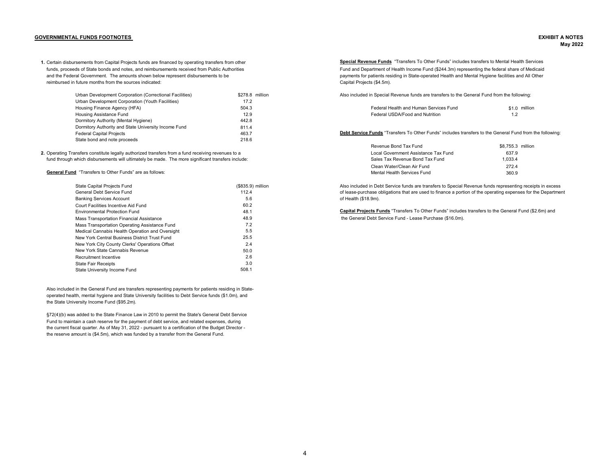## <span id="page-4-0"></span>**GOVERNMENTAL FUNDS FOOTNOTES EXHIBIT A NOTES**

1. Certain disbursements from Capital Projects funds are financed by operating transfers from other **Secteed Capital Revenue Funds** "Transfers To Other Funds" includes transfers to Mental Health Services and the Federal Government. The amounts shown below represent disbursements to be payments to research of patients residing in State-operated Health and Mental Hygiene facilities and All Other reimbursed in future months from the sources indicated:

| Urban Development Corporation (Correctional Facilities) | \$278.8 million | Also included in Special Revenue funds are transfers to the General Fund from the following: |               |
|---------------------------------------------------------|-----------------|----------------------------------------------------------------------------------------------|---------------|
| Urban Development Corporation (Youth Facilities)        | 17.2            |                                                                                              |               |
| Housing Finance Agency (HFA)                            | 504.3           | Federal Health and Human Services Fund                                                       | \$1.0 millior |
| Housing Assistance Fund                                 | 12.9            | Federal USDA/Food and Nutrition                                                              |               |
| Dormitory Authority (Mental Hygiene)                    | 442.8           |                                                                                              |               |
| Dormitory Authority and State University Income Fund    | 811.4           |                                                                                              |               |
| Federal Capital Projects                                | 463.7           | Debt Service Funds "Transfers To Other Funds" includes transfers to the General Fund from    |               |
| State bond and note proceeds                            | 218.6           |                                                                                              |               |

**2.** Operating Transfers constitute legally authorized transfers from a fund receiving revenues to a Local Comment Assistance Tax Fund 637.9 Local Government Assistance Tax Fund 637.9 Local Government Assistance Tax Fund 6 fund through which disbursements will ultimately be made. The more significant transfers include:

**General Fund** "Transfers to Other Funds" are as follows: which is a material of the state of the state of the state of the state of the state of the state of the state of the state of the state of the state of the state o

| State Capital Projects Fund                     | (\$835.9) millic |
|-------------------------------------------------|------------------|
| General Debt Service Fund                       | 112.4            |
| <b>Banking Services Account</b>                 | 5.6              |
| Court Facilities Incentive Aid Fund             | 60.2             |
| <b>Environmental Protection Fund</b>            | 48.1             |
| Mass Transportation Financial Assistance        | 48.9             |
| Mass Transportation Operating Assistance Fund   | 7.2              |
| Medical Cannabis Health Operation and Oversight | 5.5              |
| New York Central Business District Trust Fund   | 25.5             |
| New York City County Clerks' Operations Offset  | 2.4              |
| New York State Cannabis Revenue                 | 50.0             |
| Recruitment Incentive                           | 2.6              |
| <b>State Fair Receipts</b>                      | 3.0              |
| State University Income Fund                    | 508.1            |

Also included in the General Fund are transfers representing payments for patients residing in Stateoperated health, mental hygiene and State University facilities to Debt Service funds (\$1.0m), and the State University Income Fund (\$95.2m).

§72(4)(b) was added to the State Finance Law in 2010 to permit the State's General Debt Service Fund to maintain a cash reserve for the payment of debt service, and related expenses, during the current fiscal quarter. As of May 31, 2022 - pursuant to a certification of the Budget Director the reserve amount is (\$4.5m), which was funded by a transfer from the General Fund.

funds, proceeds of State bonds and notes, and reimbursements received from Public Authorities Fund and Department of Health Income Fund (\$244.3m) representing the federal share of Medicaid Capital Projects (\$4.5m).

| Federal Health and Human Services Fund | $$1.0$ millions |  |
|----------------------------------------|-----------------|--|
| Federal USDA/Food and Nutrition        | 1.2             |  |

**Debt Service Funds** "Transfers To Other Funds" includes transfers to the General Fund from the following:

| Revenue Bond Tax Fund                | \$8,755.3 million |  |
|--------------------------------------|-------------------|--|
| Local Government Assistance Tax Fund | 637.9             |  |
| Sales Tax Revenue Bond Tax Fund      | 1.033.4           |  |
| Clean Water/Clean Air Fund           | 2724              |  |
| Mental Health Services Fund          | 360.9             |  |

on State Capital Also included in Debt Service funds are transfers to Special Revenue funds representing receipts in excess of lease-purchase obligations that are used to finance a portion of the operating expenses for the Department of Health (\$18.9m).

> **Capital Projects Funds** "Transfers To Other Funds" includes transfers to the General Fund (\$2.6m) and the General Debt Service Fund - Lease Purchase (\$16.0m).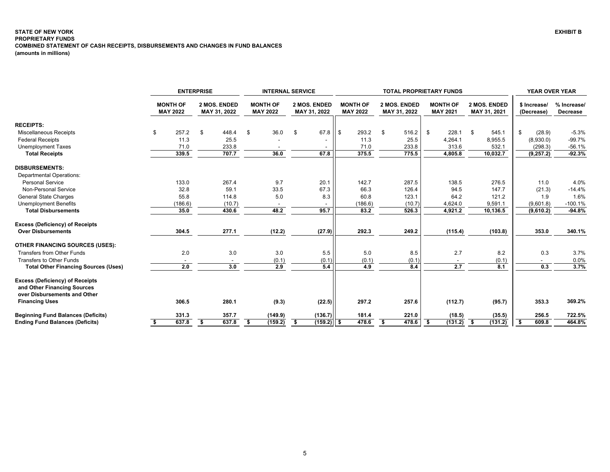## <span id="page-5-0"></span>**STATE OF NEW YORK PROPRIETARY FUNDS COMBINED STATEMENT OF CASH RECEIPTS, DISBURSEMENTS AND CHANGES IN FUND BALANCES (amounts in millions)**

|                                                                       |                                    | <b>ENTERPRISE</b>            |        | <b>INTERNAL SERVICE</b> |                                    |                              |              |      | <b>TOTAL PROPRIETARY FUNDS</b>     |                              |        |                                    |         |                              |          |                            |            | <b>YEAR OVER YEAR</b>   |  |  |
|-----------------------------------------------------------------------|------------------------------------|------------------------------|--------|-------------------------|------------------------------------|------------------------------|--------------|------|------------------------------------|------------------------------|--------|------------------------------------|---------|------------------------------|----------|----------------------------|------------|-------------------------|--|--|
|                                                                       | <b>MONTH OF</b><br><b>MAY 2022</b> | 2 MOS. ENDED<br>MAY 31, 2022 |        |                         | <b>MONTH OF</b><br><b>MAY 2022</b> | 2 MOS. ENDED<br>MAY 31, 2022 |              |      | <b>MONTH OF</b><br><b>MAY 2022</b> | 2 MOS. ENDED<br>MAY 31, 2022 |        | <b>MONTH OF</b><br><b>MAY 2021</b> |         | 2 MOS. ENDED<br>MAY 31, 2021 |          | \$ Increase/<br>(Decrease) |            | % Increase/<br>Decrease |  |  |
| <b>RECEIPTS:</b>                                                      |                                    |                              |        |                         |                                    |                              |              |      |                                    |                              |        |                                    |         |                              |          |                            |            |                         |  |  |
| Miscellaneous Receipts                                                | \$<br>257.2                        | \$                           | 448.4  | -S                      | 36.0                               | \$                           | 67.8         | l \$ | 293.2                              |                              | 516.2  | \$                                 | 228.1   | - \$                         | 545.1    | \$                         | (28.9)     | $-5.3%$                 |  |  |
| <b>Federal Receipts</b>                                               | 11.3                               |                              | 25.5   |                         |                                    |                              |              |      | 11.3                               |                              | 25.5   |                                    | 4,264.1 |                              | 8,955.5  |                            | (8,930.0)  | $-99.7%$                |  |  |
| <b>Unemployment Taxes</b>                                             | 71.0                               |                              | 233.8  |                         |                                    |                              |              |      | 71.0                               |                              | 233.8  |                                    | 313.6   |                              | 532.1    |                            | (298.3)    | $-56.1%$                |  |  |
| <b>Total Receipts</b>                                                 | 339.5                              |                              | 707.7  |                         | 36.0                               |                              | 67.8         |      | 375.5                              |                              | 775.5  |                                    | 4,805.8 |                              | 10,032.7 |                            | (9, 257.2) | $-92.3%$                |  |  |
| <b>DISBURSEMENTS:</b>                                                 |                                    |                              |        |                         |                                    |                              |              |      |                                    |                              |        |                                    |         |                              |          |                            |            |                         |  |  |
| <b>Departmental Operations:</b>                                       |                                    |                              |        |                         |                                    |                              |              |      |                                    |                              |        |                                    |         |                              |          |                            |            |                         |  |  |
| <b>Personal Service</b>                                               | 133.0                              |                              | 267.4  |                         | 9.7                                |                              | 20.1         |      | 142.7                              |                              | 287.5  |                                    | 138.5   |                              | 276.5    |                            | 11.0       | 4.0%                    |  |  |
| Non-Personal Service                                                  | 32.8                               |                              | 59.1   |                         | 33.5                               |                              | 67.3         |      | 66.3                               |                              | 126.4  |                                    | 94.5    |                              | 147.7    |                            | (21.3)     | $-14.4%$                |  |  |
| <b>General State Charges</b>                                          | 55.8                               |                              | 114.8  |                         | 5.0                                |                              | 8.3          |      | 60.8                               |                              | 123.1  |                                    | 64.2    |                              | 121.2    |                            | 1.9        | 1.6%                    |  |  |
| <b>Unemployment Benefits</b>                                          | (186.6)                            |                              | (10.7) |                         |                                    |                              |              |      | (186.6)                            |                              | (10.7) |                                    | 4,624.0 |                              | 9,591.1  |                            | (9,601.8)  | $-100.1%$               |  |  |
| <b>Total Disbursements</b>                                            | 35.0                               |                              | 430.6  |                         | 48.2                               |                              | 95.7         |      | 83.2                               |                              | 526.3  |                                    | 4,921.2 |                              | 10,136.5 |                            | (9,610.2)  | $-94.8%$                |  |  |
| <b>Excess (Deficiency) of Receipts</b>                                |                                    |                              |        |                         |                                    |                              |              |      |                                    |                              |        |                                    |         |                              |          |                            |            |                         |  |  |
| <b>Over Disbursements</b>                                             | 304.5                              |                              | 277.1  |                         | (12.2)                             |                              | (27.9)       |      | 292.3                              |                              | 249.2  |                                    | (115.4) |                              | (103.8)  |                            | 353.0      | 340.1%                  |  |  |
| <b>OTHER FINANCING SOURCES (USES):</b>                                |                                    |                              |        |                         |                                    |                              |              |      |                                    |                              |        |                                    |         |                              |          |                            |            |                         |  |  |
| Transfers from Other Funds                                            | 2.0                                |                              | 3.0    |                         | 3.0                                |                              | 5.5          |      | 5.0                                |                              | 8.5    |                                    | 2.7     |                              | 8.2      |                            | 0.3        | 3.7%                    |  |  |
| <b>Transfers to Other Funds</b>                                       |                                    |                              |        |                         | (0.1)                              |                              | (0.1)        |      | (0.1)                              |                              | (0.1)  |                                    |         |                              | (0.1)    |                            |            | 0.0%                    |  |  |
| <b>Total Other Financing Sources (Uses)</b>                           | 2.0                                |                              | 3.0    |                         | 2.9                                |                              | 5.4          |      | 4.9                                |                              | 8.4    |                                    | 2.7     |                              | 8.1      |                            | 0.3        | 3.7%                    |  |  |
| <b>Excess (Deficiency) of Receipts</b><br>and Other Financing Sources |                                    |                              |        |                         |                                    |                              |              |      |                                    |                              |        |                                    |         |                              |          |                            |            |                         |  |  |
| over Disbursements and Other                                          |                                    |                              |        |                         |                                    |                              |              |      |                                    |                              |        |                                    |         |                              |          |                            |            |                         |  |  |
| <b>Financing Uses</b>                                                 | 306.5                              |                              | 280.1  |                         | (9.3)                              |                              | (22.5)       |      | 297.2                              |                              | 257.6  |                                    | (112.7) |                              | (95.7)   |                            | 353.3      | 369.2%                  |  |  |
| <b>Beginning Fund Balances (Deficits)</b>                             | 331.3                              |                              | 357.7  |                         | (149.9)                            |                              | (136.7)      |      | 181.4                              |                              | 221.0  |                                    | (18.5)  |                              | (35.5)   |                            | 256.5      | 722.5%                  |  |  |
| <b>Ending Fund Balances (Deficits)</b>                                | 637.8                              | \$                           | 637.8  | \$                      | (159.2)                            | \$                           | $(159.2)$ \$ |      | 478.6                              | \$                           | 478.6  | -\$                                | (131.2) | - \$                         | (131.2)  |                            | 609.8      | 464.8%                  |  |  |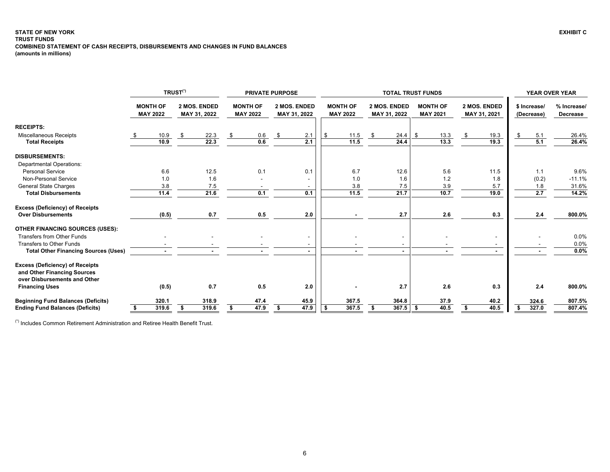#### <span id="page-6-0"></span>**STATE OF NEW YORK EXHIBIT C TRUST FUNDS COMBINED STATEMENT OF CASH RECEIPTS, DISBURSEMENTS AND CHANGES IN FUND BALANCES (amounts in millions)**

|                                                                                                       |                                    |       | TRUST <sup>(*)</sup>         |       |                                    | <b>PRIVATE PURPOSE</b> |                              |                          |                                    |       | <b>TOTAL TRUST FUNDS</b>     | <b>YEAR OVER YEAR</b> |                                    |      |                              |                |                            |       |                         |
|-------------------------------------------------------------------------------------------------------|------------------------------------|-------|------------------------------|-------|------------------------------------|------------------------|------------------------------|--------------------------|------------------------------------|-------|------------------------------|-----------------------|------------------------------------|------|------------------------------|----------------|----------------------------|-------|-------------------------|
|                                                                                                       | <b>MONTH OF</b><br><b>MAY 2022</b> |       | 2 MOS. ENDED<br>MAY 31, 2022 |       | <b>MONTH OF</b><br><b>MAY 2022</b> |                        | 2 MOS. ENDED<br>MAY 31, 2022 |                          | <b>MONTH OF</b><br><b>MAY 2022</b> |       | 2 MOS. ENDED<br>MAY 31, 2022 |                       | <b>MONTH OF</b><br><b>MAY 2021</b> |      | 2 MOS. ENDED<br>MAY 31, 2021 |                | \$ Increase/<br>(Decrease) |       | % Increase/<br>Decrease |
| <b>RECEIPTS:</b>                                                                                      |                                    |       |                              |       |                                    |                        |                              |                          |                                    |       |                              |                       |                                    |      |                              |                |                            |       |                         |
| <b>Miscellaneous Receipts</b>                                                                         |                                    | 10.9  | -\$                          | 22.3  |                                    | 0.6                    | \$                           | 2.1                      |                                    | 11.5  | \$                           | 24.4                  | \$                                 | 13.3 | \$                           | 19.3           |                            | 5.1   | 26.4%                   |
| <b>Total Receipts</b>                                                                                 |                                    | 10.9  |                              | 22.3  |                                    | 0.6                    |                              | 2.1                      |                                    | 11.5  |                              | 24.4                  |                                    | 13.3 |                              | 19.3           |                            | 5.1   | 26.4%                   |
| <b>DISBURSEMENTS:</b>                                                                                 |                                    |       |                              |       |                                    |                        |                              |                          |                                    |       |                              |                       |                                    |      |                              |                |                            |       |                         |
| <b>Departmental Operations:</b>                                                                       |                                    |       |                              |       |                                    |                        |                              |                          |                                    |       |                              |                       |                                    |      |                              |                |                            |       |                         |
| <b>Personal Service</b>                                                                               |                                    | 6.6   |                              | 12.5  |                                    | 0.1                    |                              | 0.1                      |                                    | 6.7   |                              | 12.6                  |                                    | 5.6  |                              | 11.5           |                            | 1.1   | 9.6%                    |
| Non-Personal Service                                                                                  |                                    | 1.0   |                              | 1.6   |                                    |                        |                              |                          |                                    | 1.0   |                              | 1.6                   |                                    | 1.2  |                              | 1.8            |                            | (0.2) | $-11.1%$                |
| <b>General State Charges</b>                                                                          |                                    | 3.8   |                              | 7.5   |                                    |                        |                              |                          |                                    | 3.8   |                              | 7.5                   |                                    | 3.9  |                              | 5.7            |                            | 1.8   | 31.6%                   |
| <b>Total Disbursements</b>                                                                            |                                    | 11.4  |                              | 21.6  |                                    | 0.1                    |                              | 0.1                      |                                    | 11.5  |                              | 21.7                  |                                    | 10.7 |                              | 19.0           |                            | 2.7   | 14.2%                   |
| <b>Excess (Deficiency) of Receipts</b>                                                                |                                    |       |                              |       |                                    |                        |                              |                          |                                    |       |                              |                       |                                    |      |                              |                |                            |       |                         |
| <b>Over Disbursements</b>                                                                             |                                    | (0.5) |                              | 0.7   |                                    | 0.5                    |                              | 2.0                      |                                    |       |                              | 2.7                   |                                    | 2.6  |                              | 0.3            |                            | 2.4   | 800.0%                  |
| <b>OTHER FINANCING SOURCES (USES):</b>                                                                |                                    |       |                              |       |                                    |                        |                              |                          |                                    |       |                              |                       |                                    |      |                              |                |                            |       |                         |
| Transfers from Other Funds                                                                            |                                    |       |                              |       |                                    |                        |                              | $\overline{\phantom{a}}$ |                                    |       |                              |                       |                                    |      |                              |                |                            |       | 0.0%                    |
| <b>Transfers to Other Funds</b>                                                                       |                                    |       |                              |       |                                    |                        |                              |                          |                                    |       |                              |                       |                                    |      |                              |                |                            |       | 0.0%                    |
| <b>Total Other Financing Sources (Uses)</b>                                                           |                                    |       |                              |       |                                    |                        |                              |                          |                                    |       |                              |                       |                                    |      |                              | $\blacksquare$ |                            |       | 0.0%                    |
| <b>Excess (Deficiency) of Receipts</b><br>and Other Financing Sources<br>over Disbursements and Other |                                    |       |                              |       |                                    |                        |                              |                          |                                    |       |                              |                       |                                    |      |                              |                |                            |       |                         |
| <b>Financing Uses</b>                                                                                 |                                    | (0.5) |                              | 0.7   |                                    | 0.5                    |                              | 2.0                      |                                    |       |                              | 2.7                   |                                    | 2.6  |                              | 0.3            |                            | 2.4   | 800.0%                  |
| <b>Beginning Fund Balances (Deficits)</b>                                                             |                                    | 320.1 |                              | 318.9 |                                    | 47.4                   |                              | 45.9                     |                                    | 367.5 |                              | 364.8                 |                                    | 37.9 |                              | 40.2           |                            | 324.6 | 807.5%                  |
| <b>Ending Fund Balances (Deficits)</b>                                                                |                                    | 319.6 |                              | 319.6 |                                    | 47.9                   | S                            | 47.9                     |                                    | 367.5 |                              | 367.5                 | -S                                 | 40.5 |                              | 40.5           |                            | 327.0 | 807.4%                  |

(\*) Includes Common Retirement Administration and Retiree Health Benefit Trust.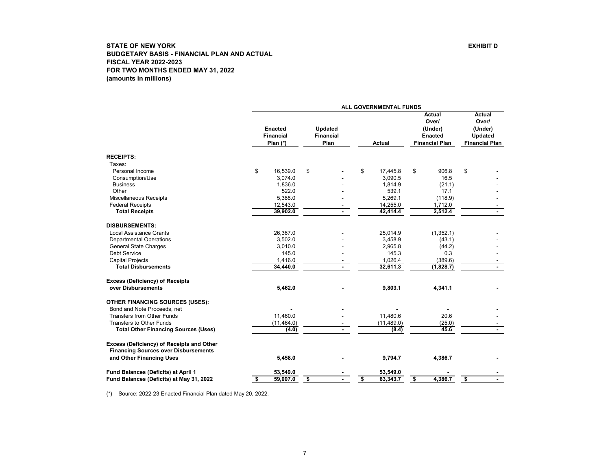<span id="page-7-0"></span>

|                                                                                          |                                                |                                            | ALL GOVERNMENTAL FUNDS |                                                                              |                                                                       |
|------------------------------------------------------------------------------------------|------------------------------------------------|--------------------------------------------|------------------------|------------------------------------------------------------------------------|-----------------------------------------------------------------------|
|                                                                                          | <b>Enacted</b><br><b>Financial</b><br>Plan (*) | <b>Updated</b><br><b>Financial</b><br>Plan | <b>Actual</b>          | <b>Actual</b><br>Over/<br>(Under)<br><b>Enacted</b><br><b>Financial Plan</b> | Actual<br>Over/<br>(Under)<br><b>Updated</b><br><b>Financial Plan</b> |
| <b>RECEIPTS:</b>                                                                         |                                                |                                            |                        |                                                                              |                                                                       |
| Taxes:                                                                                   |                                                |                                            |                        |                                                                              |                                                                       |
| Personal Income                                                                          | \$<br>16,539.0                                 | \$                                         | \$<br>17.445.8         | \$<br>906.8                                                                  | \$                                                                    |
| Consumption/Use                                                                          | 3,074.0                                        |                                            | 3,090.5                | 16.5                                                                         |                                                                       |
| <b>Business</b>                                                                          | 1,836.0                                        |                                            | 1.814.9                | (21.1)                                                                       |                                                                       |
| Other                                                                                    | 522.0                                          |                                            | 539.1                  | 17.1                                                                         |                                                                       |
| <b>Miscellaneous Receipts</b>                                                            | 5,388.0                                        |                                            | 5,269.1                | (118.9)                                                                      |                                                                       |
| <b>Federal Receipts</b>                                                                  | 12,543.0                                       |                                            | 14,255.0               | 1,712.0                                                                      |                                                                       |
| <b>Total Receipts</b>                                                                    | 39,902.0                                       |                                            | 42,414.4               | 2,512.4                                                                      |                                                                       |
| <b>DISBURSEMENTS:</b>                                                                    |                                                |                                            |                        |                                                                              |                                                                       |
| <b>Local Assistance Grants</b>                                                           | 26,367.0                                       |                                            | 25,014.9               | (1,352.1)                                                                    |                                                                       |
| <b>Departmental Operations</b>                                                           | 3,502.0                                        |                                            | 3,458.9                | (43.1)                                                                       |                                                                       |
| <b>General State Charges</b>                                                             | 3,010.0                                        |                                            | 2,965.8                | (44.2)                                                                       |                                                                       |
| <b>Debt Service</b>                                                                      | 145.0                                          |                                            | 145.3                  | 0.3                                                                          |                                                                       |
| <b>Capital Projects</b>                                                                  | 1,416.0                                        |                                            | 1,026.4                | (389.6)                                                                      |                                                                       |
| <b>Total Disbursements</b>                                                               | 34,440.0                                       |                                            | 32,611.3               | (1,828.7)                                                                    |                                                                       |
| <b>Excess (Deficiency) of Receipts</b>                                                   |                                                |                                            |                        |                                                                              |                                                                       |
| over Disbursements                                                                       | 5,462.0                                        |                                            | 9,803.1                | 4,341.1                                                                      |                                                                       |
| <b>OTHER FINANCING SOURCES (USES):</b>                                                   |                                                |                                            |                        |                                                                              |                                                                       |
| Bond and Note Proceeds, net                                                              |                                                |                                            |                        |                                                                              |                                                                       |
| <b>Transfers from Other Funds</b>                                                        | 11,460.0                                       |                                            | 11,480.6               | 20.6                                                                         |                                                                       |
| Transfers to Other Funds                                                                 | (11, 464.0)                                    |                                            | (11, 489.0)            | (25.0)                                                                       |                                                                       |
| <b>Total Other Financing Sources (Uses)</b>                                              | (4.0)                                          |                                            | (8.4)                  | 45.6                                                                         |                                                                       |
| Excess (Deficiency) of Receipts and Other<br><b>Financing Sources over Disbursements</b> |                                                |                                            |                        |                                                                              |                                                                       |
| and Other Financing Uses                                                                 | 5,458.0                                        |                                            | 9,794.7                | 4,386.7                                                                      |                                                                       |
| Fund Balances (Deficits) at April 1                                                      | 53,549.0                                       |                                            | 53,549.0               |                                                                              |                                                                       |
| Fund Balances (Deficits) at May 31, 2022                                                 | \$<br>59,007.0                                 | \$                                         | \$<br>63,343.7         | \$<br>4,386.7                                                                | \$                                                                    |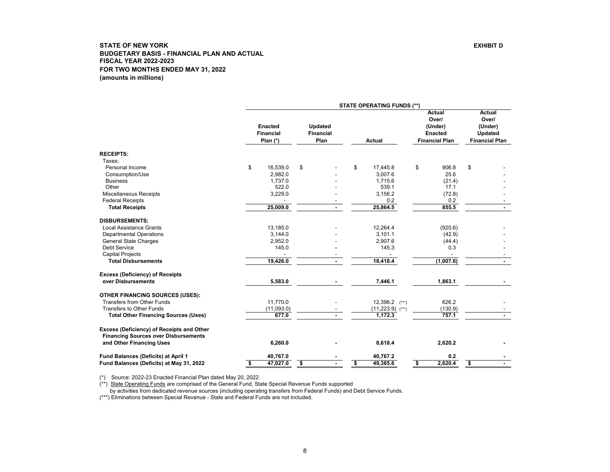<span id="page-8-0"></span>

|                                                                                          |                                                  |                                     | <b>STATE OPERATING FUNDS (**)</b> |                                                                       |                                                                       |
|------------------------------------------------------------------------------------------|--------------------------------------------------|-------------------------------------|-----------------------------------|-----------------------------------------------------------------------|-----------------------------------------------------------------------|
|                                                                                          | <b>Enacted</b><br><b>Financial</b><br>Plan $(*)$ | Updated<br><b>Financial</b><br>Plan | <b>Actual</b>                     | Actual<br>Over/<br>(Under)<br><b>Enacted</b><br><b>Financial Plan</b> | <b>Actual</b><br>Over/<br>(Under)<br>Updated<br><b>Financial Plan</b> |
| <b>RECEIPTS:</b>                                                                         |                                                  |                                     |                                   |                                                                       |                                                                       |
| Taxes:                                                                                   |                                                  |                                     |                                   |                                                                       |                                                                       |
| Personal Income                                                                          | \$<br>16.539.0                                   | \$                                  | \$<br>17,445.8                    | \$<br>906.8                                                           | \$                                                                    |
| Consumption/Use                                                                          | 2.982.0                                          |                                     | 3,007.6                           | 25.6                                                                  |                                                                       |
| <b>Business</b>                                                                          | 1.737.0                                          |                                     | 1,715.6                           | (21.4)                                                                |                                                                       |
| Other                                                                                    | 522.0                                            |                                     | 539.1                             | 17.1                                                                  |                                                                       |
| Miscellaneous Receipts                                                                   | 3,229.0                                          |                                     | 3,156.2                           | (72.8)                                                                |                                                                       |
| <b>Federal Receipts</b>                                                                  |                                                  |                                     | 0.2                               | 0.2                                                                   |                                                                       |
| <b>Total Receipts</b>                                                                    | 25,009.0                                         |                                     | 25,864.5                          | 855.5                                                                 |                                                                       |
| <b>DISBURSEMENTS:</b>                                                                    |                                                  |                                     |                                   |                                                                       |                                                                       |
| <b>Local Assistance Grants</b>                                                           | 13,185.0                                         |                                     | 12,264.4                          | (920.6)                                                               |                                                                       |
| <b>Departmental Operations</b>                                                           | 3,144.0                                          |                                     | 3,101.1                           | (42.9)                                                                |                                                                       |
| <b>General State Charges</b>                                                             | 2,952.0                                          |                                     | 2,907.6                           | (44.4)                                                                |                                                                       |
| <b>Debt Service</b>                                                                      | 145.0                                            |                                     | 145.3                             | 0.3                                                                   |                                                                       |
| <b>Capital Projects</b>                                                                  |                                                  |                                     |                                   |                                                                       |                                                                       |
| <b>Total Disbursements</b>                                                               | 19,426.0                                         |                                     | 18,418.4                          | (1,007.6)                                                             |                                                                       |
| <b>Excess (Deficiency) of Receipts</b>                                                   |                                                  |                                     |                                   |                                                                       |                                                                       |
| over Disbursements                                                                       | 5,583.0                                          |                                     | 7,446.1                           | 1,863.1                                                               |                                                                       |
| <b>OTHER FINANCING SOURCES (USES):</b>                                                   |                                                  |                                     |                                   |                                                                       |                                                                       |
| Transfers from Other Funds                                                               | 11.770.0                                         |                                     | $12,396.2$ (***)                  | 626.2                                                                 |                                                                       |
| <b>Transfers to Other Funds</b>                                                          | (11,093.0)                                       |                                     | $(11,223.9)$ (***)                | (130.9)                                                               |                                                                       |
| <b>Total Other Financing Sources (Uses)</b>                                              | 677.0                                            |                                     | 1,172.3                           | 757.1                                                                 |                                                                       |
| Excess (Deficiency) of Receipts and Other<br><b>Financing Sources over Disbursements</b> |                                                  |                                     |                                   |                                                                       |                                                                       |
| and Other Financing Uses                                                                 | 6,260.0                                          |                                     | 8,618.4                           | 2,620.2                                                               |                                                                       |
| <b>Fund Balances (Deficits) at April 1</b>                                               | 40,767.0                                         |                                     | 40,767.2                          | 0.2                                                                   |                                                                       |
| Fund Balances (Deficits) at May 31, 2022                                                 | \$<br>47,027.0                                   | \$                                  | \$<br>49,385.6                    | \$<br>2,620.4                                                         | \$                                                                    |

(\*) Source: 2022-23 Enacted Financial Plan dated May 20, 2022.

(\*\*) State Operating Funds are comprised of the General Fund, State Special Revenue Funds supported

by activities from dedicated revenue sources (including operating transfers from Federal Funds) and Debt Service Funds.

(\*\*\*) Eliminations between Special Revenue - State and Federal Funds are not included.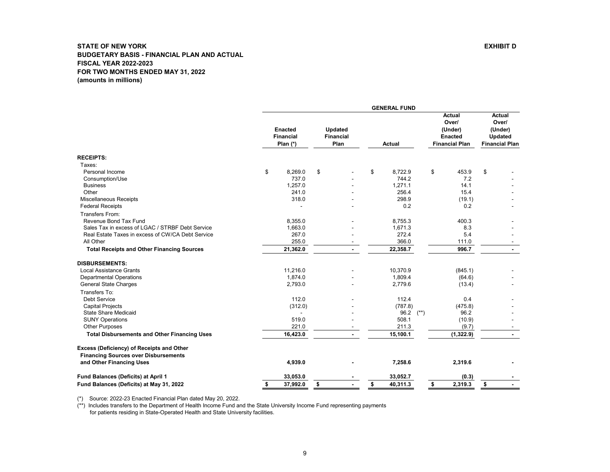<span id="page-9-0"></span>

|                                                                                          |                                                |                                            | <b>GENERAL FUND</b> |        |                                                                       |                                                                              |
|------------------------------------------------------------------------------------------|------------------------------------------------|--------------------------------------------|---------------------|--------|-----------------------------------------------------------------------|------------------------------------------------------------------------------|
|                                                                                          | <b>Enacted</b><br><b>Financial</b><br>Plan (*) | <b>Updated</b><br><b>Financial</b><br>Plan | <b>Actual</b>       |        | <b>Actual</b><br>Over/<br>(Under)<br>Enacted<br><b>Financial Plan</b> | <b>Actual</b><br>Over/<br>(Under)<br><b>Updated</b><br><b>Financial Plan</b> |
| <b>RECEIPTS:</b>                                                                         |                                                |                                            |                     |        |                                                                       |                                                                              |
| Taxes:                                                                                   |                                                |                                            |                     |        |                                                                       |                                                                              |
| Personal Income                                                                          | \$<br>8,269.0                                  | \$                                         | \$<br>8,722.9       | \$     | 453.9                                                                 | \$                                                                           |
| Consumption/Use                                                                          | 737.0                                          |                                            | 744.2               |        | 7.2                                                                   |                                                                              |
| <b>Business</b>                                                                          | 1,257.0                                        |                                            | 1,271.1             |        | 14.1                                                                  |                                                                              |
| Other                                                                                    | 241.0                                          |                                            | 256.4               |        | 15.4                                                                  |                                                                              |
| <b>Miscellaneous Receipts</b>                                                            | 318.0                                          |                                            | 298.9               |        | (19.1)                                                                |                                                                              |
| <b>Federal Receipts</b>                                                                  |                                                |                                            | 0.2                 |        | 0.2                                                                   |                                                                              |
| Transfers From:                                                                          |                                                |                                            |                     |        |                                                                       |                                                                              |
| Revenue Bond Tax Fund                                                                    | 8,355.0                                        |                                            | 8,755.3             |        | 400.3                                                                 |                                                                              |
| Sales Tax in excess of LGAC / STRBF Debt Service                                         | 1,663.0                                        |                                            | 1,671.3             |        | 8.3                                                                   |                                                                              |
| Real Estate Taxes in excess of CW/CA Debt Service                                        | 267.0                                          |                                            | 272.4               |        | 5.4                                                                   |                                                                              |
| All Other                                                                                | 255.0                                          | ٠                                          | 366.0               |        | 111.0                                                                 |                                                                              |
| <b>Total Receipts and Other Financing Sources</b>                                        | 21,362.0                                       | $\blacksquare$                             | 22,358.7            |        | 996.7                                                                 | $\blacksquare$                                                               |
| <b>DISBURSEMENTS:</b>                                                                    |                                                |                                            |                     |        |                                                                       |                                                                              |
| <b>Local Assistance Grants</b>                                                           | 11,216.0                                       |                                            | 10,370.9            |        | (845.1)                                                               |                                                                              |
| <b>Departmental Operations</b>                                                           | 1,874.0                                        |                                            | 1.809.4             |        | (64.6)                                                                |                                                                              |
| General State Charges                                                                    | 2,793.0                                        |                                            | 2,779.6             |        | (13.4)                                                                |                                                                              |
| Transfers To:                                                                            |                                                |                                            |                     |        |                                                                       |                                                                              |
| <b>Debt Service</b>                                                                      | 112.0                                          |                                            | 112.4               |        | 0.4                                                                   |                                                                              |
| <b>Capital Projects</b>                                                                  | (312.0)                                        |                                            | (787.8)             |        | (475.8)                                                               |                                                                              |
| <b>State Share Medicaid</b>                                                              |                                                |                                            | 96.2                | $(**)$ | 96.2                                                                  |                                                                              |
| <b>SUNY Operations</b>                                                                   | 519.0                                          |                                            | 508.1               |        | (10.9)                                                                |                                                                              |
| <b>Other Purposes</b>                                                                    | 221.0                                          |                                            | 211.3               |        | (9.7)                                                                 |                                                                              |
| <b>Total Disbursements and Other Financing Uses</b>                                      | 16,423.0                                       |                                            | 15,100.1            |        | (1,322.9)                                                             |                                                                              |
| Excess (Deficiency) of Receipts and Other<br><b>Financing Sources over Disbursements</b> |                                                |                                            |                     |        |                                                                       |                                                                              |
| and Other Financing Uses                                                                 | 4,939.0                                        |                                            | 7,258.6             |        | 2,319.6                                                               |                                                                              |
| Fund Balances (Deficits) at April 1                                                      | 33,053.0                                       |                                            | 33,052.7            |        | (0.3)                                                                 |                                                                              |
| Fund Balances (Deficits) at May 31, 2022                                                 | \$<br>37,992.0                                 | \$                                         | \$<br>40,311.3      | \$     | 2,319.3                                                               | \$                                                                           |

(\*) Source: 2022-23 Enacted Financial Plan dated May 20, 2022.

(\*\*) Includes transfers to the Department of Health Income Fund and the State University Income Fund representing payments for patients residing in State-Operated Health and State University facilities.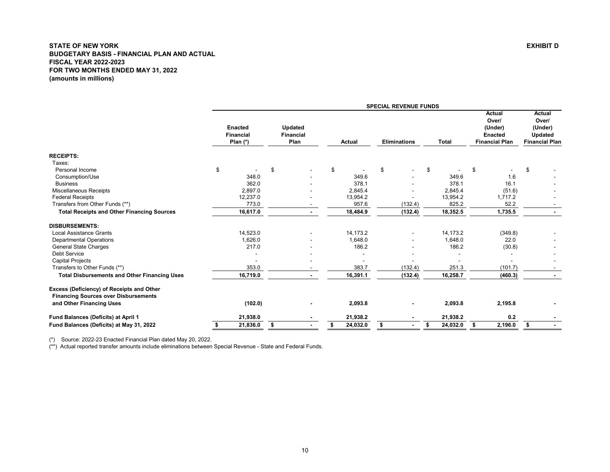<span id="page-10-0"></span>

|                                                                                          |                                                  |                                     |                | <b>SPECIAL REVENUE FUNDS</b> |                |                                                                       |                                                                       |
|------------------------------------------------------------------------------------------|--------------------------------------------------|-------------------------------------|----------------|------------------------------|----------------|-----------------------------------------------------------------------|-----------------------------------------------------------------------|
|                                                                                          | <b>Enacted</b><br><b>Financial</b><br>Plan $(*)$ | Updated<br><b>Financial</b><br>Plan | <b>Actual</b>  | <b>Eliminations</b>          | <b>Total</b>   | Actual<br>Over/<br>(Under)<br><b>Enacted</b><br><b>Financial Plan</b> | <b>Actual</b><br>Over/<br>(Under)<br>Updated<br><b>Financial Plan</b> |
| <b>RECEIPTS:</b>                                                                         |                                                  |                                     |                |                              |                |                                                                       |                                                                       |
| Taxes:                                                                                   |                                                  |                                     |                |                              |                |                                                                       |                                                                       |
| Personal Income                                                                          | \$                                               | £.                                  | \$             | \$                           | \$             | \$                                                                    | \$                                                                    |
| Consumption/Use                                                                          | 348.0                                            |                                     | 349.6          |                              | 349.6          | 1.6                                                                   |                                                                       |
| <b>Business</b>                                                                          | 362.0                                            |                                     | 378.1          |                              | 378.1          | 16.1                                                                  |                                                                       |
| <b>Miscellaneous Receipts</b>                                                            | 2,897.0                                          |                                     | 2,845.4        |                              | 2,845.4        | (51.6)                                                                |                                                                       |
| <b>Federal Receipts</b>                                                                  | 12,237.0                                         |                                     | 13,954.2       |                              | 13,954.2       | 1,717.2                                                               |                                                                       |
| Transfers from Other Funds (**)                                                          | 773.0                                            | $\overline{\phantom{a}}$            | 957.6          | (132.4)                      | 825.2          | 52.2                                                                  | $\overline{\phantom{a}}$                                              |
| <b>Total Receipts and Other Financing Sources</b>                                        | 16,617.0                                         | $\sim$                              | 18,484.9       | (132.4)                      | 18,352.5       | 1,735.5                                                               |                                                                       |
| <b>DISBURSEMENTS:</b>                                                                    |                                                  |                                     |                |                              |                |                                                                       |                                                                       |
| <b>Local Assistance Grants</b>                                                           | 14,523.0                                         |                                     | 14,173.2       |                              | 14,173.2       | (349.8)                                                               |                                                                       |
| <b>Departmental Operations</b>                                                           | 1,626.0                                          |                                     | 1,648.0        |                              | 1,648.0        | 22.0                                                                  |                                                                       |
| <b>General State Charges</b>                                                             | 217.0                                            |                                     | 186.2          |                              | 186.2          | (30.8)                                                                |                                                                       |
| <b>Debt Service</b>                                                                      |                                                  |                                     |                |                              |                |                                                                       |                                                                       |
| <b>Capital Projects</b>                                                                  |                                                  |                                     |                |                              |                |                                                                       |                                                                       |
| Transfers to Other Funds (**)                                                            | 353.0                                            |                                     | 383.7          | (132.4)                      | 251.3          | (101.7)                                                               |                                                                       |
| <b>Total Disbursements and Other Financing Uses</b>                                      | 16,719.0                                         |                                     | 16,391.1       | (132.4)                      | 16,258.7       | (460.3)                                                               |                                                                       |
| Excess (Deficiency) of Receipts and Other<br><b>Financing Sources over Disbursements</b> |                                                  |                                     |                |                              |                |                                                                       |                                                                       |
| and Other Financing Uses                                                                 | (102.0)                                          |                                     | 2,093.8        |                              | 2,093.8        | 2,195.8                                                               |                                                                       |
| Fund Balances (Deficits) at April 1                                                      | 21,938.0                                         |                                     | 21,938.2       |                              | 21,938.2       | 0.2                                                                   |                                                                       |
| Fund Balances (Deficits) at May 31, 2022                                                 | 21,836.0<br>s                                    | \$                                  | 24,032.0<br>\$ | \$                           | 24,032.0<br>\$ | 2,196.0<br>\$                                                         | \$                                                                    |

(\*) Source: 2022-23 Enacted Financial Plan dated May 20, 2022.

(\*\*) Actual reported transfer amounts include eliminations between Special Revenue - State and Federal Funds.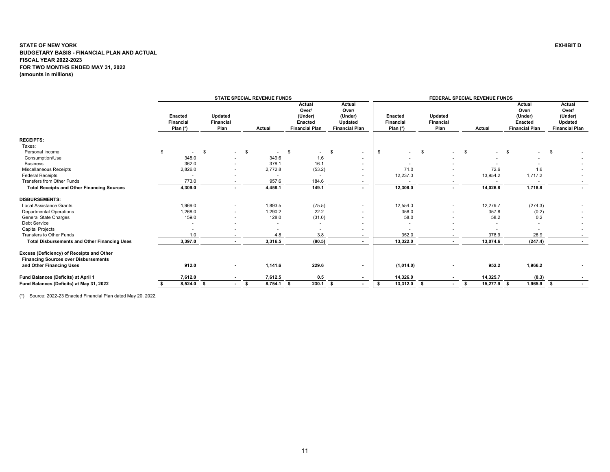<span id="page-11-0"></span>

|                                                                                                                      |                                           |                                     | <b>STATE SPECIAL REVENUE FUNDS</b> |                                                                       |                                                                |                                           |                                     | FEDERAL SPECIAL REVENUE FUNDS |                                                                       |                                                                |
|----------------------------------------------------------------------------------------------------------------------|-------------------------------------------|-------------------------------------|------------------------------------|-----------------------------------------------------------------------|----------------------------------------------------------------|-------------------------------------------|-------------------------------------|-------------------------------|-----------------------------------------------------------------------|----------------------------------------------------------------|
|                                                                                                                      | <b>Enacted</b><br>Financial<br>Plan $(*)$ | Updated<br><b>Financial</b><br>Plan | Actual                             | Actual<br>Over/<br>(Under)<br><b>Enacted</b><br><b>Financial Plan</b> | Actual<br>Over/<br>(Under)<br>Updated<br><b>Financial Plan</b> | Enacted<br><b>Financial</b><br>Plan $(*)$ | Updated<br><b>Financial</b><br>Plan | Actual                        | Actual<br>Over/<br>(Under)<br><b>Enacted</b><br><b>Financial Plan</b> | Actual<br>Over/<br>(Under)<br>Updated<br><b>Financial Plan</b> |
| <b>RECEIPTS:</b>                                                                                                     |                                           |                                     |                                    |                                                                       |                                                                |                                           |                                     |                               |                                                                       |                                                                |
| Taxes:                                                                                                               |                                           |                                     |                                    |                                                                       |                                                                |                                           |                                     |                               |                                                                       |                                                                |
| Personal Income                                                                                                      | \$<br>$\overline{a}$                      | \$<br>$\sim$                        | \$<br>$\sim$                       | \$<br>$\sim$                                                          | \$<br>$\sim$                                                   | \$<br>$\overline{\phantom{a}}$            | S.<br>۰.                            | \$<br>$\sim 10^{-1}$          | $\mathbf{s}$<br>$\sim$                                                | \$                                                             |
| Consumption/Use                                                                                                      | 348.0                                     |                                     | 349.6                              | 1.6                                                                   |                                                                |                                           |                                     |                               |                                                                       |                                                                |
| <b>Business</b>                                                                                                      | 362.0                                     |                                     | 378.1                              | 16.1                                                                  | $\sim$                                                         |                                           |                                     |                               |                                                                       |                                                                |
| Miscellaneous Receipts                                                                                               | 2,826.0                                   |                                     | 2,772.8                            | (53.2)                                                                |                                                                | 71.0                                      |                                     | 72.6                          | 1.6                                                                   |                                                                |
| <b>Federal Receipts</b>                                                                                              |                                           |                                     |                                    |                                                                       |                                                                | 12,237.0                                  |                                     | 13,954.2                      | 1,717.2                                                               |                                                                |
| <b>Transfers from Other Funds</b>                                                                                    | 773.0                                     | $\sim$                              | 957.6                              | 184.6                                                                 | $\sim$                                                         |                                           |                                     | $\sim$                        | $\overline{\phantom{a}}$                                              |                                                                |
| <b>Total Receipts and Other Financing Sources</b>                                                                    | 4,309.0                                   | $\sim$                              | 4,458.1                            | 149.1                                                                 |                                                                | 12,308.0                                  |                                     | 14,026.8                      | 1,718.8                                                               |                                                                |
| <b>DISBURSEMENTS:</b>                                                                                                |                                           |                                     |                                    |                                                                       |                                                                |                                           |                                     |                               |                                                                       |                                                                |
| <b>Local Assistance Grants</b>                                                                                       | 1,969.0                                   |                                     | 1,893.5                            | (75.5)                                                                |                                                                | 12,554.0                                  |                                     | 12,279.7                      | (274.3)                                                               |                                                                |
| <b>Departmental Operations</b>                                                                                       | .268.0                                    |                                     | 1,290.2                            | 22.2                                                                  |                                                                | 358.0                                     |                                     | 357.8                         | (0.2)                                                                 |                                                                |
| <b>General State Charges</b>                                                                                         | 159.0                                     |                                     | 128.0                              | (31.0)                                                                |                                                                | 58.0                                      |                                     | 58.2                          | 0.2                                                                   |                                                                |
| Debt Service                                                                                                         |                                           |                                     |                                    |                                                                       |                                                                |                                           |                                     |                               | $\blacksquare$                                                        |                                                                |
| <b>Capital Projects</b>                                                                                              |                                           |                                     |                                    |                                                                       |                                                                |                                           |                                     |                               |                                                                       |                                                                |
| Transfers to Other Funds                                                                                             | 1.0                                       | . .                                 | 4.8                                | 3.8                                                                   | $\sim$                                                         | 352.0                                     |                                     | 378.9                         | 26.9                                                                  |                                                                |
| <b>Total Disbursements and Other Financing Uses</b>                                                                  | 3,397.0                                   | $\sim$                              | 3,316.5                            | (80.5)                                                                |                                                                | 13,322.0                                  |                                     | 13,074.6                      | (247.4)                                                               |                                                                |
| Excess (Deficiency) of Receipts and Other<br><b>Financing Sources over Disbursements</b><br>and Other Financing Uses | 912.0                                     |                                     | 1,141.6                            | 229.6                                                                 |                                                                | (1,014.0)                                 |                                     | 952.2                         | 1,966.2                                                               |                                                                |
| Fund Balances (Deficits) at April 1                                                                                  | 7,612.0                                   | $\sim$                              | 7,612.5                            | 0.5                                                                   | $\sim$                                                         | 14,326.0                                  |                                     | 14,325.7                      | (0.3)                                                                 |                                                                |
| Fund Balances (Deficits) at May 31, 2022                                                                             | 8,524.0                                   | - \$<br>$\sim$                      | 8,754.1                            | 230.1<br>-S                                                           | s.<br>$\sim$                                                   | 13,312.0<br>S.                            | $\sim$                              | 15,277.9<br>\$                | 1,965.9<br>- \$                                                       | $\sim$                                                         |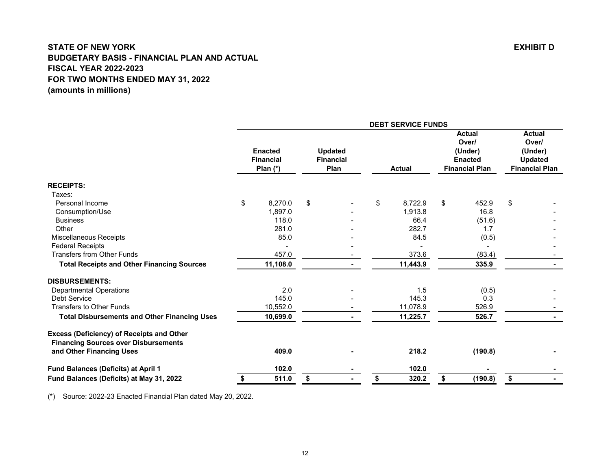<span id="page-12-0"></span>**Actual ActualOver/ Over/ Enacted Updated (Under) (Under) Financial Financial Enacted Updated Plan (\*) Plan Actual Financial Plan Financial Plan RECEIPTS:** Taxes:Personal Income \$ 8,270.0 \$ - \$ 8,722.9 \$ 452.9 \$ - Consumption/Use 1,897.0 - 1,913.8 16.8 - Business 118.0 - 66.4 (51.6) - Other 281.0 - 282.7 1.7 -Miscellaneous Receipts 60.5 and the control of the control of the 84.5 and 84.5 and 84.5 and 84.5 and 84.5 and 1 Federal Receipts - - - - - Transfers from Other Funds (83.4)  $\overline{a}$  457.0  $\overline{a}$  - 373.6 (83.4)  **Total Receipts and Other Financing Sources 11,108.0 - 11,443.9 335.9 - DISBURSEMENTS:**Peratmental Operations 1.5 (0.5)<br>  $\begin{array}{cccccccccc} & & & & & & 2.0 & & & & & & 1.5 & & & & (0.5) \text{.} & & & & & & & & 1.5 & & (0.5) \text{.} & & & & & & & 145.0 & & & & & & 145.3 & & & & & 0.3 \end{array}$  Debt Service 145.0 - 145.3 0.3 -Transfers to Other Funds **10,552.0** - 11,078.9 526.9 - 526.9 - 526.9 - 526.9 - 526.9 - 526.9 - 526.9 - 526.9 - 526.9 - 526.9 - 526.9 - 526.9 - 526.9 - 526.9 - 526.9 - 526.9 - 526.9 - 526.9 - 526.9 - 526.9 - 526.9 - 526.9 - **Total Disbursements and Other Financing Uses 10,699.0 - 11,225.7 526.7 - Excess (Deficiency) of Receipts and Other Financing Sources over Disbursements and Other Financing Uses 409.0 - 218.2 (190.8) - Fund Balances (Deficits) at April 1 - 102.0 102.0 - - Fund Balances (Deficits) at May 31, 2022 511.0 \$ - \$ 320.2 \$ (190.8) \$ - \$ DEBT SERVICE FUNDS**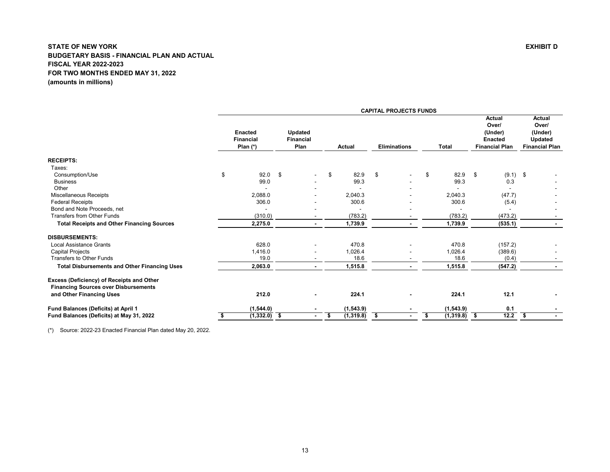<span id="page-13-0"></span>

|                                                                                          | <b>CAPITAL PROJECTS FUNDS</b> |                                                |      |                                            |    |           |                     |  |    |                |    |                                                                       |                                                                       |
|------------------------------------------------------------------------------------------|-------------------------------|------------------------------------------------|------|--------------------------------------------|----|-----------|---------------------|--|----|----------------|----|-----------------------------------------------------------------------|-----------------------------------------------------------------------|
|                                                                                          |                               | <b>Enacted</b><br><b>Financial</b><br>Plan (*) |      | <b>Updated</b><br><b>Financial</b><br>Plan |    | Actual    | <b>Eliminations</b> |  |    | Total          |    | Actual<br>Over/<br>(Under)<br><b>Enacted</b><br><b>Financial Plan</b> | Actual<br>Over/<br>(Under)<br><b>Updated</b><br><b>Financial Plan</b> |
| <b>RECEIPTS:</b>                                                                         |                               |                                                |      |                                            |    |           |                     |  |    |                |    |                                                                       |                                                                       |
| Taxes:                                                                                   |                               |                                                |      |                                            |    |           |                     |  |    |                |    |                                                                       |                                                                       |
| Consumption/Use                                                                          | \$                            | 92.0                                           | - \$ | $\overline{\phantom{0}}$                   | \$ | 82.9      | \$                  |  | \$ | 82.9           | \$ | $(9.1)$ \$                                                            |                                                                       |
| <b>Business</b>                                                                          |                               | 99.0                                           |      |                                            |    | 99.3      |                     |  |    | 99.3           |    | 0.3                                                                   |                                                                       |
| Other                                                                                    |                               |                                                |      |                                            |    |           |                     |  |    |                |    |                                                                       |                                                                       |
| <b>Miscellaneous Receipts</b>                                                            |                               | 2,088.0                                        |      |                                            |    | 2,040.3   |                     |  |    | 2,040.3        |    | (47.7)                                                                |                                                                       |
| <b>Federal Receipts</b>                                                                  |                               | 306.0                                          |      |                                            |    | 300.6     |                     |  |    | 300.6          |    | (5.4)                                                                 |                                                                       |
| Bond and Note Proceeds, net                                                              |                               |                                                |      |                                            |    |           |                     |  |    |                |    |                                                                       |                                                                       |
| <b>Transfers from Other Funds</b>                                                        |                               | (310.0)                                        |      |                                            |    | (783.2)   |                     |  |    | (783.2)        |    | (473.2)                                                               |                                                                       |
| <b>Total Receipts and Other Financing Sources</b>                                        |                               | 2,275.0                                        |      |                                            |    | 1,739.9   |                     |  |    | 1,739.9        |    | (535.1)                                                               |                                                                       |
| <b>DISBURSEMENTS:</b>                                                                    |                               |                                                |      |                                            |    |           |                     |  |    |                |    |                                                                       |                                                                       |
| <b>Local Assistance Grants</b>                                                           |                               | 628.0                                          |      |                                            |    | 470.8     |                     |  |    | 470.8          |    | (157.2)                                                               |                                                                       |
| <b>Capital Projects</b>                                                                  |                               | 1,416.0                                        |      |                                            |    | 1,026.4   |                     |  |    | 1,026.4        |    | (389.6)                                                               |                                                                       |
| <b>Transfers to Other Funds</b>                                                          |                               | 19.0                                           |      |                                            |    | 18.6      |                     |  |    | 18.6           |    | (0.4)                                                                 |                                                                       |
| <b>Total Disbursements and Other Financing Uses</b>                                      |                               | 2,063.0                                        |      |                                            |    | 1,515.8   |                     |  |    | 1,515.8        |    | (547.2)                                                               |                                                                       |
| Excess (Deficiency) of Receipts and Other<br><b>Financing Sources over Disbursements</b> |                               |                                                |      |                                            |    |           |                     |  |    |                |    |                                                                       |                                                                       |
| and Other Financing Uses                                                                 |                               | 212.0                                          |      |                                            |    | 224.1     |                     |  |    | 224.1          |    | 12.1                                                                  |                                                                       |
| Fund Balances (Deficits) at April 1                                                      |                               | (1, 544.0)                                     |      |                                            |    | (1,543.9) |                     |  |    | (1, 543.9)     |    | 0.1                                                                   |                                                                       |
| Fund Balances (Deficits) at May 31, 2022                                                 | \$                            | $(1,332.0)$ \$                                 |      | $\blacksquare$                             | \$ | (1,319.8) | \$                  |  | \$ | $(1,319.8)$ \$ |    | 12.2                                                                  | \$                                                                    |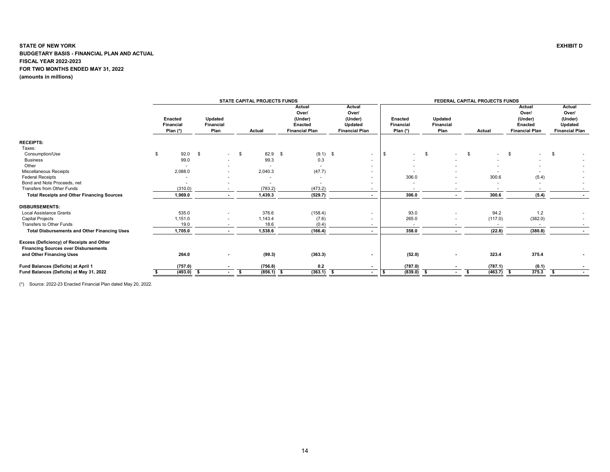<span id="page-14-0"></span>

|                                                                                          |                                           |                              | <b>STATE CAPITAL PROJECTS FUNDS</b> |                                                                |                                                                |                                    |                                     | FEDERAL CAPITAL PROJECTS FUNDS |                                                                |                                                                |
|------------------------------------------------------------------------------------------|-------------------------------------------|------------------------------|-------------------------------------|----------------------------------------------------------------|----------------------------------------------------------------|------------------------------------|-------------------------------------|--------------------------------|----------------------------------------------------------------|----------------------------------------------------------------|
|                                                                                          | Enacted<br><b>Financial</b><br>Plan $(*)$ | Updated<br>Financial<br>Plan | Actual                              | Actual<br>Over/<br>(Under)<br>Enacted<br><b>Financial Plan</b> | Actual<br>Over/<br>(Under)<br>Updated<br><b>Financial Plan</b> | Enacted<br>Financial<br>Plan $(*)$ | Updated<br><b>Financial</b><br>Plan | Actual                         | Actual<br>Over/<br>(Under)<br>Enacted<br><b>Financial Plan</b> | Actual<br>Over/<br>(Under)<br>Updated<br><b>Financial Plan</b> |
| <b>RECEIPTS:</b>                                                                         |                                           |                              |                                     |                                                                |                                                                |                                    |                                     |                                |                                                                |                                                                |
| Taxes:                                                                                   |                                           |                              |                                     |                                                                |                                                                |                                    |                                     |                                |                                                                |                                                                |
| Consumption/Use                                                                          | 92.0                                      | \$<br>$\sim 100$             | 82.9<br>- \$                        | $(9.1)$ \$<br>- \$                                             | $\sim$                                                         | \$<br>\$<br>$\sim$                 | $\sim$                              | \$<br>$\sim$                   | - \$                                                           | - \$                                                           |
| <b>Business</b>                                                                          | 99.0                                      | $\sim$                       | 99.3                                | 0.3                                                            |                                                                |                                    |                                     |                                |                                                                |                                                                |
| Other                                                                                    |                                           | $\sim$                       |                                     | $\sim$                                                         | . .                                                            |                                    |                                     |                                |                                                                |                                                                |
| Miscellaneous Receipts                                                                   | 2,088.0                                   |                              | 2,040.3                             | (47.7)                                                         |                                                                |                                    |                                     |                                |                                                                |                                                                |
| <b>Federal Receipts</b>                                                                  |                                           |                              |                                     |                                                                |                                                                | 306.0                              |                                     | 300.6                          | (5.4)                                                          |                                                                |
| Bond and Note Proceeds, net                                                              |                                           |                              |                                     |                                                                | ۰                                                              |                                    |                                     | $\blacksquare$                 | ٠                                                              |                                                                |
| Transfers from Other Funds                                                               | (310.0)                                   |                              | (783.2)                             | (473.2)                                                        | $\overline{\phantom{a}}$                                       | $\overline{\phantom{a}}$           |                                     | $\overline{\phantom{a}}$       | $\overline{\phantom{a}}$                                       |                                                                |
| <b>Total Receipts and Other Financing Sources</b>                                        | 1,969.0                                   |                              | 1,439.3                             | (529.7)                                                        | $\sim$                                                         | 306.0                              |                                     | 300.6                          | (5.4)                                                          |                                                                |
| <b>DISBURSEMENTS:</b>                                                                    |                                           |                              |                                     |                                                                |                                                                |                                    |                                     |                                |                                                                |                                                                |
| <b>Local Assistance Grants</b>                                                           | 535.0                                     | $\sim$                       | 376.6                               | (158.4)                                                        |                                                                | 93.0                               |                                     | 94.2                           | 1.2                                                            |                                                                |
| Capital Projects                                                                         | 1,151.0                                   | $\overline{\phantom{a}}$     | 1,143.4                             | (7.6)                                                          | $\overline{\phantom{a}}$                                       | 265.0                              | $\overline{\phantom{a}}$            | (117.0)                        | (382.0)                                                        |                                                                |
| Transfers to Other Funds                                                                 | 19.0                                      |                              | 18.6                                | (0.4)                                                          |                                                                |                                    |                                     |                                |                                                                |                                                                |
| <b>Total Disbursements and Other Financing Uses</b>                                      | 1,705.0                                   | $\sim$                       | 1,538.6                             | (166.4)                                                        | $\sim$                                                         | 358.0                              | $\blacksquare$                      | (22.8)                         | (380.8)                                                        |                                                                |
| Excess (Deficiency) of Receipts and Other<br><b>Financing Sources over Disbursements</b> |                                           |                              |                                     |                                                                |                                                                |                                    |                                     |                                |                                                                |                                                                |
| and Other Financing Uses                                                                 | 264.0                                     | $\blacksquare$               | (99.3)                              | (363.3)                                                        |                                                                | (52.0)                             | $\blacksquare$                      | 323.4                          | 375.4                                                          |                                                                |
| Fund Balances (Deficits) at April 1                                                      | (757.0)                                   |                              | (756.8)                             | 0.2                                                            |                                                                | (787.0)                            |                                     | (787.1)                        | (0.1)                                                          |                                                                |
| Fund Balances (Deficits) at May 31, 2022                                                 | (493.0)                                   | - \$<br>$\sim$               | (856.1)<br>s.                       | (363.1)<br>- 5                                                 | - 5                                                            | (839.0)                            | $\sim$                              | (463.7)<br>\$                  | 375.3                                                          |                                                                |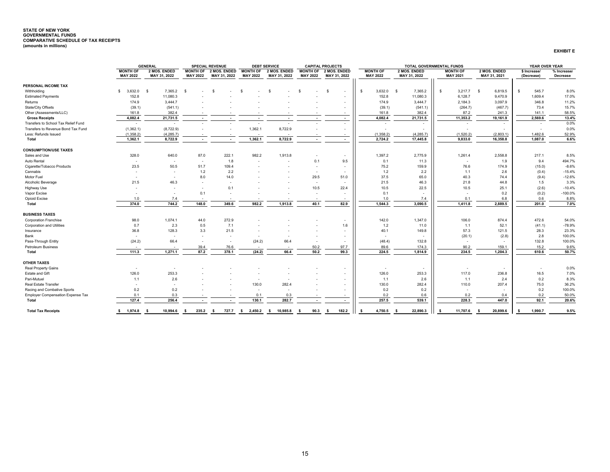# <span id="page-15-0"></span>**STATE OF NEW YORK GOVERNMENTAL FUNDS COMPARATIVE SCHEDULE OF TAX RECEIPTS (amounts in millions)**

| <b>XHIBIT</b> |
|---------------|
|---------------|

|                                     |                          | <b>GENERAL</b>           |                          | <b>SPECIAL REVENUE</b>   |                 | <b>DEBT SERVICE</b>  |                          | <b>CAPITAL PROJECTS</b>        |              |                 | <b>TOTAL GOVERNMENTAL FUNDS</b> |                 |                          |                  | YEAR OVER YEAR                |             |
|-------------------------------------|--------------------------|--------------------------|--------------------------|--------------------------|-----------------|----------------------|--------------------------|--------------------------------|--------------|-----------------|---------------------------------|-----------------|--------------------------|------------------|-------------------------------|-------------|
|                                     | <b>MONTH OF</b>          | 2 MOS. ENDED             | <b>MONTH OF</b>          | 2 MOS. ENDED             | <b>MONTH OF</b> | 2 MOS. ENDED         | <b>MONTH OF</b>          | 2 MOS. ENDED                   |              | <b>MONTH OF</b> | 2 MOS. ENDED                    | <b>MONTH OF</b> |                          | 2 MOS. ENDED     | \$ Increase/                  | % Increase/ |
|                                     | <b>MAY 2022</b>          | MAY 31, 2022             | <b>MAY 2022</b>          | MAY 31, 2022             | <b>MAY 2022</b> | MAY 31, 2022         | <b>MAY 2022</b>          | MAY 31, 2022                   |              | <b>MAY 2022</b> | MAY 31, 2022                    | <b>MAY 2021</b> |                          | MAY 31, 2021     | (Decrease)                    | Decrease    |
| PERSONAL INCOME TAX                 |                          |                          |                          |                          |                 |                      |                          |                                |              |                 |                                 |                 |                          |                  |                               |             |
| Withholding                         | 3.632.0<br>-S            | 7,365.2<br>- \$          | -S                       |                          |                 | -S                   | -9                       | \$<br>$\overline{\phantom{a}}$ | $\mathbf{s}$ | 3,632.0         | 7,365.2<br>- \$                 | \$              | 3,217.7                  | 6,819.5<br>\$    | 545.7<br>S.                   | 8.0%        |
| <b>Estimated Payments</b>           | 152.8                    | 11,080.3                 |                          |                          |                 |                      |                          | $\overline{\phantom{a}}$       |              | 152.8           | 11,080.3                        |                 | 6,128.7                  | 9,470.9          | 1,609.4                       | 17.0%       |
| Returns                             | 174.9                    | 3.444.7                  |                          |                          |                 |                      |                          |                                |              | 174.9           | 3.444.7                         |                 | 2,184.3                  | 3,097.9          | 346.8                         | 11.2%       |
| State/City Offsets                  | (39.1)                   | (541.1)                  |                          |                          |                 |                      |                          |                                |              | (39.1)          | (541.1)                         |                 | (264.7)                  | (467.7)          | 73.4                          | 15.7%       |
| Other (Assessments/LLC)             | 161.8                    | 382.4                    |                          |                          |                 |                      |                          |                                |              | 161.8           | 382.4                           |                 | 87.2                     | 241.3            | 141.1                         | 58.5%       |
| <b>Gross Receipts</b>               | 4,082.4                  | 21,731.5                 | $\sim$                   |                          |                 |                      | $\overline{\phantom{a}}$ | $\overline{\phantom{a}}$       |              | 4,082.4         | 21,731.5                        |                 | 11,353.2                 | 19,161.9         | 2,569.6                       | 13.4%       |
| Transfers to School Tax Relief Fund | $\sim$                   | $\sim$                   | $\overline{\phantom{a}}$ |                          |                 |                      |                          |                                |              |                 | ٠                               |                 | $\overline{\phantom{a}}$ | $\sim$           | $\overline{\phantom{a}}$      | 0.0%        |
| Transfers to Revenue Bond Tax Fund  | (1,362.1)                | (8,722.9)                |                          |                          | 1,362.1         | 8,722.9              |                          | $\sim$                         |              |                 |                                 |                 |                          |                  |                               | 0.0%        |
| Less: Refunds Issued                | (1,358.2)                | (4, 285.7)               |                          |                          | $\sim$          |                      |                          | $\overline{\phantom{a}}$       |              | (1,358.2)       | (4, 285.7)                      |                 | (1,520.2)                | (2,803.1)        | 1,482.6                       | 52.9%       |
| Total                               | 1,362.1                  | 8,722.9                  | $\overline{\phantom{a}}$ | $\sim$                   | 1,362.1         | 8,722.9              | $\sim$                   | $\sim$                         |              | 2,724.2         | 17,445.8                        |                 | 9,833.0                  | 16,358.8         | 1,087.0                       | 6.6%        |
|                                     |                          |                          |                          |                          |                 |                      |                          |                                |              |                 |                                 |                 |                          |                  |                               |             |
| <b>CONSUMPTION/USE TAXES</b>        |                          |                          |                          |                          |                 |                      |                          |                                |              |                 |                                 |                 |                          |                  |                               |             |
| Sales and Use                       | 328.0                    | 640.0                    | 87.0                     | 222.1                    | 982.2           | 1,913.8              |                          |                                |              | 1,397.2         | 2,775.9                         |                 | 1,261.4                  | 2,558.8          | 217.1                         | 8.5%        |
| Auto Rental                         | $\overline{\phantom{a}}$ | $\sim$                   | $\overline{a}$           | 1.8                      |                 |                      | 0.1                      | 9.5                            |              | 0.1             | 11.3                            |                 |                          | 1.9              | 9.4                           | 494.7%      |
| Cigarette/Tobacco Products          | 23.5                     | 50.5                     | 51.7                     | 109.4                    |                 |                      |                          |                                |              | 75.2            | 159.9                           |                 | 76.6                     | 174.9            | (15.0)                        | $-8.6%$     |
| Cannabis                            |                          | $\sim$                   | 1.2                      | 2.2                      |                 |                      | $\sim$                   | $\overline{\phantom{a}}$       |              | 1.2             | 2.2                             |                 | 1.1                      | 2.6              | (0.4)                         | $-15.4%$    |
| Motor Fuel                          | $\overline{\phantom{a}}$ | $\overline{\phantom{a}}$ | 8.0                      | 14.0                     |                 |                      | 29.5                     | 51.0                           |              | 37.5            | 65.0                            |                 | 40.3                     | 74.4             | (9.4)                         | $-12.6%$    |
| Alcoholic Beverage                  | 21.5                     | 46.3                     | $\sim$                   |                          |                 |                      | $\overline{\phantom{a}}$ |                                |              | 21.5            | 46.3                            |                 | 21.8                     | 44.8             | 1.5                           | 3.3%        |
| Highway Use                         | ٠                        |                          | $\overline{a}$           | 0.1                      |                 |                      | 10.5                     | 22.4                           |              | 10.5            | 22.5                            |                 | 10.5                     | 25.1             | (2.6)                         | $-10.4%$    |
| Vapor Excise                        |                          |                          | 0.1                      |                          |                 |                      |                          |                                |              | 0.1             |                                 |                 |                          | 0.2              | (0.2)                         | $-100.0%$   |
| Opioid Excise                       | 1.0                      | 7.4                      |                          |                          |                 |                      | $\sim$                   | $\overline{\phantom{a}}$       |              | 1.0             | 7.4                             |                 | 0.1                      | 6.8              | 0.6                           | 8.8%        |
| <b>Total</b>                        | 374.0                    | 744.2                    | 148.0                    | 349.6                    | 982.2           | 1,913.8              | 40.1                     | 82.9                           |              | 1,544.3         | 3,090.5                         |                 | 1,411.8                  | 2,889.5          | 201.0                         | 7.0%        |
| <b>BUSINESS TAXES</b>               |                          |                          |                          |                          |                 |                      |                          |                                |              |                 |                                 |                 |                          |                  |                               |             |
| <b>Corporation Franchise</b>        | 98.0                     | 1.074.1                  | 44.0                     | 272.9                    |                 |                      |                          | $\overline{a}$                 |              | 142.0           | 1,347.0                         |                 | 106.0                    | 874.4            | 472.6                         | 54.0%       |
| <b>Corporation and Utilities</b>    | 0.7                      | 2.3                      | 0.5                      | 7.1                      |                 |                      |                          | 1.6                            |              | 1.2             | 11.0                            |                 | 1.1                      | 52.1             | (41.1)                        | $-78.9%$    |
| Insurance                           | 36.8                     | 128.3                    | 3.3                      | 21.5                     |                 |                      |                          |                                |              | 40.1            | 149.8                           |                 | 57.3                     | 121.5            | 28.3                          | 23.3%       |
| Bank                                | $\overline{a}$           | $\sim$                   | $\overline{\phantom{a}}$ | $\overline{\phantom{a}}$ |                 |                      |                          | $\overline{\phantom{a}}$       |              |                 |                                 |                 | (20.1)                   | (2.8)            | 2.8                           | 100.0%      |
| Pass-Through Entity                 | (24.2)                   | 66.4                     | $\overline{a}$           | ٠                        | (24.2)          | 66.4                 |                          | $\overline{a}$                 |              | (48.4)          | 132.8                           |                 |                          |                  | 132.8                         | 100.0%      |
| <b>Petroleum Business</b>           |                          |                          | 39.4                     | 76.6                     |                 |                      | 50.2                     | 97.7                           |              | 89.6            | 174.3                           |                 | 90.2                     | 159.1            | 15.2                          | 9.6%        |
| Total                               | 111.3                    | 1,271.1                  | 87.2                     | 378.1                    | (24.2)          | 66.4                 | 50.2                     | 99.3                           |              | 224.5           | 1,814.9                         |                 | 234.5                    | 1,204.3          | 610.6                         | 50.7%       |
|                                     |                          |                          |                          |                          |                 |                      |                          |                                |              |                 |                                 |                 |                          |                  |                               |             |
| <b>OTHER TAXES</b>                  |                          |                          |                          |                          |                 |                      |                          |                                |              |                 |                                 |                 |                          |                  |                               |             |
| <b>Real Property Gains</b>          | $\sim$                   |                          |                          |                          |                 |                      |                          |                                |              |                 |                                 |                 |                          |                  |                               | 0.0%        |
| Estate and Gift                     | 126.0                    | 253.3                    |                          |                          |                 |                      |                          |                                |              | 126.0           | 253.3                           |                 | 117.0                    | 236.8            | 16.5                          | 7.0%        |
| Pari-Mutuel                         | 1.1                      | 2.6                      |                          |                          |                 |                      |                          |                                |              | 1.1             | 2.6                             |                 | 1.1                      | 2.4              | 0.2                           | 8.3%        |
| Real Estate Transfer                | $\overline{\phantom{a}}$ | $\overline{\phantom{a}}$ |                          |                          | 130.0           | 282.4                |                          | $\overline{\phantom{a}}$       |              | 130.0           | 282.4                           |                 | 110.0                    | 207.4            | 75.0                          | 36.2%       |
| Racing and Combative Sports         | 0.2                      | 0.2                      |                          |                          |                 |                      |                          | $\overline{\phantom{a}}$       |              | 0.2             | 0.2                             |                 |                          |                  | 0.2                           | 100.0%      |
| Employer Compensation Expense Tax   | 0.1                      | 0.3                      |                          |                          | 0.1             | 0.3                  |                          |                                |              | 0.2             | 0.6                             |                 | 0.2                      | 0.4              | 0.2                           | 50.0%       |
| Total                               | 127.4                    | 256.4                    |                          |                          | 130.1           | 282.7                |                          | $\sim$                         |              | 257.5           | 539.1                           |                 | 228.3                    | 447.0            | 92.1                          | 20.6%       |
| <b>Total Tax Receipts</b>           | \$ 1.974.8               | 10.994.6<br>- S          | 235.2<br>- S             | 727.7<br>-S              | 2.450.2<br>- \$ | 10.985.8<br><b>S</b> | 90.3<br>- \$             | 182.2<br>- S                   | \$.          | 4.750.5         | 22.890.3<br>- 9                 | -S              | 11.707.6                 | 20.899.6<br>- \$ | 1.990.7<br>$\hat{\mathbf{r}}$ | 9.5%        |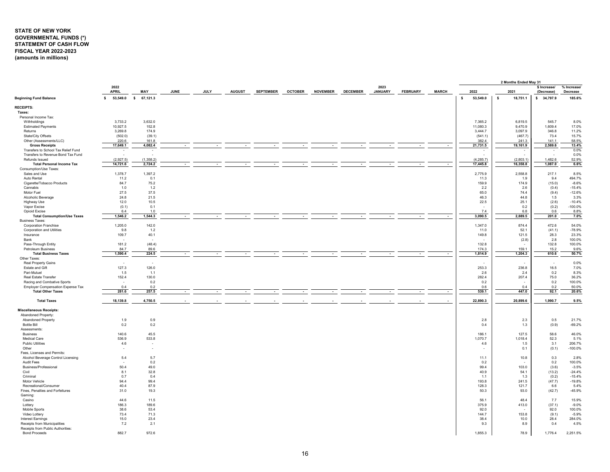## <span id="page-16-0"></span>**STATE OF NEW YORK GOVERNMENTAL FUNDS (\*) STATEMENT OF CASH FLOW FISCAL YEAR 2022-2023 (amounts in millions)**

|                                          |                          |                |             |             |               |                  |                |                 |                 |                        |                 |              |    |                  | 2 Months Ended May 31 |                            |                         |
|------------------------------------------|--------------------------|----------------|-------------|-------------|---------------|------------------|----------------|-----------------|-----------------|------------------------|-----------------|--------------|----|------------------|-----------------------|----------------------------|-------------------------|
|                                          | 2022<br><b>APRIL</b>     | MAY            | <b>JUNE</b> | <b>JULY</b> | <b>AUGUST</b> | <b>SEPTEMBER</b> | <b>OCTOBER</b> | <b>NOVEMBER</b> | <b>DECEMBER</b> | 2023<br><b>JANUARY</b> | <b>FEBRUARY</b> | <b>MARCH</b> |    | 2022             | 2021                  | \$ Increase/<br>(Decrease) | % Increase/<br>Decrease |
| <b>Beginning Fund Balance</b>            | 53,549.0 \$<br>s.        | 67,121.3       |             |             |               |                  |                |                 |                 |                        |                 |              | s. | 53,549.0         | s<br>18,751.1         | \$34,797.9                 | 185.6%                  |
| <b>RECEIPTS:</b>                         |                          |                |             |             |               |                  |                |                 |                 |                        |                 |              |    |                  |                       |                            |                         |
| Taxes:                                   |                          |                |             |             |               |                  |                |                 |                 |                        |                 |              |    |                  |                       |                            |                         |
| Personal Income Tax:                     |                          |                |             |             |               |                  |                |                 |                 |                        |                 |              |    |                  |                       |                            |                         |
| Withholdings                             | 3,733.2                  | 3,632.0        |             |             |               |                  |                |                 |                 |                        |                 |              |    | 7,365.2          | 6,819.5               | 545.7                      | 8.0%                    |
| <b>Estimated Payments</b>                | 10.927.5                 | 152.8          |             |             |               |                  |                |                 |                 |                        |                 |              |    | 11.080.3         | 9.470.9               | 1.609.4                    | 17.0%                   |
| Returns                                  | 3,269.8                  | 174.9          |             |             |               |                  |                |                 |                 |                        |                 |              |    | 3,444.7          | 3,097.9               | 346.8                      | 11.2%                   |
| State/City Offsets                       | (502.0)                  | (39.1)         |             |             |               |                  |                |                 |                 |                        |                 |              |    | (541.1)          | (467.7)               | 73.4                       | 15.7%                   |
| Other (Assessments/LLC)                  | 220.6                    | 161.8          |             |             |               |                  |                |                 |                 |                        |                 |              |    | 382.4            | 241.3                 | 141.1                      | 58.5%                   |
| <b>Gross Receipts</b>                    | 17,649.1                 | 4,082.4        |             |             |               |                  |                |                 |                 |                        |                 |              |    | 21,731.5         | 19,161.9              | 2,569.6                    | 13.4%                   |
| Transfers to School Tax Relief Fund      | ÷                        |                |             |             |               |                  |                |                 |                 |                        |                 |              |    |                  |                       |                            | 0.0%                    |
| Transfers to Revenue Bond Tax Fund       |                          |                |             |             |               |                  |                |                 |                 |                        |                 |              |    |                  |                       |                            | 0.0%                    |
| Refunds Issued                           | (2,927.5)                | (1,358.2)      |             |             |               |                  |                |                 |                 |                        |                 |              |    | (4, 285.7)       | (2,803.1)             | 1,482.6                    | 52.9%                   |
| <b>Total Personal Income Tax</b>         | 14,721.6                 | 2,724.2        |             |             |               |                  |                |                 |                 |                        |                 |              |    | 17,445.8         | 16,358.8              | 1,087.0                    | 6.6%                    |
| Consumption/Use Taxes:                   |                          |                |             |             |               |                  |                |                 |                 |                        |                 |              |    |                  |                       |                            |                         |
| Sales and Use                            | 1,378.7                  | 1,397.2        |             |             |               |                  |                |                 |                 |                        |                 |              |    | 2,775.9          | 2,558.8               | 217.1                      | 8.5%                    |
| Auto Rental                              | 11.2                     | 0.1            |             |             |               |                  |                |                 |                 |                        |                 |              |    | 11.3             | 1.9<br>174.9          | 9.4                        | 494.7%                  |
| Cigarette/Tobacco Products               | 84.7                     | 75.2           |             |             |               |                  |                |                 |                 |                        |                 |              |    | 159.9            |                       | (15.0)                     | $-8.6%$                 |
| Cannabis<br>Motor Fuel                   | 1.0<br>27.5              | 1.2<br>37.5    |             |             |               |                  |                |                 |                 |                        |                 |              |    | 2.2              | 2.6<br>74.4           | (0.4)                      | $-15.4%$                |
| Alcoholic Beverage                       | 24.8                     | 21.5           |             |             |               |                  |                |                 |                 |                        |                 |              |    | 65.0<br>46.3     | 44.8                  | (9.4)<br>1.5               | $-12.6%$<br>3.3%        |
|                                          |                          | 10.5           |             |             |               |                  |                |                 |                 |                        |                 |              |    |                  |                       |                            |                         |
| Highway Use<br>Vapor Excise              | 12.0                     | 0.1            |             |             |               |                  |                |                 |                 |                        |                 |              |    | 22.5             | 25.1<br>0.2           | (2.6)<br>(0.2)             | $-10.4%$<br>$-100.0%$   |
| Opioid Excise                            | (0.1)<br>6.4             | 1.0            |             |             |               |                  |                |                 |                 |                        |                 |              |    | 7.4              | 6.8                   | 0.6                        | 8.8%                    |
| <b>Total Consumption/Use Taxes</b>       | 1,546.2                  | 1,544.3        |             |             |               |                  |                |                 |                 |                        |                 | $\sim$       |    | 3,090.5          | 2,889.5               | 201.0                      | 7.0%                    |
| <b>Business Taxes:</b>                   |                          |                |             |             |               |                  |                |                 |                 |                        |                 |              |    |                  |                       |                            |                         |
| <b>Corporation Franchise</b>             | 1,205.0                  | 142.0          |             |             |               |                  |                |                 |                 |                        |                 |              |    | 1,347.0          | 874.4                 | 472.6                      | 54.0%                   |
| Corporation and Utilities                | 9.8                      | 1.2            |             |             |               |                  |                |                 |                 |                        |                 |              |    | 11.0             | 52.1                  | (41.1)                     | $-78.9%$                |
| Insurance                                | 109.7                    | 40.1           |             |             |               |                  |                |                 |                 |                        |                 |              |    | 149.8            | 121.5                 | 28.3                       | 23.3%                   |
| Bank                                     |                          |                |             |             |               |                  |                |                 |                 |                        |                 |              |    |                  | (2.8)                 | 2.8                        | 100.0%                  |
| Pass-Through Entity                      | 181.2                    | (48.4)         |             |             |               |                  |                |                 |                 |                        |                 |              |    | 132.8            |                       | 132.8                      | 100.0%                  |
| <b>Petroleum Business</b>                | 84.7                     | 89.6           |             |             |               |                  |                |                 |                 |                        |                 |              |    | 174.3            | 159.1                 | 15.2                       | 9.6%                    |
| <b>Total Business Taxes</b>              | 1,590.4                  | 224.5          |             |             |               | $\sim$           | $\sim$         |                 | $\sim$          |                        |                 | $\sim$       |    | 1,814.9          | 1,204.3               | 610.6                      | 50.7%                   |
| Other Taxes:                             |                          |                |             |             |               |                  |                |                 |                 |                        |                 |              |    |                  |                       |                            |                         |
| Real Property Gains                      | $\overline{\phantom{a}}$ | $\sim$         |             |             |               |                  |                |                 |                 |                        |                 |              |    | ٠.               |                       | $\sim$                     | 0.0%                    |
| Estate and Gift                          | 127.3                    | 126.0          |             |             |               |                  |                |                 |                 |                        |                 |              |    | 253.3            | 236.8                 | 16.5                       | 7.0%                    |
| Pari-Mutuel                              | 1.5                      | 1.1            |             |             |               |                  |                |                 |                 |                        |                 |              |    | 2.6              | 2.4                   | 0.2                        | 8.3%                    |
| Real Estate Transfer                     | 152.4                    | 130.0          |             |             |               |                  |                |                 |                 |                        |                 |              |    | 282.4            | 207.4                 | 75.0                       | 36.2%                   |
| Racing and Combative Sports              | $\overline{\phantom{a}}$ | 0.2            |             |             |               |                  |                |                 |                 |                        |                 |              |    | 0.2              |                       | 0.2                        | 100.0%                  |
| <b>Employer Compensation Expense Tax</b> | 0.4                      | 0.2            |             |             |               |                  |                |                 |                 |                        |                 |              |    | 0.6              | 0.4                   | 0.2                        | 50.0%                   |
| <b>Total Other Taxes</b>                 | 281.6                    | 257.5          |             |             |               |                  |                |                 |                 |                        |                 | $\sim$       |    | 539.1            | 447.0                 | 92.1                       | 20.6%                   |
| <b>Total Taxes</b>                       | 18,139.8                 | 4,750.5        |             |             |               |                  |                |                 |                 |                        |                 |              |    | 22,890.3         | 20,899.6              | 1,990.7                    | 9.5%                    |
|                                          |                          |                |             |             |               |                  |                |                 |                 |                        |                 |              |    |                  |                       |                            |                         |
| <b>Miscellaneous Receipts:</b>           |                          |                |             |             |               |                  |                |                 |                 |                        |                 |              |    |                  |                       |                            |                         |
| Abandoned Property                       |                          |                |             |             |               |                  |                |                 |                 |                        |                 |              |    |                  |                       |                            |                         |
| <b>Abandoned Property</b>                | 1.9                      | 0.9            |             |             |               |                  |                |                 |                 |                        |                 |              |    | 2.8              | 2.3                   | 0.5                        | 21.7%                   |
| <b>Bottle Bill</b><br>Assessments:       | 0.2                      | 0.2            |             |             |               |                  |                |                 |                 |                        |                 |              |    | 0.4              | 1.3                   | (0.9)                      | $-69.2%$                |
|                                          |                          |                |             |             |               |                  |                |                 |                 |                        |                 |              |    |                  |                       |                            |                         |
| <b>Business</b><br><b>Medical Care</b>   | 140.6<br>536.9           | 45.5<br>533.8  |             |             |               |                  |                |                 |                 |                        |                 |              |    | 186.1<br>1,070.7 | 127.5<br>1,018.4      | 58.6<br>52.3               | 46.0%<br>5.1%           |
| <b>Public Utilities</b>                  | 4.6                      | $\sim$         |             |             |               |                  |                |                 |                 |                        |                 |              |    | 4.6              | 1.5                   | 3.1                        | 206.7%                  |
| Other                                    | ×                        | $\overline{a}$ |             |             |               |                  |                |                 |                 |                        |                 |              |    |                  | 0.1                   |                            | $-100.0%$               |
| Fees, Licenses and Permits:              |                          |                |             |             |               |                  |                |                 |                 |                        |                 |              |    |                  |                       | (0.1)                      |                         |
| Alcohol Beverage Control Licensing       | 5.4                      | 5.7            |             |             |               |                  |                |                 |                 |                        |                 |              |    | 11.1             | 10.8                  | 0.3                        | 2.8%                    |
| Audit Fees                               | ٠.                       | 0.2            |             |             |               |                  |                |                 |                 |                        |                 |              |    | 0.2              |                       | 0.2                        | 100.0%                  |
| Business/Professional                    | 50.4                     | 49.0           |             |             |               |                  |                |                 |                 |                        |                 |              |    | 99.4             | 103.0                 | (3.6)                      | $-3.5%$                 |
| Civil                                    | 8.1                      | 32.8           |             |             |               |                  |                |                 |                 |                        |                 |              |    | 40.9             | 54.1                  | (13.2)                     | $-24.4%$                |
| Criminal                                 | 0.7                      | 0.4            |             |             |               |                  |                |                 |                 |                        |                 |              |    | 1.1              | 1.3                   | (0.2)                      | $-15.4%$                |
| Motor Vehicle                            | 94.4                     | 99.4           |             |             |               |                  |                |                 |                 |                        |                 |              |    | 193.8            | 241.5                 | (47.7)                     | $-19.8%$                |
| Recreational/Consumer                    | 40.4                     | 87.9           |             |             |               |                  |                |                 |                 |                        |                 |              |    | 128.3            | 121.7                 | 6.6                        | 5.4%                    |
| Fines, Penalties and Forfeitures         | 31.0                     | 19.3           |             |             |               |                  |                |                 |                 |                        |                 |              |    | 50.3             | 93.0                  | (42.7)                     | $-45.9%$                |
| Gaming:                                  |                          |                |             |             |               |                  |                |                 |                 |                        |                 |              |    |                  |                       |                            |                         |
| Casino                                   | 44.6                     | 11.5           |             |             |               |                  |                |                 |                 |                        |                 |              |    | 56.1             | 48.4                  | 7.7                        | 15.9%                   |
| Lottery                                  | 186.3                    | 189.6          |             |             |               |                  |                |                 |                 |                        |                 |              |    | 375.9            | 413.0                 | (37.1)                     | $-9.0%$                 |
| Mobile Sports                            | 38.6                     | 53.4           |             |             |               |                  |                |                 |                 |                        |                 |              |    | 92.0             |                       | 92.0                       | 100.0%                  |
| Video Lottery                            | 73.4                     | 71.3           |             |             |               |                  |                |                 |                 |                        |                 |              |    | 144.7            | 153.8                 | (9.1)                      | $-5.9%$                 |
| <b>Interest Earnings</b>                 | 15.0                     | 23.4           |             |             |               |                  |                |                 |                 |                        |                 |              |    | 38.4             | 10.0                  | 28.4                       | 284.0%                  |
| Receipts from Municipalities             | 7.2                      | 2.1            |             |             |               |                  |                |                 |                 |                        |                 |              |    | 9.3              | 8.9                   | 0.4                        | 4.5%                    |
| Receipts from Public Authorities:        |                          |                |             |             |               |                  |                |                 |                 |                        |                 |              |    |                  |                       |                            |                         |
| <b>Bond Proceeds</b>                     | 882.7                    | 972.6          |             |             |               |                  |                |                 |                 |                        |                 |              |    | 1,855.3          | 78.9                  | 1,776.4                    | 2,251.5%                |
|                                          |                          |                |             |             |               |                  |                |                 |                 |                        |                 |              |    |                  |                       |                            |                         |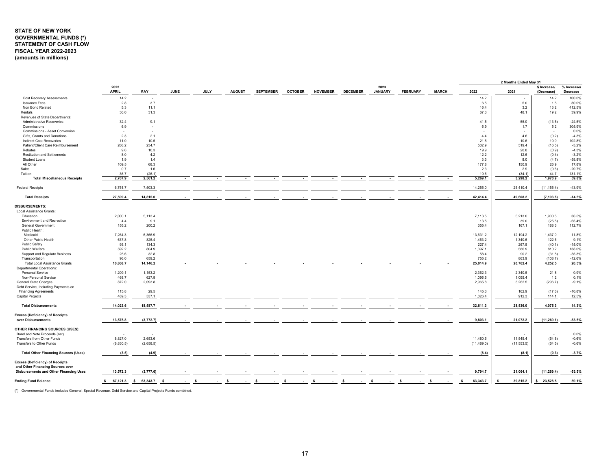## **STATE OF NEW YORK GOVERNMENTAL FUNDS (\*) STATEMENT OF CASH FLOW FISCAL YEAR 2022-2023 (amounts in millions)**

| 2022<br>2023<br>\$ Increase/<br>% Increase/<br><b>APRIL</b><br>MAY<br><b>JUNE</b><br>JULY<br><b>AUGUST</b><br><b>SEPTEMBER</b><br><b>NOVEMBER</b><br><b>DECEMBER</b><br><b>JANUARY</b><br><b>FEBRUARY</b><br><b>MARCH</b><br>2022<br><b>OCTOBER</b><br>2021<br>Decrease<br>(Decrease)<br>14.2<br>14.2<br>100.0%<br>Cost Recovery Assessments<br>14.2<br>$\overline{\phantom{a}}$<br>2.8<br>3.7<br>6.5<br>5.0<br>30.0%<br><b>Issuance Fees</b><br>1.5<br>Non Bond Related<br>5.3<br>11.1<br>16.4<br>3.2<br>13.2<br>412.5%<br>36.0<br>48.1<br>19.2<br>39.9%<br>Rentals<br>31.3<br>67.3<br>Revenues of State Departments:<br>32.4<br>Administrative Recoveries<br>9.1<br>41.5<br>55.0<br>(13.5)<br>$-24.5%$<br>6.9<br>6.9<br>305.9%<br>5.2<br>Commissions<br>1.7<br>÷.<br>Commissions - Asset Conversion<br>0.0%<br>$\overline{\phantom{a}}$<br>2.3<br>(0.2)<br>Gifts, Grants and Donations<br>2.1<br>4.4<br>4.6<br>$-4.3%$<br>11.0<br>10.5<br>21.5<br>10.6<br>10.9<br>102.8%<br>Indirect Cost Recoveries<br>$-3.2%$<br>Patient/Client Care Reimbursement<br>268.2<br>234.7<br>502.9<br>519.4<br>(16.5)<br>9.6<br>10.3<br>19.9<br>20.8<br>$-4.3%$<br>Rebates<br>(0.9)<br><b>Restitution and Settlements</b><br>8.0<br>4.2<br>12.2<br>12.6<br>(0.4)<br>$-3.2%$<br>$-58.8%$<br>1.9<br>3.3<br><b>Student Loans</b><br>1.4<br>8.0<br>(4.7)<br>All Other<br>109.5<br>68.3<br>177.8<br>17.8%<br>150.9<br>26.9<br>0.7<br>2.3<br>$-20.7%$<br>Sales<br>1.6<br>2.9<br>(0.6)<br>36.7<br>(26.1)<br>10.6<br>(34.1)<br>44.7<br>131.1%<br>Tuition<br>2,707.9<br>1,970.9<br>59.8%<br>2,561.2<br>5,269.1<br>3,298.2<br><b>Total Miscellaneous Receipts</b><br>$\sim$<br>7,503.3<br>14,255.0<br>(11, 155.4)<br>$-43.9%$<br><b>Federal Receipts</b><br>6,751.7<br>25,410.4<br>27,599.4<br>14,815.0<br>42,414.4<br>49,608.2<br>(7, 193.8)<br>$-14.5%$<br><b>Total Receipts</b><br><b>DISBURSEMENTS:</b><br>Local Assistance Grants:<br>Education<br>2,000.1<br>5,113.4<br>1,900.5<br>7,113.5<br>5,213.0<br>36.5%<br>9.1<br>$-65.4%$<br>Environment and Recreation<br>4.4<br>13.5<br>39.0<br>(25.5)<br>112.7%<br>155.2<br>200.2<br>188.3<br>355.4<br>167.1<br><b>General Government</b><br>Public Health:<br>Medicaid<br>7,264.3<br>6,366.9<br>13,631.2<br>12,194.2<br>1.437.0<br>11.8%<br>637.8<br>122.6<br>9.1%<br>Other Public Health<br>825.4<br>1,463.2<br>1,340.6<br>Public Safety<br>$-15.0%$<br>93.1<br>134.3<br>227.4<br>267.5<br>(40.1)<br>592.2<br>804.9<br>586.9<br>810.2<br>138.0%<br>Public Welfare<br>1,397.1<br>32.8<br>$-35.3%$<br>Support and Regulate Business<br>25.6<br>58.4<br>90.2<br>(31.8)<br>Transportation<br>96.0<br>659.2<br>755.2<br>863.9<br>(108.7)<br>$-12.6%$<br>14,146.2<br>20,762.4<br>4,252.5<br>20.5%<br>10,868.7<br>25,014.9<br><b>Total Local Assistance Grants</b><br><b>Departmental Operations:</b><br>0.9%<br>1,209.1<br>1,153.2<br>2,362.3<br>2,340.5<br>21.8<br>Personal Service<br>627.9<br>0.1%<br>Non-Personal Service<br>468.7<br>1,096.6<br>1,095.4<br>1.2<br>872.0<br>2,093.8<br>2,965.8<br>(296.7)<br>$-9.1%$<br>General State Charges<br>3,262.5<br>Debt Service, Including Payments on<br>115.8<br>29.5<br>145.3<br>162.9<br>(17.6)<br>$-10.8%$<br><b>Financing Agreements</b><br>537.1<br>12.5%<br>489.3<br>1,026.4<br>912.3<br>114.1<br>Capital Projects<br>14,023.6<br>18,587.7<br>32,611.3<br>28,536.0<br>4,075.3<br>14.3%<br><b>Total Disbursements</b><br><b>Excess (Deficiency) of Receipts</b><br>over Disbursements<br>13,575.8<br>(3,772.7)<br>9,803.1<br>21,072.2<br>(11, 269.1)<br>$-53.5%$<br><b>OTHER FINANCING SOURCES (USES):</b><br>Bond and Note Proceeds (net)<br>0.0%<br>8,827.0<br>2,653.6<br>11,480.6<br>11,545.4<br>(64.8)<br>$-0.6%$<br>Transfers from Other Funds<br>Transfers to Other Funds<br>(8,830.5)<br>(2,658.5)<br>(11, 489.0)<br>(11, 553.5)<br>(64.5)<br>$-0.6%$<br><b>Total Other Financing Sources (Uses)</b><br>(3.5)<br>(4.9)<br>(8.4)<br>(8.1)<br>(0.3)<br>$-3.7%$<br>Excess (Deficiency) of Receipts<br>and Other Financing Sources over<br><b>Disbursements and Other Financing Uses</b><br>13,572.3<br>(3,777.6)<br>9,794.7<br>21.064.1<br>(11, 269.4)<br>$-53.5%$<br>63,343.7<br>39,815.2<br>\$23,528.5<br><b>Ending Fund Balance</b><br>\$67,121.3<br>$$63,343.7$ \$<br>59.1%<br>- S<br>-S<br>-S<br>-S<br>-S<br>- S<br>- S<br>- \$<br>- S<br>- \$<br>- S |  |  |  |  |  |  |  | 2 Months Ended May 31 |  |
|--------------------------------------------------------------------------------------------------------------------------------------------------------------------------------------------------------------------------------------------------------------------------------------------------------------------------------------------------------------------------------------------------------------------------------------------------------------------------------------------------------------------------------------------------------------------------------------------------------------------------------------------------------------------------------------------------------------------------------------------------------------------------------------------------------------------------------------------------------------------------------------------------------------------------------------------------------------------------------------------------------------------------------------------------------------------------------------------------------------------------------------------------------------------------------------------------------------------------------------------------------------------------------------------------------------------------------------------------------------------------------------------------------------------------------------------------------------------------------------------------------------------------------------------------------------------------------------------------------------------------------------------------------------------------------------------------------------------------------------------------------------------------------------------------------------------------------------------------------------------------------------------------------------------------------------------------------------------------------------------------------------------------------------------------------------------------------------------------------------------------------------------------------------------------------------------------------------------------------------------------------------------------------------------------------------------------------------------------------------------------------------------------------------------------------------------------------------------------------------------------------------------------------------------------------------------------------------------------------------------------------------------------------------------------------------------------------------------------------------------------------------------------------------------------------------------------------------------------------------------------------------------------------------------------------------------------------------------------------------------------------------------------------------------------------------------------------------------------------------------------------------------------------------------------------------------------------------------------------------------------------------------------------------------------------------------------------------------------------------------------------------------------------------------------------------------------------------------------------------------------------------------------------------------------------------------------------------------------------------------------------------------------------------------------------------------------------------------------------------------------------------------------------------------------------------------------------------------------------------------------------------------------------------------------------------------------------------------------------------------------------------------------------------------------------------------------------------------------------------------------------------------------------------------------------------------------------------------------------------------------------------------------------------------------------------------------------------|--|--|--|--|--|--|--|-----------------------|--|
|                                                                                                                                                                                                                                                                                                                                                                                                                                                                                                                                                                                                                                                                                                                                                                                                                                                                                                                                                                                                                                                                                                                                                                                                                                                                                                                                                                                                                                                                                                                                                                                                                                                                                                                                                                                                                                                                                                                                                                                                                                                                                                                                                                                                                                                                                                                                                                                                                                                                                                                                                                                                                                                                                                                                                                                                                                                                                                                                                                                                                                                                                                                                                                                                                                                                                                                                                                                                                                                                                                                                                                                                                                                                                                                                                                                                                                                                                                                                                                                                                                                                                                                                                                                                                                                                                                                                      |  |  |  |  |  |  |  |                       |  |
|                                                                                                                                                                                                                                                                                                                                                                                                                                                                                                                                                                                                                                                                                                                                                                                                                                                                                                                                                                                                                                                                                                                                                                                                                                                                                                                                                                                                                                                                                                                                                                                                                                                                                                                                                                                                                                                                                                                                                                                                                                                                                                                                                                                                                                                                                                                                                                                                                                                                                                                                                                                                                                                                                                                                                                                                                                                                                                                                                                                                                                                                                                                                                                                                                                                                                                                                                                                                                                                                                                                                                                                                                                                                                                                                                                                                                                                                                                                                                                                                                                                                                                                                                                                                                                                                                                                                      |  |  |  |  |  |  |  |                       |  |
|                                                                                                                                                                                                                                                                                                                                                                                                                                                                                                                                                                                                                                                                                                                                                                                                                                                                                                                                                                                                                                                                                                                                                                                                                                                                                                                                                                                                                                                                                                                                                                                                                                                                                                                                                                                                                                                                                                                                                                                                                                                                                                                                                                                                                                                                                                                                                                                                                                                                                                                                                                                                                                                                                                                                                                                                                                                                                                                                                                                                                                                                                                                                                                                                                                                                                                                                                                                                                                                                                                                                                                                                                                                                                                                                                                                                                                                                                                                                                                                                                                                                                                                                                                                                                                                                                                                                      |  |  |  |  |  |  |  |                       |  |
|                                                                                                                                                                                                                                                                                                                                                                                                                                                                                                                                                                                                                                                                                                                                                                                                                                                                                                                                                                                                                                                                                                                                                                                                                                                                                                                                                                                                                                                                                                                                                                                                                                                                                                                                                                                                                                                                                                                                                                                                                                                                                                                                                                                                                                                                                                                                                                                                                                                                                                                                                                                                                                                                                                                                                                                                                                                                                                                                                                                                                                                                                                                                                                                                                                                                                                                                                                                                                                                                                                                                                                                                                                                                                                                                                                                                                                                                                                                                                                                                                                                                                                                                                                                                                                                                                                                                      |  |  |  |  |  |  |  |                       |  |
|                                                                                                                                                                                                                                                                                                                                                                                                                                                                                                                                                                                                                                                                                                                                                                                                                                                                                                                                                                                                                                                                                                                                                                                                                                                                                                                                                                                                                                                                                                                                                                                                                                                                                                                                                                                                                                                                                                                                                                                                                                                                                                                                                                                                                                                                                                                                                                                                                                                                                                                                                                                                                                                                                                                                                                                                                                                                                                                                                                                                                                                                                                                                                                                                                                                                                                                                                                                                                                                                                                                                                                                                                                                                                                                                                                                                                                                                                                                                                                                                                                                                                                                                                                                                                                                                                                                                      |  |  |  |  |  |  |  |                       |  |
|                                                                                                                                                                                                                                                                                                                                                                                                                                                                                                                                                                                                                                                                                                                                                                                                                                                                                                                                                                                                                                                                                                                                                                                                                                                                                                                                                                                                                                                                                                                                                                                                                                                                                                                                                                                                                                                                                                                                                                                                                                                                                                                                                                                                                                                                                                                                                                                                                                                                                                                                                                                                                                                                                                                                                                                                                                                                                                                                                                                                                                                                                                                                                                                                                                                                                                                                                                                                                                                                                                                                                                                                                                                                                                                                                                                                                                                                                                                                                                                                                                                                                                                                                                                                                                                                                                                                      |  |  |  |  |  |  |  |                       |  |
|                                                                                                                                                                                                                                                                                                                                                                                                                                                                                                                                                                                                                                                                                                                                                                                                                                                                                                                                                                                                                                                                                                                                                                                                                                                                                                                                                                                                                                                                                                                                                                                                                                                                                                                                                                                                                                                                                                                                                                                                                                                                                                                                                                                                                                                                                                                                                                                                                                                                                                                                                                                                                                                                                                                                                                                                                                                                                                                                                                                                                                                                                                                                                                                                                                                                                                                                                                                                                                                                                                                                                                                                                                                                                                                                                                                                                                                                                                                                                                                                                                                                                                                                                                                                                                                                                                                                      |  |  |  |  |  |  |  |                       |  |
|                                                                                                                                                                                                                                                                                                                                                                                                                                                                                                                                                                                                                                                                                                                                                                                                                                                                                                                                                                                                                                                                                                                                                                                                                                                                                                                                                                                                                                                                                                                                                                                                                                                                                                                                                                                                                                                                                                                                                                                                                                                                                                                                                                                                                                                                                                                                                                                                                                                                                                                                                                                                                                                                                                                                                                                                                                                                                                                                                                                                                                                                                                                                                                                                                                                                                                                                                                                                                                                                                                                                                                                                                                                                                                                                                                                                                                                                                                                                                                                                                                                                                                                                                                                                                                                                                                                                      |  |  |  |  |  |  |  |                       |  |
|                                                                                                                                                                                                                                                                                                                                                                                                                                                                                                                                                                                                                                                                                                                                                                                                                                                                                                                                                                                                                                                                                                                                                                                                                                                                                                                                                                                                                                                                                                                                                                                                                                                                                                                                                                                                                                                                                                                                                                                                                                                                                                                                                                                                                                                                                                                                                                                                                                                                                                                                                                                                                                                                                                                                                                                                                                                                                                                                                                                                                                                                                                                                                                                                                                                                                                                                                                                                                                                                                                                                                                                                                                                                                                                                                                                                                                                                                                                                                                                                                                                                                                                                                                                                                                                                                                                                      |  |  |  |  |  |  |  |                       |  |
|                                                                                                                                                                                                                                                                                                                                                                                                                                                                                                                                                                                                                                                                                                                                                                                                                                                                                                                                                                                                                                                                                                                                                                                                                                                                                                                                                                                                                                                                                                                                                                                                                                                                                                                                                                                                                                                                                                                                                                                                                                                                                                                                                                                                                                                                                                                                                                                                                                                                                                                                                                                                                                                                                                                                                                                                                                                                                                                                                                                                                                                                                                                                                                                                                                                                                                                                                                                                                                                                                                                                                                                                                                                                                                                                                                                                                                                                                                                                                                                                                                                                                                                                                                                                                                                                                                                                      |  |  |  |  |  |  |  |                       |  |
|                                                                                                                                                                                                                                                                                                                                                                                                                                                                                                                                                                                                                                                                                                                                                                                                                                                                                                                                                                                                                                                                                                                                                                                                                                                                                                                                                                                                                                                                                                                                                                                                                                                                                                                                                                                                                                                                                                                                                                                                                                                                                                                                                                                                                                                                                                                                                                                                                                                                                                                                                                                                                                                                                                                                                                                                                                                                                                                                                                                                                                                                                                                                                                                                                                                                                                                                                                                                                                                                                                                                                                                                                                                                                                                                                                                                                                                                                                                                                                                                                                                                                                                                                                                                                                                                                                                                      |  |  |  |  |  |  |  |                       |  |
|                                                                                                                                                                                                                                                                                                                                                                                                                                                                                                                                                                                                                                                                                                                                                                                                                                                                                                                                                                                                                                                                                                                                                                                                                                                                                                                                                                                                                                                                                                                                                                                                                                                                                                                                                                                                                                                                                                                                                                                                                                                                                                                                                                                                                                                                                                                                                                                                                                                                                                                                                                                                                                                                                                                                                                                                                                                                                                                                                                                                                                                                                                                                                                                                                                                                                                                                                                                                                                                                                                                                                                                                                                                                                                                                                                                                                                                                                                                                                                                                                                                                                                                                                                                                                                                                                                                                      |  |  |  |  |  |  |  |                       |  |
|                                                                                                                                                                                                                                                                                                                                                                                                                                                                                                                                                                                                                                                                                                                                                                                                                                                                                                                                                                                                                                                                                                                                                                                                                                                                                                                                                                                                                                                                                                                                                                                                                                                                                                                                                                                                                                                                                                                                                                                                                                                                                                                                                                                                                                                                                                                                                                                                                                                                                                                                                                                                                                                                                                                                                                                                                                                                                                                                                                                                                                                                                                                                                                                                                                                                                                                                                                                                                                                                                                                                                                                                                                                                                                                                                                                                                                                                                                                                                                                                                                                                                                                                                                                                                                                                                                                                      |  |  |  |  |  |  |  |                       |  |
|                                                                                                                                                                                                                                                                                                                                                                                                                                                                                                                                                                                                                                                                                                                                                                                                                                                                                                                                                                                                                                                                                                                                                                                                                                                                                                                                                                                                                                                                                                                                                                                                                                                                                                                                                                                                                                                                                                                                                                                                                                                                                                                                                                                                                                                                                                                                                                                                                                                                                                                                                                                                                                                                                                                                                                                                                                                                                                                                                                                                                                                                                                                                                                                                                                                                                                                                                                                                                                                                                                                                                                                                                                                                                                                                                                                                                                                                                                                                                                                                                                                                                                                                                                                                                                                                                                                                      |  |  |  |  |  |  |  |                       |  |
|                                                                                                                                                                                                                                                                                                                                                                                                                                                                                                                                                                                                                                                                                                                                                                                                                                                                                                                                                                                                                                                                                                                                                                                                                                                                                                                                                                                                                                                                                                                                                                                                                                                                                                                                                                                                                                                                                                                                                                                                                                                                                                                                                                                                                                                                                                                                                                                                                                                                                                                                                                                                                                                                                                                                                                                                                                                                                                                                                                                                                                                                                                                                                                                                                                                                                                                                                                                                                                                                                                                                                                                                                                                                                                                                                                                                                                                                                                                                                                                                                                                                                                                                                                                                                                                                                                                                      |  |  |  |  |  |  |  |                       |  |
|                                                                                                                                                                                                                                                                                                                                                                                                                                                                                                                                                                                                                                                                                                                                                                                                                                                                                                                                                                                                                                                                                                                                                                                                                                                                                                                                                                                                                                                                                                                                                                                                                                                                                                                                                                                                                                                                                                                                                                                                                                                                                                                                                                                                                                                                                                                                                                                                                                                                                                                                                                                                                                                                                                                                                                                                                                                                                                                                                                                                                                                                                                                                                                                                                                                                                                                                                                                                                                                                                                                                                                                                                                                                                                                                                                                                                                                                                                                                                                                                                                                                                                                                                                                                                                                                                                                                      |  |  |  |  |  |  |  |                       |  |
|                                                                                                                                                                                                                                                                                                                                                                                                                                                                                                                                                                                                                                                                                                                                                                                                                                                                                                                                                                                                                                                                                                                                                                                                                                                                                                                                                                                                                                                                                                                                                                                                                                                                                                                                                                                                                                                                                                                                                                                                                                                                                                                                                                                                                                                                                                                                                                                                                                                                                                                                                                                                                                                                                                                                                                                                                                                                                                                                                                                                                                                                                                                                                                                                                                                                                                                                                                                                                                                                                                                                                                                                                                                                                                                                                                                                                                                                                                                                                                                                                                                                                                                                                                                                                                                                                                                                      |  |  |  |  |  |  |  |                       |  |
|                                                                                                                                                                                                                                                                                                                                                                                                                                                                                                                                                                                                                                                                                                                                                                                                                                                                                                                                                                                                                                                                                                                                                                                                                                                                                                                                                                                                                                                                                                                                                                                                                                                                                                                                                                                                                                                                                                                                                                                                                                                                                                                                                                                                                                                                                                                                                                                                                                                                                                                                                                                                                                                                                                                                                                                                                                                                                                                                                                                                                                                                                                                                                                                                                                                                                                                                                                                                                                                                                                                                                                                                                                                                                                                                                                                                                                                                                                                                                                                                                                                                                                                                                                                                                                                                                                                                      |  |  |  |  |  |  |  |                       |  |
|                                                                                                                                                                                                                                                                                                                                                                                                                                                                                                                                                                                                                                                                                                                                                                                                                                                                                                                                                                                                                                                                                                                                                                                                                                                                                                                                                                                                                                                                                                                                                                                                                                                                                                                                                                                                                                                                                                                                                                                                                                                                                                                                                                                                                                                                                                                                                                                                                                                                                                                                                                                                                                                                                                                                                                                                                                                                                                                                                                                                                                                                                                                                                                                                                                                                                                                                                                                                                                                                                                                                                                                                                                                                                                                                                                                                                                                                                                                                                                                                                                                                                                                                                                                                                                                                                                                                      |  |  |  |  |  |  |  |                       |  |
|                                                                                                                                                                                                                                                                                                                                                                                                                                                                                                                                                                                                                                                                                                                                                                                                                                                                                                                                                                                                                                                                                                                                                                                                                                                                                                                                                                                                                                                                                                                                                                                                                                                                                                                                                                                                                                                                                                                                                                                                                                                                                                                                                                                                                                                                                                                                                                                                                                                                                                                                                                                                                                                                                                                                                                                                                                                                                                                                                                                                                                                                                                                                                                                                                                                                                                                                                                                                                                                                                                                                                                                                                                                                                                                                                                                                                                                                                                                                                                                                                                                                                                                                                                                                                                                                                                                                      |  |  |  |  |  |  |  |                       |  |
|                                                                                                                                                                                                                                                                                                                                                                                                                                                                                                                                                                                                                                                                                                                                                                                                                                                                                                                                                                                                                                                                                                                                                                                                                                                                                                                                                                                                                                                                                                                                                                                                                                                                                                                                                                                                                                                                                                                                                                                                                                                                                                                                                                                                                                                                                                                                                                                                                                                                                                                                                                                                                                                                                                                                                                                                                                                                                                                                                                                                                                                                                                                                                                                                                                                                                                                                                                                                                                                                                                                                                                                                                                                                                                                                                                                                                                                                                                                                                                                                                                                                                                                                                                                                                                                                                                                                      |  |  |  |  |  |  |  |                       |  |
|                                                                                                                                                                                                                                                                                                                                                                                                                                                                                                                                                                                                                                                                                                                                                                                                                                                                                                                                                                                                                                                                                                                                                                                                                                                                                                                                                                                                                                                                                                                                                                                                                                                                                                                                                                                                                                                                                                                                                                                                                                                                                                                                                                                                                                                                                                                                                                                                                                                                                                                                                                                                                                                                                                                                                                                                                                                                                                                                                                                                                                                                                                                                                                                                                                                                                                                                                                                                                                                                                                                                                                                                                                                                                                                                                                                                                                                                                                                                                                                                                                                                                                                                                                                                                                                                                                                                      |  |  |  |  |  |  |  |                       |  |
|                                                                                                                                                                                                                                                                                                                                                                                                                                                                                                                                                                                                                                                                                                                                                                                                                                                                                                                                                                                                                                                                                                                                                                                                                                                                                                                                                                                                                                                                                                                                                                                                                                                                                                                                                                                                                                                                                                                                                                                                                                                                                                                                                                                                                                                                                                                                                                                                                                                                                                                                                                                                                                                                                                                                                                                                                                                                                                                                                                                                                                                                                                                                                                                                                                                                                                                                                                                                                                                                                                                                                                                                                                                                                                                                                                                                                                                                                                                                                                                                                                                                                                                                                                                                                                                                                                                                      |  |  |  |  |  |  |  |                       |  |
|                                                                                                                                                                                                                                                                                                                                                                                                                                                                                                                                                                                                                                                                                                                                                                                                                                                                                                                                                                                                                                                                                                                                                                                                                                                                                                                                                                                                                                                                                                                                                                                                                                                                                                                                                                                                                                                                                                                                                                                                                                                                                                                                                                                                                                                                                                                                                                                                                                                                                                                                                                                                                                                                                                                                                                                                                                                                                                                                                                                                                                                                                                                                                                                                                                                                                                                                                                                                                                                                                                                                                                                                                                                                                                                                                                                                                                                                                                                                                                                                                                                                                                                                                                                                                                                                                                                                      |  |  |  |  |  |  |  |                       |  |
|                                                                                                                                                                                                                                                                                                                                                                                                                                                                                                                                                                                                                                                                                                                                                                                                                                                                                                                                                                                                                                                                                                                                                                                                                                                                                                                                                                                                                                                                                                                                                                                                                                                                                                                                                                                                                                                                                                                                                                                                                                                                                                                                                                                                                                                                                                                                                                                                                                                                                                                                                                                                                                                                                                                                                                                                                                                                                                                                                                                                                                                                                                                                                                                                                                                                                                                                                                                                                                                                                                                                                                                                                                                                                                                                                                                                                                                                                                                                                                                                                                                                                                                                                                                                                                                                                                                                      |  |  |  |  |  |  |  |                       |  |
|                                                                                                                                                                                                                                                                                                                                                                                                                                                                                                                                                                                                                                                                                                                                                                                                                                                                                                                                                                                                                                                                                                                                                                                                                                                                                                                                                                                                                                                                                                                                                                                                                                                                                                                                                                                                                                                                                                                                                                                                                                                                                                                                                                                                                                                                                                                                                                                                                                                                                                                                                                                                                                                                                                                                                                                                                                                                                                                                                                                                                                                                                                                                                                                                                                                                                                                                                                                                                                                                                                                                                                                                                                                                                                                                                                                                                                                                                                                                                                                                                                                                                                                                                                                                                                                                                                                                      |  |  |  |  |  |  |  |                       |  |
|                                                                                                                                                                                                                                                                                                                                                                                                                                                                                                                                                                                                                                                                                                                                                                                                                                                                                                                                                                                                                                                                                                                                                                                                                                                                                                                                                                                                                                                                                                                                                                                                                                                                                                                                                                                                                                                                                                                                                                                                                                                                                                                                                                                                                                                                                                                                                                                                                                                                                                                                                                                                                                                                                                                                                                                                                                                                                                                                                                                                                                                                                                                                                                                                                                                                                                                                                                                                                                                                                                                                                                                                                                                                                                                                                                                                                                                                                                                                                                                                                                                                                                                                                                                                                                                                                                                                      |  |  |  |  |  |  |  |                       |  |
|                                                                                                                                                                                                                                                                                                                                                                                                                                                                                                                                                                                                                                                                                                                                                                                                                                                                                                                                                                                                                                                                                                                                                                                                                                                                                                                                                                                                                                                                                                                                                                                                                                                                                                                                                                                                                                                                                                                                                                                                                                                                                                                                                                                                                                                                                                                                                                                                                                                                                                                                                                                                                                                                                                                                                                                                                                                                                                                                                                                                                                                                                                                                                                                                                                                                                                                                                                                                                                                                                                                                                                                                                                                                                                                                                                                                                                                                                                                                                                                                                                                                                                                                                                                                                                                                                                                                      |  |  |  |  |  |  |  |                       |  |
|                                                                                                                                                                                                                                                                                                                                                                                                                                                                                                                                                                                                                                                                                                                                                                                                                                                                                                                                                                                                                                                                                                                                                                                                                                                                                                                                                                                                                                                                                                                                                                                                                                                                                                                                                                                                                                                                                                                                                                                                                                                                                                                                                                                                                                                                                                                                                                                                                                                                                                                                                                                                                                                                                                                                                                                                                                                                                                                                                                                                                                                                                                                                                                                                                                                                                                                                                                                                                                                                                                                                                                                                                                                                                                                                                                                                                                                                                                                                                                                                                                                                                                                                                                                                                                                                                                                                      |  |  |  |  |  |  |  |                       |  |
|                                                                                                                                                                                                                                                                                                                                                                                                                                                                                                                                                                                                                                                                                                                                                                                                                                                                                                                                                                                                                                                                                                                                                                                                                                                                                                                                                                                                                                                                                                                                                                                                                                                                                                                                                                                                                                                                                                                                                                                                                                                                                                                                                                                                                                                                                                                                                                                                                                                                                                                                                                                                                                                                                                                                                                                                                                                                                                                                                                                                                                                                                                                                                                                                                                                                                                                                                                                                                                                                                                                                                                                                                                                                                                                                                                                                                                                                                                                                                                                                                                                                                                                                                                                                                                                                                                                                      |  |  |  |  |  |  |  |                       |  |
|                                                                                                                                                                                                                                                                                                                                                                                                                                                                                                                                                                                                                                                                                                                                                                                                                                                                                                                                                                                                                                                                                                                                                                                                                                                                                                                                                                                                                                                                                                                                                                                                                                                                                                                                                                                                                                                                                                                                                                                                                                                                                                                                                                                                                                                                                                                                                                                                                                                                                                                                                                                                                                                                                                                                                                                                                                                                                                                                                                                                                                                                                                                                                                                                                                                                                                                                                                                                                                                                                                                                                                                                                                                                                                                                                                                                                                                                                                                                                                                                                                                                                                                                                                                                                                                                                                                                      |  |  |  |  |  |  |  |                       |  |
|                                                                                                                                                                                                                                                                                                                                                                                                                                                                                                                                                                                                                                                                                                                                                                                                                                                                                                                                                                                                                                                                                                                                                                                                                                                                                                                                                                                                                                                                                                                                                                                                                                                                                                                                                                                                                                                                                                                                                                                                                                                                                                                                                                                                                                                                                                                                                                                                                                                                                                                                                                                                                                                                                                                                                                                                                                                                                                                                                                                                                                                                                                                                                                                                                                                                                                                                                                                                                                                                                                                                                                                                                                                                                                                                                                                                                                                                                                                                                                                                                                                                                                                                                                                                                                                                                                                                      |  |  |  |  |  |  |  |                       |  |
|                                                                                                                                                                                                                                                                                                                                                                                                                                                                                                                                                                                                                                                                                                                                                                                                                                                                                                                                                                                                                                                                                                                                                                                                                                                                                                                                                                                                                                                                                                                                                                                                                                                                                                                                                                                                                                                                                                                                                                                                                                                                                                                                                                                                                                                                                                                                                                                                                                                                                                                                                                                                                                                                                                                                                                                                                                                                                                                                                                                                                                                                                                                                                                                                                                                                                                                                                                                                                                                                                                                                                                                                                                                                                                                                                                                                                                                                                                                                                                                                                                                                                                                                                                                                                                                                                                                                      |  |  |  |  |  |  |  |                       |  |
|                                                                                                                                                                                                                                                                                                                                                                                                                                                                                                                                                                                                                                                                                                                                                                                                                                                                                                                                                                                                                                                                                                                                                                                                                                                                                                                                                                                                                                                                                                                                                                                                                                                                                                                                                                                                                                                                                                                                                                                                                                                                                                                                                                                                                                                                                                                                                                                                                                                                                                                                                                                                                                                                                                                                                                                                                                                                                                                                                                                                                                                                                                                                                                                                                                                                                                                                                                                                                                                                                                                                                                                                                                                                                                                                                                                                                                                                                                                                                                                                                                                                                                                                                                                                                                                                                                                                      |  |  |  |  |  |  |  |                       |  |
|                                                                                                                                                                                                                                                                                                                                                                                                                                                                                                                                                                                                                                                                                                                                                                                                                                                                                                                                                                                                                                                                                                                                                                                                                                                                                                                                                                                                                                                                                                                                                                                                                                                                                                                                                                                                                                                                                                                                                                                                                                                                                                                                                                                                                                                                                                                                                                                                                                                                                                                                                                                                                                                                                                                                                                                                                                                                                                                                                                                                                                                                                                                                                                                                                                                                                                                                                                                                                                                                                                                                                                                                                                                                                                                                                                                                                                                                                                                                                                                                                                                                                                                                                                                                                                                                                                                                      |  |  |  |  |  |  |  |                       |  |
|                                                                                                                                                                                                                                                                                                                                                                                                                                                                                                                                                                                                                                                                                                                                                                                                                                                                                                                                                                                                                                                                                                                                                                                                                                                                                                                                                                                                                                                                                                                                                                                                                                                                                                                                                                                                                                                                                                                                                                                                                                                                                                                                                                                                                                                                                                                                                                                                                                                                                                                                                                                                                                                                                                                                                                                                                                                                                                                                                                                                                                                                                                                                                                                                                                                                                                                                                                                                                                                                                                                                                                                                                                                                                                                                                                                                                                                                                                                                                                                                                                                                                                                                                                                                                                                                                                                                      |  |  |  |  |  |  |  |                       |  |
|                                                                                                                                                                                                                                                                                                                                                                                                                                                                                                                                                                                                                                                                                                                                                                                                                                                                                                                                                                                                                                                                                                                                                                                                                                                                                                                                                                                                                                                                                                                                                                                                                                                                                                                                                                                                                                                                                                                                                                                                                                                                                                                                                                                                                                                                                                                                                                                                                                                                                                                                                                                                                                                                                                                                                                                                                                                                                                                                                                                                                                                                                                                                                                                                                                                                                                                                                                                                                                                                                                                                                                                                                                                                                                                                                                                                                                                                                                                                                                                                                                                                                                                                                                                                                                                                                                                                      |  |  |  |  |  |  |  |                       |  |
|                                                                                                                                                                                                                                                                                                                                                                                                                                                                                                                                                                                                                                                                                                                                                                                                                                                                                                                                                                                                                                                                                                                                                                                                                                                                                                                                                                                                                                                                                                                                                                                                                                                                                                                                                                                                                                                                                                                                                                                                                                                                                                                                                                                                                                                                                                                                                                                                                                                                                                                                                                                                                                                                                                                                                                                                                                                                                                                                                                                                                                                                                                                                                                                                                                                                                                                                                                                                                                                                                                                                                                                                                                                                                                                                                                                                                                                                                                                                                                                                                                                                                                                                                                                                                                                                                                                                      |  |  |  |  |  |  |  |                       |  |
|                                                                                                                                                                                                                                                                                                                                                                                                                                                                                                                                                                                                                                                                                                                                                                                                                                                                                                                                                                                                                                                                                                                                                                                                                                                                                                                                                                                                                                                                                                                                                                                                                                                                                                                                                                                                                                                                                                                                                                                                                                                                                                                                                                                                                                                                                                                                                                                                                                                                                                                                                                                                                                                                                                                                                                                                                                                                                                                                                                                                                                                                                                                                                                                                                                                                                                                                                                                                                                                                                                                                                                                                                                                                                                                                                                                                                                                                                                                                                                                                                                                                                                                                                                                                                                                                                                                                      |  |  |  |  |  |  |  |                       |  |
|                                                                                                                                                                                                                                                                                                                                                                                                                                                                                                                                                                                                                                                                                                                                                                                                                                                                                                                                                                                                                                                                                                                                                                                                                                                                                                                                                                                                                                                                                                                                                                                                                                                                                                                                                                                                                                                                                                                                                                                                                                                                                                                                                                                                                                                                                                                                                                                                                                                                                                                                                                                                                                                                                                                                                                                                                                                                                                                                                                                                                                                                                                                                                                                                                                                                                                                                                                                                                                                                                                                                                                                                                                                                                                                                                                                                                                                                                                                                                                                                                                                                                                                                                                                                                                                                                                                                      |  |  |  |  |  |  |  |                       |  |
|                                                                                                                                                                                                                                                                                                                                                                                                                                                                                                                                                                                                                                                                                                                                                                                                                                                                                                                                                                                                                                                                                                                                                                                                                                                                                                                                                                                                                                                                                                                                                                                                                                                                                                                                                                                                                                                                                                                                                                                                                                                                                                                                                                                                                                                                                                                                                                                                                                                                                                                                                                                                                                                                                                                                                                                                                                                                                                                                                                                                                                                                                                                                                                                                                                                                                                                                                                                                                                                                                                                                                                                                                                                                                                                                                                                                                                                                                                                                                                                                                                                                                                                                                                                                                                                                                                                                      |  |  |  |  |  |  |  |                       |  |
|                                                                                                                                                                                                                                                                                                                                                                                                                                                                                                                                                                                                                                                                                                                                                                                                                                                                                                                                                                                                                                                                                                                                                                                                                                                                                                                                                                                                                                                                                                                                                                                                                                                                                                                                                                                                                                                                                                                                                                                                                                                                                                                                                                                                                                                                                                                                                                                                                                                                                                                                                                                                                                                                                                                                                                                                                                                                                                                                                                                                                                                                                                                                                                                                                                                                                                                                                                                                                                                                                                                                                                                                                                                                                                                                                                                                                                                                                                                                                                                                                                                                                                                                                                                                                                                                                                                                      |  |  |  |  |  |  |  |                       |  |
|                                                                                                                                                                                                                                                                                                                                                                                                                                                                                                                                                                                                                                                                                                                                                                                                                                                                                                                                                                                                                                                                                                                                                                                                                                                                                                                                                                                                                                                                                                                                                                                                                                                                                                                                                                                                                                                                                                                                                                                                                                                                                                                                                                                                                                                                                                                                                                                                                                                                                                                                                                                                                                                                                                                                                                                                                                                                                                                                                                                                                                                                                                                                                                                                                                                                                                                                                                                                                                                                                                                                                                                                                                                                                                                                                                                                                                                                                                                                                                                                                                                                                                                                                                                                                                                                                                                                      |  |  |  |  |  |  |  |                       |  |
|                                                                                                                                                                                                                                                                                                                                                                                                                                                                                                                                                                                                                                                                                                                                                                                                                                                                                                                                                                                                                                                                                                                                                                                                                                                                                                                                                                                                                                                                                                                                                                                                                                                                                                                                                                                                                                                                                                                                                                                                                                                                                                                                                                                                                                                                                                                                                                                                                                                                                                                                                                                                                                                                                                                                                                                                                                                                                                                                                                                                                                                                                                                                                                                                                                                                                                                                                                                                                                                                                                                                                                                                                                                                                                                                                                                                                                                                                                                                                                                                                                                                                                                                                                                                                                                                                                                                      |  |  |  |  |  |  |  |                       |  |
|                                                                                                                                                                                                                                                                                                                                                                                                                                                                                                                                                                                                                                                                                                                                                                                                                                                                                                                                                                                                                                                                                                                                                                                                                                                                                                                                                                                                                                                                                                                                                                                                                                                                                                                                                                                                                                                                                                                                                                                                                                                                                                                                                                                                                                                                                                                                                                                                                                                                                                                                                                                                                                                                                                                                                                                                                                                                                                                                                                                                                                                                                                                                                                                                                                                                                                                                                                                                                                                                                                                                                                                                                                                                                                                                                                                                                                                                                                                                                                                                                                                                                                                                                                                                                                                                                                                                      |  |  |  |  |  |  |  |                       |  |
|                                                                                                                                                                                                                                                                                                                                                                                                                                                                                                                                                                                                                                                                                                                                                                                                                                                                                                                                                                                                                                                                                                                                                                                                                                                                                                                                                                                                                                                                                                                                                                                                                                                                                                                                                                                                                                                                                                                                                                                                                                                                                                                                                                                                                                                                                                                                                                                                                                                                                                                                                                                                                                                                                                                                                                                                                                                                                                                                                                                                                                                                                                                                                                                                                                                                                                                                                                                                                                                                                                                                                                                                                                                                                                                                                                                                                                                                                                                                                                                                                                                                                                                                                                                                                                                                                                                                      |  |  |  |  |  |  |  |                       |  |
|                                                                                                                                                                                                                                                                                                                                                                                                                                                                                                                                                                                                                                                                                                                                                                                                                                                                                                                                                                                                                                                                                                                                                                                                                                                                                                                                                                                                                                                                                                                                                                                                                                                                                                                                                                                                                                                                                                                                                                                                                                                                                                                                                                                                                                                                                                                                                                                                                                                                                                                                                                                                                                                                                                                                                                                                                                                                                                                                                                                                                                                                                                                                                                                                                                                                                                                                                                                                                                                                                                                                                                                                                                                                                                                                                                                                                                                                                                                                                                                                                                                                                                                                                                                                                                                                                                                                      |  |  |  |  |  |  |  |                       |  |
|                                                                                                                                                                                                                                                                                                                                                                                                                                                                                                                                                                                                                                                                                                                                                                                                                                                                                                                                                                                                                                                                                                                                                                                                                                                                                                                                                                                                                                                                                                                                                                                                                                                                                                                                                                                                                                                                                                                                                                                                                                                                                                                                                                                                                                                                                                                                                                                                                                                                                                                                                                                                                                                                                                                                                                                                                                                                                                                                                                                                                                                                                                                                                                                                                                                                                                                                                                                                                                                                                                                                                                                                                                                                                                                                                                                                                                                                                                                                                                                                                                                                                                                                                                                                                                                                                                                                      |  |  |  |  |  |  |  |                       |  |
|                                                                                                                                                                                                                                                                                                                                                                                                                                                                                                                                                                                                                                                                                                                                                                                                                                                                                                                                                                                                                                                                                                                                                                                                                                                                                                                                                                                                                                                                                                                                                                                                                                                                                                                                                                                                                                                                                                                                                                                                                                                                                                                                                                                                                                                                                                                                                                                                                                                                                                                                                                                                                                                                                                                                                                                                                                                                                                                                                                                                                                                                                                                                                                                                                                                                                                                                                                                                                                                                                                                                                                                                                                                                                                                                                                                                                                                                                                                                                                                                                                                                                                                                                                                                                                                                                                                                      |  |  |  |  |  |  |  |                       |  |
|                                                                                                                                                                                                                                                                                                                                                                                                                                                                                                                                                                                                                                                                                                                                                                                                                                                                                                                                                                                                                                                                                                                                                                                                                                                                                                                                                                                                                                                                                                                                                                                                                                                                                                                                                                                                                                                                                                                                                                                                                                                                                                                                                                                                                                                                                                                                                                                                                                                                                                                                                                                                                                                                                                                                                                                                                                                                                                                                                                                                                                                                                                                                                                                                                                                                                                                                                                                                                                                                                                                                                                                                                                                                                                                                                                                                                                                                                                                                                                                                                                                                                                                                                                                                                                                                                                                                      |  |  |  |  |  |  |  |                       |  |
|                                                                                                                                                                                                                                                                                                                                                                                                                                                                                                                                                                                                                                                                                                                                                                                                                                                                                                                                                                                                                                                                                                                                                                                                                                                                                                                                                                                                                                                                                                                                                                                                                                                                                                                                                                                                                                                                                                                                                                                                                                                                                                                                                                                                                                                                                                                                                                                                                                                                                                                                                                                                                                                                                                                                                                                                                                                                                                                                                                                                                                                                                                                                                                                                                                                                                                                                                                                                                                                                                                                                                                                                                                                                                                                                                                                                                                                                                                                                                                                                                                                                                                                                                                                                                                                                                                                                      |  |  |  |  |  |  |  |                       |  |
|                                                                                                                                                                                                                                                                                                                                                                                                                                                                                                                                                                                                                                                                                                                                                                                                                                                                                                                                                                                                                                                                                                                                                                                                                                                                                                                                                                                                                                                                                                                                                                                                                                                                                                                                                                                                                                                                                                                                                                                                                                                                                                                                                                                                                                                                                                                                                                                                                                                                                                                                                                                                                                                                                                                                                                                                                                                                                                                                                                                                                                                                                                                                                                                                                                                                                                                                                                                                                                                                                                                                                                                                                                                                                                                                                                                                                                                                                                                                                                                                                                                                                                                                                                                                                                                                                                                                      |  |  |  |  |  |  |  |                       |  |
|                                                                                                                                                                                                                                                                                                                                                                                                                                                                                                                                                                                                                                                                                                                                                                                                                                                                                                                                                                                                                                                                                                                                                                                                                                                                                                                                                                                                                                                                                                                                                                                                                                                                                                                                                                                                                                                                                                                                                                                                                                                                                                                                                                                                                                                                                                                                                                                                                                                                                                                                                                                                                                                                                                                                                                                                                                                                                                                                                                                                                                                                                                                                                                                                                                                                                                                                                                                                                                                                                                                                                                                                                                                                                                                                                                                                                                                                                                                                                                                                                                                                                                                                                                                                                                                                                                                                      |  |  |  |  |  |  |  |                       |  |

(\*) Governmental Funds includes General, Special Revenue, Debt Service and Capital Projects Funds combined.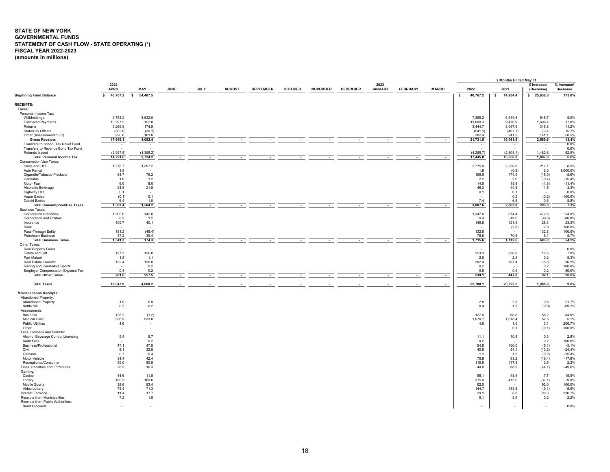# <span id="page-18-0"></span>**STATE OF NEW YORK GOVERNMENTAL FUNDS STATEMENT OF CASH FLOW - STATE OPERATING (\*) FISCAL YEAR 2022-2023 (amounts in millions)**

|                                                                  |                             |            |             |             |               |                  |                |                 |                 |                        |                 |              |                          | 2 Months Ended May 31    |                            |                         |
|------------------------------------------------------------------|-----------------------------|------------|-------------|-------------|---------------|------------------|----------------|-----------------|-----------------|------------------------|-----------------|--------------|--------------------------|--------------------------|----------------------------|-------------------------|
|                                                                  | 2022<br><b>APRIL</b>        | MAY        | <b>JUNE</b> | <b>JULY</b> | <b>AUGUST</b> | <b>SEPTEMBER</b> | <b>OCTOBER</b> | <b>NOVEMBER</b> | <b>DECEMBER</b> | 2023<br><b>JANUARY</b> | <b>FEBRUARY</b> | <b>MARCH</b> | 2022                     | 2021                     | \$ Increase/<br>(Decrease) | % Increase/<br>Decrease |
| <b>Beginning Fund Balance</b>                                    | 40,767.2 \$<br>$\mathbf{s}$ | 54,487.5   |             |             |               |                  |                |                 |                 |                        |                 |              | 40,767.2<br>$\mathbf{s}$ | $\mathsf{s}$<br>14,934.4 | \$25,832.8                 | 173.0%                  |
| <b>RECEIPTS:</b>                                                 |                             |            |             |             |               |                  |                |                 |                 |                        |                 |              |                          |                          |                            |                         |
| Taxes:                                                           |                             |            |             |             |               |                  |                |                 |                 |                        |                 |              |                          |                          |                            |                         |
| Personal Income Tax:<br>Withholdings                             | 3,733.2                     | 3,632.0    |             |             |               |                  |                |                 |                 |                        |                 |              | 7,365.2                  | 6,819.5                  | 545.7                      | 8.0%                    |
| <b>Estimated Payments</b>                                        | 10,927.5                    | 152.8      |             |             |               |                  |                |                 |                 |                        |                 |              | 11,080.3                 | 9,470.9                  | 1,609.4                    | 17.0%                   |
| Returns                                                          | 3,269.8                     | 174.9      |             |             |               |                  |                |                 |                 |                        |                 |              | 3,444.7                  | 3,097.9                  | 346.8                      | 11.2%                   |
| State/City Offsets                                               | (502.0)                     | (39.1)     |             |             |               |                  |                |                 |                 |                        |                 |              | (541.1)                  | (467.7)                  | 73.4                       | 15.7%                   |
| Other (Assessments/LLC)                                          | 220.6                       | 161.8      |             |             |               |                  |                |                 |                 |                        |                 |              | 382.4                    | 241.3                    | 141.1                      | 58.5%                   |
| <b>Gross Receipts</b>                                            | 17,649.1                    | 4,082.4    | $\sim$      | $\sim$      | $\sim$        | $\sim$           | $\sim$         | $\sim$          | $\sim$          | $\sim$                 | $\sim$          | $\sim$       | 21,731.5                 | 19,161.9                 | 2,569.6                    | 13.4%                   |
| Transfers to School Tax Relief Fund                              | $\sim$                      | $\sim$     |             |             |               |                  |                |                 |                 |                        |                 |              | $\sim$                   | $\sim$                   | $\overline{\phantom{a}}$   | $0.0\%$                 |
| Transfers to Revenue Bond Tax Fund                               | $\sim$                      | $\sim$     |             |             |               |                  |                |                 |                 |                        |                 |              | $\sim$                   | ٠                        | $\sim$                     | 0.0%                    |
| Refunds Issued                                                   | (2,927.5)                   | (1, 358.2) |             |             |               |                  |                |                 |                 |                        |                 |              | (4, 285.7)               | (2,803.1)                | 1,482.6                    | 52.9%<br>6.6%           |
| <b>Total Personal Income Tax</b><br>Consumption/Use Taxes:       | 14,721.6                    | 2,724.2    |             |             |               |                  |                |                 |                 |                        |                 |              | 17,445.8                 | 16,358.8                 | 1,087.0                    |                         |
| Sales and Use                                                    | 1,378.7                     | 1,397.2    |             |             |               |                  |                |                 |                 |                        |                 |              | 2,775.9                  | 2,558.8                  | 217.1                      | 8.5%                    |
| Auto Rental                                                      | 1.8                         |            |             |             |               |                  |                |                 |                 |                        |                 |              | 1.8                      | (0.2)                    | 2.0                        | 1,000.0%                |
| Cigarette/Tobacco Products                                       | 84.7                        | 75.2       |             |             |               |                  |                |                 |                 |                        |                 |              | 159.9                    | 174.9                    | (15.0)                     | $-8.6%$                 |
| Cannabis                                                         | 1.0                         | 1.2        |             |             |               |                  |                |                 |                 |                        |                 |              | 2.2                      | 2.6                      | (0.4)                      | $-15.4%$                |
| Motor Fuel                                                       | 6.0                         | 8.0        |             |             |               |                  |                |                 |                 |                        |                 |              | 14.0                     | 15.8                     | (1.8)                      | $-11.4%$                |
| Alcoholic Beverage                                               | 24.8                        | 21.5       |             |             |               |                  |                |                 |                 |                        |                 |              | 46.3                     | 44.8                     | 1.5                        | 3.3%                    |
| Highway Use                                                      | 0.1                         | $\sim$     |             |             |               |                  |                |                 |                 |                        |                 |              | 0.1                      | 0.1                      | $\sim$                     | 0.0%                    |
| Vapor Excise                                                     | (0.1)                       | 0.1        |             |             |               |                  |                |                 |                 |                        |                 |              |                          | 0.2                      | (0.2)                      | $-100.0%$               |
| Opioid Excise                                                    | 6.4                         | 1.0        |             |             |               |                  |                |                 |                 |                        |                 |              | 7.4                      | 6.8                      | 0.6                        | 8.8%                    |
| <b>Total Consumption/Use Taxes</b>                               | 1,503.4                     | 1,504.2    |             |             |               |                  |                |                 |                 |                        |                 | $\sim$       | 3,007.6                  | 2,803.8                  | 203.8                      | 7.3%                    |
| <b>Business Taxes:</b>                                           |                             | 142.0      |             |             |               |                  |                |                 |                 |                        |                 |              |                          | 874.4                    | 472.6                      | 54.0%                   |
| <b>Corporation Franchise</b><br><b>Corporation and Utilities</b> | 1,205.0<br>8.2              | 1.2        |             |             |               |                  |                |                 |                 |                        |                 |              | 1,347.0<br>9.4           | 49.0                     | (39.6)                     | $-80.8%$                |
| Insurance                                                        | 109.7                       | 40.1       |             |             |               |                  |                |                 |                 |                        |                 |              | 149.8                    | 121.5                    | 28.3                       | 23.3%                   |
| Bank                                                             |                             |            |             |             |               |                  |                |                 |                 |                        |                 |              |                          | (2.8)                    | 2.8                        | 100.0%                  |
| Pass-Through Entity                                              | 181.2                       | (48.4)     |             |             |               |                  |                |                 |                 |                        |                 |              | 132.8                    |                          | 132.8                      | 100.0%                  |
| <b>Petroleum Business</b>                                        | 37.2                        | 39.4       |             |             |               |                  |                |                 |                 |                        |                 |              | 76.6                     | 70.5                     | 6.1                        | 8.7%                    |
| <b>Total Business Taxes</b>                                      | 1,541.3                     | 174.3      |             |             |               |                  |                |                 |                 |                        |                 |              | 1,715.6                  | 1,112.6                  | 603.0                      | 54.2%                   |
| Other Taxes:                                                     |                             |            |             |             |               |                  |                |                 |                 |                        |                 |              |                          |                          |                            |                         |
| Real Property Gains                                              |                             |            |             |             |               |                  |                |                 |                 |                        |                 |              |                          |                          | $\epsilon$                 | 0.0%                    |
| Estate and Gift                                                  | 127.3                       | 126.0      |             |             |               |                  |                |                 |                 |                        |                 |              | 253.3                    | 236.8                    | 16.5                       | 7.0%                    |
| Pari-Mutuel                                                      | 1.5                         | 1.1        |             |             |               |                  |                |                 |                 |                        |                 |              | 2.6                      | 2.4                      | 0.2                        | 8.3%                    |
| Real Estate Transfer                                             | 152.4                       | 130.0      |             |             |               |                  |                |                 |                 |                        |                 |              | 282.4                    | 207.4                    | 75.0                       | 36.2%                   |
| Racing and Combative Sports<br>Employer Compensation Expense Tax | 0.4                         | 0.2<br>0.2 |             |             |               |                  |                |                 |                 |                        |                 |              | 0.2<br>0.6               | 0.4                      | 0.2<br>0.2                 | 100.0%<br>50.0%         |
| <b>Total Other Taxes</b>                                         | 281.6                       | 257.5      | $\sim$      |             |               |                  |                |                 |                 |                        |                 | $\sim$       | 539.1                    | 447.0                    | 92.1                       | 20.6%                   |
|                                                                  |                             |            |             |             |               |                  |                |                 |                 |                        |                 |              |                          |                          |                            |                         |
| <b>Total Taxes</b>                                               | 18,047.9                    | 4,660.2    |             |             |               |                  |                |                 |                 |                        |                 |              | 22,708.1                 | 20,722.2                 | 1,985.9                    | 9.6%                    |
| <b>Miscellaneous Receipts:</b>                                   |                             |            |             |             |               |                  |                |                 |                 |                        |                 |              |                          |                          |                            |                         |
| Abandoned Property:                                              |                             |            |             |             |               |                  |                |                 |                 |                        |                 |              |                          |                          |                            |                         |
| <b>Abandoned Property</b>                                        | 1.9                         | 0.9        |             |             |               |                  |                |                 |                 |                        |                 |              | 2.8                      | 2.3                      | 0.5                        | 21.7%                   |
| <b>Bottle Bill</b>                                               | 0.2                         | 0.2        |             |             |               |                  |                |                 |                 |                        |                 |              | 0.4                      | 1.3                      | (0.9)                      | $-69.2%$                |
| Assessments:<br><b>Business</b>                                  | 128.2                       | (1.2)      |             |             |               |                  |                |                 |                 |                        |                 |              | 127.0                    | 68.8                     | 58.2                       | 84.6%                   |
| Medical Care                                                     | 536.9                       | 533.8      |             |             |               |                  |                |                 |                 |                        |                 |              | 1.070.7                  | 1.018.4                  | 52.3                       | 5.1%                    |
| <b>Public Utilities</b>                                          | 4.6                         | ٠          |             |             |               |                  |                |                 |                 |                        |                 |              | 4.6                      | 1.5                      | 3.1                        | 206.7%                  |
| Other                                                            | $\sim$                      | ٠          |             |             |               |                  |                |                 |                 |                        |                 |              |                          | 0.1                      | (0.1)                      | $-100.0%$               |
| Fees, Licenses and Permits:                                      |                             |            |             |             |               |                  |                |                 |                 |                        |                 |              |                          |                          |                            |                         |
| Alcohol Beverage Control Licensing                               | 5.4                         | 5.7        |             |             |               |                  |                |                 |                 |                        |                 |              | 11.1                     | 10.8                     | 0.3                        | 2.8%                    |
| <b>Audit Fees</b>                                                |                             | 0.2        |             |             |               |                  |                |                 |                 |                        |                 |              | 0.2                      |                          | 0.2                        | 100.0%                  |
| Business/Professional                                            | 47.1                        | 47.8       |             |             |               |                  |                |                 |                 |                        |                 |              | 94.9                     | 100.0                    | (5.1)                      | $-5.1%$                 |
| Civil                                                            | 8.1                         | 32.8       |             |             |               |                  |                |                 |                 |                        |                 |              | 40.9                     | 54.1                     | (13.2)                     | $-24.4%$                |
| Criminal                                                         | 0.7                         | 0.4        |             |             |               |                  |                |                 |                 |                        |                 |              | 1.1                      | 1.3                      | (0.2)                      | $-15.4%$                |
| Motor Vehicle                                                    | 34.4                        | 42.4       |             |             |               |                  |                |                 |                 |                        |                 |              | 76.8                     | 93.2                     | (16.4)                     | $-17.6%$                |
| Recreational/Consumer                                            | 39.0                        | 80.9       |             |             |               |                  |                |                 |                 |                        |                 |              | 119.9                    | 117.3                    | 2.6                        | 2.2%                    |
| Fines, Penalties and Forfeitures                                 | 28.5                        | 16.3       |             |             |               |                  |                |                 |                 |                        |                 |              | 44.8                     | 88.9                     | (44.1)                     | $-49.6%$                |
| Gaming:<br>Casino                                                | 44.6                        | 11.5       |             |             |               |                  |                |                 |                 |                        |                 |              | 56.1                     | 48.4                     | 7.7                        | 15.9%                   |
| Lottery                                                          | 186.3                       | 189.6      |             |             |               |                  |                |                 |                 |                        |                 |              | 375.9                    | 413.0                    | (37.1)                     | $-9.0%$                 |
| Mobile Sports                                                    | 38.6                        | 53.4       |             |             |               |                  |                |                 |                 |                        |                 |              | 92.0                     |                          | 92.0                       | 100.0%                  |
| Video Lottery                                                    | 73.4                        | 71.3       |             |             |               |                  |                |                 |                 |                        |                 |              | 144.7                    | 153.8                    | (9.1)                      | $-5.9%$                 |
| <b>Interest Earnings</b>                                         | 11.4                        | 17.7       |             |             |               |                  |                |                 |                 |                        |                 |              | 29.1                     | 8.8                      | 20.3                       | 230.7%                  |
| Receipts from Municipalities                                     | 7.2                         | 1.9        |             |             |               |                  |                |                 |                 |                        |                 |              | 9.1                      | 8.9                      | 0.2                        | 2.2%                    |
| Receipts from Public Authorities:                                |                             |            |             |             |               |                  |                |                 |                 |                        |                 |              |                          |                          |                            |                         |
| <b>Bond Proceeds</b>                                             |                             |            |             |             |               |                  |                |                 |                 |                        |                 |              |                          |                          |                            | 0.0%                    |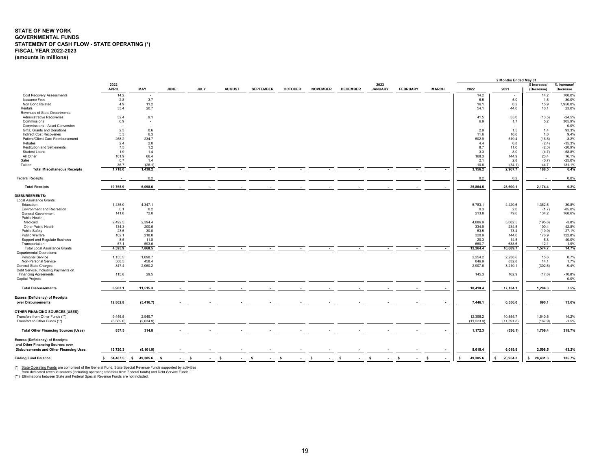# **STATE OF NEW YORK GOVERNMENTAL FUNDS STATEMENT OF CASH FLOW - STATE OPERATING (\*) FISCAL YEAR 2022-2023 (amounts in millions)**

|                                               |                      |                |                          |              |               |                        |                |                 |                 |                        |                 |                      |                          | 2 Months Ended May 31 |                            |                         |
|-----------------------------------------------|----------------------|----------------|--------------------------|--------------|---------------|------------------------|----------------|-----------------|-----------------|------------------------|-----------------|----------------------|--------------------------|-----------------------|----------------------------|-------------------------|
|                                               | 2022<br><b>APRIL</b> | MAY            | <b>JUNE</b>              | <b>JULY</b>  | <b>AUGUST</b> | <b>SEPTEMBER</b>       | <b>OCTOBER</b> | <b>NOVEMBER</b> | <b>DECEMBER</b> | 2023<br><b>JANUARY</b> | <b>FEBRUARY</b> | <b>MARCH</b>         | 2022                     | 2021                  | \$ Increase/<br>(Decrease) | % Increase/<br>Decrease |
| <b>Cost Recovery Assessments</b>              | 14.2                 | $\sim$         |                          |              |               |                        |                |                 |                 |                        |                 |                      | 14.2                     |                       | 14.2                       | 100.0%                  |
| <b>Issuance Fees</b>                          | 2.8                  | 3.7            |                          |              |               |                        |                |                 |                 |                        |                 |                      | 6.5                      | 5.0                   | 1.5                        | 30.0%                   |
| Non Bond Related                              | 4.9                  | 11.2           |                          |              |               |                        |                |                 |                 |                        |                 |                      | 16.1                     | 0.2                   | 15.9                       | 7,950.0%                |
| Rentals                                       | 33.4                 | 20.7           |                          |              |               |                        |                |                 |                 |                        |                 |                      | 54.1                     | 44.0                  | 10.1                       | 23.0%                   |
| Revenues of State Departments:                |                      |                |                          |              |               |                        |                |                 |                 |                        |                 |                      |                          |                       |                            |                         |
| Administrative Recoveries                     | 32.4                 | 9.1            |                          |              |               |                        |                |                 |                 |                        |                 |                      | 41.5                     | 55.0                  | (13.5)                     | $-24.5%$                |
| Commissions                                   | 6.9                  | $\sim$         |                          |              |               |                        |                |                 |                 |                        |                 |                      | 6.9                      | 1.7                   | 5.2                        | 305.9%                  |
| Commissions - Asset Conversion                | $\sim$               | $\sim$         |                          |              |               |                        |                |                 |                 |                        |                 |                      | $\overline{\phantom{a}}$ |                       | . .                        | 0.0%                    |
| Gifts, Grants and Donations                   | 2.3                  | 0.6            |                          |              |               |                        |                |                 |                 |                        |                 |                      | 2.9                      | 1.5                   | 1.4                        | 93.3%                   |
| Indirect Cost Recoveries                      | 5.3                  | 6.3            |                          |              |               |                        |                |                 |                 |                        |                 |                      | 11.6                     | 10.6                  | 1.0                        | 9.4%                    |
| Patient/Client Care Reimbursement             | 268.2                | 234.7          |                          |              |               |                        |                |                 |                 |                        |                 |                      | 502.9                    | 519.4                 | (16.5)                     | $-3.2%$                 |
| Rebates                                       | 2.4                  | 2.0            |                          |              |               |                        |                |                 |                 |                        |                 |                      | 4.4                      | 6.8                   | (2.4)                      | $-35.3%$                |
| <b>Restitution and Settlements</b>            | 7.5                  | 1.2            |                          |              |               |                        |                |                 |                 |                        |                 |                      | 8.7                      | 11.0                  | (2.3)                      | $-20.9%$                |
| Student Loans                                 | 1.9                  | 1.4            |                          |              |               |                        |                |                 |                 |                        |                 |                      | 3.3                      | 8.0                   | (4.7)                      | $-58.8%$                |
| All Other                                     | 101.9                | 66.4           |                          |              |               |                        |                |                 |                 |                        |                 |                      | 168.3                    | 144.9                 | 23.4                       | 16.1%                   |
| Sales                                         | 0.7                  | 1.4            |                          |              |               |                        |                |                 |                 |                        |                 |                      | 2.1                      | 2.8                   | (0.7)                      | $-25.0%$                |
| Tuition                                       | 36.7                 | (26.1)         |                          |              |               |                        |                |                 |                 |                        |                 |                      | 10.6                     | (34.1)                | 44.7                       | 131.1%                  |
| <b>Total Miscellaneous Receipts</b>           | 1,718.0              | 1,438.2        | $\overline{\phantom{a}}$ |              |               |                        |                |                 |                 |                        |                 | $\sim$               | 3,156.2                  | 2,967.7               | 188.5                      | 6.4%                    |
|                                               |                      |                |                          |              |               |                        |                |                 |                 |                        |                 |                      |                          |                       |                            |                         |
| <b>Federal Receipts</b>                       | ۰.                   | 0.2            |                          |              |               |                        |                |                 |                 |                        |                 |                      | 0.2                      | 0.2                   | $\sim$                     | 0.0%                    |
| <b>Total Receipts</b>                         | 19,765.9             | 6,098.6        |                          |              |               |                        |                |                 |                 |                        |                 |                      | 25,864.5                 | 23,690.1              | 2,174.4                    | 9.2%                    |
|                                               |                      |                |                          |              |               |                        |                |                 |                 |                        |                 |                      |                          |                       |                            |                         |
| <b>DISBURSEMENTS:</b>                         |                      |                |                          |              |               |                        |                |                 |                 |                        |                 |                      |                          |                       |                            |                         |
| Local Assistance Grants:                      |                      |                |                          |              |               |                        |                |                 |                 |                        |                 |                      |                          |                       |                            |                         |
| Education                                     | 1,436.0              | 4,347.1        |                          |              |               |                        |                |                 |                 |                        |                 |                      | 5,783.1                  | 4,420.6               | 1,362.5                    | 30.8%                   |
| Environment and Recreation                    | 0.1                  | 0.2            |                          |              |               |                        |                |                 |                 |                        |                 |                      | 0.3                      | 2.0                   | (1.7)                      | $-85.0%$                |
| <b>General Government</b>                     | 141.8                | 72.0           |                          |              |               |                        |                |                 |                 |                        |                 |                      | 213.8                    | 79.6                  | 134.2                      | 168.6%                  |
| Public Health:                                |                      |                |                          |              |               |                        |                |                 |                 |                        |                 |                      |                          |                       |                            |                         |
| Medicaid                                      | 2,492.5              | 2,394.4        |                          |              |               |                        |                |                 |                 |                        |                 |                      | 4,886.9                  | 5,082.5               | (195.6)                    | $-3.8%$                 |
| Other Public Health                           | 134.3                | 200.6          |                          |              |               |                        |                |                 |                 |                        |                 |                      | 334.9                    | 234.5                 | 100.4                      | 42.8%                   |
| Public Safety                                 | 23.5                 | 30.0           |                          |              |               |                        |                |                 |                 |                        |                 |                      | 53.5                     | 73.4                  | (19.9)                     | $-27.1%$                |
| Public Welfare                                | 102.1                | 218.8          |                          |              |               |                        |                |                 |                 |                        |                 |                      | 320.9                    | 144.0                 | 176.9                      | 122.8%                  |
| Support and Regulate Business                 | 8.5                  | 11.8           |                          |              |               |                        |                |                 |                 |                        |                 |                      | 20.3                     | 14.5                  | 5.8                        | 40.0%                   |
| Transportation                                | 57.1                 | 593.6          |                          |              |               |                        |                |                 |                 |                        |                 |                      | 650.7                    | 638.6                 | 12.1                       | 1.9%                    |
| <b>Total Local Assistance Grants</b>          | 4,395.9              | 7,868.5        | $\sim$                   | $\sim$       | $\sim$        | $\sim$                 | $\sim$         | $\sim$          | $\sim$          | $\sim$                 | $\sim$          | $\sim$               | 12,264.4                 | 10,689.7              | 1,574.7                    | 14.7%                   |
| <b>Departmental Operations:</b>               |                      |                |                          |              |               |                        |                |                 |                 |                        |                 |                      |                          |                       |                            |                         |
| Personal Service                              | 1,155.5              | 1,098.7        |                          |              |               |                        |                |                 |                 |                        |                 |                      | 2,254.2                  | 2,238.6               | 15.6                       | 0.7%                    |
| Non-Personal Service                          | 388.5                | 458.4          |                          |              |               |                        |                |                 |                 |                        |                 |                      | 846.9                    | 832.8                 | 14.1                       | 1.7%                    |
| General State Charges                         | 847.4                | 2,060.2        |                          |              |               |                        |                |                 |                 |                        |                 |                      | 2,907.6                  | 3,210.1               | (302.5)                    | $-9.4%$                 |
| Debt Service, Including Payments on           |                      |                |                          |              |               |                        |                |                 |                 |                        |                 |                      |                          |                       |                            |                         |
| <b>Financing Agreements</b>                   | 115.8                | 29.5           |                          |              |               |                        |                |                 |                 |                        |                 |                      | 145.3                    | 162.9                 | (17.6)                     | $-10.8%$                |
| <b>Capital Projects</b>                       |                      |                |                          |              |               |                        |                |                 |                 |                        |                 |                      |                          |                       | $\overline{\phantom{a}}$   | 0.0%                    |
|                                               |                      |                |                          |              |               |                        |                |                 |                 |                        |                 |                      |                          |                       |                            |                         |
| <b>Total Disbursements</b>                    | 6,903.1              | 11,515.3       |                          |              |               |                        |                |                 |                 |                        |                 |                      | 18,418.4                 | 17,134.1              | 1,284.3                    | 7.5%                    |
| <b>Excess (Deficiency) of Receipts</b>        |                      |                |                          |              |               |                        |                |                 |                 |                        |                 |                      |                          |                       |                            |                         |
| over Disbursements                            | 12,862.8             | (5, 416.7)     |                          |              |               |                        |                |                 |                 |                        |                 |                      | 7,446.1                  | 6,556.0               | 890.1                      | 13.6%                   |
| OTHER FINANCING SOURCES (USES):               |                      |                |                          |              |               |                        |                |                 |                 |                        |                 |                      |                          |                       |                            |                         |
| Transfers from Other Funds (**)               | 9,446.5              | 2,949.7        |                          |              |               |                        |                |                 |                 |                        |                 |                      | 12,396.2                 | 10,855.7              | 1,540.5                    | 14.2%                   |
| Transfers to Other Funds (**)                 | (8,589.0)            | (2,634.9)      |                          |              |               |                        |                |                 |                 |                        |                 |                      | (11, 223.9)              | (11, 391.8)           | (167.9)                    | $-1.5%$                 |
|                                               |                      |                |                          |              |               |                        |                |                 |                 |                        |                 |                      |                          |                       |                            |                         |
| <b>Total Other Financing Sources (Uses)</b>   | 857.5                | 314.8          |                          |              |               |                        |                |                 |                 |                        |                 |                      | 1,172.3                  | (536.1)               | 1,708.4                    | 318.7%                  |
| Excess (Deficiency) of Receipts               |                      |                |                          |              |               |                        |                |                 |                 |                        |                 |                      |                          |                       |                            |                         |
| and Other Financing Sources over              |                      |                |                          |              |               |                        |                |                 |                 |                        |                 |                      |                          |                       |                            |                         |
| <b>Disbursements and Other Financing Uses</b> | 13,720.3             | (5, 101.9)     |                          |              |               |                        |                |                 |                 |                        |                 |                      | 8,618.4                  | 6,019.9               | 2,598.5                    | 43.2%                   |
| <b>Ending Fund Balance</b>                    | \$54,487.5           | $$49,385.6$ \$ | $\sim$                   | s.<br>$\sim$ | - S<br>$\sim$ | $\mathsf{s}$<br>$\sim$ | -S<br>$\sim$   | \$<br>$\sim$    | - \$<br>$\sim$  | s.<br>$\sim$           | \$<br>$\sim$    | - \$<br>$\mathbf{r}$ | 49,385.6<br>s.           | 20,954.3<br>s.        | \$28,431.3                 | 135.7%                  |
|                                               |                      |                |                          |              |               |                        |                |                 |                 |                        |                 |                      |                          |                       |                            |                         |

(\*) <u>State Operating Funds</u> are comprised of the General Fund, State Special Revenue Funds supported by activities<br>from dedicated revenue sources (including operating transfers from Federal funds) and Debt Service Funds.<br>(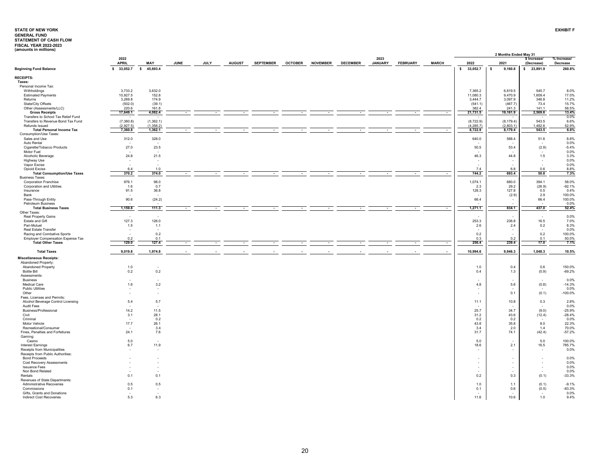<span id="page-20-0"></span>

|                                                               |                          |                    |      |      |               |                  |                |                 |                 |                        |                 |              |                          | 2 Months Ended May 31   |                            |                         |
|---------------------------------------------------------------|--------------------------|--------------------|------|------|---------------|------------------|----------------|-----------------|-----------------|------------------------|-----------------|--------------|--------------------------|-------------------------|----------------------------|-------------------------|
|                                                               | 2022<br><b>APRIL</b>     | MAY                | JUNE | JULY | <b>AUGUST</b> | <b>SEPTEMBER</b> | <b>OCTOBER</b> | <b>NOVEMBER</b> | <b>DECEMBER</b> | 2023<br><b>JANUARY</b> | <b>FEBRUARY</b> | <b>MARCH</b> | 2022                     | 2021                    | \$ Increase/<br>(Decrease) | % Increase/<br>Decrease |
| <b>Beginning Fund Balance</b>                                 | $\mathsf{s}$<br>33,052.7 | $\sim$<br>45,693.4 |      |      |               |                  |                |                 |                 |                        |                 |              | 33,052.7<br>$\mathsf{s}$ | \$<br>9,160.8           | \$23,891.9                 | 260.8%                  |
| <b>RECEIPTS:</b>                                              |                          |                    |      |      |               |                  |                |                 |                 |                        |                 |              |                          |                         |                            |                         |
| Taxes:                                                        |                          |                    |      |      |               |                  |                |                 |                 |                        |                 |              |                          |                         |                            |                         |
| Personal Income Tax:                                          |                          |                    |      |      |               |                  |                |                 |                 |                        |                 |              |                          |                         |                            |                         |
| Withholdings<br><b>Estimated Payments</b>                     | 3,733.2<br>10,927.5      | 3,632.0<br>152.8   |      |      |               |                  |                |                 |                 |                        |                 |              | 7,365.2<br>11,080.3      | 6,819.5<br>9,470.9      | 545.7<br>1,609.4           | 8.0%<br>17.0%           |
| Returns                                                       | 3,269.8                  | 174.9              |      |      |               |                  |                |                 |                 |                        |                 |              | 3,444.7                  | 3,097.9                 | 346.8                      | 11.2%                   |
| State/City Offsets                                            | (502.0)                  | (39.1)             |      |      |               |                  |                |                 |                 |                        |                 |              | (541.1)                  | (467.7)                 | 73.4                       | 15.7%                   |
| Other (Assessments/LLC)                                       | 220.6                    | 161.8              |      |      |               |                  |                |                 |                 |                        |                 |              | 382.4                    | 241.3                   | 141.1                      | 58.5%                   |
| <b>Gross Receipts</b>                                         | 17,649.1                 | 4,082.4            |      |      |               |                  |                |                 |                 |                        |                 |              | 21,731.5                 | 19,161.9                | 2,569.6                    | 13.4%                   |
| Transfers to School Tax Relief Fund                           |                          | (1,362.1)          |      |      |               |                  |                |                 |                 |                        |                 |              |                          |                         | 543.5                      | 0.0%<br>6.6%            |
| Transfers to Revenue Bond Tax Fund<br>Refunds Issued          | (7,360.8)<br>(2.927.5)   | (1.358.2)          |      |      |               |                  |                |                 |                 |                        |                 |              | (8,722.9)<br>(4.285.7)   | (8, 179.4)<br>(2.803.1) | 1.482.6                    | 52.9%                   |
| <b>Total Personal Income Tax</b>                              | 7,360.8                  | 1,362.1            |      |      |               |                  |                |                 |                 |                        |                 |              | 8,722.9                  | 8,179.4                 | 543.5                      | 6.6%                    |
| Consumption/Use Taxes:                                        |                          |                    |      |      |               |                  |                |                 |                 |                        |                 |              |                          |                         |                            |                         |
| Sales and Use                                                 | 312.0                    | 328.0              |      |      |               |                  |                |                 |                 |                        |                 |              | 640.0                    | 588.4                   | 51.6                       | 8.8%                    |
| Auto Rental                                                   |                          |                    |      |      |               |                  |                |                 |                 |                        |                 |              |                          |                         |                            | 0.0%                    |
| Cigarette/Tobacco Products                                    | 27.0                     | 23.5               |      |      |               |                  |                |                 |                 |                        |                 |              | 50.5                     | 53.4                    | (2.9)                      | $-5.4%$                 |
| Motor Fuel<br>Alcoholic Beverage                              | 24.8                     | 21.5               |      |      |               |                  |                |                 |                 |                        |                 |              | 46.3                     | 44.8                    | 1.5                        | 0.0%<br>3.3%            |
| Highway Use                                                   |                          |                    |      |      |               |                  |                |                 |                 |                        |                 |              |                          |                         | ٠                          | 0.0%                    |
| Vapor Excise                                                  |                          |                    |      |      |               |                  |                |                 |                 |                        |                 |              |                          |                         |                            | 0.0%                    |
| Opioid Excise                                                 | 6.4                      | 1.0                |      |      |               |                  |                |                 |                 |                        |                 |              | 7.4                      | 6.8                     | 0.6                        | 8.8%                    |
| <b>Total Consumption/Use Taxes</b>                            | 370.2                    | 374.0              |      |      |               | $\sim$           |                |                 | $\sim$          |                        |                 | $\sim$       | 744.2                    | 693.4                   | 50.8                       | 7.3%                    |
| <b>Business Taxes:</b><br><b>Corporation Franchise</b>        | 976.1                    | 98.0               |      |      |               |                  |                |                 |                 |                        |                 |              | 1,074.1                  | 680.0                   | 394.1                      | 58.0%                   |
| Corporation and Utilities                                     | 1.6                      | 0.7                |      |      |               |                  |                |                 |                 |                        |                 |              | 2.3                      | 29.2                    | (26.9)                     | $-92.1%$                |
| Insurance                                                     | 91.5                     | 36.8               |      |      |               |                  |                |                 |                 |                        |                 |              | 128.3                    | 127.8                   | 0.5                        | 0.4%                    |
| Bank                                                          |                          |                    |      |      |               |                  |                |                 |                 |                        |                 |              |                          | (2.9)                   | 2.9                        | 100.0%                  |
| Pass-Through Entity                                           | 90.6                     | (24.2)             |      |      |               |                  |                |                 |                 |                        |                 |              | 66.4                     | $\sim$                  | 66.4                       | 100.0%                  |
| Petroleum Business                                            |                          |                    |      |      |               |                  |                |                 |                 |                        |                 |              |                          |                         |                            | 0.0%                    |
| <b>Total Business Taxes</b><br>Other Taxes:                   | 1,159.8                  | 111.3              |      |      |               |                  |                |                 |                 |                        |                 |              | 1,271.1                  | 834.1                   | 437.0                      | 52.4%                   |
| Real Property Gains                                           |                          |                    |      |      |               |                  |                |                 |                 |                        |                 |              |                          |                         | $\overline{\phantom{a}}$   | 0.0%                    |
| Estate and Gift                                               | 127.3                    | 126.0              |      |      |               |                  |                |                 |                 |                        |                 |              | 253.3                    | 236.8                   | 16.5                       | 7.0%                    |
| Pari-Mutuel                                                   | 1.5                      | 1.1                |      |      |               |                  |                |                 |                 |                        |                 |              | 2.6                      | 2.4                     | 0.2                        | 8.3%                    |
| Real Estate Transfer                                          |                          | ×,                 |      |      |               |                  |                |                 |                 |                        |                 |              |                          |                         | $\sim$                     | 0.0%                    |
| Racing and Combative Sports                                   | $\sim$                   | 0.2                |      |      |               |                  |                |                 |                 |                        |                 |              | 0.2                      | $\sim$                  | 0.2                        | 100.0%                  |
| Employer Compensation Expense Tax<br><b>Total Other Taxes</b> | 0.2<br>129.0             | 0.1<br>127.4       |      |      |               |                  |                |                 |                 |                        |                 | $\cdot$      | 0.3<br>256.4             | 0.2<br>239.4            | 0.1<br>17.0                | 50.0%<br>7.1%           |
|                                                               |                          |                    |      |      |               |                  |                |                 |                 |                        |                 |              |                          |                         |                            |                         |
| <b>Total Taxes</b>                                            | 9,019.8                  | 1,974.8            |      |      |               |                  |                |                 |                 |                        |                 | $\sim$       | 10,994.6                 | 9,946.3                 | 1,048.3                    | 10.5%                   |
| <b>Miscellaneous Receipts:</b>                                |                          |                    |      |      |               |                  |                |                 |                 |                        |                 |              |                          |                         |                            |                         |
| Abandoned Property:                                           |                          |                    |      |      |               |                  |                |                 |                 |                        |                 |              |                          |                         |                            |                         |
| Abandoned Property                                            | 1.0                      |                    |      |      |               |                  |                |                 |                 |                        |                 |              | 1.0<br>0.4               | 0.4                     | 0.6                        | 150.0%                  |
| <b>Bottle Bill</b><br>Assessments:                            | 0.2                      | 0.2                |      |      |               |                  |                |                 |                 |                        |                 |              |                          | 1.3                     | (0.9)                      | $-69.2%$                |
| <b>Business</b>                                               |                          |                    |      |      |               |                  |                |                 |                 |                        |                 |              |                          |                         |                            | 0.0%                    |
| Medical Care                                                  | 1.6                      | 3.2                |      |      |               |                  |                |                 |                 |                        |                 |              | 4.8                      | 5.6                     | (0.8)                      | $-14.3%$                |
| <b>Public Utilities</b>                                       |                          | ٠                  |      |      |               |                  |                |                 |                 |                        |                 |              |                          |                         |                            | 0.0%                    |
| Other                                                         |                          |                    |      |      |               |                  |                |                 |                 |                        |                 |              |                          | 0.1                     | (0.1)                      | $-100.0%$               |
| Fees, Licenses and Permits:                                   | 5.4                      |                    |      |      |               |                  |                |                 |                 |                        |                 |              |                          | 10.8                    | 0.3                        | 2.8%                    |
| Alcohol Beverage Control Licensing<br>Audit Fees              |                          | 5.7                |      |      |               |                  |                |                 |                 |                        |                 |              | 11.1                     |                         | $\sim$                     | 0.0%                    |
| Business/Professional                                         | 14.2                     | 11.5               |      |      |               |                  |                |                 |                 |                        |                 |              | 25.7                     | 34.7                    | (9.0)                      | $-25.9%$                |
| Civil                                                         | 3.1                      | 28.1               |      |      |               |                  |                |                 |                 |                        |                 |              | 31.2                     | 43.6                    | (12.4)                     | $-28.4%$                |
| Criminal                                                      |                          | 0.2                |      |      |               |                  |                |                 |                 |                        |                 |              | 0.2                      | 0.2                     |                            | 0.0%                    |
| Motor Vehicle                                                 | 17.7                     | 26.1               |      |      |               |                  |                |                 |                 |                        |                 |              | 43.8                     | 35.8                    | 8.0                        | 22.3%                   |
| Recreational/Consumer                                         |                          | 3.4<br>7.6         |      |      |               |                  |                |                 |                 |                        |                 |              | 3.4                      | 2.0                     | 1.4                        | 70.0%<br>$-57.2%$       |
| Fines, Penalties and Forfeitures<br>Gaming:                   | 24.1                     |                    |      |      |               |                  |                |                 |                 |                        |                 |              | 31.7                     | 74.1                    | (42.4)                     |                         |
| Casino                                                        | 5.0                      |                    |      |      |               |                  |                |                 |                 |                        |                 |              | 5.0                      |                         | 5.0                        | 100.0%                  |
| Interest Earnings                                             | 6.7                      | 11.9               |      |      |               |                  |                |                 |                 |                        |                 |              | 18.6                     | 2.1                     | 16.5                       | 785.7%                  |
| Receipts from Municipalities                                  |                          |                    |      |      |               |                  |                |                 |                 |                        |                 |              |                          |                         | $\sim$                     | 0.0%                    |
| Receipts from Public Authorities:                             |                          |                    |      |      |               |                  |                |                 |                 |                        |                 |              |                          |                         |                            |                         |
| <b>Bond Proceeds</b>                                          |                          |                    |      |      |               |                  |                |                 |                 |                        |                 |              |                          | ×                       |                            | 0.0%                    |
| Cost Recovery Assessments                                     |                          | ×                  |      |      |               |                  |                |                 |                 |                        |                 |              | ×,<br>×.                 | ٠<br>$\sim$             | ٠<br>$\sim$                | 0.0%                    |
| <b>Issuance Fees</b><br>Non Bond Related                      |                          |                    |      |      |               |                  |                |                 |                 |                        |                 |              |                          |                         |                            | 0.0%<br>0.0%            |
| Rentals                                                       | 0.1                      | 0.1                |      |      |               |                  |                |                 |                 |                        |                 |              | 0.2                      | 0.3                     | (0.1)                      | $-33.3%$                |
| Revenues of State Departments:                                |                          |                    |      |      |               |                  |                |                 |                 |                        |                 |              |                          |                         |                            |                         |
| Administrative Recoveries                                     | 0.5                      | 0.5                |      |      |               |                  |                |                 |                 |                        |                 |              | 1.0                      | 1.1                     | (0.1)                      | $-9.1%$                 |
| Commissions                                                   | 0.1                      | ٠                  |      |      |               |                  |                |                 |                 |                        |                 |              | 0.1                      | 0.6                     | (0.5)                      | $-83.3%$                |
| Gifts, Grants and Donations<br>Indirect Cost Recoveries       | $\sim$<br>5.3            | 6.3                |      |      |               |                  |                |                 |                 |                        |                 |              | 11.6                     | 10.6                    | $\sim$<br>1.0              | 0.0%<br>9.4%            |
|                                                               |                          |                    |      |      |               |                  |                |                 |                 |                        |                 |              |                          |                         |                            |                         |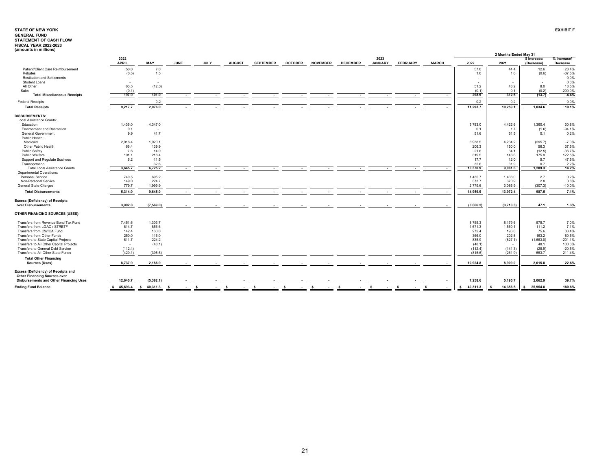# **STATE OF NEW YORKGENERAL FUND STATEMENT OF CASH FLOW FISCAL YEAR 2022-2023 (amounts in millions)**

| $($ amounts in minions)                                                              |                      |                |             |             |               |                     |                |                                  |                 |                        |                 |                    |                | 2 Months Ended May 31 |                            |                         |
|--------------------------------------------------------------------------------------|----------------------|----------------|-------------|-------------|---------------|---------------------|----------------|----------------------------------|-----------------|------------------------|-----------------|--------------------|----------------|-----------------------|----------------------------|-------------------------|
|                                                                                      | 2022<br><b>APRIL</b> | MAY            | <b>JUNE</b> | <b>JULY</b> | <b>AUGUST</b> | <b>SEPTEMBER</b>    | <b>OCTOBER</b> | <b>NOVEMBER</b>                  | <b>DECEMBER</b> | 2023<br><b>JANUARY</b> | <b>FEBRUARY</b> | <b>MARCH</b>       | 2022           | 2021                  | \$ Increase/<br>(Decrease) | % Increase/<br>Decrease |
| Patient/Client Care Reimbursement                                                    | 50.0                 | 7.0            |             |             |               |                     |                |                                  |                 |                        |                 |                    | 57.0           | 44.4                  | 12.6                       | 28.4%                   |
| Rebates                                                                              | (0.5)                | 1.5            |             |             |               |                     |                |                                  |                 |                        |                 |                    | 1.0            | 1.6                   | (0.6)                      | $-37.5%$                |
| <b>Restitution and Settlements</b>                                                   |                      |                |             |             |               |                     |                |                                  |                 |                        |                 |                    |                |                       | $\sim$                     | 0.0%                    |
| Student Loans                                                                        |                      |                |             |             |               |                     |                |                                  |                 |                        |                 |                    |                |                       | $\sim$                     | 0.0%                    |
| All Other                                                                            | 63.5                 | (12.3)         |             |             |               |                     |                |                                  |                 |                        |                 |                    | 51.2           | 43.2                  | 8.0                        | 18.5%                   |
| Sales                                                                                | (0.1)                |                |             |             |               |                     |                |                                  |                 |                        |                 |                    | (0.1)          | 0.1                   | (0.2)                      | $-200.0%$               |
| <b>Total Miscellaneous Receipts</b>                                                  | 197.9                | 101.0          |             |             |               |                     |                |                                  |                 |                        |                 | $\sim$             | 298.9          | 312.6                 | (13.7)                     | $-4.4%$                 |
| <b>Federal Receipts</b>                                                              |                      | 0.2            |             |             |               |                     |                |                                  |                 |                        |                 |                    | 0.2            | 0.2                   | $\sim$                     | 0.0%                    |
| <b>Total Receipts</b>                                                                | 9,217.7              | 2,076.0        |             |             |               |                     |                |                                  |                 |                        |                 |                    | 11,293.7       | 10,259.1              | 1,034.6                    | 10.1%                   |
| <b>DISBURSEMENTS:</b>                                                                |                      |                |             |             |               |                     |                |                                  |                 |                        |                 |                    |                |                       |                            |                         |
| Local Assistance Grants:                                                             |                      |                |             |             |               |                     |                |                                  |                 |                        |                 |                    |                |                       |                            |                         |
| Education                                                                            | 1,436.0              | 4,347.0        |             |             |               |                     |                |                                  |                 |                        |                 |                    | 5,783.0        | 4,422.6               | 1,360.4                    | 30.8%                   |
| <b>Environment and Recreation</b>                                                    | 0.1                  | <b>.</b>       |             |             |               |                     |                |                                  |                 |                        |                 |                    | 0.1            | 1.7                   | (1.6)                      | $-94.1%$                |
| General Government                                                                   | 9.9                  | 41.7           |             |             |               |                     |                |                                  |                 |                        |                 |                    | 51.6           | 51.5                  | 0.1                        | 0.2%                    |
| Public Health:                                                                       |                      |                |             |             |               |                     |                |                                  |                 |                        |                 |                    |                |                       |                            |                         |
| Medicaid                                                                             | 2.018.4              | 1.920.1        |             |             |               |                     |                |                                  |                 |                        |                 |                    | 3.938.5        | 4.234.2               | (295.7)                    | $-7.0%$                 |
| Other Public Health                                                                  | 66.4                 | 139.9          |             |             |               |                     |                |                                  |                 |                        |                 |                    | 206.3          | 150.0                 | 56.3                       | 37.5%                   |
| Public Safety                                                                        | 7.6                  | 14.0           |             |             |               |                     |                |                                  |                 |                        |                 |                    | 21.6           | 34.1                  | (12.5)                     | $-36.7%$                |
| Public Welfare                                                                       | 101.1                | 218.4          |             |             |               |                     |                |                                  |                 |                        |                 |                    | 319.5          | 143.6                 | 175.9                      | 122.5%                  |
| Support and Regulate Business                                                        | 6.2                  | 11.5           |             |             |               |                     |                |                                  |                 |                        |                 |                    | 17.7           | 12.0                  | 5.7                        | 47.5%                   |
| Transportation                                                                       |                      | 32.6           |             |             |               |                     |                |                                  |                 |                        |                 |                    | 32.6           | 31.9                  | 0.7                        | 2.2%                    |
| <b>Total Local Assistance Grants</b>                                                 | 3,645.7              | 6.725.2        |             |             |               |                     |                |                                  |                 |                        |                 |                    | 10.370.9       | 9.081.6               | 1.289.3                    | 14.2%                   |
| <b>Departmental Operations:</b>                                                      |                      |                |             |             |               |                     |                |                                  |                 |                        |                 |                    |                |                       |                            |                         |
| Personal Service                                                                     | 740.5                | 695.2          |             |             |               |                     |                |                                  |                 |                        |                 |                    | 1,435.7        | 1,433.0               | 2.7                        | 0.2%                    |
| Non-Personal Service                                                                 | 149.0                | 224.7          |             |             |               |                     |                |                                  |                 |                        |                 |                    | 373.7          | 370.9                 | 2.8                        | 0.8%                    |
| General State Charges                                                                | 779.7                | 1,999.9        |             |             |               |                     |                |                                  |                 |                        |                 |                    | 2,779.6        | 3,086.9               | (307.3)                    | $-10.0%$                |
|                                                                                      |                      |                |             |             |               |                     |                |                                  |                 |                        |                 |                    |                |                       |                            |                         |
| <b>Total Disbursements</b>                                                           | 5,314.9              | 9,645.0        |             |             |               |                     |                |                                  |                 |                        |                 |                    | 14,959.9       | 13,972.4              | 987.5                      | 7.1%                    |
| <b>Excess (Deficiency) of Receipts</b>                                               |                      |                |             |             |               |                     |                |                                  |                 |                        |                 |                    |                |                       |                            |                         |
| over Disbursements                                                                   | 3,902.8              | (7,569.0)      |             |             |               |                     |                |                                  |                 |                        |                 |                    | (3,666.2)      | (3,713.3)             | 47.1                       | 1.3%                    |
| OTHER FINANCING SOURCES (USES):                                                      |                      |                |             |             |               |                     |                |                                  |                 |                        |                 |                    |                |                       |                            |                         |
| Transfers from Revenue Bond Tax Fund                                                 | 7.451.6              | 1,303.7        |             |             |               |                     |                |                                  |                 |                        |                 |                    | 8.755.3        | 8.179.6               | 575.7                      | 7.0%                    |
| Transfers from LGAC / STRBTF                                                         | 814.7                | 856.6          |             |             |               |                     |                |                                  |                 |                        |                 |                    | 1.671.3        | 1,560.1               | 111.2                      | 7.1%                    |
| Transfers from CW/CA Fund                                                            | 142.4                | 130.0          |             |             |               |                     |                |                                  |                 |                        |                 |                    | 272.4          | 196.8                 | 75.6                       | 38.4%                   |
| Transfers from Other Funds                                                           | 250.0                | 116.0          |             |             |               |                     |                |                                  |                 |                        |                 |                    | 366.0          | 202.8                 | 163.2                      | 80.5%                   |
| Transfers to State Capital Projects                                                  | 611.7                | 224.2          |             |             |               |                     |                |                                  |                 |                        |                 |                    | 835.9          | (827.1)               | (1,663.0)                  | $-201.1%$               |
| Transfers to All Other Capital Projects                                              | - 1                  | (48.1)         |             |             |               |                     |                |                                  |                 |                        |                 |                    | (48.1)         |                       | 48.1                       | 100.0%                  |
| Transfers to General Debt Service                                                    | (112.4)              | $\sim$         |             |             |               |                     |                |                                  |                 |                        |                 |                    | (112.4)        | (141.3)               | (28.9)                     | $-20.5%$                |
| Transfers to All Other State Funds                                                   | (420.1)              | (395.5)        |             |             |               |                     |                |                                  |                 |                        |                 |                    | (815.6)        | (261.9)               | 553.7                      | 211.4%                  |
| <b>Total Other Financing</b><br>Sources (Uses)                                       | 8,737.9              | 2,186.9        |             |             |               |                     |                |                                  |                 |                        |                 |                    | 10,924.8       | 8.909.0               | 2,015.8                    | 22.6%                   |
| Excess (Deficiency) of Receipts and                                                  |                      |                |             |             |               |                     |                |                                  |                 |                        |                 |                    |                |                       |                            |                         |
| <b>Other Financing Sources over</b><br><b>Disbursements and Other Financing Uses</b> | 12,640.7             | (5, 382.1)     |             |             |               |                     |                |                                  |                 |                        |                 |                    | 7,258.6        | 5,195.7               | 2,062.9                    | 39.7%                   |
| <b>Ending Fund Balance</b>                                                           | 45,693.4<br>-S       | 40,311.3<br>s. | - S         | <b>S</b>    | -S<br>$\sim$  | - S<br>$\mathbf{r}$ | s.<br>$\sim$   | - \$<br>$\overline{\phantom{a}}$ | -S<br>$\sim$    | s.<br>$\sim$           | s.<br>$\sim$    | <b>S</b><br>$\sim$ | 40,311.3<br>s. | 14,356.5<br>-S        | 25,954.8<br>s.             | 180.8%                  |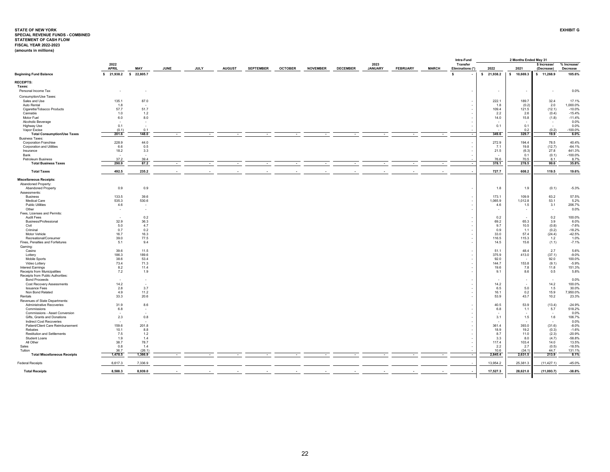## <span id="page-22-0"></span>**STATE OF NEW YORKSPECIAL REVENUE FUNDS - COMBINED STATEMENT OF CASH FLOW EXHIBIT GFISCAL YEAR 2022-2023**

| (amounts in millions) |  |  |
|-----------------------|--|--|
|                       |  |  |

|                                                           |                         |                   |             |      |               |                  |                |                 |                 |                        |                 |              | Intra-Fund                   |                 | 2 Months Ended May 31 |                            |                         |
|-----------------------------------------------------------|-------------------------|-------------------|-------------|------|---------------|------------------|----------------|-----------------|-----------------|------------------------|-----------------|--------------|------------------------------|-----------------|-----------------------|----------------------------|-------------------------|
|                                                           | 2022<br><b>APRIL</b>    | MAY               | <b>JUNE</b> | JULY | <b>AUGUST</b> | <b>SEPTEMBER</b> | <b>OCTOBER</b> | <b>NOVEMBER</b> | <b>DECEMBER</b> | 2023<br><b>JANUARY</b> | <b>FEBRUARY</b> | <b>MARCH</b> | Transfer<br>Eliminations (*) | 2022            | 2021                  | \$ Increase/<br>(Decrease) | % Increase/<br>Decrease |
| <b>Beginning Fund Balance</b>                             | \$ 21,938.2 \$ 22,805.7 |                   |             |      |               |                  |                |                 |                 |                        |                 |              | <b>S</b>                     | \$21,938.2      | \$ 10,669.3           | \$ 11,268.9                | 105.6%                  |
| <b>RECEIPTS:</b>                                          |                         |                   |             |      |               |                  |                |                 |                 |                        |                 |              |                              |                 |                       |                            |                         |
| Taxes:<br>Personal Income Tax                             |                         |                   |             |      |               |                  |                |                 |                 |                        |                 |              |                              |                 |                       |                            | 0.0%                    |
|                                                           |                         |                   |             |      |               |                  |                |                 |                 |                        |                 |              |                              |                 |                       |                            |                         |
| Consumption/Use Taxes:<br>Sales and Use                   | 135.1                   | 87.0              |             |      |               |                  |                |                 |                 |                        |                 |              |                              | 222.1           | 189.7                 | 32.4                       | 17.1%                   |
| Auto Rental                                               | 1.8                     |                   |             |      |               |                  |                |                 |                 |                        |                 |              |                              | 1.8             | (0.2)                 | 2.0                        | 1.000.0%                |
| Cigarette/Tobacco Products                                | 57.7                    | 51.7              |             |      |               |                  |                |                 |                 |                        |                 |              |                              | 109.4           | 121.5                 | (12.1)                     | $-10.0%$                |
| Cannabis                                                  | 1.0                     | 1.2               |             |      |               |                  |                |                 |                 |                        |                 |              |                              | 2.2             | 2.6                   | (0.4)                      | $-15.4%$                |
| Motor Fuel                                                | 6.0                     | 8.0               |             |      |               |                  |                |                 |                 |                        |                 |              |                              | 14.0            | 15.8                  | (1.8)                      | $-11.4%$<br>0.0%        |
| Alcoholic Beverage<br>Highway Use                         | 0.1                     | - 1               |             |      |               |                  |                |                 |                 |                        |                 |              |                              | 0.1             | 0.1                   | . .                        | 0.0%                    |
| Vapor Excise                                              | (0.1)                   | 0.1               |             |      |               |                  |                |                 |                 |                        |                 |              |                              |                 | 0.2                   | (0.2)                      | $-100.0%$               |
| <b>Total Consumption/Use Taxes</b>                        | 201.6                   | 148.0             |             |      |               |                  |                |                 |                 |                        |                 |              |                              | 349.6           | 329.7                 | 19.9                       | 6.0%                    |
| <b>Business Taxes:</b>                                    |                         |                   |             |      |               |                  |                |                 |                 |                        |                 |              |                              |                 |                       |                            |                         |
| <b>Corporation Franchise</b><br>Corporation and Utilities | 228.9<br>6.6            | 44.0<br>0.5       |             |      |               |                  |                |                 |                 |                        |                 |              |                              | 272.9<br>7.1    | 194.4<br>19.8         | 78.5<br>(12.7)             | 40.4%<br>$-64.1%$       |
| Insurance                                                 | 18.2                    | 3.3               |             |      |               |                  |                |                 |                 |                        |                 |              |                              | 21.5            | (6.3)                 | 27.8                       | 441.3%                  |
| Bank                                                      |                         |                   |             |      |               |                  |                |                 |                 |                        |                 |              |                              |                 | 0.1                   | (0.1)                      | $-100.0%$               |
| Petroleum Business                                        | 37.2                    | 39.4              |             |      |               |                  |                |                 |                 |                        |                 |              |                              | 76.6            | 70.5                  | 6.1                        | 8.7%                    |
| <b>Total Business Taxes</b>                               | 290.9                   | 87.2              |             |      |               |                  |                |                 |                 |                        |                 |              |                              | 378.1           | 278.5                 | 99.6                       | 35.8%                   |
| <b>Total Taxes</b>                                        | 492.5                   | 235.2             |             |      |               |                  |                |                 |                 |                        |                 |              |                              | 727.7           | 608.2                 | 119.5                      | 19.6%                   |
| <b>Miscellaneous Receipts:</b>                            |                         |                   |             |      |               |                  |                |                 |                 |                        |                 |              |                              |                 |                       |                            |                         |
| Abandoned Property:                                       |                         |                   |             |      |               |                  |                |                 |                 |                        |                 |              |                              |                 |                       |                            |                         |
| Abandoned Property                                        | 0.9                     | 0.9               |             |      |               |                  |                |                 |                 |                        |                 |              |                              | 1.8             | 1.9                   | (0.1)                      | $-5.3%$                 |
| Assessments:<br><b>Business</b>                           | 133.5                   | 39.6              |             |      |               |                  |                |                 |                 |                        |                 |              |                              | 173.1           | 109.9                 | 63.2                       | 57.5%                   |
| Medical Care                                              | 535.3                   | 530.6             |             |      |               |                  |                |                 |                 |                        |                 |              |                              | 1,065.9         | 1,012.8               | 53.1                       | 5.2%                    |
| <b>Public Utilities</b>                                   | 4.6                     | $\blacksquare$    |             |      |               |                  |                |                 |                 |                        |                 |              |                              | 4.6             | 1.5                   | 3.1                        | 206.7%                  |
| Other                                                     |                         | ۰.                |             |      |               |                  |                |                 |                 |                        |                 |              |                              |                 |                       |                            | 0.0%                    |
| Fees, Licenses and Permits:                               |                         |                   |             |      |               |                  |                |                 |                 |                        |                 |              |                              |                 |                       |                            |                         |
| Audit Fees<br>Business/Professional                       | 32.9                    | 0.2<br>36.3       |             |      |               |                  |                |                 |                 |                        |                 |              |                              | 0.2<br>69.2     | 65.3                  | 0.2<br>3.9                 | 100.0%<br>6.0%          |
| Civil                                                     | 5.0                     | 4.7               |             |      |               |                  |                |                 |                 |                        |                 |              |                              | 9.7             | 10.5                  | (0.8)                      | $-7.6%$                 |
| Criminal                                                  | 0.7                     | 0.2               |             |      |               |                  |                |                 |                 |                        |                 |              |                              | 0.9             | 1.1                   | (0.2)                      | $-18.2%$                |
| Motor Vehicle                                             | 16.7                    | 16.3              |             |      |               |                  |                |                 |                 |                        |                 |              |                              | 33.0            | 57.4                  | (24.4)                     | $-42.5%$                |
| Recreational/Consumer                                     | 39.0                    | 77.5              |             |      |               |                  |                |                 |                 |                        |                 |              |                              | 116.5           | 115.3                 | 1.2                        | 1.0%                    |
| Fines, Penalties and Forfeitures<br>Gaming:               | 5.1                     | 9.4               |             |      |               |                  |                |                 |                 |                        |                 |              |                              | 14.5            | 15.6                  | (1.1)                      | $-7.1%$                 |
| Casino                                                    | 39.6                    | 11.5              |             |      |               |                  |                |                 |                 |                        |                 |              |                              | 51.1            | 48.4                  | 2.7                        | 5.6%                    |
| Lottery                                                   | 186.3                   | 189.6             |             |      |               |                  |                |                 |                 |                        |                 |              |                              | 375.9           | 413.0                 | (37.1)                     | $-9.0%$                 |
| Mobile Sports                                             | 38.6                    | 53.4              |             |      |               |                  |                |                 |                 |                        |                 |              |                              | 92.0            |                       | 92.0                       | 100.0%                  |
| Video Lottery                                             | 73.4                    | 71.3              |             |      |               |                  |                |                 |                 |                        |                 |              |                              | 144.7           | 153.8                 | (9.1)                      | $-5.9%$                 |
| Interest Earnings<br>Receipts from Municipalities         | 8.2<br>7.2              | 11.4<br>1.9       |             |      |               |                  |                |                 |                 |                        |                 |              |                              | 19.6<br>9.1     | 7.8<br>8.6            | 11.8<br>0.5                | 151.3%<br>5.8%          |
| Receipts from Public Authorities:                         |                         |                   |             |      |               |                  |                |                 |                 |                        |                 |              |                              |                 |                       |                            |                         |
| <b>Bond Proceeds</b>                                      |                         |                   |             |      |               |                  |                |                 |                 |                        |                 |              |                              |                 |                       |                            | 0.0%                    |
| Cost Recovery Assessments                                 | 14.2                    |                   |             |      |               |                  |                |                 |                 |                        |                 |              |                              | 14.2            |                       | 14.2                       | 100.0%                  |
| <b>Issuance Fees</b><br>Non Bond Related                  | 2.8<br>4.9              | 3.7<br>11.2       |             |      |               |                  |                |                 |                 |                        |                 |              |                              | 6.5<br>16.1     | 5.0<br>0.2            | 1.5<br>15.9                | 30.0%<br>7,950.0%       |
| Rentals                                                   | 33.3                    | 20.6              |             |      |               |                  |                |                 |                 |                        |                 |              |                              | 53.9            | 43.7                  | 10.2                       | 23.3%                   |
| Revenues of State Departments:                            |                         |                   |             |      |               |                  |                |                 |                 |                        |                 |              |                              |                 |                       |                            |                         |
| Administrative Recoveries                                 | 31.9                    | 8.6               |             |      |               |                  |                |                 |                 |                        |                 |              |                              | 40.5            | 53.9                  | (13.4)                     | $-24.9%$                |
| Commissions<br>Commissions - Asset Conversion             | 6.8                     | ٠.                |             |      |               |                  |                |                 |                 |                        |                 |              |                              | 6.8             | 1.1                   | 5.7                        | 518.2%<br>0.0%          |
| Gifts, Grants and Donations                               | 2.3                     | 0.8               |             |      |               |                  |                |                 |                 |                        |                 |              |                              | 3.1             | 1.5                   | 1.6                        | 106.7%                  |
| Indirect Cost Recoveries                                  |                         |                   |             |      |               |                  |                |                 |                 |                        |                 |              |                              |                 |                       |                            | 0.0%                    |
| Patient/Client Care Reimbursement                         | 159.6                   | 201.8             |             |      |               |                  |                |                 |                 |                        |                 |              |                              | 361.4           | 393.0                 | (31.6)                     | $-8.0%$                 |
| Rebates                                                   | 10.1                    | 8.8               |             |      |               |                  |                |                 |                 |                        |                 |              |                              | 18.9            | 19.2                  | (0.3)                      | $-1.6%$                 |
| <b>Restitution and Settlements</b><br>Student Loans       | 7.5<br>1.9              | 1.2<br>1.4        |             |      |               |                  |                |                 |                 |                        |                 |              |                              | 8.7<br>3.3      | 11.0<br>8.0           | (2.3)<br>(4.7)             | $-20.9%$<br>$-58.8%$    |
| All Other                                                 | 38.7                    | 78.7              |             |      |               |                  |                |                 |                 |                        |                 |              |                              | 117.4           | 103.4                 | 14.0                       | 13.5%                   |
| Sales                                                     | 0.8                     | 1.4               |             |      |               |                  |                |                 |                 |                        |                 |              |                              | 2.2             | 2.7                   | (0.5)                      | $-18.5%$                |
| Tuition<br><b>Total Miscellaneous Receipts</b>            | 36.7<br>1,478.5         | (26.1)<br>1,366.9 |             |      |               | ٠.               |                | ۰.              |                 | $\sim$                 | $\sim$          |              |                              | 10.6<br>2,845.4 | (34.1)<br>2,631.5     | 44.7<br>213.9              | 131.1%<br>8.1%          |
|                                                           |                         |                   |             |      |               |                  |                |                 |                 |                        |                 |              |                              |                 |                       |                            |                         |
| <b>Federal Receipts</b>                                   | 6,617.3                 | 7,336.9           |             |      |               |                  |                |                 |                 |                        |                 |              |                              | 13,954.2        | 25,381.3              | (11, 427.1)                | $-45.0%$                |
| <b>Total Receipts</b>                                     | 8,588.3                 | 8,939.0           |             |      |               |                  |                |                 |                 |                        |                 |              |                              | 17,527.3        | 28,621.0              | (11,093.7)                 | $-38.8%$                |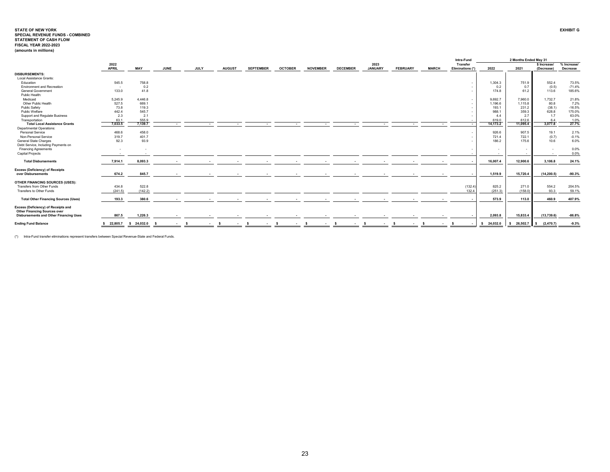|                                                                            |              |            |      |        |             |               |                          |                |                  |                 |                |                 |              |              | Intra-Fund       |                          | 2 Months Ended May 31 |              |             |
|----------------------------------------------------------------------------|--------------|------------|------|--------|-------------|---------------|--------------------------|----------------|------------------|-----------------|----------------|-----------------|--------------|--------------|------------------|--------------------------|-----------------------|--------------|-------------|
|                                                                            | 2022         |            |      |        |             |               |                          |                |                  |                 | 2023           |                 |              |              | Transfer         |                          |                       | \$ Increase/ | % Increase/ |
|                                                                            | <b>APRIL</b> | MAY        | JUNE |        | <b>JULY</b> | <b>AUGUST</b> | <b>SEPTEMBER</b>         | <b>OCTOBER</b> | <b>NOVEMBER</b>  | <b>DECEMBER</b> | <b>JANUARY</b> | <b>FEBRUARY</b> | <b>MARCH</b> |              | Eliminations (*) | 2022                     | 2021                  | (Decrease)   | Decrease    |
| <b>DISBURSEMENTS:</b>                                                      |              |            |      |        |             |               |                          |                |                  |                 |                |                 |              |              |                  |                          |                       |              |             |
| Local Assistance Grants:                                                   |              |            |      |        |             |               |                          |                |                  |                 |                |                 |              |              |                  |                          |                       |              |             |
| Education                                                                  | 545.5        | 758.8      |      |        |             |               |                          |                |                  |                 |                |                 |              |              | . .              | 1.304.3                  | 751.9                 | 552.4        | 73.5%       |
| Environment and Recreation                                                 | $\sim$       | 0.2        |      |        |             |               |                          |                |                  |                 |                |                 |              |              |                  | 0.2                      | 0.7                   | (0.5)        | $-71.4%$    |
| <b>General Government</b>                                                  | 133.0        | 41.8       |      |        |             |               |                          |                |                  |                 |                |                 |              |              |                  | 174.8                    | 61.2                  | 113.6        | 185.6%      |
| Public Health:                                                             |              |            |      |        |             |               |                          |                |                  |                 |                |                 |              |              |                  |                          |                       |              |             |
| Medicaid                                                                   | 5,245.9      | 4,446.8    |      |        |             |               |                          |                |                  |                 |                |                 |              |              |                  | 9,692.7                  | 7,960.0               | 1,732.7      | 21.8%       |
| Other Public Health                                                        | 527.5        | 669.1      |      |        |             |               |                          |                |                  |                 |                |                 |              |              |                  | 1.196.6                  | 1,115.8               | 80.8         | 7.2%        |
| Public Safety                                                              | 73.8         | 119.3      |      |        |             |               |                          |                |                  |                 |                |                 |              |              |                  | 193.1                    | 231.2                 | (38.1)       | $-16.5%$    |
| Public Welfare                                                             | 442.4        | 545.7      |      |        |             |               |                          |                |                  |                 |                |                 |              |              |                  | 988.1                    | 359.3                 | 628.8        | 175.0%      |
| Support and Regulate Business                                              | 2.3          | 2.1        |      |        |             |               |                          |                |                  |                 |                |                 |              |              |                  | 44                       | 2.7                   | 1.7          | 63.0%       |
| Transportation                                                             | 63.1         | 555.9      |      |        |             |               |                          |                |                  |                 |                |                 |              |              |                  | 619.0                    | 612.6                 | 6.4          | 1.0%        |
| <b>Total Local Assistance Grants</b>                                       | 7.033.5      | 7.139.7    |      |        |             |               |                          |                |                  |                 |                |                 |              |              |                  | 14.173.2                 | 11.095.4              | 3.077.8      | 27.7%       |
| <b>Departmental Operations:</b>                                            |              |            |      |        |             |               |                          |                |                  |                 |                |                 |              |              |                  |                          |                       |              |             |
| Personal Service                                                           | 468.6        | 458.0      |      |        |             |               |                          |                |                  |                 |                |                 |              |              |                  | 926.6                    | 907.5                 | 19.1         | 2.1%        |
| Non-Personal Service                                                       | 319.7        | 401.7      |      |        |             |               |                          |                |                  |                 |                |                 |              |              |                  | 721.4                    | 722.1                 | (0.7)        | $-0.1%$     |
| <b>General State Charges</b>                                               | 92.3         | 93.9       |      |        |             |               |                          |                |                  |                 |                |                 |              |              |                  | 186.2                    | 175.6                 | 10.6         | 6.0%        |
| Debt Service, Including Payments on                                        |              |            |      |        |             |               |                          |                |                  |                 |                |                 |              |              |                  |                          |                       |              |             |
| <b>Financing Agreements</b>                                                |              | - 3        |      |        |             |               |                          |                |                  |                 |                |                 |              |              |                  |                          |                       |              | 0.0%        |
| <b>Capital Projects</b>                                                    |              |            |      |        |             |               |                          |                |                  |                 |                |                 |              |              |                  | $\overline{\phantom{a}}$ |                       |              | 0.0%        |
| <b>Total Disbursements</b>                                                 | 7,914.1      | 8,093.3    |      |        |             |               | $\overline{\phantom{a}}$ |                |                  |                 |                |                 |              |              |                  | 16,007.4                 | 12.900.6              | 3,106.8      | 24.1%       |
|                                                                            |              |            |      |        |             |               |                          |                |                  |                 |                |                 |              |              |                  |                          |                       |              |             |
| <b>Excess (Deficiency) of Receipts</b>                                     | 674.2        |            |      |        |             |               |                          |                |                  |                 |                |                 |              |              |                  |                          | 15.720.4              |              |             |
| over Disbursements                                                         |              | 845.7      |      |        |             |               |                          |                |                  |                 |                |                 |              |              |                  | 1,519.9                  |                       | (14, 200.5)  | $-90.3%$    |
| OTHER FINANCING SOURCES (USES):                                            |              |            |      |        |             |               |                          |                |                  |                 |                |                 |              |              |                  |                          |                       |              |             |
| Transfers from Other Funds                                                 | 434.8        | 522.8      |      |        |             |               |                          |                |                  |                 |                |                 |              |              | (132.4)          | 825.2                    | 271.0                 | 554.2        | 204.5%      |
| Transfers to Other Funds                                                   | (241.5)      | (142.2)    |      |        |             |               |                          |                |                  |                 |                |                 |              |              | 132.4            | (251.3)                  | (158.0)               | 93.3         | 59.1%       |
|                                                                            |              |            |      |        |             |               |                          |                |                  |                 |                |                 |              |              |                  |                          |                       |              |             |
| <b>Total Other Financing Sources (Uses)</b>                                | 193.3        | 380.6      |      |        |             |               |                          |                |                  |                 |                |                 |              |              |                  | 573.9                    | 113.0                 | 460.9        | 407.9%      |
| Excess (Deficiency) of Receipts and<br><b>Other Financing Sources over</b> |              |            |      |        |             |               |                          |                |                  |                 |                |                 |              |              |                  |                          |                       |              |             |
| <b>Disbursements and Other Financing Uses</b>                              | 867.5        | 1,226.3    |      |        |             |               |                          |                |                  |                 |                |                 |              |              |                  | 2,093.8                  | 15,833.4              | (13,739.6)   | $-86.8%$    |
| <b>Ending Fund Balance</b>                                                 | \$22.805.7   | \$24.032.0 |      | $\sim$ | . .         | <b>COL</b>    | $\sim$                   |                | $\sim$<br>$\sim$ | $\sim$          | ۰.             |                 |              | $\mathbf{r}$ |                  | 24,032.0<br>s.           | 26,502.7              | (2, 470.7)   | $-9.3%$     |
|                                                                            |              |            |      |        |             |               |                          |                |                  |                 |                |                 |              |              |                  |                          |                       |              |             |

(\*) Intra-Fund transfer eliminations represent transfers between Special Revenue-State and Federal Funds.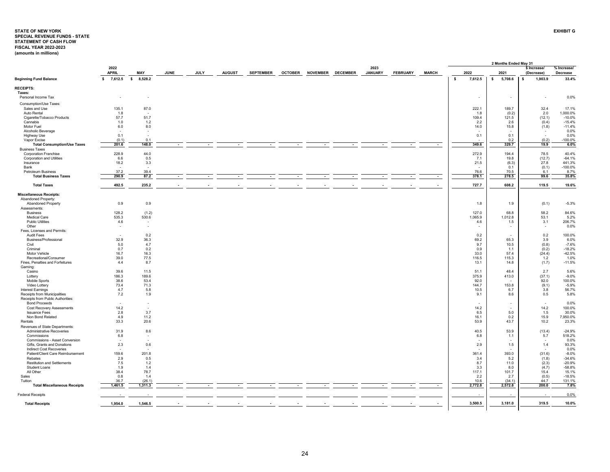## <span id="page-24-0"></span>**STATE OF NEW YORKSPECIAL REVENUE FUNDS - STATE STATEMENT OF CASH FLOW EXHIBIT GFISCAL YEAR 2022-2023 (amounts in millions)**

|                                                                   |                          |                          |             |      |               |                  |                |                 |                 |                        |                 |              |                               | 2 Months Ended May 31    |                            |                         |
|-------------------------------------------------------------------|--------------------------|--------------------------|-------------|------|---------------|------------------|----------------|-----------------|-----------------|------------------------|-----------------|--------------|-------------------------------|--------------------------|----------------------------|-------------------------|
|                                                                   | 2022<br><b>APRIL</b>     | <b>MAY</b>               | <b>JUNE</b> | JULY | <b>AUGUST</b> | <b>SEPTEMBER</b> | <b>OCTOBER</b> | <b>NOVEMBER</b> | <b>DECEMBER</b> | 2023<br><b>JANUARY</b> | <b>FEBRUARY</b> | <b>MARCH</b> | 2022                          | 2021                     | \$ Increase/<br>(Decrease) | % Increase/<br>Decrease |
| <b>Beginning Fund Balance</b>                                     | $\mathsf{s}$<br>7,612.5  | $\sim$<br>8,528.2        |             |      |               |                  |                |                 |                 |                        |                 |              | $\pmb{\mathsf{s}}$<br>7,612.5 | $\sim$<br>5,708.6        | 1,903.9                    | 33.4%                   |
| <b>RECEIPTS:</b>                                                  |                          |                          |             |      |               |                  |                |                 |                 |                        |                 |              |                               |                          |                            |                         |
| Taxes:                                                            |                          |                          |             |      |               |                  |                |                 |                 |                        |                 |              |                               |                          |                            |                         |
| Personal Income Tax                                               |                          |                          |             |      |               |                  |                |                 |                 |                        |                 |              | $\sim$                        | $\overline{\phantom{a}}$ | $\sim$                     | 0.0%                    |
| Consumption/Use Taxes:                                            |                          |                          |             |      |               |                  |                |                 |                 |                        |                 |              |                               |                          |                            |                         |
| Sales and Use<br>Auto Rental                                      | 135.1<br>1.8             | 87.0                     |             |      |               |                  |                |                 |                 |                        |                 |              | 222.1<br>1.8                  | 189.7<br>(0.2)           | 32.4<br>2.0                | 17.1%<br>1,000.0%       |
| Cigarette/Tobacco Products                                        | 57.7                     | 51.7                     |             |      |               |                  |                |                 |                 |                        |                 |              | 109.4                         | 121.5                    | (12.1)                     | $-10.0%$                |
| Cannabis                                                          | 1.0                      | 1.2                      |             |      |               |                  |                |                 |                 |                        |                 |              | 2.2                           | 2.6                      | (0.4)                      | $-15.4%$                |
| Motor Fuel                                                        | 6.0                      | 8.0                      |             |      |               |                  |                |                 |                 |                        |                 |              | 14.0                          | 15.8                     | (1.8)                      | $-11.4%$                |
| Alcoholic Beverage                                                | $\overline{\phantom{a}}$ | $\overline{\phantom{a}}$ |             |      |               |                  |                |                 |                 |                        |                 |              |                               |                          | $\sim$                     | 0.0%                    |
| Highway Use<br>Vapor Excise                                       | 0.1<br>(0.1)             | 0.1                      |             |      |               |                  |                |                 |                 |                        |                 |              | 0.1                           | 0.1<br>0.2               | $\sim$<br>(0.2)            | 0.0%<br>$-100.0%$       |
| <b>Total Consumption/Use Taxes</b>                                | 201.6                    | 148.0                    |             |      |               |                  |                |                 |                 |                        |                 | $\sim$       | 349.6                         | 329.7                    | 19.9                       | 6.0%                    |
| <b>Business Taxes</b>                                             |                          |                          |             |      |               |                  |                |                 |                 |                        |                 |              |                               |                          |                            |                         |
| <b>Corporation Franchise</b>                                      | 228.9                    | 44.0                     |             |      |               |                  |                |                 |                 |                        |                 |              | 272.9                         | 194.4                    | 78.5                       | 40.4%                   |
| Corporation and Utilities                                         | 6.6                      | 0.5                      |             |      |               |                  |                |                 |                 |                        |                 |              | 7.1                           | 19.8                     | (12.7)                     | $-64.1%$                |
| Insurance                                                         | 18.2                     | 3.3                      |             |      |               |                  |                |                 |                 |                        |                 |              | 21.5                          | (6.3)                    | 27.8                       | 441.3%                  |
| Bank<br>Petroleum Business                                        | 37.2                     | 39.4                     |             |      |               |                  |                |                 |                 |                        |                 |              | 76.6                          | 0.1<br>70.5              | (0.1)<br>6.1               | $-100.0\%$<br>8.7%      |
| <b>Total Business Taxes</b>                                       | 290.9                    | 87.2                     |             |      |               |                  |                |                 |                 |                        |                 |              | 378.1                         | 278.5                    | 99.6                       | 35.8%                   |
| <b>Total Taxes</b>                                                | 492.5                    | 235.2                    |             |      |               |                  |                |                 |                 |                        |                 |              | 727.7                         | 608.2                    | 119.5                      | 19.6%                   |
| <b>Miscellaneous Receipts:</b>                                    |                          |                          |             |      |               |                  |                |                 |                 |                        |                 |              |                               |                          |                            |                         |
| Abandoned Property:                                               |                          |                          |             |      |               |                  |                |                 |                 |                        |                 |              |                               |                          |                            |                         |
| <b>Abandoned Property</b>                                         | 0.9                      | 0.9                      |             |      |               |                  |                |                 |                 |                        |                 |              | 1.8                           | 1.9                      | (0.1)                      | $-5.3%$                 |
| Assessments:<br><b>Business</b>                                   | 128.2                    | (1.2)                    |             |      |               |                  |                |                 |                 |                        |                 |              | 127.0                         | 68.8                     | 58.2                       | 84.6%                   |
| <b>Medical Care</b>                                               | 535.3                    | 530.6                    |             |      |               |                  |                |                 |                 |                        |                 |              | 1,065.9                       | 1,012.8                  | 53.1                       | 5.2%                    |
| <b>Public Utilities</b>                                           | 4.6                      | $\overline{\phantom{a}}$ |             |      |               |                  |                |                 |                 |                        |                 |              | 4.6                           | 1.5                      | 3.1                        | 206.7%                  |
| Other                                                             | ٠.                       | $\sim$                   |             |      |               |                  |                |                 |                 |                        |                 |              |                               |                          | $\sim$                     | 0.0%                    |
| Fees, Licenses and Permits:                                       |                          |                          |             |      |               |                  |                |                 |                 |                        |                 |              |                               |                          |                            |                         |
| Audit Fees<br>Business/Professional                               | 32.9                     | 0.2<br>36.3              |             |      |               |                  |                |                 |                 |                        |                 |              | 0.2<br>69.2                   | 65.3                     | 0.2<br>3.9                 | 100.0%<br>6.0%          |
| Civil                                                             | 5.0                      | 4.7                      |             |      |               |                  |                |                 |                 |                        |                 |              | 9.7                           | 10.5                     | (0.8)                      | $-7.6%$                 |
| Criminal                                                          | 0.7                      | 0.2                      |             |      |               |                  |                |                 |                 |                        |                 |              | 0.9                           | 1.1                      | (0.2)                      | $-18.2%$                |
| Motor Vehicle                                                     | 16.7                     | 16.3                     |             |      |               |                  |                |                 |                 |                        |                 |              | 33.0                          | 57.4                     | (24.4)                     | $-42.5%$                |
| Recreational/Consumer                                             | 39.0                     | 77.5                     |             |      |               |                  |                |                 |                 |                        |                 |              | 116.5                         | 115.3                    | 1.2                        | 1.0%                    |
| Fines, Penalties and Forfeitures<br>Gaming:                       | 4.4                      | 8.7                      |             |      |               |                  |                |                 |                 |                        |                 |              | 13.1                          | 14.8                     | (1.7)                      | $-11.5%$                |
| Casino                                                            | 39.6                     | 11.5                     |             |      |               |                  |                |                 |                 |                        |                 |              | 51.1                          | 48.4                     | 2.7                        | 5.6%                    |
| Lottery                                                           | 186.3                    | 189.6                    |             |      |               |                  |                |                 |                 |                        |                 |              | 375.9                         | 413.0                    | (37.1)                     | $-9.0%$                 |
| Mobile Sports                                                     | 38.6                     | 53.4                     |             |      |               |                  |                |                 |                 |                        |                 |              | 92.0                          |                          | 92.0                       | 100.0%                  |
| Video Lottery                                                     | 73.4                     | 71.3                     |             |      |               |                  |                |                 |                 |                        |                 |              | 144.7                         | 153.8                    | (9.1)                      | $-5.9%$                 |
| <b>Interest Earnings</b>                                          | $4.7\,$                  | 5.8                      |             |      |               |                  |                |                 |                 |                        |                 |              | 10.5                          | 6.7                      | 3.8                        | 56.7%                   |
| Receipts from Municipalities<br>Receipts from Public Authorities: | 7.2                      | 1.9                      |             |      |               |                  |                |                 |                 |                        |                 |              | 9.1                           | 8.6                      | 0.5                        | 5.8%                    |
| <b>Bond Proceeds</b>                                              |                          |                          |             |      |               |                  |                |                 |                 |                        |                 |              |                               |                          |                            | 0.0%                    |
| Cost Recovery Assessments                                         | 14.2                     | $\sim$                   |             |      |               |                  |                |                 |                 |                        |                 |              | 14.2                          |                          | 14.2                       | 100.0%                  |
| <b>Issuance Fees</b>                                              | 2.8                      | 3.7                      |             |      |               |                  |                |                 |                 |                        |                 |              | 6.5                           | 5.0                      | 1.5                        | 30.0%                   |
| Non Bond Related                                                  | 4.9                      | 11.2                     |             |      |               |                  |                |                 |                 |                        |                 |              | 16.1                          | 0.2                      | 15.9                       | 7,950.0%                |
| Rentals                                                           | 33.3                     | 20.6                     |             |      |               |                  |                |                 |                 |                        |                 |              | 53.9                          | 43.7                     | 10.2                       | 23.3%                   |
| Revenues of State Departments:<br>Administrative Recoveries       | 31.9                     | 8.6                      |             |      |               |                  |                |                 |                 |                        |                 |              | 40.5                          | 53.9                     | (13.4)                     | $-24.9%$                |
| Commissions                                                       | 6.8                      |                          |             |      |               |                  |                |                 |                 |                        |                 |              | 6.8                           | 1.1                      | 5.7                        | 518.2%                  |
| Commissions - Asset Conversion                                    |                          |                          |             |      |               |                  |                |                 |                 |                        |                 |              |                               |                          |                            | 0.0%                    |
| Gifts, Grants and Donations                                       | 2.3                      | 0.6                      |             |      |               |                  |                |                 |                 |                        |                 |              | 2.9                           | 1.5                      | 1.4                        | 93.3%                   |
| Indirect Cost Recoveries                                          |                          |                          |             |      |               |                  |                |                 |                 |                        |                 |              |                               |                          | $\sim$                     | 0.0%                    |
| Patient/Client Care Reimbursement<br>Rebates                      | 159.6<br>2.9             | 201.8<br>0.5             |             |      |               |                  |                |                 |                 |                        |                 |              | 361.4<br>3.4                  | 393.0<br>5.2             | (31.6)                     | $-8.0%$<br>$-34.6%$     |
| <b>Restitution and Settlements</b>                                | 7.5                      | 1.2                      |             |      |               |                  |                |                 |                 |                        |                 |              | 8.7                           | 11.0                     | (1.8)<br>(2.3)             | $-20.9%$                |
| Student Loans                                                     | 1.9                      | 1.4                      |             |      |               |                  |                |                 |                 |                        |                 |              | 3.3                           | 8.0                      | (4.7)                      | $-58.8%$                |
| All Other                                                         | 38.4                     | 78.7                     |             |      |               |                  |                |                 |                 |                        |                 |              | 117.1                         | 101.7                    | 15.4                       | 15.1%                   |
| Sales                                                             | 0.8                      | 1.4                      |             |      |               |                  |                |                 |                 |                        |                 |              | 2.2                           | 2.7                      | (0.5)                      | $-18.5%$                |
| Tuition<br><b>Total Miscellaneous Receipts</b>                    | 36.7<br>1,461.5          | (26.1)<br>1,311.3        |             |      |               |                  |                |                 |                 |                        |                 | $\sim$       | 10.6<br>2,772.8               | (34.1)<br>2.572.8        | 44.7<br>200.0              | 131.1%<br>7.8%          |
| <b>Federal Receipts</b>                                           |                          |                          |             |      |               |                  |                |                 |                 |                        |                 |              |                               |                          |                            | 0.0%                    |
| <b>Total Receipts</b>                                             | 1,954.0                  | 1,546.5                  |             |      |               |                  |                |                 |                 |                        |                 |              | 3,500.5                       | 3,181.0                  | 319.5                      | 10.0%                   |
|                                                                   |                          |                          |             |      |               |                  |                |                 |                 |                        |                 |              |                               |                          |                            |                         |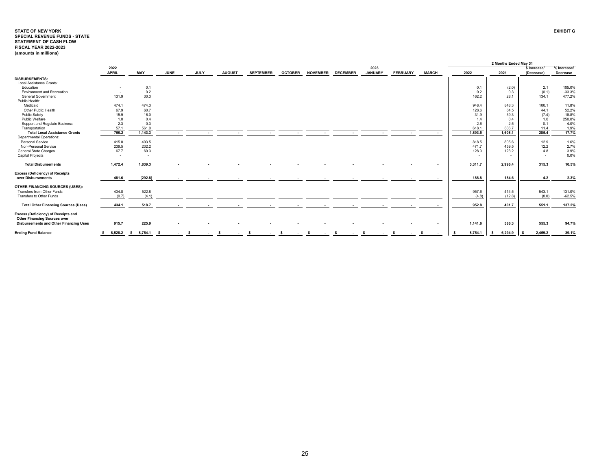## **STATE OF NEW YORKSPECIAL REVENUE FUNDS - STATE STATEMENT OF CASH FLOW EXHIBIT GFISCAL YEAR 2022-2023 (amounts in millions)**

|                                             |                          |                          |               |                          |                                 |                          |                |                 |                          |                          |                 |                          |         | 2 Months Ended May 31 |              |             |
|---------------------------------------------|--------------------------|--------------------------|---------------|--------------------------|---------------------------------|--------------------------|----------------|-----------------|--------------------------|--------------------------|-----------------|--------------------------|---------|-----------------------|--------------|-------------|
|                                             | 2022                     |                          |               |                          |                                 |                          |                |                 |                          | 2023                     |                 |                          |         |                       | \$ Increase/ | % Increase/ |
|                                             | <b>APRIL</b>             | MAY                      | <b>JUNE</b>   | <b>JULY</b>              | <b>AUGUST</b>                   | <b>SEPTEMBER</b>         | <b>OCTOBER</b> | <b>NOVEMBER</b> | <b>DECEMBER</b>          | <b>JANUARY</b>           | <b>FEBRUARY</b> | <b>MARCH</b>             | 2022    | 2021                  | (Decrease)   | Decrease    |
| <b>DISBURSEMENTS:</b>                       |                          |                          |               |                          |                                 |                          |                |                 |                          |                          |                 |                          |         |                       |              |             |
| Local Assistance Grants:                    |                          |                          |               |                          |                                 |                          |                |                 |                          |                          |                 |                          |         |                       |              |             |
| Education                                   | $\overline{\phantom{a}}$ | 0.1                      |               |                          |                                 |                          |                |                 |                          |                          |                 |                          | 0.1     | (2.0)                 | 2.1          | 105.0%      |
| <b>Environment and Recreation</b>           | $\sim$                   | 0.2                      |               |                          |                                 |                          |                |                 |                          |                          |                 |                          | 0.2     | 0.3                   | (0.1)        | $-33.3%$    |
| <b>General Government</b>                   | 131.9                    | 30.3                     |               |                          |                                 |                          |                |                 |                          |                          |                 |                          | 162.2   | 28.1                  | 134.1        | 477.2%      |
| Public Health:                              |                          |                          |               |                          |                                 |                          |                |                 |                          |                          |                 |                          |         |                       |              |             |
| Medicaid                                    | 474.1                    | 474.3                    |               |                          |                                 |                          |                |                 |                          |                          |                 |                          | 948.4   | 848.3                 | 100.1        | 11.8%       |
| Other Public Health                         | 67.9                     | 60.7                     |               |                          |                                 |                          |                |                 |                          |                          |                 |                          | 128.6   | 84.5                  | 44.1         | 52.2%       |
| Public Safety                               | 15.9                     | 16.0                     |               |                          |                                 |                          |                |                 |                          |                          |                 |                          | 31.9    | 39.3                  | (7.4)        | $-18.8%$    |
| Public Welfare                              | 1.0                      | 0.4                      |               |                          |                                 |                          |                |                 |                          |                          |                 |                          | 1.4     | 0.4                   | 1.0          | 250.0%      |
| Support and Regulate Business               | 2.3                      | 0.3                      |               |                          |                                 |                          |                |                 |                          |                          |                 |                          | 2.6     | 2.5                   | 0.1          | 4.0%        |
| Transportation                              | 57.1                     | 561.0                    |               |                          |                                 |                          |                |                 |                          |                          |                 |                          | 618.1   | 606.7                 | 11.4         | 1.9%        |
| <b>Total Local Assistance Grants</b>        | 750.2                    | 1,143.3                  | $\sim$        | $\overline{\phantom{a}}$ | $\overline{\phantom{a}}$        | $\overline{\phantom{a}}$ | $\sim$         | $\sim$          |                          |                          |                 |                          | 1,893.5 | 1,608.1               | 285.4        | 17.7%       |
| Departmental Operations:                    |                          |                          |               |                          |                                 |                          |                |                 |                          |                          |                 |                          |         |                       |              |             |
| Personal Service                            | 415.0                    | 403.5                    |               |                          |                                 |                          |                |                 |                          |                          |                 |                          | 818.5   | 805.6                 | 12.9         | 1.6%        |
| Non-Personal Service                        | 239.5                    | 232.2                    |               |                          |                                 |                          |                |                 |                          |                          |                 |                          | 471.7   | 459.5                 | 12.2         | 2.7%        |
| <b>General State Charges</b>                | 67.7                     | 60.3                     |               |                          |                                 |                          |                |                 |                          |                          |                 |                          | 128.0   | 123.2                 | 4.8          | 3.9%        |
| <b>Capital Projects</b>                     | $\sim$                   | $\overline{\phantom{a}}$ |               |                          |                                 |                          |                |                 |                          |                          |                 |                          | $\sim$  | $\sim$                | $\sim$       | 0.0%        |
|                                             |                          |                          |               |                          |                                 |                          |                |                 |                          |                          |                 |                          |         |                       |              |             |
| <b>Total Disbursements</b>                  | 1.472.4                  | 1,839.3                  | $\sim$        | $\overline{a}$           | $\overline{a}$                  | $\overline{\phantom{a}}$ | $\sim$         | $\overline{a}$  | $\overline{\phantom{a}}$ | $\overline{\phantom{a}}$ |                 | $\overline{\phantom{a}}$ | 3.311.7 | 2.996.4               | 315.3        | 10.5%       |
| <b>Excess (Deficiency) of Receipts</b>      |                          |                          |               |                          |                                 |                          |                |                 |                          |                          |                 |                          |         |                       |              |             |
| over Disbursements                          | 481.6                    | (292.8)                  | $\sim$        |                          |                                 | $\overline{\phantom{a}}$ |                |                 |                          |                          |                 |                          | 188.8   | 184.6                 | 4.2          | 2.3%        |
|                                             |                          |                          |               |                          |                                 |                          |                |                 |                          |                          |                 |                          |         |                       |              |             |
| OTHER FINANCING SOURCES (USES):             |                          |                          |               |                          |                                 |                          |                |                 |                          |                          |                 |                          |         |                       |              |             |
| Transfers from Other Funds                  | 434.8                    | 522.8                    |               |                          |                                 |                          |                |                 |                          |                          |                 |                          | 957.6   | 414.5                 | 543.1        | 131.0%      |
| Transfers to Other Funds                    | (0.7)                    | (4.1)                    |               |                          |                                 |                          |                |                 |                          |                          |                 |                          | (4.8)   | (12.8)                | (8.0)        | $-62.5%$    |
|                                             |                          |                          |               |                          |                                 |                          |                |                 |                          |                          |                 |                          |         |                       |              |             |
| <b>Total Other Financing Sources (Uses)</b> | 434.1                    | 518.7                    |               |                          |                                 |                          |                |                 |                          |                          |                 |                          | 952.8   | 401.7                 | 551.1        | 137.2%      |
| Excess (Deficiency) of Receipts and         |                          |                          |               |                          |                                 |                          |                |                 |                          |                          |                 |                          |         |                       |              |             |
| <b>Other Financing Sources over</b>         |                          |                          |               |                          |                                 |                          |                |                 |                          |                          |                 |                          |         |                       |              |             |
| Disbursements and Other Financing Uses      | 915.7                    | 225.9                    |               |                          |                                 |                          |                |                 |                          |                          |                 |                          | 1,141.6 | 586.3                 | 555.3        | 94.7%       |
|                                             |                          |                          |               |                          |                                 |                          |                |                 |                          |                          |                 |                          |         |                       |              |             |
| <b>Ending Fund Balance</b>                  |                          | 8,528.2 \$ 8,754.1       | - S<br>$\sim$ | - \$<br>$\sim$           | - S<br>$\overline{\phantom{a}}$ | -S                       | - S            | - \$            |                          |                          |                 | -S                       | 8,754.1 | 6,294.9<br>-S         | 2,459.2      | 39.1%       |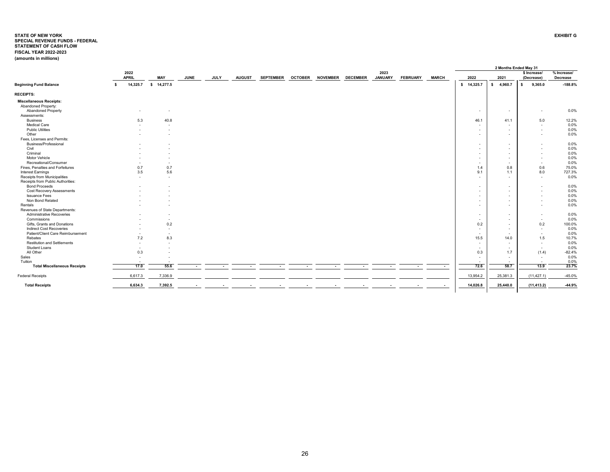#### <span id="page-26-0"></span>**STATE OF NEW YORK EXHIBIT GSPECIAL REVENUE FUNDS - FEDERAL STATEMENT OF CASH FLOW FISCAL YEAR 2022-2023 (amounts in millions)**

|                                                          |    |                          |            |                          |                          |                          |                          |                          |                |                 |                 |                        |                          |              |                          |    |                          | 2 Months Ended May 31      |                                |
|----------------------------------------------------------|----|--------------------------|------------|--------------------------|--------------------------|--------------------------|--------------------------|--------------------------|----------------|-----------------|-----------------|------------------------|--------------------------|--------------|--------------------------|----|--------------------------|----------------------------|--------------------------------|
|                                                          |    | 2022<br><b>APRIL</b>     | MAY        |                          | <b>JUNE</b>              | <b>JULY</b>              | <b>AUGUST</b>            | <b>SEPTEMBER</b>         | <b>OCTOBER</b> | <b>NOVEMBER</b> | <b>DECEMBER</b> | 2023<br><b>JANUARY</b> | <b>FEBRUARY</b>          | <b>MARCH</b> | 2022                     |    | 2021                     | \$ Increase/<br>(Decrease) | % Increase/<br><b>Decrease</b> |
| <b>Beginning Fund Balance</b>                            | s. | 14,325.7                 | \$14,277.5 |                          |                          |                          |                          |                          |                |                 |                 |                        |                          |              | \$14,325.7               | s. | 4,960.7                  | 9,365.0<br>\$              | $-188.8%$                      |
| <b>RECEIPTS:</b>                                         |    |                          |            |                          |                          |                          |                          |                          |                |                 |                 |                        |                          |              |                          |    |                          |                            |                                |
| <b>Miscellaneous Receipts:</b>                           |    |                          |            |                          |                          |                          |                          |                          |                |                 |                 |                        |                          |              |                          |    |                          |                            |                                |
| Abandoned Property:                                      |    |                          |            |                          |                          |                          |                          |                          |                |                 |                 |                        |                          |              |                          |    |                          |                            |                                |
| Abandoned Property                                       |    |                          |            | ٠.                       |                          |                          |                          |                          |                |                 |                 |                        |                          |              | $\sim$                   |    | $\overline{\phantom{a}}$ |                            | 0.0%                           |
| Assessments:                                             |    |                          |            |                          |                          |                          |                          |                          |                |                 |                 |                        |                          |              |                          |    |                          |                            |                                |
| <b>Business</b>                                          |    | 5.3                      |            | 40.8                     |                          |                          |                          |                          |                |                 |                 |                        |                          |              | 46.1                     |    | 41.1                     | 5.0                        | 12.2%                          |
| Medical Care                                             |    |                          |            | . .                      |                          |                          |                          |                          |                |                 |                 |                        |                          |              | $\sim$                   |    | $\overline{\phantom{a}}$ | $\sim$                     | 0.0%                           |
| <b>Public Utilities</b>                                  |    |                          |            | ٠.                       |                          |                          |                          |                          |                |                 |                 |                        |                          |              | ٠                        |    | $\overline{a}$           | $\sim$                     | 0.0%                           |
| Other                                                    |    |                          |            | ٠.                       |                          |                          |                          |                          |                |                 |                 |                        |                          |              | $\overline{\phantom{a}}$ |    | $\overline{\phantom{a}}$ | $\sim$                     | 0.0%                           |
| Fees, Licenses and Permits:                              |    |                          |            |                          |                          |                          |                          |                          |                |                 |                 |                        |                          |              |                          |    |                          |                            |                                |
| Business/Professional                                    |    |                          |            |                          |                          |                          |                          |                          |                |                 |                 |                        |                          |              | $\sim$                   |    | $\overline{\phantom{a}}$ |                            | 0.0%                           |
| Civil                                                    |    |                          |            |                          |                          |                          |                          |                          |                |                 |                 |                        |                          |              | $\sim$                   |    | $\sim$                   |                            | 0.0%                           |
| Criminal                                                 |    |                          |            |                          |                          |                          |                          |                          |                |                 |                 |                        |                          |              | $\sim$                   |    | $\overline{a}$           |                            | 0.0%                           |
| Motor Vehicle                                            |    |                          |            |                          |                          |                          |                          |                          |                |                 |                 |                        |                          |              | $\sim$                   |    | $\overline{\phantom{a}}$ |                            | 0.0%                           |
| Recreational/Consumer                                    |    |                          |            |                          |                          |                          |                          |                          |                |                 |                 |                        |                          |              | $\sim$                   |    | $\overline{\phantom{a}}$ | $\sim$                     | 0.0%                           |
| Fines, Penalties and Forfeitures                         |    | 0.7                      |            | 0.7                      |                          |                          |                          |                          |                |                 |                 |                        |                          |              | 1.4                      |    | 0.8                      | 0.6                        | 75.0%                          |
| <b>Interest Earnings</b>                                 |    | 3.5                      |            | 5.6                      |                          |                          |                          |                          |                |                 |                 |                        |                          |              | 9.1                      |    | 1.1                      | 8.0                        | 727.3%                         |
| Receipts from Municipalities                             |    | $\overline{\phantom{a}}$ |            | $\sim$                   |                          |                          |                          |                          |                |                 |                 |                        |                          |              | $\overline{\phantom{a}}$ |    |                          |                            | 0.0%                           |
| Receipts from Public Authorities:                        |    |                          |            |                          |                          |                          |                          |                          |                |                 |                 |                        |                          |              |                          |    |                          | $\sim$                     |                                |
| <b>Bond Proceeds</b>                                     |    |                          |            |                          |                          |                          |                          |                          |                |                 |                 |                        |                          |              |                          |    |                          |                            | 0.0%                           |
|                                                          |    |                          |            |                          |                          |                          |                          |                          |                |                 |                 |                        |                          |              | $\sim$                   |    | $\overline{\phantom{a}}$ |                            | 0.0%                           |
| <b>Cost Recovery Assessments</b><br><b>Issuance Fees</b> |    |                          |            |                          |                          |                          |                          |                          |                |                 |                 |                        |                          |              | $\overline{\phantom{a}}$ |    | $\overline{\phantom{a}}$ |                            | 0.0%                           |
| Non Bond Related                                         |    |                          |            |                          |                          |                          |                          |                          |                |                 |                 |                        |                          |              | $\sim$                   |    | $\overline{\phantom{a}}$ |                            |                                |
|                                                          |    |                          |            |                          |                          |                          |                          |                          |                |                 |                 |                        |                          |              | $\overline{\phantom{a}}$ |    |                          |                            | 0.0%                           |
| Rentals                                                  |    |                          |            |                          |                          |                          |                          |                          |                |                 |                 |                        |                          |              | $\overline{\phantom{a}}$ |    |                          |                            | 0.0%                           |
| Revenues of State Departments:                           |    |                          |            |                          |                          |                          |                          |                          |                |                 |                 |                        |                          |              |                          |    |                          |                            |                                |
| Administrative Recoveries                                |    |                          |            | . .                      |                          |                          |                          |                          |                |                 |                 |                        |                          |              | $\sim$                   |    | $\overline{\phantom{a}}$ |                            | 0.0%                           |
| Commissions                                              |    |                          |            | ٠.                       |                          |                          |                          |                          |                |                 |                 |                        |                          |              | $\sim$                   |    | $\overline{a}$           | $\sim$                     | 0.0%                           |
| Gifts. Grants and Donations                              |    |                          |            | 0.2                      |                          |                          |                          |                          |                |                 |                 |                        |                          |              | 0.2                      |    | $\sim$                   | 0.2                        | 100.0%                         |
| Indirect Cost Recoveries                                 |    |                          |            | $\sim$                   |                          |                          |                          |                          |                |                 |                 |                        |                          |              | $\sim$                   |    | $\sim$                   | $\sim$                     | 0.0%                           |
| Patient/Client Care Reimbursement                        |    |                          |            | $\overline{\phantom{a}}$ |                          |                          |                          |                          |                |                 |                 |                        |                          |              | $\sim$                   |    | $\overline{\phantom{a}}$ | $\sim$                     | 0.0%                           |
| Rebates                                                  |    | 7.2                      |            | 8.3                      |                          |                          |                          |                          |                |                 |                 |                        |                          |              | 15.5                     |    | 14.0                     | 1.5                        | 10.7%                          |
| <b>Restitution and Settlements</b>                       |    | $\overline{\phantom{a}}$ |            |                          |                          |                          |                          |                          |                |                 |                 |                        |                          |              | $\sim$                   |    | $\sim$                   | $\sim$                     | 0.0%                           |
| Student Loans                                            |    | $\overline{a}$           |            |                          |                          |                          |                          |                          |                |                 |                 |                        |                          |              | $\sim$                   |    | $\overline{a}$           | $\sim$                     | 0.0%                           |
| All Other                                                |    | 0.3                      |            |                          |                          |                          |                          |                          |                |                 |                 |                        |                          |              | 0.3                      |    | 1.7                      | (1.4)                      | $-82.4%$                       |
| Sales                                                    |    | $\overline{a}$           |            |                          |                          |                          |                          |                          |                |                 |                 |                        |                          |              | $\sim$                   |    | $\overline{a}$           | $\sim$                     | 0.0%                           |
| Tuition                                                  |    |                          |            |                          |                          |                          |                          |                          |                |                 |                 |                        |                          |              |                          |    | $\overline{\phantom{a}}$ | $\sim$                     | 0.0%                           |
| <b>Total Miscellaneous Receipts</b>                      |    | 17.0                     |            | 55.6                     | $\overline{\phantom{a}}$ | $\overline{\phantom{a}}$ | $\overline{\phantom{a}}$ | $\overline{\phantom{a}}$ | $\sim$         | $\sim$          | $\sim$          | $\sim$                 | $\overline{\phantom{a}}$ | $\sim$       | 72.6                     |    | 58.7                     | 13.9                       | 23.7%                          |
| <b>Federal Receipts</b>                                  |    | 6,617.3                  |            | 7,336.9                  |                          |                          |                          |                          |                |                 |                 |                        |                          |              | 13,954.2                 |    | 25,381.3                 | (11, 427.1)                | $-45.0%$                       |
| <b>Total Receipts</b>                                    |    | 6,634.3                  |            | 7,392.5                  |                          |                          |                          |                          |                |                 |                 |                        |                          |              | 14,026.8                 |    | 25,440.0                 | (11, 413.2)                | $-44.9%$                       |
|                                                          |    |                          |            |                          |                          |                          |                          |                          |                |                 |                 |                        |                          |              |                          |    |                          |                            |                                |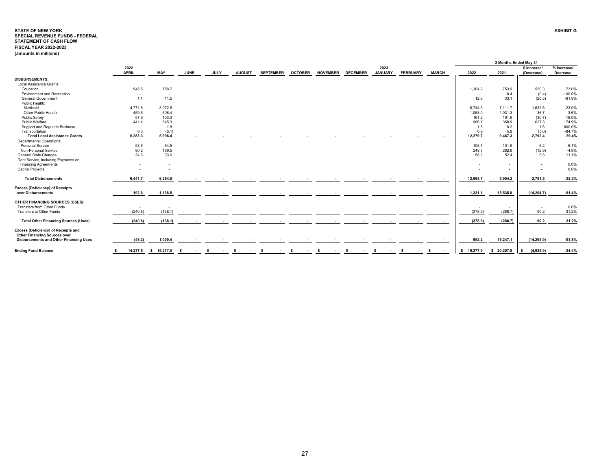#### **STATE OF NEW YORKSPECIAL REVENUE FUNDS - FEDERAL EXHIBIT GSTATEMENT OF CASH FLOW FISCAL YEAR 2022-2023 (amounts in millions)**

|                                               |                          |            |             |             |               |                  |                |                 |                 |                |                 |              |             | 2 Months Ended May 31    |                   |             |
|-----------------------------------------------|--------------------------|------------|-------------|-------------|---------------|------------------|----------------|-----------------|-----------------|----------------|-----------------|--------------|-------------|--------------------------|-------------------|-------------|
|                                               | 2022                     |            |             |             |               |                  |                |                 |                 | 2023           |                 |              |             |                          | \$ Increase/      | % Increase/ |
|                                               | <b>APRIL</b>             | <b>MAY</b> | <b>JUNE</b> | <b>JULY</b> | <b>AUGUST</b> | <b>SEPTEMBER</b> | <b>OCTOBER</b> | <b>NOVEMBER</b> | <b>DECEMBER</b> | <b>JANUARY</b> | <b>FEBRUARY</b> | <b>MARCH</b> | 2022        | 2021                     | (Decrease)        | Decrease    |
| <b>DISBURSEMENTS:</b>                         |                          |            |             |             |               |                  |                |                 |                 |                |                 |              |             |                          |                   |             |
| Local Assistance Grants:                      |                          |            |             |             |               |                  |                |                 |                 |                |                 |              |             |                          |                   |             |
| Education                                     | 545.5                    | 758.7      |             |             |               |                  |                |                 |                 |                |                 |              | 1,304.2     | 753.9                    | 550.3             | 73.0%       |
| <b>Environment and Recreation</b>             | $\sim$                   | $\sim$     |             |             |               |                  |                |                 |                 |                |                 |              |             | 0.4                      | (0.4)             | $-100.0%$   |
| <b>General Government</b>                     | 1.1                      | 11.5       |             |             |               |                  |                |                 |                 |                |                 |              | 12.6        | 33.1                     | (20.5)            | $-61.9%$    |
| Public Health:                                |                          |            |             |             |               |                  |                |                 |                 |                |                 |              |             |                          |                   |             |
| Medicaid                                      | 4.771.8                  | 3.972.5    |             |             |               |                  |                |                 |                 |                |                 |              | 8.744.3     | 7.111.7                  | 1.632.6           | 23.0%       |
| Other Public Health                           | 459.6                    | 608.4      |             |             |               |                  |                |                 |                 |                |                 |              | 1,068.0     | 1,031.3                  | 36.7              | 3.6%        |
| <b>Public Safety</b>                          | 57.9                     | 103.3      |             |             |               |                  |                |                 |                 |                |                 |              | 161.2       | 191.9                    | (30.7)            | $-16.0%$    |
| Public Welfare                                | 441.4                    | 545.3      |             |             |               |                  |                |                 |                 |                |                 |              | 986.7       | 358.9                    | 627.8             | 174.9%      |
| Support and Regulate Business                 | $\sim$                   | 1.8        |             |             |               |                  |                |                 |                 |                |                 |              | 1.8         | 0.2                      | 1.6               | 800.0%      |
| Transportation                                | 6.0                      | (5.1)      |             |             |               |                  |                |                 |                 |                |                 |              | 0.9         | 5.9                      | (5.0)             | $-84.7%$    |
| <b>Total Local Assistance Grants</b>          | 6,283.3                  | 5,996.4    |             |             |               |                  |                |                 |                 |                |                 |              | 12,279.7    | 9,487.3                  | 2,792.4           | 29.4%       |
| Departmental Operations:                      |                          |            |             |             |               |                  |                |                 |                 |                |                 |              |             |                          |                   |             |
| Personal Service                              | 53.6                     | 54.5       |             |             |               |                  |                |                 |                 |                |                 |              | 108.1       | 101.9                    | 6.2               | 6.1%        |
| Non-Personal Service                          | 80.2                     | 169.5      |             |             |               |                  |                |                 |                 |                |                 |              | 249.7       | 262.6                    | (12.9)            | $-4.9%$     |
| General State Charges                         | 24.6                     | 33.6       |             |             |               |                  |                |                 |                 |                |                 |              | 58.2        | 52.4                     | 5.8               | 11.1%       |
| Debt Service, Including Payments on           |                          |            |             |             |               |                  |                |                 |                 |                |                 |              |             |                          |                   |             |
| <b>Financing Agreements</b>                   |                          |            |             |             |               |                  |                |                 |                 |                |                 |              |             | $\overline{\phantom{a}}$ |                   | 0.0%        |
| <b>Capital Projects</b>                       |                          |            |             |             |               |                  |                |                 |                 |                |                 |              | $\sim$      | $\sim$                   | $\sim$            | 0.0%        |
| <b>Total Disbursements</b>                    | 6,441.7                  | 6,254.0    |             |             |               |                  |                |                 |                 |                |                 |              | 12,695.7    | 9,904.2                  | 2,791.5           | 28.2%       |
| <b>Excess (Deficiency) of Receipts</b>        |                          |            |             |             |               |                  |                |                 |                 |                |                 |              |             |                          |                   |             |
| over Disbursements                            | 192.6                    | 1,138.5    |             |             |               |                  |                |                 |                 |                |                 |              | 1,331.1     | 15,535.8                 | (14, 204.7)       | $-91.4%$    |
|                                               |                          |            |             |             |               |                  |                |                 |                 |                |                 |              |             |                          |                   |             |
| OTHER FINANCING SOURCES (USES):               |                          |            |             |             |               |                  |                |                 |                 |                |                 |              |             |                          |                   |             |
| Transfers from Other Funds                    | $\overline{\phantom{a}}$ | $\sim$     |             |             |               |                  |                |                 |                 |                |                 |              | $\sim$      | $\overline{\phantom{a}}$ | $\sim$            | 0.0%        |
| Transfers to Other Funds                      | (240.8)                  | (138.1)    |             |             |               |                  |                |                 |                 |                |                 |              | (378.9)     | (288.7)                  | 90.2              | 31.2%       |
| <b>Total Other Financing Sources (Uses)</b>   | (240.8)                  | (138.1)    |             |             |               |                  |                |                 |                 |                |                 |              | (378.9)     | (288.7)                  | 90.2              | 31.2%       |
|                                               |                          |            |             |             |               |                  |                |                 |                 |                |                 |              |             |                          |                   |             |
| Excess (Deficiency) of Receipts and           |                          |            |             |             |               |                  |                |                 |                 |                |                 |              |             |                          |                   |             |
| <b>Other Financing Sources over</b>           |                          |            |             |             |               |                  |                |                 |                 |                |                 |              |             |                          |                   |             |
| <b>Disbursements and Other Financing Uses</b> | (48.2)                   | 1,000.4    |             |             |               |                  |                |                 |                 |                |                 |              | 952.2       | 15,247.1                 | (14, 294.9)       | $-93.8%$    |
| <b>Ending Fund Balance</b>                    | 14,277.5<br>-S           | \$15,277.9 | - 5         | -S          |               |                  |                |                 |                 |                |                 | -S           | \$ 15,277.9 | \$20,207.8               | (4,929.9)<br>- \$ | $-24.4%$    |
|                                               |                          |            |             |             |               |                  |                |                 |                 |                |                 |              |             |                          |                   |             |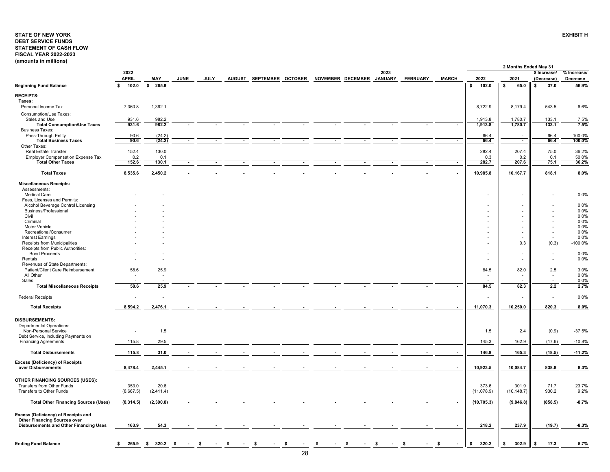## <span id="page-28-0"></span>**STATE OF NEW YORKDEBT SERVICE FUNDS STATEMENT OF CASH FLOW FISCAL YEAR 2022-2023 (amounts in millions)**

|                                                                            |                      |                |             |             |               |                   |                           |      |                 |              |                          | 2 Months Ended May 31                                |                                            |                         |
|----------------------------------------------------------------------------|----------------------|----------------|-------------|-------------|---------------|-------------------|---------------------------|------|-----------------|--------------|--------------------------|------------------------------------------------------|--------------------------------------------|-------------------------|
|                                                                            | 2022<br><b>APRIL</b> | MAY            | <b>JUNE</b> | <b>JULY</b> | <b>AUGUST</b> | SEPTEMBER OCTOBER | NOVEMBER DECEMBER JANUARY | 2023 | <b>FEBRUARY</b> | <b>MARCH</b> | 2022                     | 2021                                                 | \$ Increase/<br>(Decrease)                 | % Increase/<br>Decrease |
| <b>Beginning Fund Balance</b>                                              | 102.0<br>\$          | \$265.9        |             |             |               |                   |                           |      |                 |              | 102.0<br>s.              | 65.0<br>\$                                           | 37.0<br>s.                                 | 56.9%                   |
| <b>RECEIPTS:</b>                                                           |                      |                |             |             |               |                   |                           |      |                 |              |                          |                                                      |                                            |                         |
| Taxes:                                                                     |                      |                |             |             |               |                   |                           |      |                 |              |                          |                                                      |                                            |                         |
| Personal Income Tax                                                        | 7,360.8              | 1,362.1        |             |             |               |                   |                           |      |                 |              | 8,722.9                  | 8,179.4                                              | 543.5                                      | 6.6%                    |
| Consumption/Use Taxes:                                                     |                      |                |             |             |               |                   |                           |      |                 |              |                          |                                                      |                                            |                         |
| Sales and Use                                                              | 931.6                | 982.2<br>982.2 |             |             |               |                   |                           |      |                 |              | 1,913.8                  | 1,780.7                                              | 133.1                                      | 7.5%                    |
| <b>Total Consumption/Use Taxes</b><br><b>Business Taxes:</b>               | 931.6                |                |             |             |               |                   |                           |      | $\sim$          | $\sim$       | 1,913.8                  | 1,780.7                                              | 133.1                                      | 7.5%                    |
| Pass-Through Entity                                                        | 90.6                 | (24.2)         |             |             |               |                   |                           |      |                 |              | 66.4                     |                                                      | 66.4                                       | 100.0%                  |
| <b>Total Business Taxes</b>                                                | 90.6                 | (24.2)         |             |             |               |                   |                           |      |                 | $\sim$       | 66.4                     | $\sim$                                               | 66.4                                       | 100.0%                  |
| Other Taxes:<br>Real Estate Transfer                                       | 152.4                | 130.0          |             |             |               |                   |                           |      |                 |              | 282.4                    | 207.4                                                | 75.0                                       | 36.2%                   |
| <b>Employer Compensation Expense Tax</b>                                   | 0.2                  | 0.1            |             |             |               |                   |                           |      |                 |              | 0.3                      | 0.2                                                  | 0.1                                        | 50.0%                   |
| <b>Total Other Taxes</b>                                                   | 152.6                | 130.1          |             |             |               |                   |                           |      |                 |              | 282.7                    | 207.6                                                | 75.1                                       | 36.2%                   |
| <b>Total Taxes</b>                                                         | 8,535.6              | 2,450.2        |             |             |               |                   |                           |      |                 |              | 10,985.8                 | 10,167.7                                             | 818.1                                      | 8.0%                    |
|                                                                            |                      |                |             |             |               |                   |                           |      |                 |              |                          |                                                      |                                            |                         |
| <b>Miscellaneous Receipts:</b><br>Assessments:                             |                      |                |             |             |               |                   |                           |      |                 |              |                          |                                                      |                                            |                         |
| <b>Medical Care</b>                                                        |                      |                |             |             |               |                   |                           |      |                 |              |                          |                                                      |                                            | 0.0%                    |
| Fees, Licenses and Permits:                                                |                      |                |             |             |               |                   |                           |      |                 |              |                          |                                                      |                                            |                         |
| Alcohol Beverage Control Licensing<br>Business/Professional                |                      |                |             |             |               |                   |                           |      |                 |              |                          |                                                      |                                            | 0.0%                    |
| Civil                                                                      |                      |                |             |             |               |                   |                           |      |                 |              |                          |                                                      |                                            | 0.0%<br>0.0%            |
| Criminal                                                                   |                      |                |             |             |               |                   |                           |      |                 |              |                          |                                                      |                                            | 0.0%                    |
| Motor Vehicle                                                              |                      |                |             |             |               |                   |                           |      |                 |              |                          | ٠                                                    | $\overline{a}$                             | 0.0%                    |
| Recreational/Consumer<br>Interest Earnings                                 |                      |                |             |             |               |                   |                           |      |                 |              |                          | $\overline{\phantom{a}}$<br>$\overline{\phantom{a}}$ | $\overline{a}$<br>$\overline{\phantom{a}}$ | 0.0%<br>0.0%            |
| Receipts from Municipalities                                               |                      |                |             |             |               |                   |                           |      |                 |              |                          | 0.3                                                  | (0.3)                                      | $-100.0%$               |
| Receipts from Public Authorities:                                          |                      |                |             |             |               |                   |                           |      |                 |              |                          |                                                      |                                            |                         |
| <b>Bond Proceeds</b>                                                       |                      |                |             |             |               |                   |                           |      |                 |              |                          | $\overline{\phantom{a}}$                             | $\overline{a}$                             | 0.0%                    |
| Rentals<br>Revenues of State Departments:                                  |                      |                |             |             |               |                   |                           |      |                 |              | $\overline{\phantom{a}}$ | $\tilde{\phantom{a}}$                                | $\overline{\phantom{a}}$                   | 0.0%                    |
| Patient/Client Care Reimbursement                                          | 58.6                 | 25.9           |             |             |               |                   |                           |      |                 |              | 84.5                     | 82.0                                                 | 2.5                                        | 3.0%                    |
| All Other                                                                  |                      |                |             |             |               |                   |                           |      |                 |              |                          |                                                      | $\overline{\phantom{a}}$                   | 0.0%                    |
| Sales                                                                      |                      |                |             |             |               |                   |                           |      |                 |              |                          |                                                      |                                            | 0.0%                    |
| <b>Total Miscellaneous Receipts</b>                                        | 58.6                 | 25.9           |             |             |               |                   |                           |      |                 |              | 84.5                     | 82.3                                                 | 2.2                                        | 2.7%                    |
| <b>Federal Receipts</b>                                                    |                      |                |             |             |               |                   |                           |      |                 |              |                          |                                                      |                                            | 0.0%                    |
| <b>Total Receipts</b>                                                      | 8,594.2              | 2,476.1        |             |             |               |                   |                           |      |                 |              | 11,070.3                 | 10,250.0                                             | 820.3                                      | 8.0%                    |
|                                                                            |                      |                |             |             |               |                   |                           |      |                 |              |                          |                                                      |                                            |                         |
| <b>DISBURSEMENTS:</b><br><b>Departmental Operations:</b>                   |                      |                |             |             |               |                   |                           |      |                 |              |                          |                                                      |                                            |                         |
| Non-Personal Service                                                       |                      | 1.5            |             |             |               |                   |                           |      |                 |              | 1.5                      | 2.4                                                  | (0.9)                                      | $-37.5%$                |
| Debt Service, Including Payments on                                        |                      |                |             |             |               |                   |                           |      |                 |              |                          |                                                      |                                            |                         |
| <b>Financing Agreements</b>                                                | 115.8                | 29.5           |             |             |               |                   |                           |      |                 |              | 145.3                    | 162.9                                                | (17.6)                                     | $-10.8%$                |
| <b>Total Disbursements</b>                                                 | 115.8                | 31.0           |             |             |               |                   |                           |      |                 |              | 146.8                    | 165.3                                                | (18.5)                                     | $-11.2%$                |
| <b>Excess (Deficiency) of Receipts</b>                                     |                      |                |             |             |               |                   |                           |      |                 |              |                          |                                                      |                                            |                         |
| over Disbursements                                                         | 8,478.4              | 2,445.1        |             |             |               |                   |                           |      |                 |              | 10,923.5                 | 10,084.7                                             | 838.8                                      | 8.3%                    |
| <b>OTHER FINANCING SOURCES (USES):</b>                                     |                      |                |             |             |               |                   |                           |      |                 |              |                          |                                                      |                                            |                         |
| Transfers from Other Funds                                                 | 353.0                | 20.6           |             |             |               |                   |                           |      |                 |              | 373.6                    | 301.9                                                | 71.7                                       | 23.7%                   |
| Transfers to Other Funds                                                   | (8,667.5)            | (2,411.4)      |             |             |               |                   |                           |      |                 |              | (11,078.9)               | (10, 148.7)                                          | 930.2                                      | 9.2%                    |
| <b>Total Other Financing Sources (Uses)</b>                                | (8,314.5)            | (2, 390.8)     |             |             |               |                   |                           |      |                 |              | (10, 705.3)              | (9,846.8)                                            | (858.5)                                    | $-8.7%$                 |
|                                                                            |                      |                |             |             |               |                   |                           |      |                 |              |                          |                                                      |                                            |                         |
| Excess (Deficiency) of Receipts and<br><b>Other Financing Sources over</b> |                      |                |             |             |               |                   |                           |      |                 |              |                          |                                                      |                                            |                         |
| Disbursements and Other Financing Uses                                     | 163.9                | 54.3           |             |             |               |                   |                           |      |                 |              | 218.2                    | 237.9                                                | (19.7)                                     | $-8.3%$                 |
|                                                                            |                      |                |             |             |               |                   |                           |      |                 |              |                          |                                                      |                                            |                         |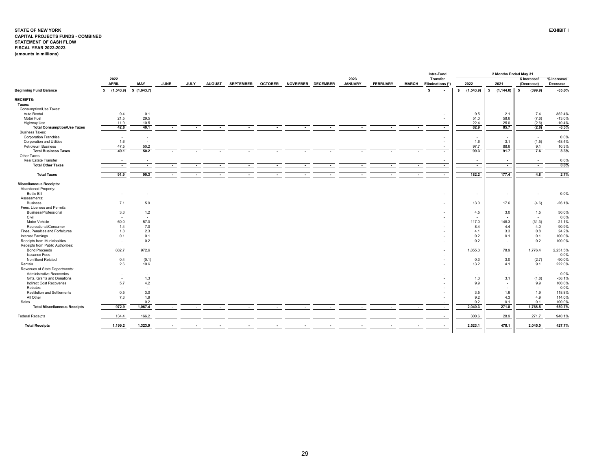#### <span id="page-29-0"></span>**STATE OF NEW YORK EXHIBIT I CAPITAL PROJECTS FUNDS - COMBINED STATEMENT OF CASH FLOW FISCAL YEAR 2022-2023 (amounts in millions)**

|                                     |                                 |                          |             |        |                          |                  |                          |                 |                          |                          |                          |              | Intra-Fund               |                          | 2 Months Ended May 31    |                          |             |
|-------------------------------------|---------------------------------|--------------------------|-------------|--------|--------------------------|------------------|--------------------------|-----------------|--------------------------|--------------------------|--------------------------|--------------|--------------------------|--------------------------|--------------------------|--------------------------|-------------|
|                                     | 2022                            |                          |             |        |                          |                  |                          |                 |                          | 2023                     |                          |              | <b>Transfer</b>          |                          |                          | \$ Increase/             | % Increase/ |
|                                     | <b>APRIL</b>                    | MAY                      | <b>JUNE</b> | JULY   | <b>AUGUST</b>            | <b>SEPTEMBER</b> | <b>OCTOBER</b>           | <b>NOVEMBER</b> | <b>DECEMBER</b>          | <b>JANUARY</b>           | <b>FEBRUARY</b>          | <b>MARCH</b> | Eliminations (*)         | 2022                     | 2021                     | (Decrease)               | Decrease    |
| <b>Beginning Fund Balance</b>       | $$$ $(1,543.9)$ $$$ $(1,643.7)$ |                          |             |        |                          |                  |                          |                 |                          |                          |                          |              | -S                       | \$(1,543.9)              | $$(1, 144.0)$ \$         | (399.9)                  | $-35.0%$    |
| <b>RECEIPTS:</b>                    |                                 |                          |             |        |                          |                  |                          |                 |                          |                          |                          |              |                          |                          |                          |                          |             |
| Taxes:                              |                                 |                          |             |        |                          |                  |                          |                 |                          |                          |                          |              |                          |                          |                          |                          |             |
| Consumption/Use Taxes:              |                                 |                          |             |        |                          |                  |                          |                 |                          |                          |                          |              |                          |                          |                          |                          |             |
| Auto Rental                         | 9.4                             | 0.1                      |             |        |                          |                  |                          |                 |                          |                          |                          |              |                          | 9.5                      | 2.1                      | 7.4                      | 352.4%      |
| Motor Fuel                          | 21.5                            | 29.5                     |             |        |                          |                  |                          |                 |                          |                          |                          |              | ٠                        | 51.0                     | 58.6                     | (7.6)                    | $-13.0%$    |
| Highway Use                         | 11.9                            | 10.5                     |             |        |                          |                  |                          |                 |                          |                          |                          |              | ٠                        | 22.4                     | 25.0                     | (2.6)                    | $-10.4%$    |
| <b>Total Consumption/Use Taxes</b>  | 42.8                            | 40.1                     |             | $\sim$ | $\overline{\phantom{a}}$ |                  |                          | $\sim$          | $\sim$                   |                          | $\sim$                   | $\sim$       | $\blacksquare$           | 82.9                     | 85.7                     | (2.8)                    | $-3.3%$     |
| <b>Business Taxes:</b>              |                                 |                          |             |        |                          |                  |                          |                 |                          |                          |                          |              |                          |                          |                          |                          |             |
| <b>Corporation Franchise</b>        | $\sim$                          |                          |             |        |                          |                  |                          |                 |                          |                          |                          |              | ٠                        | $\sim$                   | $\overline{\phantom{a}}$ | $\sim$                   | 0.0%        |
| <b>Corporation and Utilities</b>    | 1.6                             |                          |             |        |                          |                  |                          |                 |                          |                          |                          |              | ٠                        | 1.6                      | 3.1                      | (1.5)                    | $-48.4%$    |
| Petroleum Business                  | 47.5                            | 50.2                     |             |        |                          |                  |                          |                 |                          |                          |                          |              | $\overline{\phantom{a}}$ | 97.7                     | 88.6                     | 9.1                      | 10.3%       |
| <b>Total Business Taxes</b>         | 49.1                            | 50.2                     |             | $\sim$ | $\overline{\phantom{a}}$ |                  | $\sim$                   | $\sim$          | $\sim$                   | $\overline{\phantom{a}}$ | $\sim$                   | $\sim$       | $\overline{\phantom{a}}$ | 99.3                     | 91.7                     | 7.6                      | 8.3%        |
| Other Taxes:                        |                                 |                          |             |        |                          |                  |                          |                 |                          |                          |                          |              |                          |                          |                          |                          |             |
| Real Estate Transfer                | $\overline{\phantom{a}}$        |                          |             |        |                          |                  |                          |                 |                          |                          |                          |              | $\sim$                   | $\overline{\phantom{a}}$ | $\overline{\phantom{a}}$ | $\sim$                   | 0.0%        |
| <b>Total Other Taxes</b>            | $\overline{\phantom{a}}$        | $\overline{\phantom{a}}$ |             | $\sim$ | $\overline{\phantom{a}}$ |                  |                          |                 | $\sim$                   | $\overline{\phantom{a}}$ | $\overline{\phantom{a}}$ | $\sim$       | $\overline{a}$           | $\sim$                   | $\sim$                   | $\overline{\phantom{a}}$ | 0.0%        |
| <b>Total Taxes</b>                  | 91.9                            | 90.3                     |             | $\sim$ |                          |                  |                          |                 |                          |                          |                          | $\sim$       | $\overline{\phantom{a}}$ | 182.2                    | 177.4                    | 4.8                      | 2.7%        |
| <b>Miscellaneous Receipts:</b>      |                                 |                          |             |        |                          |                  |                          |                 |                          |                          |                          |              |                          |                          |                          |                          |             |
| Abandoned Property:                 |                                 |                          |             |        |                          |                  |                          |                 |                          |                          |                          |              |                          |                          |                          |                          |             |
| <b>Bottle Bill</b>                  | $\overline{\phantom{a}}$        |                          |             |        |                          |                  |                          |                 |                          |                          |                          |              | $\sim$                   | $\sim$                   | $\sim$                   |                          | 0.0%        |
| Assessments:                        |                                 |                          |             |        |                          |                  |                          |                 |                          |                          |                          |              |                          |                          |                          |                          |             |
| <b>Business</b>                     | 7.1                             | 5.9                      |             |        |                          |                  |                          |                 |                          |                          |                          |              | ٠                        | 13.0                     | 17.6                     | (4.6)                    | $-26.1%$    |
| Fees, Licenses and Permits:         |                                 |                          |             |        |                          |                  |                          |                 |                          |                          |                          |              |                          |                          |                          |                          |             |
| Business/Professional               | 3.3                             | 1.2                      |             |        |                          |                  |                          |                 |                          |                          |                          |              | ٠                        | 4.5                      | 3.0                      | 1.5                      | 50.0%       |
| Civil                               | $\overline{\phantom{a}}$        | $\sim$                   |             |        |                          |                  |                          |                 |                          |                          |                          |              | ٠                        | $\sim$                   |                          | $\sim$                   | 0.0%        |
| Motor Vehicle                       | 60.0                            | 57.0                     |             |        |                          |                  |                          |                 |                          |                          |                          |              | ٠                        | 117.0                    | 148.3                    | (31.3)                   | $-21.1%$    |
| Recreational/Consumer               | 1.4                             | 7.0                      |             |        |                          |                  |                          |                 |                          |                          |                          |              | ٠                        | 8.4                      | 4.4                      | 4.0                      | 90.9%       |
| Fines, Penalties and Forfeitures    | 1.8                             | 2.3                      |             |        |                          |                  |                          |                 |                          |                          |                          |              |                          | 4.1                      | 3.3                      | 0.8                      | 24.2%       |
| Interest Earnings                   | 0.1                             | 0.1                      |             |        |                          |                  |                          |                 |                          |                          |                          |              | ۰                        | 0.2                      | 0.1                      | 0.1                      | 100.0%      |
| Receipts from Municipalities        | $\overline{\phantom{a}}$        | 0.2                      |             |        |                          |                  |                          |                 |                          |                          |                          |              | ٠                        | 0.2                      | $\sim$                   | 0.2                      | 100.0%      |
| Receipts from Public Authorities:   |                                 |                          |             |        |                          |                  |                          |                 |                          |                          |                          |              |                          |                          |                          |                          |             |
| <b>Bond Proceeds</b>                | 882.7                           | 972.6                    |             |        |                          |                  |                          |                 |                          |                          |                          |              | ٠                        | 1,855.3                  | 78.9                     | 1,776.4                  | 2,251.5%    |
| <b>Issuance Fees</b>                | $\sim$                          | $\sim$                   |             |        |                          |                  |                          |                 |                          |                          |                          |              | ٠                        | $\sim$                   | $\overline{\phantom{a}}$ | $\sim$                   | 0.0%        |
| Non Bond Related                    | 0.4                             | (0.1)                    |             |        |                          |                  |                          |                 |                          |                          |                          |              | ٠                        | 0.3                      | 3.0                      | (2.7)                    | $-90.0%$    |
| Rentals                             | 2.6                             | 10.6                     |             |        |                          |                  |                          |                 |                          |                          |                          |              | ٠                        | 13.2                     | 4.1                      | 9.1                      | 222.0%      |
| Revenues of State Departments:      |                                 |                          |             |        |                          |                  |                          |                 |                          |                          |                          |              |                          |                          |                          |                          |             |
| Administrative Recoveries           | $\overline{\phantom{a}}$        | $\sim$                   |             |        |                          |                  |                          |                 |                          |                          |                          |              | ٠                        | $\sim$                   | $\overline{\phantom{a}}$ | $\sim$                   | 0.0%        |
| Gifts, Grants and Donations         | $\sim$                          | 1.3                      |             |        |                          |                  |                          |                 |                          |                          |                          |              | ٠                        | 1.3                      | 3.1                      | (1.8)                    | $-58.1%$    |
| <b>Indirect Cost Recoveries</b>     | 5.7                             | 4.2                      |             |        |                          |                  |                          |                 |                          |                          |                          |              | ٠                        | 9.9                      | $\overline{\phantom{a}}$ | 9.9                      | 100.0%      |
| Rebates                             | $\sim$                          | $\sim$                   |             |        |                          |                  |                          |                 |                          |                          |                          |              | ٠                        | $\sim$                   | ٠                        | $\sim$                   | 0.0%        |
| <b>Restitution and Settlements</b>  | 0.5                             | 3.0                      |             |        |                          |                  |                          |                 |                          |                          |                          |              | ۰                        | 3.5                      | 1.6                      | 1.9                      | 118.8%      |
| All Other                           | 7.3                             | 1.9                      |             |        |                          |                  |                          |                 |                          |                          |                          |              | ٠                        | 9.2                      | 4.3                      | 4.9                      | 114.0%      |
| Sales                               | $\overline{\phantom{a}}$        | 0.2                      |             |        |                          |                  |                          |                 |                          |                          |                          |              |                          | 0.2                      | 0.1                      | 0.1                      | 100.0%      |
| <b>Total Miscellaneous Receipts</b> | 972.9                           | 1,067.4                  |             | $\sim$ |                          |                  |                          | $\sim$          | $\overline{\phantom{a}}$ |                          |                          | $\sim$       | $\overline{a}$           | 2,040.3                  | 271.8                    | 1,768.5                  | 650.7%      |
|                                     |                                 |                          |             |        | $\overline{a}$           |                  | $\overline{\phantom{a}}$ |                 |                          | $\overline{\phantom{a}}$ | $\overline{\phantom{a}}$ |              |                          |                          |                          |                          |             |
| <b>Federal Receipts</b>             | 134.4                           | 166.2                    |             |        |                          |                  |                          |                 |                          |                          |                          |              |                          | 300.6                    | 28.9                     | 271.7                    | 940.1%      |
| <b>Total Receipts</b>               | 1,199.2                         | 1,323.9                  |             |        |                          |                  |                          |                 |                          |                          |                          |              |                          | 2,523.1                  | 478.1                    | 2,045.0                  | 427.7%      |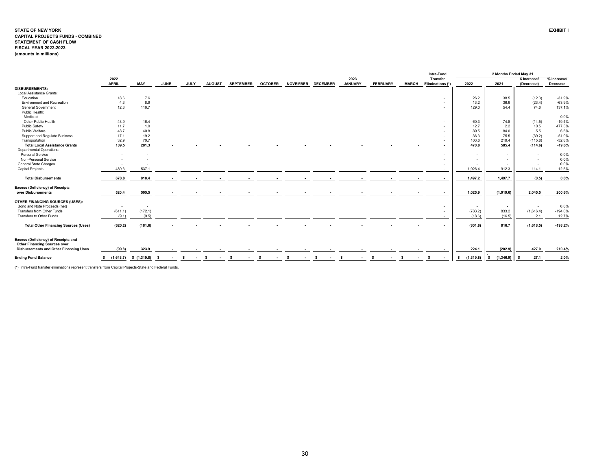#### **STATE OF NEW YORK EXHIBIT I CAPITAL PROJECTS FUNDS - COMBINED STATEMENT OF CASH FLOW FISCAL YEAR 2022-2023 (amounts in millions)**

|                                                                                                                             |                               |                          |              |                 |             |                    |    |                          |                |                          |                 |                 |                          |                        |    |                 |              |        | Intra-Fund                          |                 | 2 Months Ended May 31    |                            |                         |
|-----------------------------------------------------------------------------------------------------------------------------|-------------------------------|--------------------------|--------------|-----------------|-------------|--------------------|----|--------------------------|----------------|--------------------------|-----------------|-----------------|--------------------------|------------------------|----|-----------------|--------------|--------|-------------------------------------|-----------------|--------------------------|----------------------------|-------------------------|
|                                                                                                                             | 2022<br><b>APRIL</b>          | <b>MAY</b>               | <b>JUNE</b>  |                 | <b>JULY</b> | <b>AUGUST</b>      |    | <b>SEPTEMBER</b>         | <b>OCTOBER</b> |                          | <b>NOVEMBER</b> | <b>DECEMBER</b> |                          | 2023<br><b>JANUARY</b> |    | <b>FEBRUARY</b> | <b>MARCH</b> |        | <b>Transfer</b><br>Eliminations (*) | 2022            | 2021                     | \$ Increase/<br>(Decrease) | % Increase/<br>Decrease |
| <b>DISBURSEMENTS:</b>                                                                                                       |                               |                          |              |                 |             |                    |    |                          |                |                          |                 |                 |                          |                        |    |                 |              |        |                                     |                 |                          |                            |                         |
| Local Assistance Grants:                                                                                                    |                               |                          |              |                 |             |                    |    |                          |                |                          |                 |                 |                          |                        |    |                 |              |        |                                     |                 |                          |                            |                         |
| Education                                                                                                                   | 18.6                          | 7.6                      |              |                 |             |                    |    |                          |                |                          |                 |                 |                          |                        |    |                 |              |        | ٠                                   | 26.2            | 38.5                     | (12.3)                     | $-31.9%$                |
| <b>Environment and Recreation</b>                                                                                           | 4.3                           | 8.9                      |              |                 |             |                    |    |                          |                |                          |                 |                 |                          |                        |    |                 |              |        | $\overline{\phantom{a}}$            | 13.2            | 36.6                     | (23.4)                     | $-63.9%$                |
| <b>General Government</b>                                                                                                   | 12.3                          | 116.7                    |              |                 |             |                    |    |                          |                |                          |                 |                 |                          |                        |    |                 |              |        | ٠                                   | 129.0           | 54.4                     | 74.6                       | 137.1%                  |
| Public Health:                                                                                                              |                               |                          |              |                 |             |                    |    |                          |                |                          |                 |                 |                          |                        |    |                 |              |        |                                     |                 |                          |                            |                         |
| Medicaid                                                                                                                    | $\sim$                        | $\sim$                   |              |                 |             |                    |    |                          |                |                          |                 |                 |                          |                        |    |                 |              |        |                                     | $\sim$          | $\sim$                   | $\sim$                     | 0.0%                    |
| Other Public Health                                                                                                         | 43.9                          | 16.4                     |              |                 |             |                    |    |                          |                |                          |                 |                 |                          |                        |    |                 |              |        |                                     | 60.3            | 74.8                     | (14.5)                     | $-19.4%$                |
| Public Safety                                                                                                               | 11.7                          | 1.0                      |              |                 |             |                    |    |                          |                |                          |                 |                 |                          |                        |    |                 |              |        |                                     | 12.7            | 2.2                      | 10.5                       | 477.3%                  |
| Public Welfare                                                                                                              | 48.7                          | 40.8                     |              |                 |             |                    |    |                          |                |                          |                 |                 |                          |                        |    |                 |              |        |                                     | 89.5            | 84.0                     | 5.5                        | 6.5%                    |
| <b>Support and Regulate Business</b>                                                                                        | 17.1                          | 19.2                     |              |                 |             |                    |    |                          |                |                          |                 |                 |                          |                        |    |                 |              |        |                                     | 36.3            | 75.5                     | (39.2)                     | $-51.9%$                |
| Transportation                                                                                                              | 32.9                          | 70.7                     |              |                 |             |                    |    |                          |                |                          |                 |                 |                          |                        |    |                 |              |        |                                     | 103.6           | 219.4                    | (115.8)                    | $-52.8%$                |
| <b>Total Local Assistance Grants</b>                                                                                        | 189.5                         | 281.3                    |              |                 |             |                    |    |                          |                |                          |                 |                 |                          |                        |    |                 |              | $\sim$ | $\overline{\phantom{a}}$            | 470.8           | 585.4                    | (114.6)                    | $-19.6%$                |
| <b>Departmental Operations:</b>                                                                                             |                               |                          |              |                 |             |                    |    |                          |                |                          |                 |                 |                          |                        |    |                 |              |        |                                     |                 |                          |                            |                         |
| Personal Service                                                                                                            |                               |                          |              |                 |             |                    |    |                          |                |                          |                 |                 |                          |                        |    |                 |              |        | $\overline{\phantom{a}}$            | $\sim$          | $\overline{\phantom{a}}$ |                            | 0.0%                    |
| Non-Personal Service                                                                                                        |                               |                          |              |                 |             |                    |    |                          |                |                          |                 |                 |                          |                        |    |                 |              |        | $\sim$                              | $\sim$          | $\sim$                   |                            | 0.0%                    |
| General State Charges                                                                                                       |                               |                          |              |                 |             |                    |    |                          |                |                          |                 |                 |                          |                        |    |                 |              |        |                                     | $\sim$          | ٠.                       |                            | 0.0%                    |
| <b>Capital Projects</b>                                                                                                     | 489.3                         | 537.1                    |              |                 |             |                    |    |                          |                |                          |                 |                 |                          |                        |    |                 |              |        |                                     | 1.026.4         | 912.3                    | 114.1                      | 12.5%                   |
| <b>Total Disbursements</b>                                                                                                  | 678.8                         | 818.4                    |              |                 |             |                    |    |                          |                |                          |                 |                 |                          |                        |    |                 |              |        |                                     | 1,497.2         | 1,497.7                  | (0.5)                      | 0.0%                    |
| <b>Excess (Deficiency) of Receipts</b><br>over Disbursements                                                                | 520.4                         | 505.5                    |              | $\sim$          |             |                    |    |                          |                |                          |                 |                 |                          |                        |    |                 |              |        |                                     | 1,025.9         | (1,019.6)                | 2.045.5                    | 200.6%                  |
| OTHER FINANCING SOURCES (USES):                                                                                             |                               |                          |              |                 |             |                    |    |                          |                |                          |                 |                 |                          |                        |    |                 |              |        |                                     |                 |                          |                            |                         |
| Bond and Note Proceeds (net)                                                                                                | $\sim$                        | $\overline{\phantom{a}}$ |              |                 |             |                    |    |                          |                |                          |                 |                 |                          |                        |    |                 |              |        | ٠                                   | $\sim$          | $\overline{\phantom{a}}$ |                            | 0.0%                    |
| Transfers from Other Funds                                                                                                  | (611.1)                       | (172.1)                  |              |                 |             |                    |    |                          |                |                          |                 |                 |                          |                        |    |                 |              |        | $\sim$                              | (783.2)         | 833.2                    | (1,616.4)                  | $-194.0%$               |
| Transfers to Other Funds                                                                                                    | (9.1)                         | (9.5)                    |              |                 |             |                    |    |                          |                |                          |                 |                 |                          |                        |    |                 |              |        | ٠                                   | (18.6)          | (16.5)                   | 2.1                        | 12.7%                   |
| <b>Total Other Financing Sources (Uses)</b>                                                                                 | (620.2)                       | (181.6)                  |              | $\sim$          | $\sim$      | $\sim$             |    | $\overline{\phantom{a}}$ |                | $\overline{\phantom{a}}$ |                 | . .             |                          |                        |    | $\sim$          |              | $\sim$ | $\sim$                              | (801.8)         | 816.7                    | (1,618.5)                  | $-198.2%$               |
|                                                                                                                             |                               |                          |              |                 |             |                    |    |                          |                |                          |                 |                 |                          |                        |    |                 |              |        |                                     |                 |                          |                            |                         |
| Excess (Deficiency) of Receipts and<br><b>Other Financing Sources over</b><br><b>Disbursements and Other Financing Uses</b> | (99.8)                        | 323.9                    |              |                 |             |                    |    | $\sim$                   |                |                          |                 |                 |                          |                        |    |                 |              |        |                                     | 224.1           | (202.9)                  | 427.0                      | 210.4%                  |
|                                                                                                                             |                               |                          |              |                 |             |                    |    |                          |                |                          |                 |                 |                          |                        |    |                 |              |        |                                     |                 |                          |                            |                         |
| <b>Ending Fund Balance</b>                                                                                                  | $$(1,643.7) \quad $(1,319.8)$ |                          | $\mathbf{s}$ | <b>Contract</b> | <b>S</b>    | $\sim$ s<br>$\sim$ | s. | $\sim$                   | -S             | $\sim$                   | - S<br>$\sim$   | s.              | <b>Contract Contract</b> | - S<br>$\sim$          | s. |                 | -S           |        | - \$                                | (1,319.8)<br>s. | (1,346.9)                | 27.1                       | 2.0%                    |

(\*) Intra-Fund transfer eliminations represent transfers from Capital Projects-State and Federal Funds.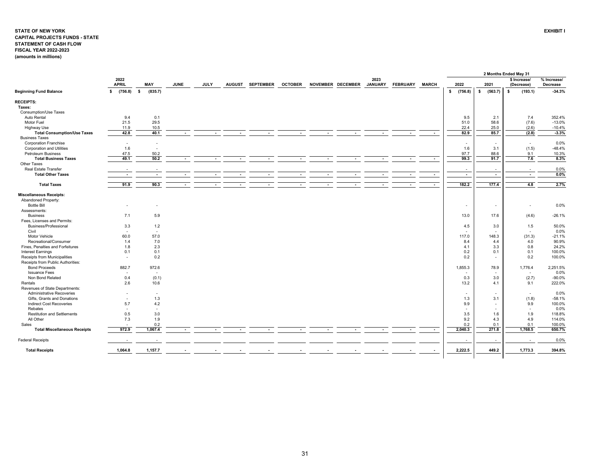#### <span id="page-31-0"></span>**STATE OF NEW YORK EXHIBIT I CAPITAL PROJECTS FUNDS - STATE STATEMENT OF CASH FLOWFISCAL YEAR 2022-2023 (amounts in millions)**

|                                     |                          |                          |                          |                          |                          |                          |                |        |                          |                          |                          |                          |      |                          |                          | 2 Months Ended May 31      |                         |
|-------------------------------------|--------------------------|--------------------------|--------------------------|--------------------------|--------------------------|--------------------------|----------------|--------|--------------------------|--------------------------|--------------------------|--------------------------|------|--------------------------|--------------------------|----------------------------|-------------------------|
|                                     | 2022<br><b>APRIL</b>     | <b>MAY</b>               | <b>JUNE</b>              | <b>JULY</b>              |                          | AUGUST SEPTEMBER         | <b>OCTOBER</b> |        | NOVEMBER DECEMBER        | 2023<br><b>JANUARY</b>   | <b>FEBRUARY</b>          | <b>MARCH</b>             | 2022 |                          | 2021                     | \$ Increase/<br>(Decrease) | % Increase/<br>Decrease |
| <b>Beginning Fund Balance</b>       | (756.8)<br>\$            | s.<br>(835.7)            |                          |                          |                          |                          |                |        |                          |                          |                          |                          | \$   | (756.8)                  | s.<br>(563.7)            | $\mathbf{s}$<br>(193.1)    | $-34.3%$                |
| <b>RECEIPTS:</b>                    |                          |                          |                          |                          |                          |                          |                |        |                          |                          |                          |                          |      |                          |                          |                            |                         |
| Taxes:                              |                          |                          |                          |                          |                          |                          |                |        |                          |                          |                          |                          |      |                          |                          |                            |                         |
| Consumption/Use Taxes               |                          |                          |                          |                          |                          |                          |                |        |                          |                          |                          |                          |      |                          |                          |                            |                         |
|                                     |                          |                          |                          |                          |                          |                          |                |        |                          |                          |                          |                          |      |                          |                          |                            |                         |
| Auto Rental                         | 9.4                      | 0.1<br>29.5              |                          |                          |                          |                          |                |        |                          |                          |                          |                          |      | 9.5                      | 2.1<br>58.6              | 7.4                        | 352.4%                  |
| Motor Fuel                          | 21.5                     |                          |                          |                          |                          |                          |                |        |                          |                          |                          |                          |      | 51.0                     |                          | (7.6)                      | $-13.0%$                |
| Highway Use                         | 11.9                     | 10.5                     |                          |                          |                          |                          |                |        |                          |                          |                          |                          |      | 22.4                     | 25.0                     | (2.6)                      | $-10.4%$                |
| <b>Total Consumption/Use Taxes</b>  | 42.8                     | 40.1                     | $\sim$                   | $\sim$                   | $\sim$                   | $\blacksquare$           | $\sim$         | $\sim$ | $\sim$                   | $\sim$                   | $\sim$                   | $\sim$                   |      | 82.9                     | 85.7                     | (2.8)                      | $-3.3%$                 |
| <b>Business Taxes</b>               |                          |                          |                          |                          |                          |                          |                |        |                          |                          |                          |                          |      |                          |                          |                            |                         |
| <b>Corporation Franchise</b>        | $\overline{\phantom{a}}$ |                          |                          |                          |                          |                          |                |        |                          |                          |                          |                          |      | $\overline{\phantom{a}}$ | $\overline{\phantom{a}}$ | $\overline{\phantom{a}}$   | 0.0%                    |
| <b>Corporation and Utilities</b>    | 1.6                      | $\sim$                   |                          |                          |                          |                          |                |        |                          |                          |                          |                          |      | 1.6                      | 3.1                      | (1.5)                      | $-48.4%$                |
| Petroleum Business                  | 47.5                     | 50.2                     |                          |                          |                          |                          |                |        |                          |                          |                          |                          |      | 97.7                     | 88.6                     | 9.1                        | 10.3%                   |
| <b>Total Business Taxes</b>         | 49.1                     | 50.2                     |                          |                          | $\overline{a}$           | $\overline{a}$           | $\overline{a}$ |        | $\overline{\phantom{a}}$ | $\overline{\phantom{a}}$ |                          | $\overline{\phantom{a}}$ |      | 99.3                     | 91.7                     | 7.6                        | 8.3%                    |
| Other Taxes                         |                          |                          |                          |                          |                          |                          |                |        |                          |                          |                          |                          |      |                          |                          |                            |                         |
| Real Estate Transfer                | $\overline{\phantom{a}}$ |                          |                          |                          |                          |                          |                |        |                          |                          |                          |                          |      | $\overline{\phantom{a}}$ | $\sim$                   | $\overline{\phantom{a}}$   | 0.0%                    |
| <b>Total Other Taxes</b>            | $\overline{\phantom{a}}$ | $\overline{\phantom{a}}$ | $\overline{\phantom{a}}$ | $\overline{\phantom{a}}$ | $\overline{\phantom{a}}$ | $\overline{\phantom{a}}$ | $\sim$         | $\sim$ | $\overline{\phantom{a}}$ | $\overline{\phantom{a}}$ | $\overline{\phantom{a}}$ | $\sim$                   |      | $\sim$                   | $\sim$                   | $\overline{\phantom{a}}$   | 0.0%                    |
| <b>Total Taxes</b>                  | 91.9                     | 90.3                     | $\overline{\phantom{a}}$ | $\overline{\phantom{a}}$ |                          |                          |                |        | $\overline{\phantom{a}}$ | $\overline{\phantom{a}}$ |                          | $\overline{\phantom{a}}$ |      | 182.2                    | 177.4                    | 4.8                        | 2.7%                    |
|                                     |                          |                          |                          |                          |                          |                          |                |        |                          |                          |                          |                          |      |                          |                          |                            |                         |
| <b>Miscellaneous Receipts:</b>      |                          |                          |                          |                          |                          |                          |                |        |                          |                          |                          |                          |      |                          |                          |                            |                         |
| Abandoned Property:                 |                          |                          |                          |                          |                          |                          |                |        |                          |                          |                          |                          |      |                          |                          |                            |                         |
| <b>Bottle Bill</b>                  |                          |                          |                          |                          |                          |                          |                |        |                          |                          |                          |                          |      | $\overline{\phantom{a}}$ | $\sim$                   | $\overline{\phantom{a}}$   | 0.0%                    |
| Assessments:                        |                          |                          |                          |                          |                          |                          |                |        |                          |                          |                          |                          |      |                          |                          |                            |                         |
| <b>Business</b>                     | 7.1                      | 5.9                      |                          |                          |                          |                          |                |        |                          |                          |                          |                          |      | 13.0                     | 17.6                     | (4.6)                      | $-26.1%$                |
| Fees, Licenses and Permits:         |                          |                          |                          |                          |                          |                          |                |        |                          |                          |                          |                          |      |                          |                          |                            |                         |
| Business/Professional               | 3.3                      | $1.2$                    |                          |                          |                          |                          |                |        |                          |                          |                          |                          |      | 4.5                      | 3.0                      | 1.5                        | 50.0%                   |
| Civil                               | $\overline{\phantom{a}}$ | $\overline{\phantom{a}}$ |                          |                          |                          |                          |                |        |                          |                          |                          |                          |      |                          |                          | $\overline{\phantom{a}}$   | 0.0%                    |
| Motor Vehicle                       | 60.0                     | 57.0                     |                          |                          |                          |                          |                |        |                          |                          |                          |                          |      | 117.0                    | 148.3                    | (31.3)                     | $-21.1%$                |
| Recreational/Consumer               | 1.4                      | 7.0                      |                          |                          |                          |                          |                |        |                          |                          |                          |                          |      | 8.4                      | 4.4                      | 4.0                        | 90.9%                   |
| Fines, Penalties and Forfeitures    | 1.8                      | 2.3                      |                          |                          |                          |                          |                |        |                          |                          |                          |                          |      | 4.1                      | 3.3                      | 0.8                        | 24.2%                   |
|                                     |                          |                          |                          |                          |                          |                          |                |        |                          |                          |                          |                          |      |                          |                          |                            |                         |
| <b>Interest Earnings</b>            | 0.1                      | 0.1                      |                          |                          |                          |                          |                |        |                          |                          |                          |                          |      | 0.2                      | 0.1                      | 0.1                        | 100.0%                  |
| Receipts from Municipalities        | $\sim$                   | 0.2                      |                          |                          |                          |                          |                |        |                          |                          |                          |                          |      | 0.2                      | $\blacksquare$           | 0.2                        | 100.0%                  |
| Receipts from Public Authorities:   |                          |                          |                          |                          |                          |                          |                |        |                          |                          |                          |                          |      |                          |                          |                            |                         |
| <b>Bond Proceeds</b>                | 882.7                    | 972.6                    |                          |                          |                          |                          |                |        |                          |                          |                          |                          |      | 1,855.3                  | 78.9                     | 1,776.4                    | 2,251.5%                |
| <b>Issuance Fees</b>                |                          | $\sim$                   |                          |                          |                          |                          |                |        |                          |                          |                          |                          |      | $\overline{\phantom{a}}$ | $\blacksquare$           | $\overline{\phantom{a}}$   | 0.0%                    |
| Non Bond Related                    | 0.4                      | (0.1)                    |                          |                          |                          |                          |                |        |                          |                          |                          |                          |      | 0.3                      | 3.0                      | (2.7)                      | $-90.0%$                |
| Rentals                             | 2.6                      | 10.6                     |                          |                          |                          |                          |                |        |                          |                          |                          |                          |      | 13.2                     | 4.1                      | 9.1                        | 222.0%                  |
| Revenues of State Departments:      |                          |                          |                          |                          |                          |                          |                |        |                          |                          |                          |                          |      |                          |                          |                            |                         |
| <b>Administrative Recoveries</b>    |                          | $\overline{\phantom{a}}$ |                          |                          |                          |                          |                |        |                          |                          |                          |                          |      | $\overline{\phantom{a}}$ |                          | $\overline{\phantom{a}}$   | 0.0%                    |
| Gifts, Grants and Donations         | $\overline{\phantom{a}}$ | 1.3                      |                          |                          |                          |                          |                |        |                          |                          |                          |                          |      | 1.3                      | 3.1                      | (1.8)                      | $-58.1%$                |
| <b>Indirect Cost Recoveries</b>     | 5.7                      | 4.2                      |                          |                          |                          |                          |                |        |                          |                          |                          |                          |      | 9.9                      | $\sim$                   | 9.9                        | 100.0%                  |
| Rebates                             | $\overline{\phantom{a}}$ | $\sim$                   |                          |                          |                          |                          |                |        |                          |                          |                          |                          |      | $\overline{\phantom{a}}$ |                          | $\sim$                     | 0.0%                    |
| <b>Restitution and Settlements</b>  | 0.5                      | 3.0                      |                          |                          |                          |                          |                |        |                          |                          |                          |                          |      | 3.5                      | 1.6                      | 1.9                        | 118.8%                  |
| All Other                           | 7.3                      | 1.9                      |                          |                          |                          |                          |                |        |                          |                          |                          |                          |      | 9.2                      | 4.3                      | 4.9                        | 114.0%                  |
| Sales                               |                          | 0.2                      |                          |                          |                          |                          |                |        |                          |                          |                          |                          |      | 0.2                      | 0.1                      | 0.1                        | 100.0%                  |
| <b>Total Miscellaneous Receipts</b> | 972.9                    | 1,067.4                  |                          |                          |                          |                          |                |        |                          |                          |                          | $\overline{\phantom{a}}$ |      | 2,040.3                  | 271.8                    | 1,768.5                    | 650.7%                  |
| <b>Federal Receipts</b>             |                          | $\overline{\phantom{a}}$ |                          |                          |                          |                          |                |        |                          |                          |                          |                          |      | $\overline{\phantom{a}}$ | $\sim$                   | $\overline{\phantom{a}}$   | 0.0%                    |
|                                     |                          |                          |                          |                          |                          |                          |                |        |                          |                          |                          |                          |      |                          |                          |                            |                         |
| <b>Total Receipts</b>               | 1,064.8                  | 1,157.7                  |                          |                          |                          |                          |                |        |                          |                          |                          |                          |      | 2,222.5                  | 449.2                    | 1,773.3                    | 394.8%                  |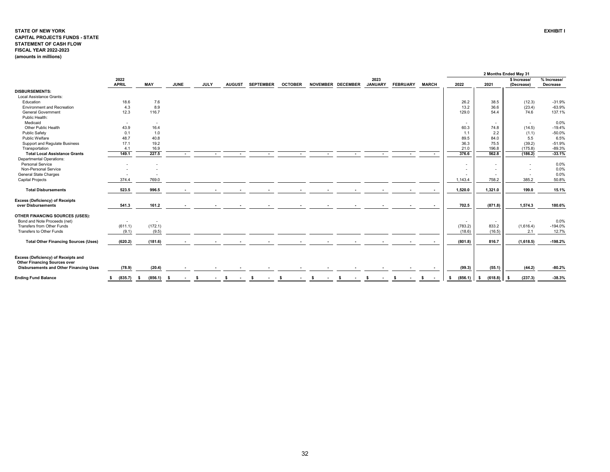#### **STATE OF NEW YORK EXHIBIT I CAPITAL PROJECTS FUNDS - STATE STATEMENT OF CASH FLOWFISCAL YEAR 2022-2023 (amounts in millions)**

|                                                                            |                      |                          |            |         |             |  |      |               |                  |  |                |                   |  |                        |                 |              |                          |    | 2 Months Ended May 31    |                            |                         |
|----------------------------------------------------------------------------|----------------------|--------------------------|------------|---------|-------------|--|------|---------------|------------------|--|----------------|-------------------|--|------------------------|-----------------|--------------|--------------------------|----|--------------------------|----------------------------|-------------------------|
|                                                                            | 2022<br><b>APRIL</b> |                          | <b>MAY</b> |         | <b>JUNE</b> |  | JULY | <b>AUGUST</b> | <b>SEPTEMBER</b> |  | <b>OCTOBER</b> | NOVEMBER DECEMBER |  | 2023<br><b>JANUARY</b> | <b>FEBRUARY</b> | <b>MARCH</b> | 2022                     |    | 2021                     | \$ Increase/<br>(Decrease) | % Increase/<br>Decrease |
| <b>DISBURSEMENTS:</b>                                                      |                      |                          |            |         |             |  |      |               |                  |  |                |                   |  |                        |                 |              |                          |    |                          |                            |                         |
| Local Assistance Grants:                                                   |                      |                          |            |         |             |  |      |               |                  |  |                |                   |  |                        |                 |              |                          |    |                          |                            |                         |
| Education                                                                  |                      | 18.6                     |            | 7.6     |             |  |      |               |                  |  |                |                   |  |                        |                 |              | 26.2                     |    | 38.5                     | (12.3)                     | $-31.9%$                |
| <b>Environment and Recreation</b>                                          |                      | 4.3                      |            | 8.9     |             |  |      |               |                  |  |                |                   |  |                        |                 |              | 13.2                     |    | 36.6                     | (23.4)                     | $-63.9%$                |
| <b>General Government</b>                                                  |                      | 12.3                     |            | 116.7   |             |  |      |               |                  |  |                |                   |  |                        |                 |              | 129.0                    |    | 54.4                     | 74.6                       | 137.1%                  |
| Public Health:                                                             |                      |                          |            |         |             |  |      |               |                  |  |                |                   |  |                        |                 |              |                          |    |                          |                            |                         |
| Medicaid                                                                   |                      | $\overline{\phantom{a}}$ |            | $\sim$  |             |  |      |               |                  |  |                |                   |  |                        |                 |              | $\overline{\phantom{a}}$ |    | $\sim$                   | $\overline{\phantom{a}}$   | 0.0%                    |
| Other Public Health                                                        |                      | 43.9                     |            | 16.4    |             |  |      |               |                  |  |                |                   |  |                        |                 |              | 60.3                     |    | 74.8                     | (14.5)                     | $-19.4%$                |
| <b>Public Safety</b>                                                       |                      | 0.1                      |            | 1.0     |             |  |      |               |                  |  |                |                   |  |                        |                 |              | 1.1                      |    | 2.2                      | (1.1)                      | $-50.0%$                |
| Public Welfare                                                             |                      | 48.7                     |            | 40.8    |             |  |      |               |                  |  |                |                   |  |                        |                 |              | 89.5                     |    | 84.0                     | 5.5                        | 6.5%                    |
| Support and Regulate Business                                              |                      | 17.1                     |            | 19.2    |             |  |      |               |                  |  |                |                   |  |                        |                 |              | 36.3                     |    | 75.5                     | (39.2)                     | $-51.9%$                |
| Transportation                                                             |                      | 4.1                      |            | 16.9    |             |  |      |               |                  |  |                |                   |  |                        |                 |              | 21.0                     |    | 196.8                    | (175.8)                    | $-89.3%$                |
| <b>Total Local Assistance Grants</b>                                       |                      | 149.1                    |            | 227.5   |             |  |      |               |                  |  |                |                   |  |                        |                 |              | 376.6                    |    | 562.8                    | (186.2)                    | $-33.1%$                |
| Departmental Operations:                                                   |                      |                          |            |         |             |  |      |               |                  |  |                |                   |  |                        |                 |              |                          |    |                          |                            |                         |
| <b>Personal Service</b>                                                    |                      |                          |            |         |             |  |      |               |                  |  |                |                   |  |                        |                 |              | $\sim$                   |    | $\overline{\phantom{0}}$ |                            | 0.0%                    |
| Non-Personal Service                                                       |                      |                          |            |         |             |  |      |               |                  |  |                |                   |  |                        |                 |              |                          |    |                          |                            | 0.0%                    |
| General State Charges                                                      |                      |                          |            |         |             |  |      |               |                  |  |                |                   |  |                        |                 |              | $\overline{\phantom{a}}$ |    | $\overline{\phantom{0}}$ | $\overline{\phantom{a}}$   | 0.0%                    |
| <b>Capital Projects</b>                                                    |                      | 374.4                    |            | 769.0   |             |  |      |               |                  |  |                |                   |  |                        |                 |              | 1.143.4                  |    | 758.2                    | 385.2                      | 50.8%                   |
| <b>Total Disbursements</b>                                                 |                      | 523.5                    |            | 996.5   |             |  |      |               |                  |  |                |                   |  |                        |                 |              | 1,520.0                  |    | 1,321.0                  | 199.0                      | 15.1%                   |
| <b>Excess (Deficiency) of Receipts</b>                                     |                      |                          |            |         |             |  |      |               |                  |  |                |                   |  |                        |                 |              |                          |    |                          |                            |                         |
| over Disbursements                                                         |                      | 541.3                    |            | 161.2   |             |  |      |               |                  |  |                |                   |  |                        |                 |              | 702.5                    |    | (871.8)                  | 1,574.3                    | 180.6%                  |
| OTHER FINANCING SOURCES (USES):                                            |                      |                          |            |         |             |  |      |               |                  |  |                |                   |  |                        |                 |              |                          |    |                          |                            |                         |
| Bond and Note Proceeds (net)                                               |                      | $\overline{\phantom{a}}$ |            |         |             |  |      |               |                  |  |                |                   |  |                        |                 |              | $\overline{\phantom{a}}$ |    | $\sim$                   | $\overline{\phantom{a}}$   | 0.0%                    |
| Transfers from Other Funds                                                 |                      | (611.1)                  |            | (172.1) |             |  |      |               |                  |  |                |                   |  |                        |                 |              | (783.2)                  |    | 833.2                    | (1,616.4)                  | $-194.0%$               |
| Transfers to Other Funds                                                   |                      | (9.1)                    |            | (9.5)   |             |  |      |               |                  |  |                |                   |  |                        |                 |              | (18.6)                   |    | (16.5)                   | 2.1                        | 12.7%                   |
| <b>Total Other Financing Sources (Uses)</b>                                |                      | (620.2)                  |            | (181.6) |             |  |      |               |                  |  |                |                   |  |                        |                 |              | (801.8)                  |    | 816.7                    | (1,618.5)                  | $-198.2%$               |
|                                                                            |                      |                          |            |         |             |  |      |               |                  |  |                |                   |  |                        |                 |              |                          |    |                          |                            |                         |
| Excess (Deficiency) of Receipts and<br><b>Other Financing Sources over</b> |                      |                          |            |         |             |  |      |               |                  |  |                |                   |  |                        |                 |              |                          |    |                          |                            |                         |
| Disbursements and Other Financing Uses                                     |                      | (78.9)                   |            | (20.4)  |             |  |      |               |                  |  |                |                   |  |                        |                 |              | (99.3)                   |    | (55.1)                   | (44.2)                     | $-80.2%$                |
| <b>Ending Fund Balance</b>                                                 | s.                   | (835.7)                  | - 5        | (856.1) | - \$        |  |      | - \$          |                  |  |                |                   |  |                        |                 |              | (856.1)<br>\$            | s. | (618.8)                  | (237.3)                    | $-38.3%$                |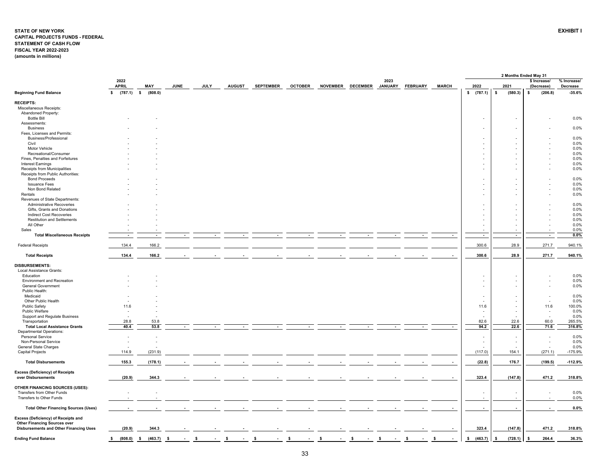#### <span id="page-33-0"></span>**STATE OF NEW YORK EXHIBIT I CAPITAL PROJECTS FUNDS - FEDERAL STATEMENT OF CASH FLOW FISCAL YEAR 2022-2023 (amounts in millions)**

|                                             |                      |                          |             |             |               |                  |                |                 |                 |                 |                 |              |                          | 2 Months Ended May 31    |                            |                         |
|---------------------------------------------|----------------------|--------------------------|-------------|-------------|---------------|------------------|----------------|-----------------|-----------------|-----------------|-----------------|--------------|--------------------------|--------------------------|----------------------------|-------------------------|
|                                             | 2022<br><b>APRIL</b> | MAY                      | <b>JUNE</b> | <b>JULY</b> | <b>AUGUST</b> | <b>SEPTEMBER</b> | <b>OCTOBER</b> | <b>NOVEMBER</b> | <b>DECEMBER</b> | 2023<br>JANUARY | <b>FEBRUARY</b> | <b>MARCH</b> | 2022                     | 2021                     | \$ Increase/<br>(Decrease) | % Increase/<br>Decrease |
| <b>Beginning Fund Balance</b>               | $(787.1)$ \$<br>\$   | (808.0)                  |             |             |               |                  |                |                 |                 |                 |                 |              | \$ (787.1)               | \$<br>(580.3)            | (206.8)<br>\$              | $-35.6%$                |
| <b>RECEIPTS:</b>                            |                      |                          |             |             |               |                  |                |                 |                 |                 |                 |              |                          |                          |                            |                         |
| Miscellaneous Receipts:                     |                      |                          |             |             |               |                  |                |                 |                 |                 |                 |              |                          |                          |                            |                         |
| Abandoned Property:                         |                      |                          |             |             |               |                  |                |                 |                 |                 |                 |              |                          |                          |                            |                         |
| <b>Bottle Bill</b>                          |                      |                          |             |             |               |                  |                |                 |                 |                 |                 |              | $\overline{\phantom{a}}$ |                          |                            | 0.0%                    |
| Assessments:                                |                      |                          |             |             |               |                  |                |                 |                 |                 |                 |              |                          |                          |                            |                         |
| <b>Business</b>                             |                      |                          |             |             |               |                  |                |                 |                 |                 |                 |              |                          |                          |                            | 0.0%                    |
| Fees, Licenses and Permits:                 |                      |                          |             |             |               |                  |                |                 |                 |                 |                 |              |                          |                          |                            |                         |
| Business/Professional                       |                      |                          |             |             |               |                  |                |                 |                 |                 |                 |              |                          |                          |                            | 0.0%                    |
| Civil                                       |                      |                          |             |             |               |                  |                |                 |                 |                 |                 |              |                          |                          |                            | 0.0%                    |
| Motor Vehicle                               |                      |                          |             |             |               |                  |                |                 |                 |                 |                 |              |                          |                          |                            | 0.0%                    |
| Recreational/Consumer                       |                      |                          |             |             |               |                  |                |                 |                 |                 |                 |              |                          |                          |                            | 0.0%                    |
| Fines, Penalties and Forfeitures            |                      |                          |             |             |               |                  |                |                 |                 |                 |                 |              |                          |                          |                            | 0.0%                    |
| <b>Interest Earnings</b>                    |                      |                          |             |             |               |                  |                |                 |                 |                 |                 |              |                          |                          |                            | 0.0%                    |
| Receipts from Municipalities                |                      |                          |             |             |               |                  |                |                 |                 |                 |                 |              |                          |                          |                            | 0.0%                    |
| Receipts from Public Authorities:           |                      |                          |             |             |               |                  |                |                 |                 |                 |                 |              |                          |                          |                            |                         |
| <b>Bond Proceeds</b>                        |                      |                          |             |             |               |                  |                |                 |                 |                 |                 |              |                          |                          |                            | 0.0%                    |
| <b>Issuance Fees</b>                        |                      |                          |             |             |               |                  |                |                 |                 |                 |                 |              | ÷,                       |                          |                            | 0.0%                    |
| Non Bond Related                            |                      |                          |             |             |               |                  |                |                 |                 |                 |                 |              | $\sim$                   | $\sim$                   |                            | 0.0%                    |
| Rentals                                     |                      |                          |             |             |               |                  |                |                 |                 |                 |                 |              |                          |                          |                            | 0.0%                    |
| Revenues of State Departments:              |                      |                          |             |             |               |                  |                |                 |                 |                 |                 |              |                          |                          |                            |                         |
|                                             |                      |                          |             |             |               |                  |                |                 |                 |                 |                 |              |                          |                          |                            |                         |
| Administrative Recoveries                   |                      |                          |             |             |               |                  |                |                 |                 |                 |                 |              |                          |                          |                            | 0.0%                    |
| Gifts, Grants and Donations                 |                      |                          |             |             |               |                  |                |                 |                 |                 |                 |              | $\overline{\phantom{a}}$ |                          |                            | 0.0%                    |
| <b>Indirect Cost Recoveries</b>             |                      |                          |             |             |               |                  |                |                 |                 |                 |                 |              |                          |                          |                            | 0.0%                    |
| <b>Restitution and Settlements</b>          |                      |                          |             |             |               |                  |                |                 |                 |                 |                 |              |                          |                          |                            | 0.0%                    |
| All Other                                   |                      |                          |             |             |               |                  |                |                 |                 |                 |                 |              |                          |                          |                            | 0.0%                    |
| Sales                                       |                      |                          |             |             |               |                  |                |                 |                 |                 |                 |              |                          |                          |                            | 0.0%                    |
| <b>Total Miscellaneous Receipts</b>         |                      | $\overline{\phantom{a}}$ |             |             |               |                  |                |                 |                 |                 |                 | $\sim$       | $\sim$                   | $\overline{\phantom{a}}$ | $\overline{\phantom{a}}$   | $0.0\%$                 |
| <b>Federal Receipts</b>                     | 134.4                | 166.2                    |             |             |               |                  |                |                 |                 |                 |                 |              | 300.6                    | 28.9                     | 271.7                      | 940.1%                  |
| <b>Total Receipts</b>                       | 134.4                | 166.2                    |             |             |               |                  |                |                 |                 |                 |                 |              | 300.6                    | 28.9                     | 271.7                      | 940.1%                  |
|                                             |                      |                          |             |             |               |                  |                |                 |                 |                 |                 |              |                          |                          |                            |                         |
| DISBURSEMENTS:                              |                      |                          |             |             |               |                  |                |                 |                 |                 |                 |              |                          |                          |                            |                         |
| Local Assistance Grants:                    |                      |                          |             |             |               |                  |                |                 |                 |                 |                 |              |                          |                          |                            |                         |
| Education                                   |                      |                          |             |             |               |                  |                |                 |                 |                 |                 |              |                          |                          |                            | 0.0%                    |
| <b>Environment and Recreation</b>           |                      |                          |             |             |               |                  |                |                 |                 |                 |                 |              |                          |                          |                            | 0.0%                    |
| <b>General Government</b>                   |                      |                          |             |             |               |                  |                |                 |                 |                 |                 |              | $\sim$                   | ÷                        |                            | 0.0%                    |
| Public Health:                              |                      |                          |             |             |               |                  |                |                 |                 |                 |                 |              |                          |                          |                            |                         |
| Medicaid                                    |                      |                          |             |             |               |                  |                |                 |                 |                 |                 |              |                          |                          |                            | 0.0%                    |
| Other Public Health                         |                      |                          |             |             |               |                  |                |                 |                 |                 |                 |              |                          |                          |                            | 0.0%                    |
| <b>Public Safety</b>                        | 11.6                 |                          |             |             |               |                  |                |                 |                 |                 |                 |              | 11.6                     |                          | 11.6                       | 100.0%                  |
| Public Welfare                              |                      |                          |             |             |               |                  |                |                 |                 |                 |                 |              |                          |                          | $\overline{\phantom{a}}$   | 0.0%                    |
| Support and Regulate Business               |                      |                          |             |             |               |                  |                |                 |                 |                 |                 |              |                          |                          |                            | 0.0%                    |
| Transportation                              | 28.8                 | 53.8                     |             |             |               |                  |                |                 |                 |                 |                 |              | 82.6                     | 22.6                     | 60.0                       | 265.5%                  |
| <b>Total Local Assistance Grants</b>        | 40.4                 | 53.8                     |             |             |               |                  |                |                 |                 |                 |                 |              | 94.2                     | 22.6                     | 71.6                       | 316.8%                  |
| <b>Departmental Operations:</b>             |                      |                          |             |             |               |                  |                |                 |                 |                 |                 |              |                          |                          |                            |                         |
| <b>Personal Service</b>                     |                      |                          |             |             |               |                  |                |                 |                 |                 |                 |              |                          |                          | $\sim$                     | 0.0%                    |
| Non-Personal Service                        |                      |                          |             |             |               |                  |                |                 |                 |                 |                 |              |                          | $\overline{\phantom{a}}$ | ÷,                         | 0.0%                    |
| General State Charges                       |                      |                          |             |             |               |                  |                |                 |                 |                 |                 |              |                          |                          |                            | 0.0%                    |
| <b>Capital Projects</b>                     | 114.9                | (231.9)                  |             |             |               |                  |                |                 |                 |                 |                 |              | (117.0)                  | 154.1                    | (271.1)                    | $-175.9%$               |
| <b>Total Disbursements</b>                  | 155.3                | (178.1)                  |             |             |               |                  |                |                 |                 |                 |                 |              | (22.8)                   | 176.7                    | (199.5)                    | $-112.9%$               |
|                                             |                      |                          |             |             |               |                  |                |                 |                 |                 |                 |              |                          |                          |                            |                         |
| <b>Excess (Deficiency) of Receipts</b>      |                      |                          |             |             |               |                  |                |                 |                 |                 |                 |              |                          |                          |                            |                         |
| over Disbursements                          | (20.9)               | 344.3                    |             |             |               |                  |                |                 |                 |                 |                 |              | 323.4                    | (147.8)                  | 471.2                      | 318.8%                  |
|                                             |                      |                          |             |             |               |                  |                |                 |                 |                 |                 |              |                          |                          |                            |                         |
| OTHER FINANCING SOURCES (USES):             |                      |                          |             |             |               |                  |                |                 |                 |                 |                 |              |                          |                          |                            |                         |
| Transfers from Other Funds                  |                      |                          |             |             |               |                  |                |                 |                 |                 |                 |              |                          |                          |                            | 0.0%                    |
| Transfers to Other Funds                    |                      |                          |             |             |               |                  |                |                 |                 |                 |                 |              | $\sim$                   | $\sim$                   |                            | 0.0%                    |
| <b>Total Other Financing Sources (Uses)</b> |                      |                          |             |             |               |                  |                |                 |                 |                 |                 |              | $\overline{\phantom{a}}$ | $\overline{\phantom{a}}$ |                            | $0.0\%$                 |
|                                             |                      |                          |             |             |               |                  |                |                 |                 |                 |                 |              |                          |                          |                            |                         |
| Excess (Deficiency) of Receipts and         |                      |                          |             |             |               |                  |                |                 |                 |                 |                 |              |                          |                          |                            |                         |
| <b>Other Financing Sources over</b>         |                      |                          |             |             |               |                  |                |                 |                 |                 |                 |              |                          |                          |                            |                         |
| Disbursements and Other Financing Uses      | (20.9)               | 344.3                    |             |             |               |                  |                |                 |                 |                 |                 |              | 323.4                    | (147.8)                  | 471.2                      | 318.8%                  |
|                                             |                      |                          |             |             |               |                  |                |                 |                 |                 |                 |              |                          |                          |                            |                         |
| <b>Ending Fund Balance</b>                  | \$<br>(808.0)        | $\sim$<br>(463.7)        | - \$        | -S          |               |                  |                | S               | <b>s</b>        | ŝ.              | -S              | -S           | (463.7)<br>\$            | \$<br>(728.1)            | 264.4<br>\$                | 36.3%                   |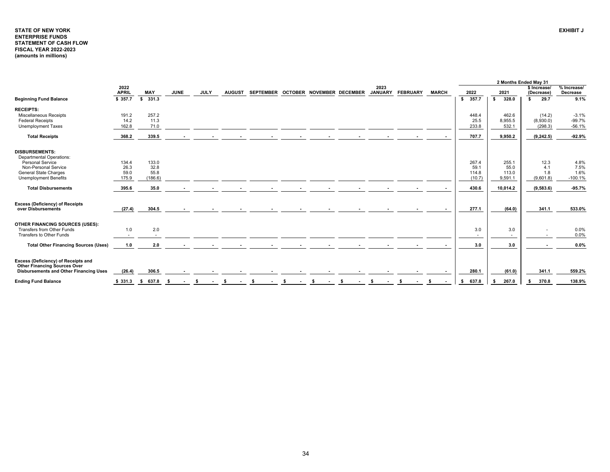## <span id="page-34-0"></span>**STATE OF NEW YORKENTERPRISE FUNDS STATEMENT OF CASH FLOW FISCAL YEAR 2022-2023 (amounts in millions)**

|                                                                            |                      |               |                          |             |               |                                     |    |      |   |                        |                 |              |             |             | 2 Months Ended May 31      |                         |
|----------------------------------------------------------------------------|----------------------|---------------|--------------------------|-------------|---------------|-------------------------------------|----|------|---|------------------------|-----------------|--------------|-------------|-------------|----------------------------|-------------------------|
|                                                                            | 2022<br><b>APRIL</b> | <b>MAY</b>    | <b>JUNE</b>              | <b>JULY</b> | <b>AUGUST</b> | SEPTEMBER OCTOBER NOVEMBER DECEMBER |    |      |   | 2023<br><b>JANUARY</b> | <b>FEBRUARY</b> | <b>MARCH</b> | 2022        | 2021        | \$ Increase/<br>(Decrease) | % Increase/<br>Decrease |
| <b>Beginning Fund Balance</b>                                              | \$ 357.7             | 331.3<br>s.   |                          |             |               |                                     |    |      |   |                        |                 |              | 357.7<br>s. | 328.0<br>s. | 29.7<br>\$                 | 9.1%                    |
| <b>RECEIPTS:</b>                                                           |                      |               |                          |             |               |                                     |    |      |   |                        |                 |              |             |             |                            |                         |
| Miscellaneous Receipts                                                     | 191.2                | 257.2         |                          |             |               |                                     |    |      |   |                        |                 |              | 448.4       | 462.6       | (14.2)                     | $-3.1%$                 |
| <b>Federal Receipts</b>                                                    | 14.2                 | 11.3          |                          |             |               |                                     |    |      |   |                        |                 |              | 25.5        | 8,955.5     | (8,930.0)                  | $-99.7%$                |
| <b>Unemployment Taxes</b>                                                  | 162.8                | 71.0          |                          |             |               |                                     |    |      |   |                        |                 |              | 233.8       | 532.1       | (298.3)                    | $-56.1%$                |
| <b>Total Receipts</b>                                                      | 368.2                | 339.5         |                          |             |               |                                     |    |      |   |                        |                 |              | 707.7       | 9,950.2     | (9, 242.5)                 | $-92.9%$                |
| <b>DISBURSEMENTS:</b>                                                      |                      |               |                          |             |               |                                     |    |      |   |                        |                 |              |             |             |                            |                         |
| <b>Departmental Operations:</b>                                            |                      |               |                          |             |               |                                     |    |      |   |                        |                 |              |             |             |                            |                         |
| Personal Service                                                           | 134.4                | 133.0         |                          |             |               |                                     |    |      |   |                        |                 |              | 267.4       | 255.1       | 12.3                       | 4.8%                    |
| Non-Personal Service                                                       | 26.3                 | 32.8          |                          |             |               |                                     |    |      |   |                        |                 |              | 59.1        | 55.0        | 4.1                        | 7.5%                    |
| <b>General State Charges</b>                                               | 59.0                 | 55.8          |                          |             |               |                                     |    |      |   |                        |                 |              | 114.8       | 113.0       | 1.8                        | 1.6%                    |
| <b>Unemployment Benefits</b>                                               | 175.9                | (186.6)       |                          |             |               |                                     |    |      |   |                        |                 |              | (10.7)      | 9,591.1     | (9,601.8)                  | $-100.1%$               |
| <b>Total Disbursements</b>                                                 | 395.6                | 35.0          |                          |             |               |                                     |    |      |   |                        |                 |              | 430.6       | 10.014.2    | (9,583.6)                  | $-95.7%$                |
| <b>Excess (Deficiency) of Receipts</b>                                     |                      |               |                          |             |               |                                     |    |      |   |                        |                 |              |             |             |                            |                         |
| over Disbursements                                                         | (27.4)               | 304.5         |                          |             |               |                                     |    |      |   |                        |                 |              | 277.1       | (64.0)      | 341.1                      | 533.0%                  |
| OTHER FINANCING SOURCES (USES):                                            |                      |               |                          |             |               |                                     |    |      |   |                        |                 |              |             |             |                            |                         |
| Transfers from Other Funds                                                 | 1.0                  | 2.0           |                          |             |               |                                     |    |      |   |                        |                 |              | 3.0         | 3.0         |                            | 0.0%                    |
| Transfers to Other Funds                                                   |                      | $\sim$        |                          |             |               |                                     |    |      |   |                        |                 |              | $\sim$      | $\sim$      | $\overline{\phantom{a}}$   | 0.0%                    |
| <b>Total Other Financing Sources (Uses)</b>                                | 1.0                  | 2.0           | $\overline{\phantom{a}}$ |             |               |                                     |    |      |   |                        |                 |              | 3.0         | 3.0         | $\blacksquare$             | 0.0%                    |
|                                                                            |                      |               |                          |             |               |                                     |    |      |   |                        |                 |              |             |             |                            |                         |
| Excess (Deficiency) of Receipts and<br><b>Other Financing Sources Over</b> |                      |               |                          |             |               |                                     |    |      |   |                        |                 |              |             |             |                            |                         |
| Disbursements and Other Financing Uses                                     | (26.4)               | 306.5         |                          |             |               |                                     |    |      |   |                        |                 |              | 280.1       | (61.0)      | 341.1                      | 559.2%                  |
| <b>Ending Fund Balance</b>                                                 | \$331.3              | 637.8<br>- \$ | - \$                     | s.          | s.            | - \$                                | s. | - \$ | s | s.                     | - \$            | \$           | 637.8<br>s. | 267.0       | 370.8<br>S.                | 138.9%                  |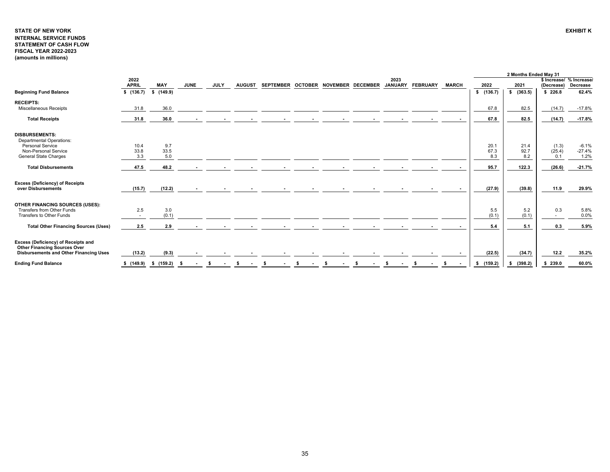# <span id="page-35-0"></span>**STATE OF NEW YORK EXHIBIT KINTERNAL SERVICE FUNDS STATEMENT OF CASH FLOW FISCAL YEAR 2022-2023 (amounts in millions)**

|                                                                                                                      |                      |             |             |             |               |  |                                     |  |                        |                 |              |               | 2 Months Ended May 31 |                                        |                  |
|----------------------------------------------------------------------------------------------------------------------|----------------------|-------------|-------------|-------------|---------------|--|-------------------------------------|--|------------------------|-----------------|--------------|---------------|-----------------------|----------------------------------------|------------------|
|                                                                                                                      | 2022<br><b>APRIL</b> | <b>MAY</b>  | <b>JUNE</b> | <b>JULY</b> | <b>AUGUST</b> |  | SEPTEMBER OCTOBER NOVEMBER DECEMBER |  | 2023<br><b>JANUARY</b> | <b>FEBRUARY</b> | <b>MARCH</b> | 2022          | 2021                  | \$ Increase/ % Increase/<br>(Decrease) | Decrease         |
| <b>Beginning Fund Balance</b>                                                                                        | \$(136.7)            | \$(149.9)   |             |             |               |  |                                     |  |                        |                 |              | \$(136.7)     | \$ (363.5)            | \$226.8                                | 62.4%            |
| <b>RECEIPTS:</b>                                                                                                     |                      |             |             |             |               |  |                                     |  |                        |                 |              |               |                       |                                        |                  |
| <b>Miscellaneous Receipts</b>                                                                                        | 31.8                 | 36.0        |             |             |               |  |                                     |  |                        |                 |              | 67.8          | 82.5                  | (14.7)                                 | $-17.8%$         |
| <b>Total Receipts</b>                                                                                                | 31.8                 | 36.0        |             |             |               |  |                                     |  |                        |                 |              | 67.8          | 82.5                  | (14.7)                                 | $-17.8%$         |
| <b>DISBURSEMENTS:</b>                                                                                                |                      |             |             |             |               |  |                                     |  |                        |                 |              |               |                       |                                        |                  |
| <b>Departmental Operations:</b>                                                                                      |                      |             |             |             |               |  |                                     |  |                        |                 |              |               |                       |                                        |                  |
| Personal Service                                                                                                     | 10.4                 | 9.7         |             |             |               |  |                                     |  |                        |                 |              | 20.1          | 21.4                  | (1.3)                                  | $-6.1%$          |
| Non-Personal Service<br><b>General State Charges</b>                                                                 | 33.8<br>3.3          | 33.5<br>5.0 |             |             |               |  |                                     |  |                        |                 |              | 67.3<br>8.3   | 92.7<br>8.2           | (25.4)<br>0.1                          | $-27.4%$<br>1.2% |
|                                                                                                                      |                      |             |             |             |               |  |                                     |  |                        |                 |              |               |                       |                                        |                  |
| <b>Total Disbursements</b>                                                                                           | 47.5                 | 48.2        |             |             |               |  |                                     |  |                        |                 |              | 95.7          | 122.3                 | (26.6)                                 | $-21.7%$         |
| <b>Excess (Deficiency) of Receipts</b><br>over Disbursements                                                         | (15.7)               | (12.2)      |             |             |               |  |                                     |  |                        |                 |              | (27.9)        | (39.8)                | 11.9                                   | 29.9%            |
| OTHER FINANCING SOURCES (USES):                                                                                      |                      |             |             |             |               |  |                                     |  |                        |                 |              |               |                       |                                        |                  |
| Transfers from Other Funds                                                                                           | 2.5                  | 3.0         |             |             |               |  |                                     |  |                        |                 |              | 5.5           | 5.2                   | 0.3                                    | 5.8%             |
| Transfers to Other Funds                                                                                             | $\sim$               | (0.1)       |             |             |               |  |                                     |  |                        |                 |              | (0.1)         | (0.1)                 | $\sim$                                 | 0.0%             |
| <b>Total Other Financing Sources (Uses)</b>                                                                          | 2.5                  | 2.9         |             |             |               |  |                                     |  |                        |                 |              | 5.4           | 5.1                   | 0.3                                    | 5.9%             |
| Excess (Deficiency) of Receipts and<br><b>Other Financing Sources Over</b><br>Disbursements and Other Financing Uses | (13.2)               | (9.3)       |             |             |               |  |                                     |  |                        |                 |              | (22.5)        | (34.7)                | 12.2                                   | 35.2%            |
| <b>Ending Fund Balance</b>                                                                                           | \$(149.9)            | \$(159.2)   |             |             |               |  |                                     |  |                        |                 |              | (159.2)<br>\$ | (398.2)<br>s.         | \$239.0                                | 60.0%            |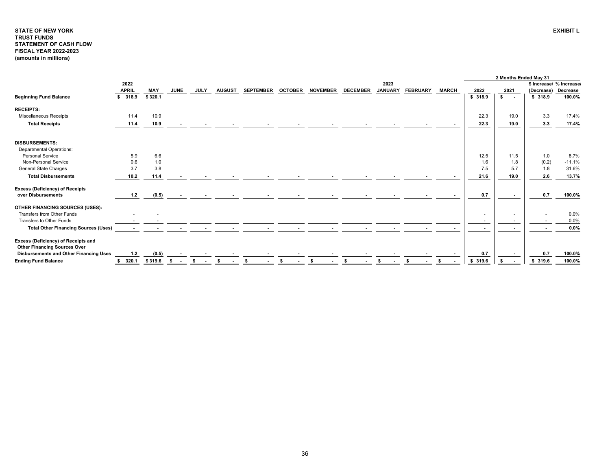## <span id="page-36-0"></span>**STATE OF NEW YORKTRUST FUNDS STATEMENT OF CASH FLOW FISCAL YEAR 2022-2023 (amounts in millions)**

|                                                                            |              |            |                          |             |               |                  |                |                 |                          |                |                 |              |         | 2 Months Ended May 31 |            |                         |
|----------------------------------------------------------------------------|--------------|------------|--------------------------|-------------|---------------|------------------|----------------|-----------------|--------------------------|----------------|-----------------|--------------|---------|-----------------------|------------|-------------------------|
|                                                                            | 2022         |            |                          |             |               |                  |                |                 |                          | 2023           |                 |              |         |                       |            | \$ Increase/ % Increase |
|                                                                            | <b>APRIL</b> | <b>MAY</b> | <b>JUNE</b>              | <b>JULY</b> | <b>AUGUST</b> | <b>SEPTEMBER</b> | <b>OCTOBER</b> | <b>NOVEMBER</b> | <b>DECEMBER</b>          | <b>JANUARY</b> | <b>FEBRUARY</b> | <b>MARCH</b> | 2022    | 2021                  | (Decrease) | Decrease                |
| <b>Beginning Fund Balance</b>                                              | \$318.9      | \$320.1    |                          |             |               |                  |                |                 |                          |                |                 |              | \$318.9 | $\mathbf{s}$ .        | \$318.9    | 100.0%                  |
| <b>RECEIPTS:</b>                                                           |              |            |                          |             |               |                  |                |                 |                          |                |                 |              |         |                       |            |                         |
| <b>Miscellaneous Receipts</b>                                              | 11.4         | 10.9       |                          |             |               |                  |                |                 |                          |                |                 |              | 22.3    | 19.0                  | 3.3        | 17.4%                   |
| <b>Total Receipts</b>                                                      | 11.4         | 10.9       |                          |             |               |                  |                |                 |                          |                |                 |              | 22.3    | 19.0                  | 3.3        | 17.4%                   |
| <b>DISBURSEMENTS:</b>                                                      |              |            |                          |             |               |                  |                |                 |                          |                |                 |              |         |                       |            |                         |
| <b>Departmental Operations:</b>                                            |              |            |                          |             |               |                  |                |                 |                          |                |                 |              |         |                       |            |                         |
| <b>Personal Service</b>                                                    | 5.9          | 6.6        |                          |             |               |                  |                |                 |                          |                |                 |              | 12.5    | 11.5                  | 1.0        | 8.7%                    |
| Non-Personal Service                                                       | 0.6          | 1.0        |                          |             |               |                  |                |                 |                          |                |                 |              | 1.6     | 1.8                   | (0.2)      | $-11.1%$                |
| <b>General State Charges</b>                                               | 3.7          | 3.8        |                          |             |               |                  |                |                 |                          |                |                 |              | 7.5     | 5.7                   | 1.8        | 31.6%                   |
| <b>Total Disbursements</b>                                                 | 10.2         | 11.4       | $\overline{\phantom{a}}$ |             |               |                  |                |                 | $\overline{\phantom{a}}$ |                |                 |              | 21.6    | 19.0                  | 2.6        | 13.7%                   |
| <b>Excess (Deficiency) of Receipts</b><br>over Disbursements               | 1.2          | (0.5)      | $\sim$                   |             |               |                  |                |                 |                          |                |                 |              | 0.7     |                       | 0.7        | 100.0%                  |
| OTHER FINANCING SOURCES (USES):                                            |              |            |                          |             |               |                  |                |                 |                          |                |                 |              |         |                       |            |                         |
| Transfers from Other Funds                                                 |              |            |                          |             |               |                  |                |                 |                          |                |                 |              | $\sim$  |                       |            | 0.0%                    |
| Transfers to Other Funds                                                   |              |            |                          |             |               |                  |                |                 |                          |                |                 |              |         |                       |            | 0.0%                    |
| <b>Total Other Financing Sources (Uses)</b>                                |              |            |                          |             |               |                  |                |                 |                          |                |                 |              |         |                       |            | 0.0%                    |
| Excess (Deficiency) of Receipts and<br><b>Other Financing Sources Over</b> |              |            |                          |             |               |                  |                |                 |                          |                |                 |              |         |                       |            |                         |
| <b>Disbursements and Other Financing Uses</b>                              | 1.2          | (0.5)      |                          |             |               |                  |                |                 |                          |                |                 |              | 0.7     |                       | 0.7        | 100.0%                  |
| <b>Ending Fund Balance</b>                                                 | 320.1        | \$319.6    | -S                       | -S          | s.            | - \$             | - \$           | - \$            | - \$                     |                |                 |              | \$319.6 |                       | \$319.6    | 100.0%                  |

**EXHIBIT L**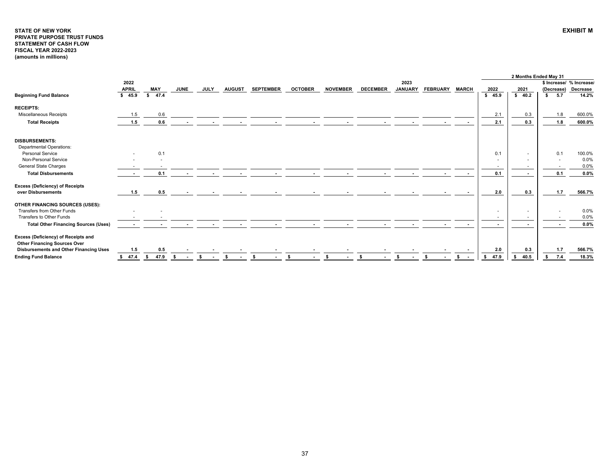#### <span id="page-37-0"></span>**STATE OF NEW YORK EXHIBIT MPRIVATE PURPOSE TRUST FUNDS STATEMENT OF CASH FLOW FISCAL YEAR 2022-2023 (amounts in millions)**

|                                                                            |                      |      |            |             |              |               |                  |                |                 |                 |                        |                 |              |                |               |                | 2 Months Ended May 31   |                          |                   |
|----------------------------------------------------------------------------|----------------------|------|------------|-------------|--------------|---------------|------------------|----------------|-----------------|-----------------|------------------------|-----------------|--------------|----------------|---------------|----------------|-------------------------|--------------------------|-------------------|
|                                                                            | 2022<br><b>APRIL</b> |      | <b>MAY</b> | <b>JUNE</b> | <b>JULY</b>  | <b>AUGUST</b> |                  |                | <b>NOVEMBER</b> | <b>DECEMBER</b> | 2023<br><b>JANUARY</b> |                 | <b>MARCH</b> |                |               |                |                         | \$ Increase/ % Increase/ |                   |
| <b>Beginning Fund Balance</b>                                              | \$45.9               |      | \$ 47.4    |             |              |               | <b>SEPTEMBER</b> | <b>OCTOBER</b> |                 |                 |                        | <b>FEBRUARY</b> |              | 2022<br>\$45.9 |               | 2021<br>\$40.2 | (Decrease)<br>5.7<br>s. |                          | Decrease<br>14.2% |
| <b>RECEIPTS:</b>                                                           |                      |      |            |             |              |               |                  |                |                 |                 |                        |                 |              |                |               |                |                         |                          |                   |
| Miscellaneous Receipts                                                     | 1.5                  |      | 0.6        |             |              |               |                  |                |                 |                 |                        |                 |              |                | 2.1           | 0.3            |                         | 1.8                      | 600.0%            |
| <b>Total Receipts</b>                                                      | 1.5                  |      | 0.6        |             |              |               |                  |                |                 |                 |                        |                 |              |                | 2.1           | 0.3            |                         | 1.8                      | 600.0%            |
| <b>DISBURSEMENTS:</b><br><b>Departmental Operations:</b>                   |                      |      |            |             |              |               |                  |                |                 |                 |                        |                 |              |                |               |                |                         |                          |                   |
| <b>Personal Service</b>                                                    |                      |      | 0.1        |             |              |               |                  |                |                 |                 |                        |                 |              |                | 0.1           | $\sim$         | 0.1                     |                          | 100.0%            |
| Non-Personal Service                                                       |                      |      |            |             |              |               |                  |                |                 |                 |                        |                 |              |                | $\sim$        |                |                         | . .                      | 0.0%              |
| General State Charges                                                      |                      |      |            |             |              |               |                  |                |                 |                 |                        |                 |              |                | $\sim$        |                |                         | $\overline{\phantom{a}}$ | 0.0%              |
| <b>Total Disbursements</b>                                                 |                      |      | 0.1        |             |              |               |                  |                |                 |                 |                        |                 |              |                | 0.1           |                |                         | 0.1                      | 0.0%              |
| <b>Excess (Deficiency) of Receipts</b><br>over Disbursements               | 1.5                  |      | 0.5        |             |              |               |                  |                |                 |                 |                        |                 |              |                | 2.0           | 0.3            |                         | 1.7                      | 566.7%            |
| OTHER FINANCING SOURCES (USES):                                            |                      |      |            |             |              |               |                  |                |                 |                 |                        |                 |              |                |               |                |                         |                          |                   |
| Transfers from Other Funds<br>Transfers to Other Funds                     |                      |      |            |             |              |               |                  |                |                 |                 |                        |                 |              |                | $\sim$<br>. . |                |                         |                          | 0.0%<br>0.0%      |
| <b>Total Other Financing Sources (Uses)</b>                                |                      |      |            |             | $\sim$       | $\sim$        | <b>Contract</b>  | $\sim$         |                 |                 | $\sim$                 |                 | $\sim$       |                | $\sim$        | <b>COL</b>     |                         | $\sim$                   | 0.0%              |
| Excess (Deficiency) of Receipts and<br><b>Other Financing Sources Over</b> |                      |      |            |             |              |               |                  |                |                 |                 |                        |                 |              |                |               |                |                         |                          |                   |
| Disbursements and Other Financing Uses                                     | 1.5                  |      | 0.5        |             |              |               |                  |                |                 |                 |                        |                 | $\sim$       |                | 2.0           | 0.3            |                         | 1.7                      | 566.7%            |
| <b>Ending Fund Balance</b>                                                 | \$47.4               | - \$ | 47.9       |             | S.<br>$\sim$ |               | Ŝ.               | -S             | -S              | - \$            | -S<br>$\sim$           |                 | s.<br>$\sim$ | \$ 47.9        |               | 40.5           |                         | 7.4                      | 18.3%             |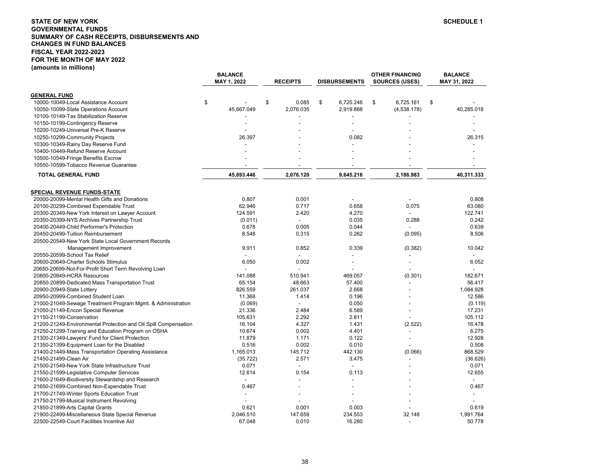## <span id="page-38-0"></span>**STATE OF NEW YORKGOVERNMENTAL FUNDS SUMMARY OF CASH RECEIPTS, DISBURSEMENTS AND CHANGES IN FUND BALANCES FISCAL YEAR 2022-2023FOR THE MONTH OF MAY 2022 (amounts in millions)**

|                                                                 | <b>BALANCE</b><br>MAY 1, 2022 | <b>RECEIPTS</b> | <b>DISBURSEMENTS</b>     | <b>OTHER FINANCING</b><br><b>SOURCES (USES)</b> | <b>BALANCE</b><br>MAY 31, 2022 |
|-----------------------------------------------------------------|-------------------------------|-----------------|--------------------------|-------------------------------------------------|--------------------------------|
| <b>GENERAL FUND</b>                                             |                               |                 |                          |                                                 |                                |
| 10000-10049-Local Assistance Account                            | \$                            | \$<br>0.085     | \$<br>6,725.246          | \$<br>6,725.161                                 | \$                             |
| 10050-10099-State Operations Account                            | 45,667.049                    | 2,076.035       | 2,919.888                | (4,538.178)                                     | 40,285.018                     |
| 10100-10149-Tax Stabilization Reserve                           |                               |                 |                          |                                                 |                                |
| 10150-10199-Contingency Reserve                                 |                               |                 |                          |                                                 |                                |
| 10200-10249-Universal Pre-K Reserve                             |                               |                 |                          |                                                 |                                |
| 10250-10299-Community Projects                                  | 26.397                        |                 | 0.082                    |                                                 | 26.315                         |
| 10300-10349-Rainy Day Reserve Fund                              |                               |                 |                          |                                                 |                                |
| 10400-10449-Refund Reserve Account                              |                               |                 |                          |                                                 |                                |
| 10500-10549-Fringe Benefits Escrow                              |                               |                 |                          |                                                 |                                |
| 10550-10599-Tobacco Revenue Guarantee                           | $\overline{\phantom{a}}$      |                 | $\overline{\phantom{a}}$ |                                                 | $\overline{\phantom{a}}$       |
| <b>TOTAL GENERAL FUND</b>                                       | 45.693.446                    | 2.076.120       | 9.645.216                | 2.186.983                                       | 40.311.333                     |
|                                                                 |                               |                 |                          |                                                 |                                |
| SPECIAL REVENUE FUNDS-STATE                                     |                               |                 |                          |                                                 |                                |
| 20000-20099-Mental Health Gifts and Donations                   | 0.807                         | 0.001           |                          |                                                 | 0.808                          |
| 20100-20299-Combined Expendable Trust                           | 62.946                        | 0.717           | 0.658                    | 0.075                                           | 63.080                         |
| 20300-20349-New York Interest on Lawyer Account                 | 124.591                       | 2.420           | 4.270                    |                                                 | 122.741                        |
| 20350-20399-NYS Archives Partnership Trust                      | (0.011)                       |                 | 0.035                    | 0.288                                           | 0.242                          |
| 20400-20449-Child Performer's Protection                        | 0.678                         | 0.005           | 0.044                    |                                                 | 0.639                          |
| 20450-20499-Tuition Reimbursement                               | 8.548                         | 0.315           | 0.262                    | (0.095)                                         | 8.506                          |
| 20500-20549-New York State Local Government Records             |                               |                 |                          |                                                 |                                |
| Management Improvement                                          | 9.911                         | 0.852           | 0.339                    | (0.382)                                         | 10.042                         |
| 20550-20599-School Tax Relief                                   | $\overline{a}$                |                 |                          |                                                 |                                |
| 20600-20649-Charter Schools Stimulus                            | 6.050                         | 0.002           |                          |                                                 | 6.052                          |
| 20650-20699-Not-For-Profit Short Term Revolving Loan            |                               |                 |                          |                                                 |                                |
| 20800-20849-HCRA Resources                                      | 141.088                       | 510.941         | 469.057                  | (0.301)                                         | 182.671                        |
| 20850-20899-Dedicated Mass Transportation Trust                 | 65.154                        | 48.663          | 57.400                   |                                                 | 56.417                         |
| 20900-20949-State Lottery                                       | 826.559                       | 261.037         | 2.668                    |                                                 | 1,084.928                      |
| 20950-20999-Combined Student Loan                               | 11.368                        | 1.414           | 0.196                    |                                                 | 12.586                         |
| 21000-21049-Sewage Treatment Program Mgmt. & Administration     | (0.069)                       |                 | 0.050                    |                                                 | (0.119)                        |
| 21050-21149-Encon Special Revenue                               | 21.336                        | 2.484           | 6.589                    |                                                 | 17.231                         |
| 21150-21199-Conservation                                        | 105.631                       | 2.292           | 2.811                    |                                                 | 105.112                        |
| 21200-21249-Environmental Protection and Oil Spill Compensation | 16.104                        | 4.327           | 1.431                    | (2.522)                                         | 16.478                         |
| 21250-21299-Training and Education Program on OSHA              | 10.674                        | 0.002           | 4.401                    |                                                 | 6.275                          |
| 21300-21349-Lawyers' Fund for Client Protection                 | 11.879                        | 1.171           | 0.122                    |                                                 | 12.928                         |
| 21350-21399-Equipment Loan for the Disabled                     | 0.516                         | 0.002           | 0.010                    |                                                 | 0.508                          |
| 21400-21449-Mass Transportation Operating Assistance            | 1,165.013                     | 145.712         | 442.130                  | (0.066)                                         | 868.529                        |
| 21450-21499-Clean Air                                           | (35.722)                      | 2.571           | 3.475                    |                                                 | (36.626)                       |
| 21500-21549-New York State Infrastructure Trust                 | 0.071                         | $\sim$          | $\overline{\phantom{a}}$ |                                                 | 0.071                          |
| 21550-21599-Legislative Computer Services                       | 12.614                        | 0.154           | 0.113                    |                                                 | 12.655                         |
| 21600-21649-Biodiversity Stewardship and Research               |                               |                 |                          |                                                 |                                |
| 21650-21699-Combined Non-Expendable Trust                       | 0.467                         |                 |                          |                                                 | 0.467                          |
| 21700-21749-Winter Sports Education Trust                       | $\overline{\phantom{a}}$      |                 |                          |                                                 |                                |
| 21750-21799-Musical Instrument Revolving                        | $\overline{\phantom{a}}$      |                 |                          |                                                 |                                |
| 21850-21899-Arts Capital Grants                                 | 0.621                         | 0.001           | 0.003                    |                                                 | 0.619                          |
| 21900-22499-Miscellaneous State Special Revenue                 | 2,046.510                     | 147.659         | 234.553                  | 32.148                                          | 1,991.764                      |
| 22500-22549-Court Facilities Incentive Aid                      | 67.048                        | 0.010           | 16.280                   |                                                 | 50.778                         |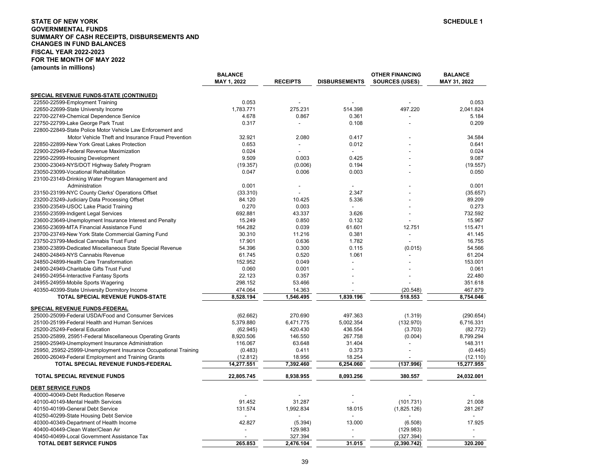## **STATE OF NEW YORKGOVERNMENTAL FUNDS SUMMARY OF CASH RECEIPTS, DISBURSEMENTS AND CHANGES IN FUND BALANCES FISCAL YEAR 2022-2023FOR THE MONTH OF MAY 2022 (amounts in millions)**

| <u>SPECIAL REVENUE FUNDS-STATE (CONTINUED)</u>                                                                                                |            |
|-----------------------------------------------------------------------------------------------------------------------------------------------|------------|
| 22550-22599-Employment Training<br>0.053                                                                                                      | 0.053      |
| 275.231<br>497.220<br>1,783.771<br>514.398<br>22650-22699-State University Income                                                             | 2,041.824  |
| 22700-22749-Chemical Dependence Service<br>4.678<br>0.867<br>0.361                                                                            | 5.184      |
| 22750-22799-Lake George Park Trust<br>0.317<br>0.108<br>$\sim$                                                                                | 0.209      |
| 22800-22849-State Police Motor Vehicle Law Enforcement and                                                                                    |            |
| Motor Vehicle Theft and Insurance Fraud Prevention<br>32.921<br>2.080<br>0.417                                                                | 34.584     |
| 0.012<br>22850-22899-New York Great Lakes Protection<br>0.653                                                                                 | 0.641      |
| 22900-22949-Federal Revenue Maximization<br>0.024                                                                                             | 0.024      |
| 9.509<br>0.003<br>0.425<br>22950-22999-Housing Development                                                                                    | 9.087      |
| 0.194<br>(19.357)<br>23000-23049-NYS/DOT Highway Safety Program<br>(0.006)                                                                    | (19.557)   |
| 0.047<br>0.006<br>0.003<br>23050-23099-Vocational Rehabilitation                                                                              | 0.050      |
| 23100-23149-Drinking Water Program Management and                                                                                             |            |
| 0.001<br>Administration                                                                                                                       | 0.001      |
| 23150-23199-NYC County Clerks' Operations Offset<br>(33.310)<br>2.347                                                                         | (35.657)   |
| 23200-23249-Judiciary Data Processing Offset<br>84.120<br>10.425<br>5.336                                                                     | 89.209     |
| 23500-23549-USOC Lake Placid Training<br>0.270<br>0.003<br>$\blacksquare$                                                                     | 0.273      |
| 692.881<br>43.337<br>3.626<br>23550-23599-Indigent Legal Services                                                                             | 732.592    |
| 15.249<br>0.850<br>0.132<br>23600-23649-Unemployment Insurance Interest and Penalty                                                           | 15.967     |
| 164.282<br>0.039<br>61.601<br>12.751<br>23650-23699-MTA Financial Assistance Fund                                                             | 115.471    |
| 30.310<br>11.216<br>0.381                                                                                                                     | 41.145     |
| 23700-23749-New York State Commercial Gaming Fund<br>17.901<br>0.636<br>1.782                                                                 | 16.755     |
| 23750-23799-Medical Cannabis Trust Fund<br>54.396<br>0.115                                                                                    | 54.566     |
| 23800-23899-Dedicated Miscellaneous State Special Revenue<br>0.300<br>(0.015)<br>1.061<br>24800-24849-NYS Cannabis Revenue<br>61.745<br>0.520 | 61.204     |
| 152.952<br>24850-24899-Health Care Transformation<br>0.049                                                                                    | 153.001    |
| 24900-24949-Charitable Gifts Trust Fund<br>0.060<br>0.001                                                                                     | 0.061      |
| 24950-24954-Interactive Fantasy Sports<br>22.123<br>0.357                                                                                     | 22.480     |
| 298.152                                                                                                                                       |            |
| 53.466<br>24955-24959-Mobile Sports Wagering                                                                                                  | 351.618    |
| 474.064<br>14.363<br>40350-40399-State University Dormitory Income<br>(20.548)<br>1,839.196                                                   | 467.879    |
| TOTAL SPECIAL REVENUE FUNDS-STATE<br>8,528.194<br>1,546.495<br>518.553                                                                        | 8,754.046  |
| <b>SPECIAL REVENUE FUNDS-FEDERAL</b>                                                                                                          |            |
| 25000-25099-Federal USDA/Food and Consumer Services<br>(62.662)<br>270.690<br>497.363<br>(1.319)                                              | (290.654)  |
| 25100-25199-Federal Health and Human Services<br>5,379.880<br>6,471.775<br>(132.970)<br>5,002.354                                             | 6,716.331  |
| 420.430<br>436.554<br>25200-25249-Federal Education<br>(62.945)<br>(3.703)                                                                    | (82.772)   |
| 25300-25899, 25951-Federal Miscellaneous Operating Grants<br>146.550<br>267.758<br>(0.004)<br>8,920.506                                       | 8,799.294  |
| 25900-25949-Unemployment Insurance Administration<br>116.067<br>63.648<br>31.404                                                              | 148.311    |
| 0.411<br>0.373<br>25950, 25952-25999-Unemployment Insurance Occupational Training<br>(0.483)                                                  | (0.445)    |
| 26000-26049-Federal Employment and Training Grants<br>(12.812)<br>18.956<br>18.254                                                            | (12.110)   |
| (137.996)<br>TOTAL SPECIAL REVENUE FUNDS-FEDERAL<br>14,277.551<br>7,392.460<br>6,254.060                                                      | 15,277.955 |
| <b>TOTAL SPECIAL REVENUE FUNDS</b><br>22,805.745<br>8,938.955<br>8,093.256<br>380.557                                                         | 24,032.001 |
| <b>DEBT SERVICE FUNDS</b>                                                                                                                     |            |
| 40000-40049-Debt Reduction Reserve                                                                                                            |            |
| 91.452<br>31.287<br>(101.731)<br>40100-40149-Mental Health Services                                                                           | 21.008     |
| 131.574<br>18.015<br>40150-40199-General Debt Service<br>1,992.834<br>(1,825.126)                                                             | 281.267    |
| 40250-40299-State Housing Debt Service<br>$\overline{\phantom{a}}$<br>$\overline{a}$                                                          |            |
| 42.827<br>13.000<br>(6.508)<br>40300-40349-Department of Health Income<br>(5.394)                                                             | 17.925     |
| 40400-40449-Clean Water/Clean Air<br>129.983<br>(129.983)                                                                                     |            |
| 40450-40499-Local Government Assistance Tax<br>327.394<br>(327.394)                                                                           |            |
| 265.853<br>2,476.104<br>31.015<br><b>TOTAL DEBT SERVICE FUNDS</b><br>(2,390.742)                                                              | 320.200    |

**BALANCE** 

**BALANCE OTHER FINANCING BALANCE**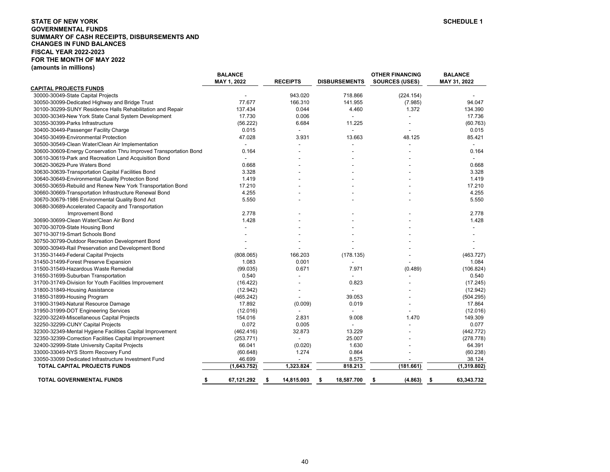## **STATE OF NEW YORKGOVERNMENTAL FUNDS SUMMARY OF CASH RECEIPTS, DISBURSEMENTS AND CHANGES IN FUND BALANCES FISCAL YEAR 2022-2023 FOR THE MONTH OF MAY 2022 (amounts in millions)**

|                                                                   | <b>BALANCE</b>           |                  |                          | <b>OTHER FINANCING</b> | <b>BALANCE</b>           |
|-------------------------------------------------------------------|--------------------------|------------------|--------------------------|------------------------|--------------------------|
|                                                                   | MAY 1, 2022              | <b>RECEIPTS</b>  | <b>DISBURSEMENTS</b>     | <b>SOURCES (USES)</b>  | MAY 31, 2022             |
| <b>CAPITAL PROJECTS FUNDS</b>                                     |                          |                  |                          |                        |                          |
| 30000-30049-State Capital Projects                                |                          | 943.020          | 718.866                  | (224.154)              |                          |
| 30050-30099-Dedicated Highway and Bridge Trust                    | 77.677                   | 166.310          | 141.955                  | (7.985)                | 94.047                   |
| 30100-30299-SUNY Residence Halls Rehabilitation and Repair        | 137.434                  | 0.044            | 4.460                    | 1.372                  | 134.390                  |
| 30300-30349-New York State Canal System Development               | 17.730                   | 0.006            | $\overline{a}$           |                        | 17.736                   |
| 30350-30399-Parks Infrastructure                                  | (56.222)                 | 6.684            | 11.225                   |                        | (60.763)                 |
| 30400-30449-Passenger Facility Charge                             | 0.015                    |                  |                          |                        | 0.015                    |
| 30450-30499-Environmental Protection                              | 47.028                   | 3.931            | 13.663                   | 48.125                 | 85.421                   |
| 30500-30549-Clean Water/Clean Air Implementation                  | $\blacksquare$           |                  |                          |                        | $\blacksquare$           |
| 30600-30609-Energy Conservation Thru Improved Transportation Bond | 0.164                    |                  |                          |                        | 0.164                    |
| 30610-30619-Park and Recreation Land Acquisition Bond             | $\overline{\phantom{a}}$ |                  |                          |                        | $\overline{\phantom{a}}$ |
| 30620-30629-Pure Waters Bond                                      | 0.668                    |                  |                          |                        | 0.668                    |
| 30630-30639-Transportation Capital Facilities Bond                | 3.328                    |                  |                          |                        | 3.328                    |
| 30640-30649-Environmental Quality Protection Bond                 | 1.419                    |                  |                          |                        | 1.419                    |
| 30650-30659-Rebuild and Renew New York Transportation Bond        | 17.210                   |                  |                          |                        | 17.210                   |
| 30660-30669-Transportation Infrastructure Renewal Bond            | 4.255                    |                  |                          |                        | 4.255                    |
| 30670-30679-1986 Environmental Quality Bond Act                   | 5.550                    |                  |                          |                        | 5.550                    |
| 30680-30689-Accelerated Capacity and Transportation               |                          |                  |                          |                        |                          |
| Improvement Bond                                                  | 2.778                    |                  |                          |                        | 2.778                    |
| 30690-30699-Clean Water/Clean Air Bond                            | 1.428                    |                  |                          |                        | 1.428                    |
| 30700-30709-State Housing Bond                                    |                          |                  |                          |                        |                          |
| 30710-30719-Smart Schools Bond                                    |                          |                  |                          |                        |                          |
| 30750-30799-Outdoor Recreation Development Bond                   |                          |                  |                          |                        |                          |
| 30900-30949-Rail Preservation and Development Bond                |                          |                  |                          |                        |                          |
| 31350-31449-Federal Capital Projects                              | (808.065)                | 166.203          | (178.135)                |                        | (463.727)                |
| 31450-31499-Forest Preserve Expansion                             | 1.083                    | 0.001            |                          |                        | 1.084                    |
| 31500-31549-Hazardous Waste Remedial                              | (99.035)                 | 0.671            | 7.971                    | (0.489)                | (106.824)                |
| 31650-31699-Suburban Transportation                               | 0.540                    |                  |                          |                        | 0.540                    |
| 31700-31749-Division for Youth Facilities Improvement             | (16.422)                 |                  | 0.823                    |                        | (17.245)                 |
| 31800-31849-Housing Assistance                                    | (12.942)                 |                  | $\overline{\phantom{a}}$ |                        | (12.942)                 |
| 31850-31899-Housing Program                                       | (465.242)                |                  | 39.053                   |                        | (504.295)                |
| 31900-31949-Natural Resource Damage                               | 17.892                   | (0.009)          | 0.019                    |                        | 17.864                   |
| 31950-31999-DOT Engineering Services                              | (12.016)                 |                  |                          |                        | (12.016)                 |
| 32200-32249-Miscellaneous Capital Projects                        | 154.016                  | 2.831            | 9.008                    | 1.470                  | 149.309                  |
| 32250-32299-CUNY Capital Projects                                 | 0.072                    | 0.005            | $\overline{a}$           |                        | 0.077                    |
| 32300-32349-Mental Hygiene Facilities Capital Improvement         | (462.416)                | 32.873           | 13.229                   |                        | (442.772)                |
| 32350-32399-Correction Facilities Capital Improvement             | (253.771)                |                  | 25.007                   |                        | (278.778)                |
| 32400-32999-State University Capital Projects                     | 66.041                   | (0.020)          | 1.630                    |                        | 64.391                   |
| 33000-33049-NYS Storm Recovery Fund                               | (60.648)                 | 1.274            | 0.864                    |                        | (60.238)                 |
| 33050-33099 Dedicated Infrastructure Investment Fund              | 46.699                   |                  | 8.575                    |                        | 38.124                   |
| <b>TOTAL CAPITAL PROJECTS FUNDS</b>                               | (1,643.752)              | 1,323.824        | 818.213                  | (181.661)              | (1,319.802)              |
| <b>TOTAL GOVERNMENTAL FUNDS</b>                                   | 67,121.292<br>\$         | 14,815.003<br>\$ | 18,587.700<br>\$         | (4.863)<br>\$          | 63,343.732<br>- \$       |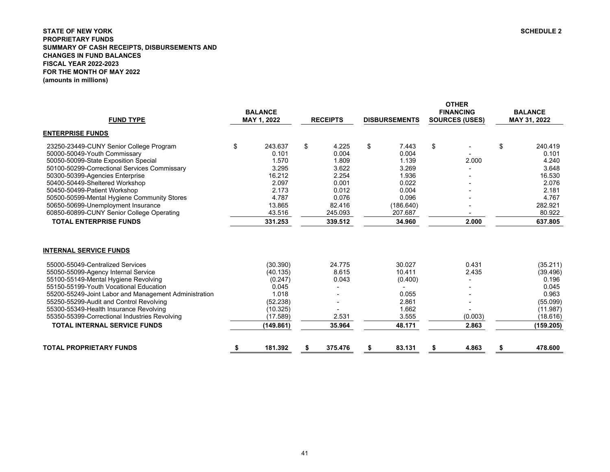## <span id="page-41-0"></span>**STATE OF NEW YORK SCHEDULE 2 PROPRIETARY FUNDS SUMMARY OF CASH RECEIPTS, DISBURSEMENTS AND CHANGES IN FUND BALANCES FISCAL YEAR 2022-2023 FOR THE MONTH OF MAY 2022(amounts in millions)**

| <b>FUND TYPE</b>                                                                                                                                                                                                                                                                                                                                                                                                                 | <b>BALANCE</b><br>MAY 1, 2022                                                                      | <b>RECEIPTS</b>                             | <b>DISBURSEMENTS</b>                                                      |    | <b>OTHER</b><br><b>FINANCING</b><br><b>SOURCES (USES)</b> |    | <b>BALANCE</b><br>MAY 31, 2022                                                                   |
|----------------------------------------------------------------------------------------------------------------------------------------------------------------------------------------------------------------------------------------------------------------------------------------------------------------------------------------------------------------------------------------------------------------------------------|----------------------------------------------------------------------------------------------------|---------------------------------------------|---------------------------------------------------------------------------|----|-----------------------------------------------------------|----|--------------------------------------------------------------------------------------------------|
| <b>ENTERPRISE FUNDS</b>                                                                                                                                                                                                                                                                                                                                                                                                          |                                                                                                    |                                             |                                                                           |    |                                                           |    |                                                                                                  |
| 23250-23449-CUNY Senior College Program                                                                                                                                                                                                                                                                                                                                                                                          | \$<br>243.637                                                                                      | \$<br>4.225                                 | \$<br>7.443                                                               | \$ |                                                           | \$ | 240.419                                                                                          |
| 50000-50049-Youth Commissary                                                                                                                                                                                                                                                                                                                                                                                                     | 0.101                                                                                              | 0.004                                       | 0.004                                                                     |    |                                                           |    | 0.101                                                                                            |
| 50050-50099-State Exposition Special                                                                                                                                                                                                                                                                                                                                                                                             | 1.570                                                                                              | 1.809                                       | 1.139                                                                     |    | 2.000                                                     |    | 4.240                                                                                            |
| 50100-50299-Correctional Services Commissary                                                                                                                                                                                                                                                                                                                                                                                     | 3.295                                                                                              | 3.622                                       | 3.269                                                                     |    |                                                           |    | 3.648                                                                                            |
| 50300-50399-Agencies Enterprise                                                                                                                                                                                                                                                                                                                                                                                                  | 16.212                                                                                             | 2.254                                       | 1.936                                                                     |    |                                                           |    | 16.530                                                                                           |
| 50400-50449-Sheltered Workshop                                                                                                                                                                                                                                                                                                                                                                                                   | 2.097                                                                                              | 0.001                                       | 0.022                                                                     |    |                                                           |    | 2.076                                                                                            |
| 50450-50499-Patient Workshop                                                                                                                                                                                                                                                                                                                                                                                                     | 2.173                                                                                              | 0.012                                       | 0.004                                                                     |    |                                                           |    | 2.181                                                                                            |
| 50500-50599-Mental Hygiene Community Stores                                                                                                                                                                                                                                                                                                                                                                                      | 4.787                                                                                              | 0.076                                       | 0.096                                                                     |    |                                                           |    | 4.767                                                                                            |
| 50650-50699-Unemployment Insurance<br>60850-60899-CUNY Senior College Operating                                                                                                                                                                                                                                                                                                                                                  | 13.865<br>43.516                                                                                   | 82.416                                      | (186.640)                                                                 |    |                                                           |    | 282.921                                                                                          |
|                                                                                                                                                                                                                                                                                                                                                                                                                                  |                                                                                                    | 245.093                                     | 207.687                                                                   |    |                                                           |    | 80.922                                                                                           |
| <b>TOTAL ENTERPRISE FUNDS</b>                                                                                                                                                                                                                                                                                                                                                                                                    | 331.253                                                                                            | 339.512                                     | 34.960                                                                    |    | 2.000                                                     |    | 637.805                                                                                          |
| <b>INTERNAL SERVICE FUNDS</b><br>55000-55049-Centralized Services<br>55050-55099-Agency Internal Service<br>55100-55149-Mental Hygiene Revolving<br>55150-55199-Youth Vocational Education<br>55200-55249-Joint Labor and Management Administration<br>55250-55299-Audit and Control Revolving<br>55300-55349-Health Insurance Revolving<br>55350-55399-Correctional Industries Revolving<br><b>TOTAL INTERNAL SERVICE FUNDS</b> | (30.390)<br>(40.135)<br>(0.247)<br>0.045<br>1.018<br>(52.238)<br>(10.325)<br>(17.589)<br>(149.861) | 24.775<br>8.615<br>0.043<br>2.531<br>35.964 | 30.027<br>10.411<br>(0.400)<br>0.055<br>2.861<br>1.662<br>3.555<br>48.171 |    | 0.431<br>2.435<br>(0.003)<br>2.863                        |    | (35.211)<br>(39.496)<br>0.196<br>0.045<br>0.963<br>(55.099)<br>(11.987)<br>(18.616)<br>(159.205) |
| <b>TOTAL PROPRIETARY FUNDS</b>                                                                                                                                                                                                                                                                                                                                                                                                   | \$<br>181.392                                                                                      | \$<br>375.476                               | \$<br>83.131                                                              | S  | 4.863                                                     | S  | 478.600                                                                                          |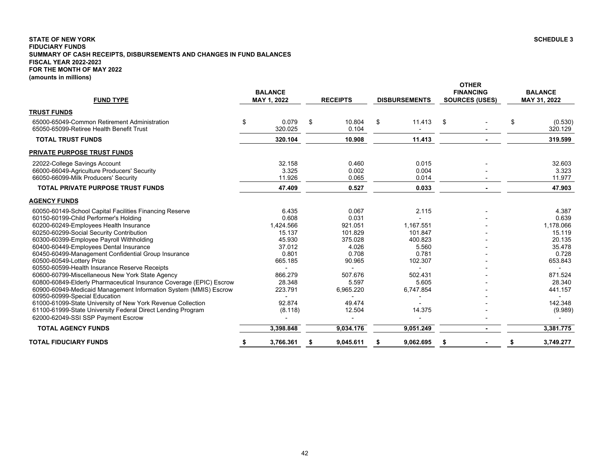## <span id="page-42-0"></span>**STATE OF NEW YORK SCHEDULE 3 FIDUCIARY FUNDS SUMMARY OF CASH RECEIPTS, DISBURSEMENTS AND CHANGES IN FUND BALANCES FISCAL YEAR 2022-2023 FOR THE MONTH OF MAY 2022 (amounts in millions)**

| <b>FUND TYPE</b>                                                                                                                                                                                                                                                                                                                                                                                                                                                                                                                                                                                                                                                                                                                                                                                                     | <b>BALANCE</b><br>MAY 1, 2022                                                                                                      | <b>RECEIPTS</b>                                                                                                                  | <b>DISBURSEMENTS</b>                                                                                             | <b>OTHER</b><br><b>FINANCING</b><br><b>SOURCES (USES)</b> | <b>BALANCE</b><br>MAY 31, 2022 |                                                                                                                                     |
|----------------------------------------------------------------------------------------------------------------------------------------------------------------------------------------------------------------------------------------------------------------------------------------------------------------------------------------------------------------------------------------------------------------------------------------------------------------------------------------------------------------------------------------------------------------------------------------------------------------------------------------------------------------------------------------------------------------------------------------------------------------------------------------------------------------------|------------------------------------------------------------------------------------------------------------------------------------|----------------------------------------------------------------------------------------------------------------------------------|------------------------------------------------------------------------------------------------------------------|-----------------------------------------------------------|--------------------------------|-------------------------------------------------------------------------------------------------------------------------------------|
| <b>TRUST FUNDS</b>                                                                                                                                                                                                                                                                                                                                                                                                                                                                                                                                                                                                                                                                                                                                                                                                   |                                                                                                                                    |                                                                                                                                  |                                                                                                                  |                                                           |                                |                                                                                                                                     |
| 65000-65049-Common Retirement Administration<br>65050-65099-Retiree Health Benefit Trust                                                                                                                                                                                                                                                                                                                                                                                                                                                                                                                                                                                                                                                                                                                             | \$<br>0.079<br>320.025                                                                                                             | \$<br>10.804<br>0.104                                                                                                            | \$<br>11.413                                                                                                     | \$                                                        | \$                             | (0.530)<br>320.129                                                                                                                  |
| <b>TOTAL TRUST FUNDS</b>                                                                                                                                                                                                                                                                                                                                                                                                                                                                                                                                                                                                                                                                                                                                                                                             | 320.104                                                                                                                            | 10.908                                                                                                                           | 11.413                                                                                                           |                                                           |                                | 319.599                                                                                                                             |
| <b>PRIVATE PURPOSE TRUST FUNDS</b>                                                                                                                                                                                                                                                                                                                                                                                                                                                                                                                                                                                                                                                                                                                                                                                   |                                                                                                                                    |                                                                                                                                  |                                                                                                                  |                                                           |                                |                                                                                                                                     |
| 22022-College Savings Account<br>66000-66049-Agriculture Producers' Security<br>66050-66099-Milk Producers' Security                                                                                                                                                                                                                                                                                                                                                                                                                                                                                                                                                                                                                                                                                                 | 32.158<br>3.325<br>11.926                                                                                                          | 0.460<br>0.002<br>0.065                                                                                                          | 0.015<br>0.004<br>0.014                                                                                          |                                                           |                                | 32.603<br>3.323<br>11.977                                                                                                           |
| <b>TOTAL PRIVATE PURPOSE TRUST FUNDS</b>                                                                                                                                                                                                                                                                                                                                                                                                                                                                                                                                                                                                                                                                                                                                                                             | 47.409                                                                                                                             | 0.527                                                                                                                            | 0.033                                                                                                            |                                                           |                                | 47.903                                                                                                                              |
| <b>AGENCY FUNDS</b>                                                                                                                                                                                                                                                                                                                                                                                                                                                                                                                                                                                                                                                                                                                                                                                                  |                                                                                                                                    |                                                                                                                                  |                                                                                                                  |                                                           |                                |                                                                                                                                     |
| 60050-60149-School Capital Facilities Financing Reserve<br>60150-60199-Child Performer's Holding<br>60200-60249-Employees Health Insurance<br>60250-60299-Social Security Contribution<br>60300-60399-Employee Payroll Withholding<br>60400-60449-Employees Dental Insurance<br>60450-60499-Management Confidential Group Insurance<br>60500-60549-Lottery Prize<br>60550-60599-Health Insurance Reserve Receipts<br>60600-60799-Miscellaneous New York State Agency<br>60800-60849-Elderly Pharmaceutical Insurance Coverage (EPIC) Escrow<br>60900-60949-Medicaid Management Information System (MMIS) Escrow<br>60950-60999-Special Education<br>61000-61099-State University of New York Revenue Collection<br>61100-61999-State University Federal Direct Lending Program<br>62000-62049-SSI SSP Payment Escrow | 6.435<br>0.608<br>1,424.566<br>15.137<br>45.930<br>37.012<br>0.801<br>665.185<br>866.279<br>28.348<br>223.791<br>92.874<br>(8.118) | 0.067<br>0.031<br>921.051<br>101.829<br>375.028<br>4.026<br>0.708<br>90.965<br>507.676<br>5.597<br>6,965.220<br>49.474<br>12.504 | 2.115<br>1.167.551<br>101.847<br>400.823<br>5.560<br>0.781<br>102.307<br>502.431<br>5.605<br>6,747.854<br>14.375 |                                                           |                                | 4.387<br>0.639<br>1,178.066<br>15.119<br>20.135<br>35.478<br>0.728<br>653.843<br>871.524<br>28.340<br>441.157<br>142.348<br>(9.989) |
| <b>TOTAL AGENCY FUNDS</b>                                                                                                                                                                                                                                                                                                                                                                                                                                                                                                                                                                                                                                                                                                                                                                                            | 3,398.848                                                                                                                          | 9,034.176                                                                                                                        | 9,051.249                                                                                                        |                                                           |                                | 3,381.775                                                                                                                           |
| <b>TOTAL FIDUCIARY FUNDS</b>                                                                                                                                                                                                                                                                                                                                                                                                                                                                                                                                                                                                                                                                                                                                                                                         | \$<br>3,766.361                                                                                                                    | \$<br>9,045.611                                                                                                                  | 9,062.695                                                                                                        |                                                           | \$                             | 3,749.277                                                                                                                           |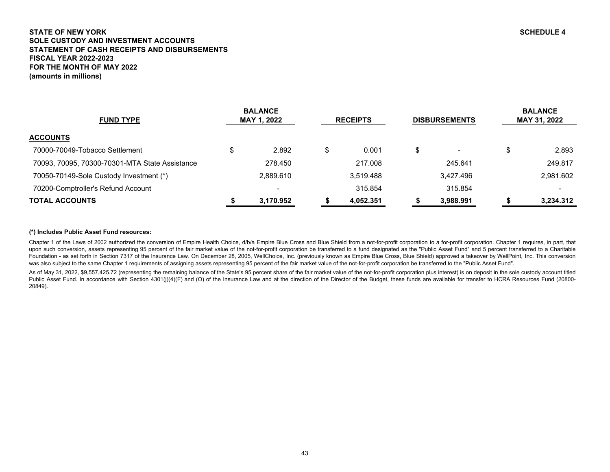# <span id="page-43-0"></span>**STATE OF NEW YORK SCHEDULE 4 SOLE CUSTODY AND INVESTMENT ACCOUNTSSTATEMENT OF CASH RECEIPTS AND DISBURSEMENTS FISCAL YEAR 2022-2023FOR THE MONTH OF MAY 2022(amounts in millions)**

| <b>FUND TYPE</b>                               | <b>BALANCE</b><br>MAY 1, 2022 |    | <b>RECEIPTS</b> | <b>DISBURSEMENTS</b> | <b>BALANCE</b><br>MAY 31, 2022 |           |  |
|------------------------------------------------|-------------------------------|----|-----------------|----------------------|--------------------------------|-----------|--|
| <b>ACCOUNTS</b>                                |                               |    |                 |                      |                                |           |  |
| 70000-70049-Tobacco Settlement                 | 2.892                         | ۰D | 0.001           | $\blacksquare$       | \$                             | 2.893     |  |
| 70093, 70095, 70300-70301-MTA State Assistance | 278.450                       |    | 217.008         | 245.641              |                                | 249.817   |  |
| 70050-70149-Sole Custody Investment (*)        | 2.889.610                     |    | 3,519.488       | 3.427.496            |                                | 2,981.602 |  |
| 70200-Comptroller's Refund Account             |                               |    | 315.854         | 315.854              |                                |           |  |
| <b>TOTAL ACCOUNTS</b>                          | 3.170.952                     |    | 4.052.351       | 3.988.991            |                                | 3.234.312 |  |

## **(\*) Includes Public Asset Fund resources:**

Chapter 1 of the Laws of 2002 authorized the conversion of Empire Health Choice, d/b/a Empire Blue Cross and Blue Shield from a not-for-profit corporation to a for-profit corporation. Chapter 1 requires, in part, that upon such conversion, assets representing 95 percent of the fair market value of the not-for-profit corporation be transferred to a fund designated as the "Public Asset Fund" and 5 percent transferred to a Charitable Foundation - as set forth in Section 7317 of the Insurance Law. On December 28, 2005, WellChoice, Inc. (previously known as Empire Blue Cross, Blue Shield) approved a takeover by WellPoint, Inc. This conversion was also subject to the same Chapter 1 requirements of assigning assets representing 95 percent of the fair market value of the not-for-profit corporation be transferred to the "Public Asset Fund".

As of May 31, 2022, \$9,557,425.72 (representing the remaining balance of the State's 95 percent share of the fair market value of the not-for-profit corporation plus interest) is on deposit in the sole custody account titl Public Asset Fund. In accordance with Section 4301(j)(4)(F) and (O) of the Insurance Law and at the direction of the Director of the Budget, these funds are available for transfer to HCRA Resources Fund (20800-20849).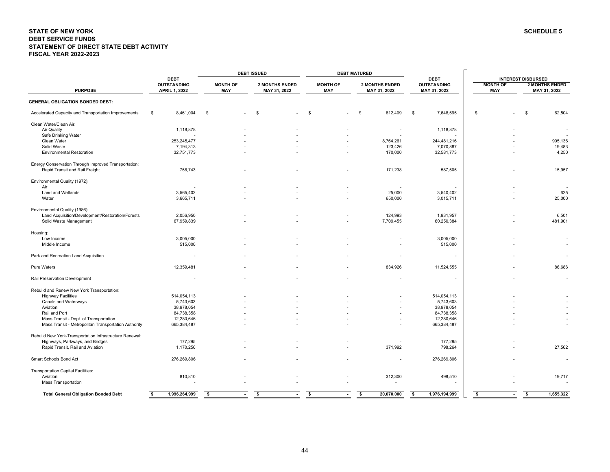#### <span id="page-44-0"></span>**STATE OF NEW YORK SCHEDULE 5 DEBT SERVICE FUNDS STATEMENT OF DIRECT STATE DEBT ACTIVITY FISCAL YEAR 2022-2023**

|                                                         |                                            |                               | <b>DEBT ISSUED</b>                    |                        | <b>DEBT MATURED</b>                   |                                    |                               |                                       |  |  |  |
|---------------------------------------------------------|--------------------------------------------|-------------------------------|---------------------------------------|------------------------|---------------------------------------|------------------------------------|-------------------------------|---------------------------------------|--|--|--|
|                                                         | <b>DEBT</b>                                |                               |                                       |                        |                                       | <b>DEBT</b>                        |                               | <b>INTEREST DISBURSED</b>             |  |  |  |
| <b>PURPOSE</b>                                          | <b>OUTSTANDING</b><br><b>APRIL 1, 2022</b> | <b>MONTH OF</b><br><b>MAY</b> | <b>2 MONTHS ENDED</b><br>MAY 31, 2022 | <b>MONTH OF</b><br>MAY | <b>2 MONTHS ENDED</b><br>MAY 31, 2022 | <b>OUTSTANDING</b><br>MAY 31, 2022 | <b>MONTH OF</b><br><b>MAY</b> | <b>2 MONTHS ENDED</b><br>MAY 31, 2022 |  |  |  |
| <b>GENERAL OBLIGATION BONDED DEBT:</b>                  |                                            |                               |                                       |                        |                                       |                                    |                               |                                       |  |  |  |
| Accelerated Capacity and Transportation Improvements    | 8,461,004<br>\$                            | \$                            | - \$                                  | \$                     | 812,409<br>\$                         | 7,648,595<br>\$                    | \$                            | 62,504<br>-S                          |  |  |  |
| Clean Water/Clean Air:                                  |                                            |                               |                                       |                        |                                       |                                    |                               |                                       |  |  |  |
| Air Quality                                             | 1,118,878                                  |                               |                                       |                        |                                       | 1,118,878                          |                               |                                       |  |  |  |
| Safe Drinking Water                                     |                                            |                               |                                       |                        |                                       |                                    |                               |                                       |  |  |  |
| Clean Water                                             | 253,245,477                                |                               |                                       |                        | 8,764,261                             | 244,481,216                        |                               | 905,136                               |  |  |  |
| Solid Waste                                             | 7,194,313                                  |                               |                                       |                        | 123,426                               | 7,070,887                          |                               | 19,483                                |  |  |  |
| <b>Environmental Restoration</b>                        | 32,751,773                                 |                               |                                       |                        | 170,000                               | 32,581,773                         |                               | 4,250                                 |  |  |  |
| Energy Conservation Through Improved Transportation:    |                                            |                               |                                       |                        |                                       |                                    |                               |                                       |  |  |  |
| Rapid Transit and Rail Freight                          | 758,743                                    |                               |                                       |                        | 171,238                               | 587,505                            |                               | 15,957                                |  |  |  |
| Environmental Quality (1972):                           |                                            |                               |                                       |                        |                                       |                                    |                               |                                       |  |  |  |
| Air                                                     |                                            |                               |                                       |                        |                                       |                                    |                               |                                       |  |  |  |
| Land and Wetlands                                       | 3,565,402                                  |                               |                                       |                        | 25,000                                | 3,540,402                          |                               | 625                                   |  |  |  |
| Water                                                   | 3,665,711                                  |                               |                                       |                        | 650,000                               | 3,015,711                          |                               | 25,000                                |  |  |  |
| Environmental Quality (1986):                           |                                            |                               |                                       |                        |                                       |                                    |                               |                                       |  |  |  |
| Land Acquisition/Development/Restoration/Forests        | 2,056,950                                  |                               |                                       |                        | 124,993                               | 1,931,957                          |                               | 6,501                                 |  |  |  |
| Solid Waste Management                                  | 67,959,839                                 |                               |                                       |                        | 7,709,455                             | 60,250,384                         |                               | 481,901                               |  |  |  |
| Housing:                                                |                                            |                               |                                       |                        |                                       |                                    |                               |                                       |  |  |  |
| Low Income                                              | 3,005,000                                  |                               |                                       |                        |                                       | 3,005,000                          |                               |                                       |  |  |  |
| Middle Income                                           | 515,000                                    |                               |                                       |                        |                                       | 515,000                            |                               |                                       |  |  |  |
| Park and Recreation Land Acquisition                    |                                            |                               |                                       |                        |                                       |                                    |                               |                                       |  |  |  |
| <b>Pure Waters</b>                                      | 12,359,481                                 |                               |                                       |                        | 834,926                               | 11,524,555                         |                               | 86,686                                |  |  |  |
| Rail Preservation Development                           |                                            |                               |                                       |                        |                                       |                                    |                               |                                       |  |  |  |
| Rebuild and Renew New York Transportation:              |                                            |                               |                                       |                        |                                       |                                    |                               |                                       |  |  |  |
| <b>Highway Facilities</b>                               | 514,054,113                                |                               |                                       |                        |                                       | 514,054,113                        |                               |                                       |  |  |  |
| Canals and Waterways                                    | 5,743,603                                  |                               |                                       |                        |                                       | 5,743,603                          |                               |                                       |  |  |  |
| Aviation                                                | 38,978,054                                 |                               |                                       |                        |                                       | 38,978,054                         |                               |                                       |  |  |  |
| Rail and Port                                           | 84,738,358                                 |                               |                                       |                        |                                       | 84,738,358                         |                               |                                       |  |  |  |
| Mass Transit - Dept. of Transportation                  | 12,280,646                                 |                               |                                       |                        |                                       | 12,280,646                         |                               |                                       |  |  |  |
| Mass Transit - Metropolitan Transportation Authority    | 665,384,487                                |                               |                                       |                        |                                       | 665,384,487                        |                               |                                       |  |  |  |
| Rebuild New York-Transportation Infrastructure Renewal: |                                            |                               |                                       |                        |                                       |                                    |                               |                                       |  |  |  |
| Highways, Parkways, and Bridges                         | 177,295                                    |                               |                                       |                        |                                       | 177,295                            |                               |                                       |  |  |  |
| Rapid Transit, Rail and Aviation                        | 1,170,256                                  |                               |                                       |                        | 371,992                               | 798,264                            |                               | 27,562                                |  |  |  |
| Smart Schools Bond Act                                  | 276,269,806                                |                               |                                       |                        |                                       | 276,269,806                        |                               |                                       |  |  |  |
| <b>Transportation Capital Facilities:</b>               |                                            |                               |                                       |                        |                                       |                                    |                               |                                       |  |  |  |
| Aviation                                                | 810,810                                    |                               |                                       |                        | 312,300                               | 498,510                            |                               | 19,717                                |  |  |  |
| <b>Mass Transportation</b>                              |                                            |                               |                                       |                        |                                       |                                    |                               |                                       |  |  |  |
| <b>Total General Obligation Bonded Debt</b>             | 1,996,264,999<br>\$                        | \$                            | -\$                                   | \$                     | \$<br>20,070,000                      | 1,976,194,999<br>- \$              | \$                            | 1,655,322<br>\$                       |  |  |  |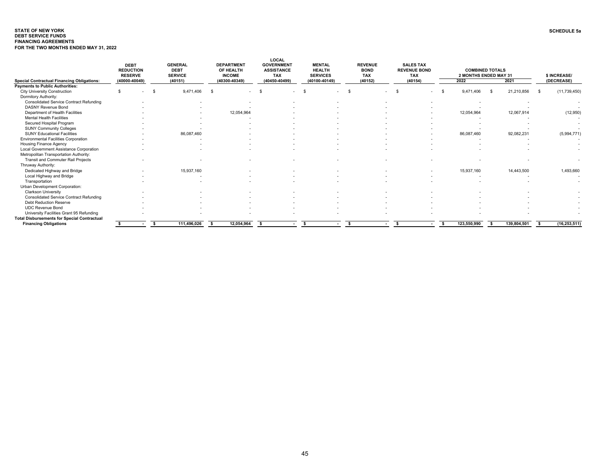#### <span id="page-45-0"></span>**STATE OF NEW YORKDEBT SERVICE FUNDS SCHEDULE 5aFINANCING AGREEMENTSFOR THE TWO MONTHS ENDED MAY 31, 2022**

|                                                                        | <b>DEBT</b><br><b>REDUCTION</b><br><b>RESERVE</b> |    | <b>GENERAL</b><br><b>DEBT</b><br><b>SERVICE</b> |      | <b>DEPARTMENT</b><br>OF HEALTH<br><b>INCOME</b> |                    | LOCAL<br><b>GOVERNMENT</b><br><b>ASSISTANCE</b><br><b>TAX</b> | <b>MENTAL</b><br><b>HEALTH</b><br><b>SERVICES</b> |        | <b>REVENUE</b><br><b>BOND</b><br><b>TAX</b> |        | <b>SALES TAX</b><br><b>REVENUE BOND</b><br><b>TAX</b> |    | <b>COMBINED TOTALS</b><br>2 MONTHS ENDED MAY 31 |      |             |     | \$ INCREASE/             |
|------------------------------------------------------------------------|---------------------------------------------------|----|-------------------------------------------------|------|-------------------------------------------------|--------------------|---------------------------------------------------------------|---------------------------------------------------|--------|---------------------------------------------|--------|-------------------------------------------------------|----|-------------------------------------------------|------|-------------|-----|--------------------------|
| <b>Special Contractual Financing Obligations:</b>                      | (40000-40049)                                     |    | (40151)                                         |      | (40300-40349)                                   |                    | (40450-40499)                                                 | (40100-40149)                                     |        | (40152)                                     |        | (40154)                                               |    | 2022                                            |      | 2021        |     | (DECREASE)               |
| <b>Payments to Public Authorities:</b>                                 |                                                   |    |                                                 |      |                                                 |                    |                                                               |                                                   |        |                                             |        |                                                       |    |                                                 |      |             |     |                          |
| <b>City University Construction</b>                                    |                                                   | \$ | 9,471,406                                       | -\$  | $\overline{\phantom{a}}$                        | $\mathbf{\hat{S}}$ |                                                               |                                                   |        |                                             |        | $\overline{\phantom{0}}$                              | \$ | 9.471.406                                       | - \$ | 21,210,856  | -\$ | (11, 739, 450)           |
| Dormitory Authority:<br><b>Consolidated Service Contract Refunding</b> |                                                   |    |                                                 |      |                                                 |                    |                                                               |                                                   |        |                                             |        |                                                       |    |                                                 |      |             |     |                          |
| <b>DASNY Revenue Bond</b>                                              |                                                   |    |                                                 |      |                                                 |                    |                                                               |                                                   |        |                                             |        |                                                       |    |                                                 |      |             |     |                          |
| Department of Health Facilities                                        |                                                   |    |                                                 |      |                                                 |                    |                                                               |                                                   |        |                                             |        |                                                       |    |                                                 |      |             |     |                          |
| <b>Mental Health Facilities</b>                                        |                                                   |    |                                                 |      | 12,054,964                                      |                    |                                                               |                                                   |        |                                             |        |                                                       |    | 12,054,964                                      |      | 12,067,914  |     | (12,950)                 |
| Secured Hospital Program                                               |                                                   |    |                                                 |      |                                                 |                    |                                                               |                                                   |        |                                             |        |                                                       |    |                                                 |      |             |     |                          |
| <b>SUNY Community Colleges</b>                                         |                                                   |    |                                                 |      |                                                 |                    |                                                               |                                                   |        |                                             |        |                                                       |    |                                                 |      |             |     | $\sim$<br>$\sim$         |
| <b>SUNY Educational Facilities</b>                                     |                                                   |    | 86,087,460                                      |      |                                                 |                    |                                                               |                                                   |        |                                             |        |                                                       |    | $\overline{\phantom{a}}$<br>86,087,460          |      | 92,082,231  |     | (5,994,771)              |
| <b>Environmental Facilities Corporation</b>                            |                                                   |    |                                                 |      |                                                 |                    |                                                               |                                                   |        |                                             |        |                                                       |    |                                                 |      |             |     |                          |
| <b>Housing Finance Agency</b>                                          |                                                   |    |                                                 |      |                                                 |                    |                                                               |                                                   |        |                                             |        |                                                       |    |                                                 |      |             |     |                          |
| Local Government Assistance Corporation                                |                                                   |    |                                                 |      |                                                 |                    |                                                               |                                                   |        |                                             |        |                                                       |    |                                                 |      |             |     |                          |
| Metropolitan Transportation Authority:                                 |                                                   |    |                                                 |      |                                                 |                    |                                                               |                                                   |        |                                             |        |                                                       |    |                                                 |      |             |     |                          |
| <b>Transit and Commuter Rail Projects</b>                              |                                                   |    |                                                 |      |                                                 |                    |                                                               |                                                   |        |                                             |        |                                                       |    |                                                 |      |             |     |                          |
| Thruway Authority:                                                     |                                                   |    |                                                 |      |                                                 |                    |                                                               |                                                   |        |                                             |        |                                                       |    |                                                 |      |             |     |                          |
| Dedicated Highway and Bridge                                           |                                                   |    | 15,937,160                                      |      |                                                 |                    |                                                               |                                                   |        |                                             |        |                                                       |    | 15,937,160                                      |      | 14,443,500  |     | 1,493,660                |
| Local Highway and Bridge                                               |                                                   |    |                                                 |      |                                                 |                    |                                                               |                                                   |        |                                             |        |                                                       |    | $\overline{\phantom{a}}$                        |      |             |     | $\sim$                   |
| Transportation                                                         |                                                   |    |                                                 |      |                                                 |                    |                                                               |                                                   |        |                                             |        |                                                       |    |                                                 |      |             |     |                          |
| Urban Development Corporation:                                         |                                                   |    |                                                 |      |                                                 |                    |                                                               |                                                   |        |                                             |        |                                                       |    |                                                 |      |             |     |                          |
| <b>Clarkson University</b>                                             |                                                   |    |                                                 |      |                                                 |                    |                                                               |                                                   |        |                                             |        |                                                       |    |                                                 |      |             |     |                          |
| <b>Consolidated Service Contract Refunding</b>                         |                                                   |    |                                                 |      |                                                 |                    |                                                               |                                                   |        |                                             |        |                                                       |    |                                                 |      |             |     |                          |
| <b>Debt Reduction Reserve</b>                                          |                                                   |    |                                                 |      |                                                 |                    |                                                               |                                                   |        |                                             |        |                                                       |    |                                                 |      |             |     |                          |
| <b>UDC Revenue Bond</b>                                                |                                                   |    |                                                 |      |                                                 |                    |                                                               |                                                   |        |                                             |        |                                                       |    |                                                 |      |             |     |                          |
| University Facilities Grant 95 Refunding                               |                                                   |    |                                                 |      |                                                 |                    |                                                               |                                                   |        |                                             |        |                                                       |    |                                                 |      |             |     | $\overline{\phantom{a}}$ |
| <b>Total Disbursements for Special Contractual</b>                     |                                                   |    |                                                 |      |                                                 |                    |                                                               |                                                   |        |                                             |        |                                                       |    |                                                 |      |             |     |                          |
| <b>Financing Obligations</b>                                           |                                                   | -S | 111,496,026                                     | - \$ | 12,054,964                                      | - \$               | $\overline{a}$                                                |                                                   | $\sim$ | -S                                          | $\sim$ | -S<br>$\sim$                                          | -S | 123,550,990                                     |      | 139,804,501 | - S | (16, 253, 511)           |
|                                                                        |                                                   |    |                                                 |      |                                                 |                    |                                                               |                                                   |        |                                             |        |                                                       |    |                                                 |      |             |     |                          |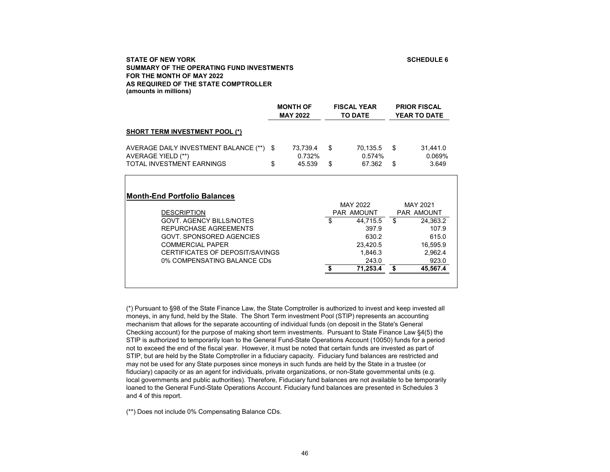## **SCHEDULE 6**

## <span id="page-46-0"></span>**STATE OF NEW YORKSUMMARY OF THE OPERATING FUND INVESTMENTS FOR THE MONTH OF MAY 2022AS REQUIRED OF THE STATE COMPTROLLER(amounts in millions)**

|                                                                                               |          | <b>MONTH OF</b><br><b>MAY 2022</b> |          | <b>FISCAL YEAR</b><br><b>TO DATE</b> |          | <b>PRIOR FISCAL</b><br><b>YEAR TO DATE</b> |
|-----------------------------------------------------------------------------------------------|----------|------------------------------------|----------|--------------------------------------|----------|--------------------------------------------|
| <b>SHORT TERM INVESTMENT POOL (*)</b>                                                         |          |                                    |          |                                      |          |                                            |
| AVERAGE DAILY INVESTMENT BALANCE (**)<br>AVERAGE YIELD (**)<br>TOTAL INVESTMENT EARNINGS      | -S<br>\$ | 73,739.4<br>0.732%<br>45.539       | \$<br>\$ | 70,135.5<br>0.574%<br>67.362         | \$<br>\$ | 31,441.0<br>0.069%<br>3.649                |
| <b>Month-End Portfolio Balances</b>                                                           |          |                                    |          | MAY 2022                             |          | MAY 2021                                   |
| <b>DESCRIPTION</b><br><b>GOVT. AGENCY BILLS/NOTES</b><br>REPURCHASE AGREEMENTS                |          |                                    | \$       | PAR AMOUNT<br>44.715.5<br>397.9      | \$       | <b>PAR AMOUNT</b><br>24,363.2<br>107.9     |
| <b>GOVT. SPONSORED AGENCIES</b><br><b>COMMERCIAL PAPER</b><br>CERTIFICATES OF DEPOSIT/SAVINGS |          |                                    |          | 630.2<br>23.420.5                    |          | 615.0<br>16,595.9                          |
| 0% COMPENSATING BALANCE CDs                                                                   |          |                                    | \$       | 1,846.3<br>243.0<br>71,253.4         | \$       | 2,962.4<br>923.0<br>45,567.4               |

(\*) Pursuant to §98 of the State Finance Law, the State Comptroller is authorized to invest and keep invested all moneys, in any fund, held by the State. The Short Term investment Pool (STIP) represents an accounting mechanism that allows for the separate accounting of individual funds (on deposit in the State's General Checking account) for the purpose of making short term investments. Pursuant to State Finance Law §4(5) the STIP is authorized to temporarily loan to the General Fund-State Operations Account (10050) funds for a period not to exceed the end of the fiscal year. However, it must be noted that certain funds are invested as part of STIP, but are held by the State Comptroller in a fiduciary capacity. Fiduciary fund balances are restricted and may not be used for any State purposes since moneys in such funds are held by the State in a trustee (or fiduciary) capacity or as an agent for individuals, private organizations, or non-State governmental units (e.g. local governments and public authorities). Therefore, Fiduciary fund balances are not available to be temporarily loaned to the General Fund-State Operations Account. Fiduciary fund balances are presented in Schedules 3 and 4 of this report.

(\*\*) Does not include 0% Compensating Balance CDs.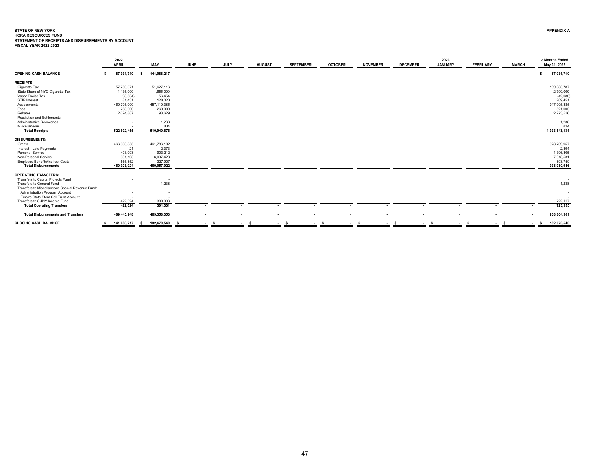# <span id="page-47-0"></span>**STATE OF NEW YORK**STATE OF NEW YORK<br>HCRA RESOURCES FUND<br>STATEMENT OF RECEIPTS AND DISBURSEMENTS BY ACCOUNT<br>FISCAL YEAR 2022-2023

|                                                  |    | 2022<br><b>APRIL</b> |     | MAY                      | <b>JUNE</b> | <b>JULY</b>              |        | <b>AUGUST</b>            | <b>SEPTEMBER</b> | <b>OCTOBER</b> | <b>NOVEMBER</b>  | <b>DECEMBER</b> | 2023<br><b>JANUARY</b> | <b>FEBRUARY</b>          | <b>MARCH</b> | 2 Months Ended<br>May 31, 2022 |
|--------------------------------------------------|----|----------------------|-----|--------------------------|-------------|--------------------------|--------|--------------------------|------------------|----------------|------------------|-----------------|------------------------|--------------------------|--------------|--------------------------------|
| <b>OPENING CASH BALANCE</b>                      |    | 87,931,710           | s.  | 141,088,217              |             |                          |        |                          |                  |                |                  |                 |                        |                          |              | 87,931,710                     |
| <b>RECEIPTS:</b>                                 |    |                      |     |                          |             |                          |        |                          |                  |                |                  |                 |                        |                          |              |                                |
| Cigarette Tax                                    |    | 57,756,671           |     | 51,627,116               |             |                          |        |                          |                  |                |                  |                 |                        |                          |              | 109,383,787                    |
| State Share of NYC Cigarette Tax                 |    | 1,135,000            |     | 1,655,000                |             |                          |        |                          |                  |                |                  |                 |                        |                          |              | 2,790,000                      |
| Vapor Excise Tax                                 |    | (98, 534)            |     | 56,454                   |             |                          |        |                          |                  |                |                  |                 |                        |                          |              | (42,080)                       |
| STIP Interest                                    |    | 81,431               |     | 128,020                  |             |                          |        |                          |                  |                |                  |                 |                        |                          |              | 209,451                        |
| Assessments                                      |    | 460,795,000          |     | 457,110,385              |             |                          |        |                          |                  |                |                  |                 |                        |                          |              | 917,905,385                    |
| Fees                                             |    | 258,000              |     | 263,000                  |             |                          |        |                          |                  |                |                  |                 |                        |                          |              | 521,000                        |
| Rebates                                          |    | 2,674,887            |     | 98,629                   |             |                          |        |                          |                  |                |                  |                 |                        |                          |              | 2,773,516                      |
| <b>Restitution and Settlements</b>               |    |                      |     |                          |             |                          |        |                          |                  |                |                  |                 |                        |                          |              |                                |
| Administrative Recoveries                        |    |                      |     | 1,238                    |             |                          |        |                          |                  |                |                  |                 |                        |                          |              | 1,238                          |
| Miscellaneous                                    |    |                      |     | 834                      |             |                          |        |                          |                  |                |                  |                 |                        |                          |              | 834                            |
| <b>Total Receipts</b>                            |    | 522,602,455          |     | 510,940,676              |             |                          | . .    | $\overline{\phantom{a}}$ | . .              |                | . .              |                 | . .                    | $\overline{\phantom{a}}$ |              | 1,033,543,131                  |
| <b>DISBURSEMENTS:</b>                            |    |                      |     |                          |             |                          |        |                          |                  |                |                  |                 |                        |                          |              |                                |
| Grants                                           |    | 466,983,855          |     | 461,786,102              |             |                          |        |                          |                  |                |                  |                 |                        |                          |              | 928,769,957                    |
| Interest - Late Payments                         |    | 21                   |     | 2,373                    |             |                          |        |                          |                  |                |                  |                 |                        |                          |              | 2,394                          |
| Personal Service                                 |    | 493,093              |     | 903,212                  |             |                          |        |                          |                  |                |                  |                 |                        |                          |              | 1,396,305                      |
| Non-Personal Service                             |    | 981,103              |     | 6,037,428                |             |                          |        |                          |                  |                |                  |                 |                        |                          |              | 7,018,531                      |
| <b>Employee Benefits/Indirect Costs</b>          |    | 565,852              |     | 327,907                  |             |                          |        |                          |                  |                |                  |                 |                        |                          |              | 893,759                        |
| <b>Total Disbursements</b>                       |    | 469,023,924          |     | 469,057,022              |             | $\overline{\phantom{a}}$ | $\sim$ | $\sim$                   | $\sim$           |                | $\sim$<br>$\sim$ | $\sim$          | $\sim$                 | $\sim$                   | ۰.           | 938,080,946                    |
| <b>OPERATING TRANSFERS:</b>                      |    |                      |     |                          |             |                          |        |                          |                  |                |                  |                 |                        |                          |              |                                |
| Transfers to Capital Projects Fund               |    |                      |     |                          |             |                          |        |                          |                  |                |                  |                 |                        |                          |              |                                |
| Transfers to General Fund                        |    |                      |     | 1,238                    |             |                          |        |                          |                  |                |                  |                 |                        |                          |              | 1,238                          |
| Transfers to Miscellaneous Special Revenue Fund: |    |                      |     |                          |             |                          |        |                          |                  |                |                  |                 |                        |                          |              |                                |
| Administration Program Account                   |    |                      |     | $\overline{\phantom{a}}$ |             |                          |        |                          |                  |                |                  |                 |                        |                          |              | $\sim$                         |
| Empire State Stem Cell Trust Account             |    |                      |     |                          |             |                          |        |                          |                  |                |                  |                 |                        |                          |              |                                |
| Transfers to SUNY Income Fund                    |    | 422,024              |     | 300,093                  |             |                          |        |                          |                  |                |                  |                 |                        |                          |              | 722,117                        |
| <b>Total Operating Transfers</b>                 |    | 422,024              |     | 301,331                  |             |                          |        |                          |                  |                | . .              |                 |                        |                          |              | 723,355                        |
| <b>Total Disbursements and Transfers</b>         |    | 469,445,948          |     | 469,358,353              |             |                          |        |                          |                  |                |                  |                 |                        |                          |              | 938,804,301                    |
| <b>CLOSING CASH BALANCE</b>                      | s. | 141,088,217          | - S | 182,670,540              |             | - s                      | - s    |                          | - \$<br>$\sim$   |                | - s              |                 | $-5$                   | - \$                     | $-5$         | 182,670,540<br>- s             |
|                                                  |    |                      |     |                          |             |                          |        | $\sim$                   |                  | s              | $\sim$           | <b>COLLEGE</b>  |                        |                          |              |                                |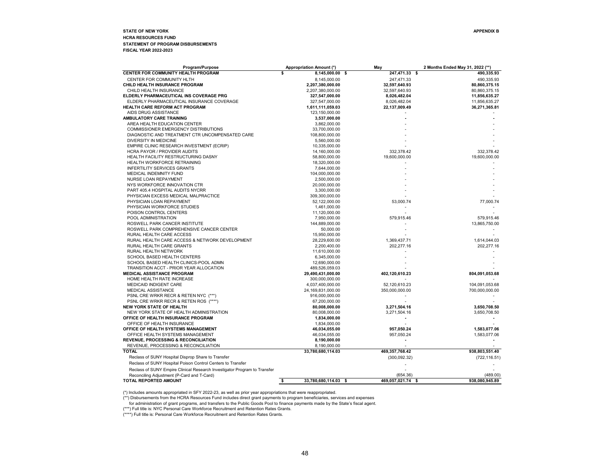#### <span id="page-48-0"></span>**STATE OF NEW YORK APPENDIX BHCRA RESOURCES FUND STATEMENT OF PROGRAM DISBURSEMENTS FISCAL YEAR 2022-2023**

| <b>CENTER FOR COMMUNITY HEALTH PROGRAM</b><br>s<br>8,145,000.00 \$<br>247,471.33 \$<br>490,335.93<br>CENTER FOR COMMUNITY HLTH<br>8,145,000.00<br>247,471.33<br>490.335.93<br>CHILD HEALTH INSURANCE PROGRAM<br>2,207,380,000.00<br>32,597,640.93<br>80,860,375.15<br>CHILD HEALTH INSURANCE<br>2,207,380,000.00<br>32,597,640.93<br>80,860,375.15<br>ELDERLY PHARMACEUTICAL INS COVERAGE PRG<br>327,547,000.00<br>8,026,482.04<br>11,856,635.27<br>ELDERLY PHARMACEUTICAL INSURANCE COVERAGE<br>327,547,000.00<br>8,026,482.04<br>11,856,635.27<br><b>HEALTH CARE REFORM ACT PROGRAM</b><br>1,611,111,059.03<br>22,137,009.49<br>36,271,365.81<br>AIDS DRUG ASSISTANCE<br>123,150,000.00<br>AMBULATORY CARE TRAINING<br>3,537,000.00<br>AREA HEALTH EDUCATION CENTER<br>3,862,000.00<br><b>COMMISSIONER EMERGENCY DISTRIBUTIONS</b><br>33,700,000.00<br>DIAGNOSTIC AND TREATMENT CTR UNCOMPENSATED CARE<br>108,800,000.00<br><b>DIVERSITY IN MEDICINE</b><br>5,560,000.00<br>EMPIRE CLINIC RESEARCH INVESTMENT (ECRIP)<br>10,335,000.00<br>HCRA PAYOR / PROVIDER AUDITS<br>332,378.42<br>332,378.42<br>14,160,000.00<br>HEALTH FACILITY RESTRUCTURING DASNY<br>58,800,000.00<br>19,600,000.00<br>19,600,000.00<br>HEALTH WORKFORCE RETRAINING<br>18,320,000.00<br><b>INFERTILITY SERVICES GRANTS</b><br>7,644,000.00<br>MEDICAL INDEMNITY FUND<br>104,000,000.00<br>NURSE LOAN REPAYMENT<br>2,500,000.00<br>NYS WORKFORCE INNOVATION CTR<br>20,000,000.00<br>PART 405.4 HOSPITAL AUDITS NYCRR<br>3,300,000.00<br>PHYSICIAN EXCESS MEDICAL MALPRACTICE<br>309,300,000.00<br>53,000.74<br>77,000.74<br>PHYSICIAN LOAN REPAYMENT<br>52,122,000.00<br>PHYSICIAN WORKFORCE STUDIES<br>1,461,000.00<br>POISON CONTROL CENTERS<br>11,120,000.00<br>579,915.46<br>579,915.46<br>POOL ADMINISTRATION<br>7,950,000.00<br>ROSWELL PARK CANCER INSTITUTE<br>144,889,000.00<br>13,865,750.00<br>ROSWELL PARK COMPREHENSIVE CANCER CENTER<br>50,000.00<br>RURAL HEALTH CARE ACCESS<br>15,950,000.00<br>RURAL HEALTH CARE ACCESS & NETWORK DEVELOPMENT<br>28,229,600.00<br>1,369,437.71<br>1,614,044.03<br>RURAL HEALTH CARE GRANTS<br>202,277.16<br>202,277.16<br>2,200,400.00<br>RURAL HEALTH NETWORK<br>11,610,000.00<br>SCHOOL BASED HEALTH CENTERS<br>6,345,000.00<br>SCHOOL BASED HEALTH CLINICS-POOL ADMN<br>12,690,000.00<br>TRANSITION ACCT - PRIOR YEAR ALLOCATION<br>489,526,059.03<br>MEDICAL ASSISTANCE PROGRAM<br>29,490,431,000.00<br>402,120,610.23<br>804,091,053.68<br>HOME HEALTH RATE INCREASE<br>300,000,000.00<br>MEDICAID INDIGENT CARE<br>4,037,400,000.00<br>52,120,610.23<br>104,091,053.68<br>MEDICAL ASSISTANCE<br>24,169,831,000.00<br>350,000,000.00<br>700,000,000.00<br>PSNL CRE WRKR RECR & RETEN NYC (***)<br>916,000,000.00<br>PSNL CRE WRKR RECR & RETEN ROS (****)<br>67,200,000.00<br><b>NEW YORK STATE OF HEALTH</b><br>80,008,000.00<br>3,271,504.16<br>3,650,708.50<br>NEW YORK STATE OF HEALTH ADMINISTRATION<br>80,008,000.00<br>3,271,504.16<br>3,650,708.50<br>OFFICE OF HEALTH INSURANCE PROGRAM<br>1,834,000.00<br>OFFICE OF HEALTH INSURANCE<br>1,834,000.00<br>OFFICE OF HEALTH SYSTEMS MANAGEMENT<br>957,050.24<br>46,034,055.00<br>1,583,077.06<br>OFFICE HEALTH SYSTEMS MANAGEMENT<br>46,034,055.00<br>957,050.24<br>1,583,077.06<br><b>REVENUE, PROCESSING &amp; RECONCILIATION</b><br>8,190,000.00<br>REVENUE, PROCESSING & RECONCILIATION<br>8,190,000.00<br><b>TOTAL</b><br>33,780,680,114.03<br>469, 357, 768.42<br>938,803,551.40<br>Reclass of SUNY Hospital Disprop Share to Transfer<br>(300, 092.32)<br>(722, 116.51)<br>Reclass of SUNY Hospital Poison Control Centers to Transfer<br>Reclass of SUNY Empire Clinical Research Investigator Program to Transfer<br>(489.00)<br>Reconciling Adjustment (P-Card and T-Card)<br>(654.36)<br>469,057,021.74 \$ | Program/Purpose       | <b>Appropriation Amount (*)</b> | May | 2 Months Ended May 31, 2022 (**) |
|--------------------------------------------------------------------------------------------------------------------------------------------------------------------------------------------------------------------------------------------------------------------------------------------------------------------------------------------------------------------------------------------------------------------------------------------------------------------------------------------------------------------------------------------------------------------------------------------------------------------------------------------------------------------------------------------------------------------------------------------------------------------------------------------------------------------------------------------------------------------------------------------------------------------------------------------------------------------------------------------------------------------------------------------------------------------------------------------------------------------------------------------------------------------------------------------------------------------------------------------------------------------------------------------------------------------------------------------------------------------------------------------------------------------------------------------------------------------------------------------------------------------------------------------------------------------------------------------------------------------------------------------------------------------------------------------------------------------------------------------------------------------------------------------------------------------------------------------------------------------------------------------------------------------------------------------------------------------------------------------------------------------------------------------------------------------------------------------------------------------------------------------------------------------------------------------------------------------------------------------------------------------------------------------------------------------------------------------------------------------------------------------------------------------------------------------------------------------------------------------------------------------------------------------------------------------------------------------------------------------------------------------------------------------------------------------------------------------------------------------------------------------------------------------------------------------------------------------------------------------------------------------------------------------------------------------------------------------------------------------------------------------------------------------------------------------------------------------------------------------------------------------------------------------------------------------------------------------------------------------------------------------------------------------------------------------------------------------------------------------------------------------------------------------------------------------------------------------------------------------------------------------------------------------------------------------------------------------------------------------------------------------------------------------------------------------------------------------------------------------------------------------------------------------------------------|-----------------------|---------------------------------|-----|----------------------------------|
|                                                                                                                                                                                                                                                                                                                                                                                                                                                                                                                                                                                                                                                                                                                                                                                                                                                                                                                                                                                                                                                                                                                                                                                                                                                                                                                                                                                                                                                                                                                                                                                                                                                                                                                                                                                                                                                                                                                                                                                                                                                                                                                                                                                                                                                                                                                                                                                                                                                                                                                                                                                                                                                                                                                                                                                                                                                                                                                                                                                                                                                                                                                                                                                                                                                                                                                                                                                                                                                                                                                                                                                                                                                                                                                                                                                                              |                       |                                 |     |                                  |
|                                                                                                                                                                                                                                                                                                                                                                                                                                                                                                                                                                                                                                                                                                                                                                                                                                                                                                                                                                                                                                                                                                                                                                                                                                                                                                                                                                                                                                                                                                                                                                                                                                                                                                                                                                                                                                                                                                                                                                                                                                                                                                                                                                                                                                                                                                                                                                                                                                                                                                                                                                                                                                                                                                                                                                                                                                                                                                                                                                                                                                                                                                                                                                                                                                                                                                                                                                                                                                                                                                                                                                                                                                                                                                                                                                                                              |                       |                                 |     |                                  |
|                                                                                                                                                                                                                                                                                                                                                                                                                                                                                                                                                                                                                                                                                                                                                                                                                                                                                                                                                                                                                                                                                                                                                                                                                                                                                                                                                                                                                                                                                                                                                                                                                                                                                                                                                                                                                                                                                                                                                                                                                                                                                                                                                                                                                                                                                                                                                                                                                                                                                                                                                                                                                                                                                                                                                                                                                                                                                                                                                                                                                                                                                                                                                                                                                                                                                                                                                                                                                                                                                                                                                                                                                                                                                                                                                                                                              |                       |                                 |     |                                  |
|                                                                                                                                                                                                                                                                                                                                                                                                                                                                                                                                                                                                                                                                                                                                                                                                                                                                                                                                                                                                                                                                                                                                                                                                                                                                                                                                                                                                                                                                                                                                                                                                                                                                                                                                                                                                                                                                                                                                                                                                                                                                                                                                                                                                                                                                                                                                                                                                                                                                                                                                                                                                                                                                                                                                                                                                                                                                                                                                                                                                                                                                                                                                                                                                                                                                                                                                                                                                                                                                                                                                                                                                                                                                                                                                                                                                              |                       |                                 |     |                                  |
|                                                                                                                                                                                                                                                                                                                                                                                                                                                                                                                                                                                                                                                                                                                                                                                                                                                                                                                                                                                                                                                                                                                                                                                                                                                                                                                                                                                                                                                                                                                                                                                                                                                                                                                                                                                                                                                                                                                                                                                                                                                                                                                                                                                                                                                                                                                                                                                                                                                                                                                                                                                                                                                                                                                                                                                                                                                                                                                                                                                                                                                                                                                                                                                                                                                                                                                                                                                                                                                                                                                                                                                                                                                                                                                                                                                                              |                       |                                 |     |                                  |
|                                                                                                                                                                                                                                                                                                                                                                                                                                                                                                                                                                                                                                                                                                                                                                                                                                                                                                                                                                                                                                                                                                                                                                                                                                                                                                                                                                                                                                                                                                                                                                                                                                                                                                                                                                                                                                                                                                                                                                                                                                                                                                                                                                                                                                                                                                                                                                                                                                                                                                                                                                                                                                                                                                                                                                                                                                                                                                                                                                                                                                                                                                                                                                                                                                                                                                                                                                                                                                                                                                                                                                                                                                                                                                                                                                                                              |                       |                                 |     |                                  |
|                                                                                                                                                                                                                                                                                                                                                                                                                                                                                                                                                                                                                                                                                                                                                                                                                                                                                                                                                                                                                                                                                                                                                                                                                                                                                                                                                                                                                                                                                                                                                                                                                                                                                                                                                                                                                                                                                                                                                                                                                                                                                                                                                                                                                                                                                                                                                                                                                                                                                                                                                                                                                                                                                                                                                                                                                                                                                                                                                                                                                                                                                                                                                                                                                                                                                                                                                                                                                                                                                                                                                                                                                                                                                                                                                                                                              |                       |                                 |     |                                  |
|                                                                                                                                                                                                                                                                                                                                                                                                                                                                                                                                                                                                                                                                                                                                                                                                                                                                                                                                                                                                                                                                                                                                                                                                                                                                                                                                                                                                                                                                                                                                                                                                                                                                                                                                                                                                                                                                                                                                                                                                                                                                                                                                                                                                                                                                                                                                                                                                                                                                                                                                                                                                                                                                                                                                                                                                                                                                                                                                                                                                                                                                                                                                                                                                                                                                                                                                                                                                                                                                                                                                                                                                                                                                                                                                                                                                              |                       |                                 |     |                                  |
|                                                                                                                                                                                                                                                                                                                                                                                                                                                                                                                                                                                                                                                                                                                                                                                                                                                                                                                                                                                                                                                                                                                                                                                                                                                                                                                                                                                                                                                                                                                                                                                                                                                                                                                                                                                                                                                                                                                                                                                                                                                                                                                                                                                                                                                                                                                                                                                                                                                                                                                                                                                                                                                                                                                                                                                                                                                                                                                                                                                                                                                                                                                                                                                                                                                                                                                                                                                                                                                                                                                                                                                                                                                                                                                                                                                                              |                       |                                 |     |                                  |
|                                                                                                                                                                                                                                                                                                                                                                                                                                                                                                                                                                                                                                                                                                                                                                                                                                                                                                                                                                                                                                                                                                                                                                                                                                                                                                                                                                                                                                                                                                                                                                                                                                                                                                                                                                                                                                                                                                                                                                                                                                                                                                                                                                                                                                                                                                                                                                                                                                                                                                                                                                                                                                                                                                                                                                                                                                                                                                                                                                                                                                                                                                                                                                                                                                                                                                                                                                                                                                                                                                                                                                                                                                                                                                                                                                                                              |                       |                                 |     |                                  |
|                                                                                                                                                                                                                                                                                                                                                                                                                                                                                                                                                                                                                                                                                                                                                                                                                                                                                                                                                                                                                                                                                                                                                                                                                                                                                                                                                                                                                                                                                                                                                                                                                                                                                                                                                                                                                                                                                                                                                                                                                                                                                                                                                                                                                                                                                                                                                                                                                                                                                                                                                                                                                                                                                                                                                                                                                                                                                                                                                                                                                                                                                                                                                                                                                                                                                                                                                                                                                                                                                                                                                                                                                                                                                                                                                                                                              |                       |                                 |     |                                  |
|                                                                                                                                                                                                                                                                                                                                                                                                                                                                                                                                                                                                                                                                                                                                                                                                                                                                                                                                                                                                                                                                                                                                                                                                                                                                                                                                                                                                                                                                                                                                                                                                                                                                                                                                                                                                                                                                                                                                                                                                                                                                                                                                                                                                                                                                                                                                                                                                                                                                                                                                                                                                                                                                                                                                                                                                                                                                                                                                                                                                                                                                                                                                                                                                                                                                                                                                                                                                                                                                                                                                                                                                                                                                                                                                                                                                              |                       |                                 |     |                                  |
|                                                                                                                                                                                                                                                                                                                                                                                                                                                                                                                                                                                                                                                                                                                                                                                                                                                                                                                                                                                                                                                                                                                                                                                                                                                                                                                                                                                                                                                                                                                                                                                                                                                                                                                                                                                                                                                                                                                                                                                                                                                                                                                                                                                                                                                                                                                                                                                                                                                                                                                                                                                                                                                                                                                                                                                                                                                                                                                                                                                                                                                                                                                                                                                                                                                                                                                                                                                                                                                                                                                                                                                                                                                                                                                                                                                                              |                       |                                 |     |                                  |
|                                                                                                                                                                                                                                                                                                                                                                                                                                                                                                                                                                                                                                                                                                                                                                                                                                                                                                                                                                                                                                                                                                                                                                                                                                                                                                                                                                                                                                                                                                                                                                                                                                                                                                                                                                                                                                                                                                                                                                                                                                                                                                                                                                                                                                                                                                                                                                                                                                                                                                                                                                                                                                                                                                                                                                                                                                                                                                                                                                                                                                                                                                                                                                                                                                                                                                                                                                                                                                                                                                                                                                                                                                                                                                                                                                                                              |                       |                                 |     |                                  |
|                                                                                                                                                                                                                                                                                                                                                                                                                                                                                                                                                                                                                                                                                                                                                                                                                                                                                                                                                                                                                                                                                                                                                                                                                                                                                                                                                                                                                                                                                                                                                                                                                                                                                                                                                                                                                                                                                                                                                                                                                                                                                                                                                                                                                                                                                                                                                                                                                                                                                                                                                                                                                                                                                                                                                                                                                                                                                                                                                                                                                                                                                                                                                                                                                                                                                                                                                                                                                                                                                                                                                                                                                                                                                                                                                                                                              |                       |                                 |     |                                  |
|                                                                                                                                                                                                                                                                                                                                                                                                                                                                                                                                                                                                                                                                                                                                                                                                                                                                                                                                                                                                                                                                                                                                                                                                                                                                                                                                                                                                                                                                                                                                                                                                                                                                                                                                                                                                                                                                                                                                                                                                                                                                                                                                                                                                                                                                                                                                                                                                                                                                                                                                                                                                                                                                                                                                                                                                                                                                                                                                                                                                                                                                                                                                                                                                                                                                                                                                                                                                                                                                                                                                                                                                                                                                                                                                                                                                              |                       |                                 |     |                                  |
|                                                                                                                                                                                                                                                                                                                                                                                                                                                                                                                                                                                                                                                                                                                                                                                                                                                                                                                                                                                                                                                                                                                                                                                                                                                                                                                                                                                                                                                                                                                                                                                                                                                                                                                                                                                                                                                                                                                                                                                                                                                                                                                                                                                                                                                                                                                                                                                                                                                                                                                                                                                                                                                                                                                                                                                                                                                                                                                                                                                                                                                                                                                                                                                                                                                                                                                                                                                                                                                                                                                                                                                                                                                                                                                                                                                                              |                       |                                 |     |                                  |
|                                                                                                                                                                                                                                                                                                                                                                                                                                                                                                                                                                                                                                                                                                                                                                                                                                                                                                                                                                                                                                                                                                                                                                                                                                                                                                                                                                                                                                                                                                                                                                                                                                                                                                                                                                                                                                                                                                                                                                                                                                                                                                                                                                                                                                                                                                                                                                                                                                                                                                                                                                                                                                                                                                                                                                                                                                                                                                                                                                                                                                                                                                                                                                                                                                                                                                                                                                                                                                                                                                                                                                                                                                                                                                                                                                                                              |                       |                                 |     |                                  |
|                                                                                                                                                                                                                                                                                                                                                                                                                                                                                                                                                                                                                                                                                                                                                                                                                                                                                                                                                                                                                                                                                                                                                                                                                                                                                                                                                                                                                                                                                                                                                                                                                                                                                                                                                                                                                                                                                                                                                                                                                                                                                                                                                                                                                                                                                                                                                                                                                                                                                                                                                                                                                                                                                                                                                                                                                                                                                                                                                                                                                                                                                                                                                                                                                                                                                                                                                                                                                                                                                                                                                                                                                                                                                                                                                                                                              |                       |                                 |     |                                  |
|                                                                                                                                                                                                                                                                                                                                                                                                                                                                                                                                                                                                                                                                                                                                                                                                                                                                                                                                                                                                                                                                                                                                                                                                                                                                                                                                                                                                                                                                                                                                                                                                                                                                                                                                                                                                                                                                                                                                                                                                                                                                                                                                                                                                                                                                                                                                                                                                                                                                                                                                                                                                                                                                                                                                                                                                                                                                                                                                                                                                                                                                                                                                                                                                                                                                                                                                                                                                                                                                                                                                                                                                                                                                                                                                                                                                              |                       |                                 |     |                                  |
|                                                                                                                                                                                                                                                                                                                                                                                                                                                                                                                                                                                                                                                                                                                                                                                                                                                                                                                                                                                                                                                                                                                                                                                                                                                                                                                                                                                                                                                                                                                                                                                                                                                                                                                                                                                                                                                                                                                                                                                                                                                                                                                                                                                                                                                                                                                                                                                                                                                                                                                                                                                                                                                                                                                                                                                                                                                                                                                                                                                                                                                                                                                                                                                                                                                                                                                                                                                                                                                                                                                                                                                                                                                                                                                                                                                                              |                       |                                 |     |                                  |
|                                                                                                                                                                                                                                                                                                                                                                                                                                                                                                                                                                                                                                                                                                                                                                                                                                                                                                                                                                                                                                                                                                                                                                                                                                                                                                                                                                                                                                                                                                                                                                                                                                                                                                                                                                                                                                                                                                                                                                                                                                                                                                                                                                                                                                                                                                                                                                                                                                                                                                                                                                                                                                                                                                                                                                                                                                                                                                                                                                                                                                                                                                                                                                                                                                                                                                                                                                                                                                                                                                                                                                                                                                                                                                                                                                                                              |                       |                                 |     |                                  |
|                                                                                                                                                                                                                                                                                                                                                                                                                                                                                                                                                                                                                                                                                                                                                                                                                                                                                                                                                                                                                                                                                                                                                                                                                                                                                                                                                                                                                                                                                                                                                                                                                                                                                                                                                                                                                                                                                                                                                                                                                                                                                                                                                                                                                                                                                                                                                                                                                                                                                                                                                                                                                                                                                                                                                                                                                                                                                                                                                                                                                                                                                                                                                                                                                                                                                                                                                                                                                                                                                                                                                                                                                                                                                                                                                                                                              |                       |                                 |     |                                  |
|                                                                                                                                                                                                                                                                                                                                                                                                                                                                                                                                                                                                                                                                                                                                                                                                                                                                                                                                                                                                                                                                                                                                                                                                                                                                                                                                                                                                                                                                                                                                                                                                                                                                                                                                                                                                                                                                                                                                                                                                                                                                                                                                                                                                                                                                                                                                                                                                                                                                                                                                                                                                                                                                                                                                                                                                                                                                                                                                                                                                                                                                                                                                                                                                                                                                                                                                                                                                                                                                                                                                                                                                                                                                                                                                                                                                              |                       |                                 |     |                                  |
|                                                                                                                                                                                                                                                                                                                                                                                                                                                                                                                                                                                                                                                                                                                                                                                                                                                                                                                                                                                                                                                                                                                                                                                                                                                                                                                                                                                                                                                                                                                                                                                                                                                                                                                                                                                                                                                                                                                                                                                                                                                                                                                                                                                                                                                                                                                                                                                                                                                                                                                                                                                                                                                                                                                                                                                                                                                                                                                                                                                                                                                                                                                                                                                                                                                                                                                                                                                                                                                                                                                                                                                                                                                                                                                                                                                                              |                       |                                 |     |                                  |
|                                                                                                                                                                                                                                                                                                                                                                                                                                                                                                                                                                                                                                                                                                                                                                                                                                                                                                                                                                                                                                                                                                                                                                                                                                                                                                                                                                                                                                                                                                                                                                                                                                                                                                                                                                                                                                                                                                                                                                                                                                                                                                                                                                                                                                                                                                                                                                                                                                                                                                                                                                                                                                                                                                                                                                                                                                                                                                                                                                                                                                                                                                                                                                                                                                                                                                                                                                                                                                                                                                                                                                                                                                                                                                                                                                                                              |                       |                                 |     |                                  |
|                                                                                                                                                                                                                                                                                                                                                                                                                                                                                                                                                                                                                                                                                                                                                                                                                                                                                                                                                                                                                                                                                                                                                                                                                                                                                                                                                                                                                                                                                                                                                                                                                                                                                                                                                                                                                                                                                                                                                                                                                                                                                                                                                                                                                                                                                                                                                                                                                                                                                                                                                                                                                                                                                                                                                                                                                                                                                                                                                                                                                                                                                                                                                                                                                                                                                                                                                                                                                                                                                                                                                                                                                                                                                                                                                                                                              |                       |                                 |     |                                  |
|                                                                                                                                                                                                                                                                                                                                                                                                                                                                                                                                                                                                                                                                                                                                                                                                                                                                                                                                                                                                                                                                                                                                                                                                                                                                                                                                                                                                                                                                                                                                                                                                                                                                                                                                                                                                                                                                                                                                                                                                                                                                                                                                                                                                                                                                                                                                                                                                                                                                                                                                                                                                                                                                                                                                                                                                                                                                                                                                                                                                                                                                                                                                                                                                                                                                                                                                                                                                                                                                                                                                                                                                                                                                                                                                                                                                              |                       |                                 |     |                                  |
|                                                                                                                                                                                                                                                                                                                                                                                                                                                                                                                                                                                                                                                                                                                                                                                                                                                                                                                                                                                                                                                                                                                                                                                                                                                                                                                                                                                                                                                                                                                                                                                                                                                                                                                                                                                                                                                                                                                                                                                                                                                                                                                                                                                                                                                                                                                                                                                                                                                                                                                                                                                                                                                                                                                                                                                                                                                                                                                                                                                                                                                                                                                                                                                                                                                                                                                                                                                                                                                                                                                                                                                                                                                                                                                                                                                                              |                       |                                 |     |                                  |
|                                                                                                                                                                                                                                                                                                                                                                                                                                                                                                                                                                                                                                                                                                                                                                                                                                                                                                                                                                                                                                                                                                                                                                                                                                                                                                                                                                                                                                                                                                                                                                                                                                                                                                                                                                                                                                                                                                                                                                                                                                                                                                                                                                                                                                                                                                                                                                                                                                                                                                                                                                                                                                                                                                                                                                                                                                                                                                                                                                                                                                                                                                                                                                                                                                                                                                                                                                                                                                                                                                                                                                                                                                                                                                                                                                                                              |                       |                                 |     |                                  |
|                                                                                                                                                                                                                                                                                                                                                                                                                                                                                                                                                                                                                                                                                                                                                                                                                                                                                                                                                                                                                                                                                                                                                                                                                                                                                                                                                                                                                                                                                                                                                                                                                                                                                                                                                                                                                                                                                                                                                                                                                                                                                                                                                                                                                                                                                                                                                                                                                                                                                                                                                                                                                                                                                                                                                                                                                                                                                                                                                                                                                                                                                                                                                                                                                                                                                                                                                                                                                                                                                                                                                                                                                                                                                                                                                                                                              |                       |                                 |     |                                  |
|                                                                                                                                                                                                                                                                                                                                                                                                                                                                                                                                                                                                                                                                                                                                                                                                                                                                                                                                                                                                                                                                                                                                                                                                                                                                                                                                                                                                                                                                                                                                                                                                                                                                                                                                                                                                                                                                                                                                                                                                                                                                                                                                                                                                                                                                                                                                                                                                                                                                                                                                                                                                                                                                                                                                                                                                                                                                                                                                                                                                                                                                                                                                                                                                                                                                                                                                                                                                                                                                                                                                                                                                                                                                                                                                                                                                              |                       |                                 |     |                                  |
|                                                                                                                                                                                                                                                                                                                                                                                                                                                                                                                                                                                                                                                                                                                                                                                                                                                                                                                                                                                                                                                                                                                                                                                                                                                                                                                                                                                                                                                                                                                                                                                                                                                                                                                                                                                                                                                                                                                                                                                                                                                                                                                                                                                                                                                                                                                                                                                                                                                                                                                                                                                                                                                                                                                                                                                                                                                                                                                                                                                                                                                                                                                                                                                                                                                                                                                                                                                                                                                                                                                                                                                                                                                                                                                                                                                                              |                       |                                 |     |                                  |
|                                                                                                                                                                                                                                                                                                                                                                                                                                                                                                                                                                                                                                                                                                                                                                                                                                                                                                                                                                                                                                                                                                                                                                                                                                                                                                                                                                                                                                                                                                                                                                                                                                                                                                                                                                                                                                                                                                                                                                                                                                                                                                                                                                                                                                                                                                                                                                                                                                                                                                                                                                                                                                                                                                                                                                                                                                                                                                                                                                                                                                                                                                                                                                                                                                                                                                                                                                                                                                                                                                                                                                                                                                                                                                                                                                                                              |                       |                                 |     |                                  |
|                                                                                                                                                                                                                                                                                                                                                                                                                                                                                                                                                                                                                                                                                                                                                                                                                                                                                                                                                                                                                                                                                                                                                                                                                                                                                                                                                                                                                                                                                                                                                                                                                                                                                                                                                                                                                                                                                                                                                                                                                                                                                                                                                                                                                                                                                                                                                                                                                                                                                                                                                                                                                                                                                                                                                                                                                                                                                                                                                                                                                                                                                                                                                                                                                                                                                                                                                                                                                                                                                                                                                                                                                                                                                                                                                                                                              |                       |                                 |     |                                  |
|                                                                                                                                                                                                                                                                                                                                                                                                                                                                                                                                                                                                                                                                                                                                                                                                                                                                                                                                                                                                                                                                                                                                                                                                                                                                                                                                                                                                                                                                                                                                                                                                                                                                                                                                                                                                                                                                                                                                                                                                                                                                                                                                                                                                                                                                                                                                                                                                                                                                                                                                                                                                                                                                                                                                                                                                                                                                                                                                                                                                                                                                                                                                                                                                                                                                                                                                                                                                                                                                                                                                                                                                                                                                                                                                                                                                              |                       |                                 |     |                                  |
|                                                                                                                                                                                                                                                                                                                                                                                                                                                                                                                                                                                                                                                                                                                                                                                                                                                                                                                                                                                                                                                                                                                                                                                                                                                                                                                                                                                                                                                                                                                                                                                                                                                                                                                                                                                                                                                                                                                                                                                                                                                                                                                                                                                                                                                                                                                                                                                                                                                                                                                                                                                                                                                                                                                                                                                                                                                                                                                                                                                                                                                                                                                                                                                                                                                                                                                                                                                                                                                                                                                                                                                                                                                                                                                                                                                                              |                       |                                 |     |                                  |
|                                                                                                                                                                                                                                                                                                                                                                                                                                                                                                                                                                                                                                                                                                                                                                                                                                                                                                                                                                                                                                                                                                                                                                                                                                                                                                                                                                                                                                                                                                                                                                                                                                                                                                                                                                                                                                                                                                                                                                                                                                                                                                                                                                                                                                                                                                                                                                                                                                                                                                                                                                                                                                                                                                                                                                                                                                                                                                                                                                                                                                                                                                                                                                                                                                                                                                                                                                                                                                                                                                                                                                                                                                                                                                                                                                                                              |                       |                                 |     |                                  |
|                                                                                                                                                                                                                                                                                                                                                                                                                                                                                                                                                                                                                                                                                                                                                                                                                                                                                                                                                                                                                                                                                                                                                                                                                                                                                                                                                                                                                                                                                                                                                                                                                                                                                                                                                                                                                                                                                                                                                                                                                                                                                                                                                                                                                                                                                                                                                                                                                                                                                                                                                                                                                                                                                                                                                                                                                                                                                                                                                                                                                                                                                                                                                                                                                                                                                                                                                                                                                                                                                                                                                                                                                                                                                                                                                                                                              |                       |                                 |     |                                  |
|                                                                                                                                                                                                                                                                                                                                                                                                                                                                                                                                                                                                                                                                                                                                                                                                                                                                                                                                                                                                                                                                                                                                                                                                                                                                                                                                                                                                                                                                                                                                                                                                                                                                                                                                                                                                                                                                                                                                                                                                                                                                                                                                                                                                                                                                                                                                                                                                                                                                                                                                                                                                                                                                                                                                                                                                                                                                                                                                                                                                                                                                                                                                                                                                                                                                                                                                                                                                                                                                                                                                                                                                                                                                                                                                                                                                              |                       |                                 |     |                                  |
|                                                                                                                                                                                                                                                                                                                                                                                                                                                                                                                                                                                                                                                                                                                                                                                                                                                                                                                                                                                                                                                                                                                                                                                                                                                                                                                                                                                                                                                                                                                                                                                                                                                                                                                                                                                                                                                                                                                                                                                                                                                                                                                                                                                                                                                                                                                                                                                                                                                                                                                                                                                                                                                                                                                                                                                                                                                                                                                                                                                                                                                                                                                                                                                                                                                                                                                                                                                                                                                                                                                                                                                                                                                                                                                                                                                                              |                       |                                 |     |                                  |
|                                                                                                                                                                                                                                                                                                                                                                                                                                                                                                                                                                                                                                                                                                                                                                                                                                                                                                                                                                                                                                                                                                                                                                                                                                                                                                                                                                                                                                                                                                                                                                                                                                                                                                                                                                                                                                                                                                                                                                                                                                                                                                                                                                                                                                                                                                                                                                                                                                                                                                                                                                                                                                                                                                                                                                                                                                                                                                                                                                                                                                                                                                                                                                                                                                                                                                                                                                                                                                                                                                                                                                                                                                                                                                                                                                                                              |                       |                                 |     |                                  |
|                                                                                                                                                                                                                                                                                                                                                                                                                                                                                                                                                                                                                                                                                                                                                                                                                                                                                                                                                                                                                                                                                                                                                                                                                                                                                                                                                                                                                                                                                                                                                                                                                                                                                                                                                                                                                                                                                                                                                                                                                                                                                                                                                                                                                                                                                                                                                                                                                                                                                                                                                                                                                                                                                                                                                                                                                                                                                                                                                                                                                                                                                                                                                                                                                                                                                                                                                                                                                                                                                                                                                                                                                                                                                                                                                                                                              |                       |                                 |     |                                  |
|                                                                                                                                                                                                                                                                                                                                                                                                                                                                                                                                                                                                                                                                                                                                                                                                                                                                                                                                                                                                                                                                                                                                                                                                                                                                                                                                                                                                                                                                                                                                                                                                                                                                                                                                                                                                                                                                                                                                                                                                                                                                                                                                                                                                                                                                                                                                                                                                                                                                                                                                                                                                                                                                                                                                                                                                                                                                                                                                                                                                                                                                                                                                                                                                                                                                                                                                                                                                                                                                                                                                                                                                                                                                                                                                                                                                              |                       |                                 |     |                                  |
|                                                                                                                                                                                                                                                                                                                                                                                                                                                                                                                                                                                                                                                                                                                                                                                                                                                                                                                                                                                                                                                                                                                                                                                                                                                                                                                                                                                                                                                                                                                                                                                                                                                                                                                                                                                                                                                                                                                                                                                                                                                                                                                                                                                                                                                                                                                                                                                                                                                                                                                                                                                                                                                                                                                                                                                                                                                                                                                                                                                                                                                                                                                                                                                                                                                                                                                                                                                                                                                                                                                                                                                                                                                                                                                                                                                                              |                       |                                 |     |                                  |
|                                                                                                                                                                                                                                                                                                                                                                                                                                                                                                                                                                                                                                                                                                                                                                                                                                                                                                                                                                                                                                                                                                                                                                                                                                                                                                                                                                                                                                                                                                                                                                                                                                                                                                                                                                                                                                                                                                                                                                                                                                                                                                                                                                                                                                                                                                                                                                                                                                                                                                                                                                                                                                                                                                                                                                                                                                                                                                                                                                                                                                                                                                                                                                                                                                                                                                                                                                                                                                                                                                                                                                                                                                                                                                                                                                                                              |                       |                                 |     |                                  |
|                                                                                                                                                                                                                                                                                                                                                                                                                                                                                                                                                                                                                                                                                                                                                                                                                                                                                                                                                                                                                                                                                                                                                                                                                                                                                                                                                                                                                                                                                                                                                                                                                                                                                                                                                                                                                                                                                                                                                                                                                                                                                                                                                                                                                                                                                                                                                                                                                                                                                                                                                                                                                                                                                                                                                                                                                                                                                                                                                                                                                                                                                                                                                                                                                                                                                                                                                                                                                                                                                                                                                                                                                                                                                                                                                                                                              |                       |                                 |     |                                  |
|                                                                                                                                                                                                                                                                                                                                                                                                                                                                                                                                                                                                                                                                                                                                                                                                                                                                                                                                                                                                                                                                                                                                                                                                                                                                                                                                                                                                                                                                                                                                                                                                                                                                                                                                                                                                                                                                                                                                                                                                                                                                                                                                                                                                                                                                                                                                                                                                                                                                                                                                                                                                                                                                                                                                                                                                                                                                                                                                                                                                                                                                                                                                                                                                                                                                                                                                                                                                                                                                                                                                                                                                                                                                                                                                                                                                              |                       |                                 |     |                                  |
|                                                                                                                                                                                                                                                                                                                                                                                                                                                                                                                                                                                                                                                                                                                                                                                                                                                                                                                                                                                                                                                                                                                                                                                                                                                                                                                                                                                                                                                                                                                                                                                                                                                                                                                                                                                                                                                                                                                                                                                                                                                                                                                                                                                                                                                                                                                                                                                                                                                                                                                                                                                                                                                                                                                                                                                                                                                                                                                                                                                                                                                                                                                                                                                                                                                                                                                                                                                                                                                                                                                                                                                                                                                                                                                                                                                                              |                       |                                 |     |                                  |
|                                                                                                                                                                                                                                                                                                                                                                                                                                                                                                                                                                                                                                                                                                                                                                                                                                                                                                                                                                                                                                                                                                                                                                                                                                                                                                                                                                                                                                                                                                                                                                                                                                                                                                                                                                                                                                                                                                                                                                                                                                                                                                                                                                                                                                                                                                                                                                                                                                                                                                                                                                                                                                                                                                                                                                                                                                                                                                                                                                                                                                                                                                                                                                                                                                                                                                                                                                                                                                                                                                                                                                                                                                                                                                                                                                                                              |                       |                                 |     |                                  |
|                                                                                                                                                                                                                                                                                                                                                                                                                                                                                                                                                                                                                                                                                                                                                                                                                                                                                                                                                                                                                                                                                                                                                                                                                                                                                                                                                                                                                                                                                                                                                                                                                                                                                                                                                                                                                                                                                                                                                                                                                                                                                                                                                                                                                                                                                                                                                                                                                                                                                                                                                                                                                                                                                                                                                                                                                                                                                                                                                                                                                                                                                                                                                                                                                                                                                                                                                                                                                                                                                                                                                                                                                                                                                                                                                                                                              |                       |                                 |     |                                  |
|                                                                                                                                                                                                                                                                                                                                                                                                                                                                                                                                                                                                                                                                                                                                                                                                                                                                                                                                                                                                                                                                                                                                                                                                                                                                                                                                                                                                                                                                                                                                                                                                                                                                                                                                                                                                                                                                                                                                                                                                                                                                                                                                                                                                                                                                                                                                                                                                                                                                                                                                                                                                                                                                                                                                                                                                                                                                                                                                                                                                                                                                                                                                                                                                                                                                                                                                                                                                                                                                                                                                                                                                                                                                                                                                                                                                              |                       |                                 |     |                                  |
|                                                                                                                                                                                                                                                                                                                                                                                                                                                                                                                                                                                                                                                                                                                                                                                                                                                                                                                                                                                                                                                                                                                                                                                                                                                                                                                                                                                                                                                                                                                                                                                                                                                                                                                                                                                                                                                                                                                                                                                                                                                                                                                                                                                                                                                                                                                                                                                                                                                                                                                                                                                                                                                                                                                                                                                                                                                                                                                                                                                                                                                                                                                                                                                                                                                                                                                                                                                                                                                                                                                                                                                                                                                                                                                                                                                                              |                       |                                 |     |                                  |
|                                                                                                                                                                                                                                                                                                                                                                                                                                                                                                                                                                                                                                                                                                                                                                                                                                                                                                                                                                                                                                                                                                                                                                                                                                                                                                                                                                                                                                                                                                                                                                                                                                                                                                                                                                                                                                                                                                                                                                                                                                                                                                                                                                                                                                                                                                                                                                                                                                                                                                                                                                                                                                                                                                                                                                                                                                                                                                                                                                                                                                                                                                                                                                                                                                                                                                                                                                                                                                                                                                                                                                                                                                                                                                                                                                                                              |                       |                                 |     |                                  |
|                                                                                                                                                                                                                                                                                                                                                                                                                                                                                                                                                                                                                                                                                                                                                                                                                                                                                                                                                                                                                                                                                                                                                                                                                                                                                                                                                                                                                                                                                                                                                                                                                                                                                                                                                                                                                                                                                                                                                                                                                                                                                                                                                                                                                                                                                                                                                                                                                                                                                                                                                                                                                                                                                                                                                                                                                                                                                                                                                                                                                                                                                                                                                                                                                                                                                                                                                                                                                                                                                                                                                                                                                                                                                                                                                                                                              |                       |                                 |     |                                  |
|                                                                                                                                                                                                                                                                                                                                                                                                                                                                                                                                                                                                                                                                                                                                                                                                                                                                                                                                                                                                                                                                                                                                                                                                                                                                                                                                                                                                                                                                                                                                                                                                                                                                                                                                                                                                                                                                                                                                                                                                                                                                                                                                                                                                                                                                                                                                                                                                                                                                                                                                                                                                                                                                                                                                                                                                                                                                                                                                                                                                                                                                                                                                                                                                                                                                                                                                                                                                                                                                                                                                                                                                                                                                                                                                                                                                              |                       |                                 |     |                                  |
|                                                                                                                                                                                                                                                                                                                                                                                                                                                                                                                                                                                                                                                                                                                                                                                                                                                                                                                                                                                                                                                                                                                                                                                                                                                                                                                                                                                                                                                                                                                                                                                                                                                                                                                                                                                                                                                                                                                                                                                                                                                                                                                                                                                                                                                                                                                                                                                                                                                                                                                                                                                                                                                                                                                                                                                                                                                                                                                                                                                                                                                                                                                                                                                                                                                                                                                                                                                                                                                                                                                                                                                                                                                                                                                                                                                                              | TOTAL REPORTED AMOUNT | \$<br>33,780,680,114.03 \$      |     | 938,080,945.89                   |

(\*) Includes amounts appropriated in SFY 2022-23, as well as prior year appropriations that were reappropriated.<br>(\*\*) Disbursements from the HCRA Resources Fund includes direct grant payments to program beneficiaries, serv

for administration of grant programs, and transfers to the Public Goods Pool to finance payments made by the State's fiscal agent. (\*\*\*) Full title is: NYC Personal Care Workforce Recruitment and Retention Rates Grants.

(\*\*\*\*) Full title is: Personal Care Workforce Recruitment and Retention Rates Grants.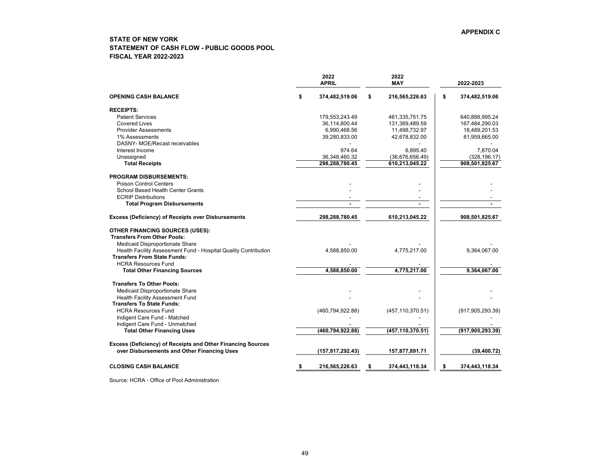## <span id="page-49-0"></span>**STATE OF NEW YORK STATEMENT OF CASH FLOW - PUBLIC GOODS POOL FISCAL YEAR 2022-2023**

|                                                                 | 2022<br><b>APRIL</b> | 2022<br><b>MAY</b>   | 2022-2023            |
|-----------------------------------------------------------------|----------------------|----------------------|----------------------|
| <b>OPENING CASH BALANCE</b>                                     | \$<br>374,482,519.06 | \$<br>216,565,226.63 | \$<br>374,482,519.06 |
| <b>RECEIPTS:</b>                                                |                      |                      |                      |
| <b>Patient Services</b>                                         | 179,553,243.49       | 461,335,751.75       | 640,888,995.24       |
| <b>Covered Lives</b>                                            | 36,114,800.44        | 131,369,489.59       | 167,484,290.03       |
| <b>Provider Assessments</b>                                     | 6,990,468.56         | 11,498,732.97        | 18,489,201.53        |
| 1% Assessments                                                  | 39,280,833.00        | 42,678,832.00        | 81,959,665.00        |
| DASNY- MOE/Recast receivables                                   |                      |                      |                      |
| Interest Income                                                 | 974.64               | 6,895.40             | 7,870.04             |
| Unassigned                                                      | 36,348,460.32        | (36,676,656.49)      | (328, 196.17)        |
| <b>Total Receipts</b>                                           | 298,288,780.45       | 610,213,045.22       | 908,501,825.67       |
| <b>PROGRAM DISBURSEMENTS:</b>                                   |                      |                      |                      |
| Poison Control Centers                                          |                      |                      |                      |
| School Based Health Center Grants                               |                      |                      |                      |
| <b>ECRIP Distributions</b>                                      |                      |                      |                      |
| <b>Total Program Disbursements</b>                              |                      |                      |                      |
| <b>Excess (Deficiency) of Receipts over Disbursements</b>       | 298,288,780.45       | 610,213,045.22       | 908,501,825.67       |
| <b>OTHER FINANCING SOURCES (USES):</b>                          |                      |                      |                      |
| <b>Transfers From Other Pools:</b>                              |                      |                      |                      |
| Medicaid Disproportionate Share                                 |                      |                      |                      |
| Health Facility Assessment Fund - Hospital Quality Contribution | 4,588,850.00         | 4,775,217.00         | 9,364,067.00         |
| <b>Transfers From State Funds:</b>                              |                      |                      |                      |
| <b>HCRA Resources Fund</b>                                      |                      |                      |                      |
| <b>Total Other Financing Sources</b>                            | 4,588,850.00         | 4,775,217.00         | 9,364,067.00         |
| <b>Transfers To Other Pools:</b>                                |                      |                      |                      |
| Medicaid Disproportionate Share                                 |                      |                      |                      |
| <b>Health Facility Assessment Fund</b>                          |                      |                      |                      |
| <b>Transfers To State Funds:</b>                                |                      |                      |                      |
| <b>HCRA Resources Fund</b>                                      | (460, 794, 922.88)   | (457, 110, 370.51)   | (917, 905, 293.39)   |
| Indigent Care Fund - Matched                                    |                      |                      |                      |
| Indigent Care Fund - Unmatched                                  |                      |                      |                      |
| <b>Total Other Financing Uses</b>                               | (460,794,922.88)     | (457, 110, 370.51)   | (917, 905, 293.39)   |
| Excess (Deficiency) of Receipts and Other Financing Sources     |                      |                      |                      |
| over Disbursements and Other Financing Uses                     | (157, 917, 292.43)   | 157,877,891.71       | (39, 400.72)         |
| <b>CLOSING CASH BALANCE</b>                                     | \$<br>216,565,226.63 | \$<br>374,443,118.34 | \$<br>374,443,118.34 |

Source: HCRA - Office of Pool Administration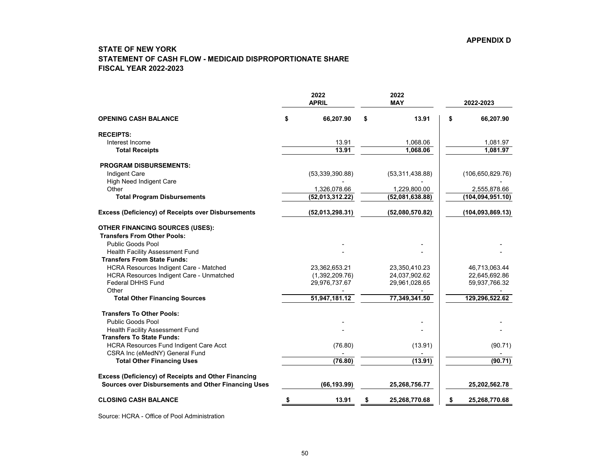# <span id="page-50-0"></span>**STATE OF NEW YORK STATEMENT OF CASH FLOW - MEDICAID DISPROPORTIONATE SHARE FISCAL YEAR 2022-2023**

|                                                                              | 2022<br><b>APRIL</b> | 2022<br><b>MAY</b>  |    | 2022-2023          |
|------------------------------------------------------------------------------|----------------------|---------------------|----|--------------------|
| <b>OPENING CASH BALANCE</b>                                                  | \$<br>66,207.90      | \$<br>13.91         | \$ | 66,207.90          |
| <b>RECEIPTS:</b>                                                             |                      |                     |    |                    |
| Interest Income                                                              | 13.91                | 1,068.06            |    | 1,081.97           |
| <b>Total Receipts</b>                                                        | 13.91                | 1,068.06            |    | 1,081.97           |
| <b>PROGRAM DISBURSEMENTS:</b>                                                |                      |                     |    |                    |
| <b>Indigent Care</b>                                                         | (53, 339, 390.88)    | (53,311,438.88)     |    | (106, 650, 829.76) |
| High Need Indigent Care                                                      |                      |                     |    |                    |
| Other                                                                        | 1,326,078.66         | 1,229,800.00        |    | 2,555,878.66       |
| <b>Total Program Disbursements</b>                                           | (52,013,312.22)      | (52,081,638.88)     |    | (104, 094, 951.10) |
| <b>Excess (Deficiency) of Receipts over Disbursements</b>                    | (52,013,298.31)      | (52,080,570.82)     |    | (104, 093, 869.13) |
| <b>OTHER FINANCING SOURCES (USES):</b><br><b>Transfers From Other Pools:</b> |                      |                     |    |                    |
| <b>Public Goods Pool</b>                                                     |                      |                     |    |                    |
| Health Facility Assessment Fund                                              |                      |                     |    |                    |
| <b>Transfers From State Funds:</b>                                           |                      |                     |    |                    |
| HCRA Resources Indigent Care - Matched                                       | 23,362,653.21        | 23,350,410.23       |    | 46,713,063.44      |
| <b>HCRA Resources Indigent Care - Unmatched</b>                              | (1,392,209.76)       | 24,037,902.62       |    | 22,645,692.86      |
| Federal DHHS Fund                                                            | 29,976,737.67        | 29,961,028.65       |    | 59,937,766.32      |
| Other                                                                        |                      |                     |    |                    |
| <b>Total Other Financing Sources</b>                                         | 51,947,181.12        | 77,349,341.50       |    | 129,296,522.62     |
| <b>Transfers To Other Pools:</b>                                             |                      |                     |    |                    |
| <b>Public Goods Pool</b>                                                     |                      |                     |    |                    |
| <b>Health Facility Assessment Fund</b>                                       |                      |                     |    |                    |
| <b>Transfers To State Funds:</b>                                             |                      |                     |    |                    |
| <b>HCRA Resources Fund Indigent Care Acct</b>                                | (76.80)              | (13.91)             |    | (90.71)            |
| CSRA Inc (eMedNY) General Fund                                               |                      |                     |    |                    |
| <b>Total Other Financing Uses</b>                                            | (76.80)              | (13.91)             |    | (90.71)            |
| <b>Excess (Deficiency) of Receipts and Other Financing</b>                   |                      |                     |    |                    |
| Sources over Disbursements and Other Financing Uses                          | (66, 193.99)         | 25,268,756.77       |    | 25,202,562.78      |
| <b>CLOSING CASH BALANCE</b>                                                  | \$<br>13.91          | \$<br>25,268,770.68 | S  | 25,268,770.68      |

Source: HCRA - Office of Pool Administration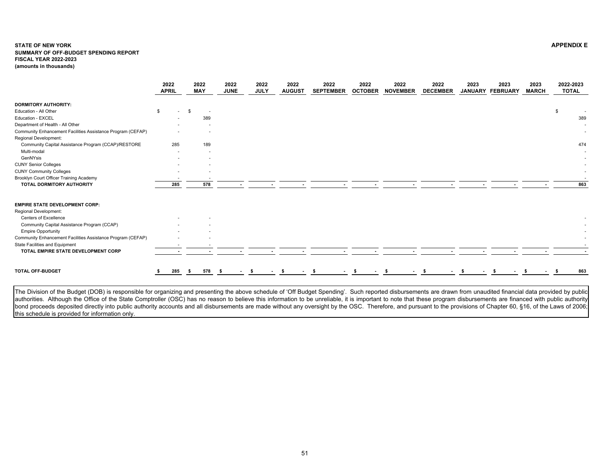#### <span id="page-51-0"></span>**STATE OF NEW YORK APPENDIX E SUMMARY OF OFF-BUDGET SPENDING REPORT FISCAL YEAR 2022-2023 (amounts in thousands)**

|                                                             |    | 2022<br><b>APRIL</b>     |          | 2022<br><b>MAY</b> | 2022<br><b>JUNE</b> | 2022<br><b>JULY</b> | 2022<br><b>AUGUST</b> | 2022<br><b>SEPTEMBER</b> | 2022<br><b>OCTOBER</b> | 2022<br><b>NOVEMBER</b> | 2022<br><b>DECEMBER</b> | 2023<br><b>JANUARY</b> | 2023<br><b>FEBRUARY</b> | 2023<br><b>MARCH</b> | 2022-2023<br><b>TOTAL</b> |
|-------------------------------------------------------------|----|--------------------------|----------|--------------------|---------------------|---------------------|-----------------------|--------------------------|------------------------|-------------------------|-------------------------|------------------------|-------------------------|----------------------|---------------------------|
| <b>DORMITORY AUTHORITY:</b>                                 |    |                          |          |                    |                     |                     |                       |                          |                        |                         |                         |                        |                         |                      |                           |
| Education - All Other                                       | S. | $\overline{\phantom{a}}$ | <b>S</b> | $\sim$             |                     |                     |                       |                          |                        |                         |                         |                        |                         |                      | \$                        |
| Education - EXCEL                                           |    |                          |          | 389                |                     |                     |                       |                          |                        |                         |                         |                        |                         |                      | 389                       |
| Department of Health - All Other                            |    |                          |          |                    |                     |                     |                       |                          |                        |                         |                         |                        |                         |                      |                           |
| Community Enhancement Facilities Assistance Program (CEFAP) |    |                          |          |                    |                     |                     |                       |                          |                        |                         |                         |                        |                         |                      |                           |
| Regional Development:                                       |    |                          |          |                    |                     |                     |                       |                          |                        |                         |                         |                        |                         |                      |                           |
| Community Capital Assistance Program (CCAP)/RESTORE         |    | 285                      |          | 189                |                     |                     |                       |                          |                        |                         |                         |                        |                         |                      | 474                       |
| Multi-modal                                                 |    |                          |          |                    |                     |                     |                       |                          |                        |                         |                         |                        |                         |                      |                           |
| GenNYsis                                                    |    |                          |          |                    |                     |                     |                       |                          |                        |                         |                         |                        |                         |                      |                           |
| <b>CUNY Senior Colleges</b>                                 |    |                          |          |                    |                     |                     |                       |                          |                        |                         |                         |                        |                         |                      |                           |
| <b>CUNY Community Colleges</b>                              |    |                          |          |                    |                     |                     |                       |                          |                        |                         |                         |                        |                         |                      | $\sim$                    |
| Brooklyn Court Officer Training Academy                     |    |                          |          |                    |                     |                     |                       |                          |                        |                         |                         |                        |                         |                      |                           |
| TOTAL DORMITORY AUTHORITY                                   |    | 285                      |          | 578                |                     |                     |                       |                          |                        |                         |                         |                        |                         |                      | 863                       |
| <b>EMPIRE STATE DEVELOPMENT CORP:</b>                       |    |                          |          |                    |                     |                     |                       |                          |                        |                         |                         |                        |                         |                      |                           |
| Regional Development:                                       |    |                          |          |                    |                     |                     |                       |                          |                        |                         |                         |                        |                         |                      |                           |
| Centers of Excellence                                       |    |                          |          |                    |                     |                     |                       |                          |                        |                         |                         |                        |                         |                      |                           |
| Community Capital Assistance Program (CCAP)                 |    |                          |          |                    |                     |                     |                       |                          |                        |                         |                         |                        |                         |                      |                           |
| <b>Empire Opportunity</b>                                   |    |                          |          |                    |                     |                     |                       |                          |                        |                         |                         |                        |                         |                      |                           |
| Community Enhancement Facilities Assistance Program (CEFAP) |    |                          |          |                    |                     |                     |                       |                          |                        |                         |                         |                        |                         |                      |                           |
| State Facilities and Equipment                              |    |                          |          |                    |                     |                     |                       |                          |                        |                         |                         |                        |                         |                      |                           |
| TOTAL EMPIRE STATE DEVELOPMENT CORP                         |    |                          |          |                    |                     |                     |                       |                          |                        |                         |                         |                        |                         |                      |                           |
|                                                             |    |                          |          |                    |                     |                     |                       |                          |                        |                         |                         |                        |                         |                      |                           |
| <b>TOTAL OFF-BUDGET</b>                                     |    | 285                      | - 56     | 578                |                     |                     |                       |                          |                        |                         |                         |                        |                         |                      | 863                       |

The Division of the Budget (DOB) is responsible for organizing and presenting the above schedule of 'Off Budget Spending'. Such reported disbursements are drawn from unaudited financial data provided by public authorities. Although the Office of the State Comptroller (OSC) has no reason to believe this information to be unreliable, it is important to note that these program disbursements are financed with public authority bond proceeds deposited directly into public authority accounts and all disbursements are made without any oversight by the OSC. Therefore, and pursuant to the provisions of Chapter 60, §16, of the Laws of 2006; this schedule is provided for information only.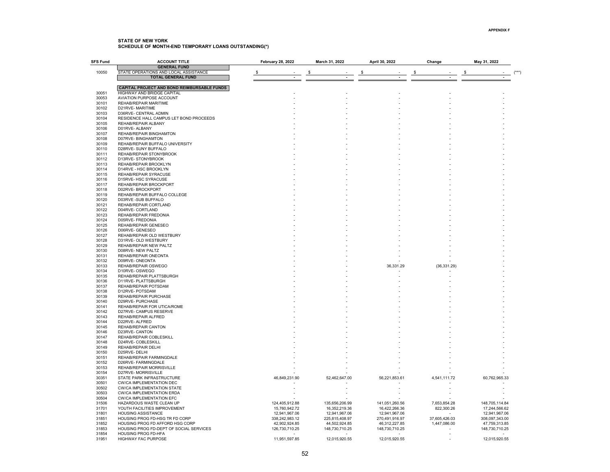<span id="page-52-0"></span>

| <b>SFS Fund</b> | <b>ACCOUNT TITLE</b>                                                | <b>February 28, 2022</b> | March 31, 2022 | April 30, 2022 | Change        | May 31, 2022   |
|-----------------|---------------------------------------------------------------------|--------------------------|----------------|----------------|---------------|----------------|
|                 | <b>GENERAL FUND</b>                                                 |                          |                |                |               |                |
| 10050           | STATE OPERATIONS AND LOCAL ASSISTANCE                               | S                        | - \$           | -\$            | \$            | \$             |
|                 | <b>TOTAL GENERAL FUND</b>                                           |                          |                |                |               |                |
|                 | <b>CAPITAL PROJECT AND BOND REIMBURSABLE FUNDS</b>                  |                          |                |                |               |                |
| 30051           | HIGHWAY AND BRIDGE CAPITAL                                          |                          |                |                |               |                |
| 30053           | AVIATION PURPOSE ACCOUNT                                            |                          |                |                |               |                |
| 30101           | REHAB/REPAIR MARITIME                                               |                          |                |                |               |                |
| 30102           | D21RVE-MARITIME                                                     |                          |                |                |               |                |
| 30103           | D36RVE- CENTRAL ADMIN                                               |                          |                |                |               |                |
| 30104           | RESIDENCE HALL CAMPUS LET BOND PROCEEDS                             |                          |                |                |               |                |
| 30105<br>30106  | REHAB/REPAIR ALBANY<br>D01RVE- ALBANY                               |                          |                |                |               |                |
| 30107           | REHAB/REPAIR BINGHAMTON                                             |                          |                |                |               |                |
| 30108           | D07RVE- BINGHAMTON                                                  |                          |                |                |               |                |
| 30109           | REHAB/REPAIR BUFFALO UNIVERSITY                                     |                          |                |                |               |                |
| 30110           | D28RVE- SUNY BUFFALO                                                |                          |                |                |               |                |
| 30111           | REHAB/REPAIR STONYBROOK                                             |                          |                |                |               |                |
| 30112           | D13RVE-STONYBROOK                                                   |                          |                |                |               |                |
| 30113           | REHAB/REPAIR BROOKLYN                                               |                          |                |                |               |                |
| 30114           | D14RVE - HSC BROOKLYN                                               |                          |                |                |               |                |
| 30115<br>30116  | REHAB/REPAIR SYRACUSE                                               |                          |                |                |               |                |
| 30117           | D15RVE- HSC SYRACUSE<br>REHAB/REPAIR BROCKPORT                      |                          |                |                |               |                |
| 30118           | D02RVE-BROCKPORT                                                    |                          |                |                |               |                |
| 30119           | REHAB/REPAIR BUFFALO COLLEGE                                        |                          |                |                |               |                |
| 30120           | D03RVE -SUB BUFFALO                                                 |                          |                |                |               |                |
| 30121           | REHAB/REPAIR CORTLAND                                               |                          |                |                |               |                |
| 30122           | D04RVE-CORTLAND                                                     |                          |                |                |               |                |
| 30123           | REHAB/REPAIR FREDONIA                                               |                          |                |                |               |                |
| 30124           | D05RVE- FREDONIA                                                    |                          |                |                |               |                |
| 30125<br>30126  | REHAB/REPAIR GENESEO                                                |                          |                |                |               |                |
| 30127           | D06RVE-GENESEO<br>REHAB/REPAIR OLD WESTBURY                         |                          |                |                |               |                |
| 30128           | D31RVE- OLD WESTBURY                                                |                          |                |                |               |                |
| 30129           | REHAB/REPAIR NEW PALTZ                                              |                          |                |                |               |                |
| 30130           | D08RVE- NEW PALTZ                                                   |                          |                |                |               |                |
| 30131           | REHAB/REPAIR ONEONTA                                                |                          |                |                |               |                |
| 30132           | D09RVE-ONEONTA                                                      |                          |                |                |               |                |
| 30133           | REHAB/REPAIR OSWEGO                                                 |                          |                | 36,331.29      | (36, 331.29)  |                |
| 30134           | D10RVE-OSWEGO                                                       |                          |                |                |               |                |
| 30135           | REHAB/REPAIR PLATTSBURGH                                            |                          |                |                |               |                |
| 30136<br>30137  | D11RVE-PLATTSBURGH<br>REHAB/REPAIR POTSDAM                          |                          |                |                |               |                |
| 30138           | D12RVE-POTSDAM                                                      |                          |                |                |               |                |
| 30139           | REHAB/REPAIR PURCHASE                                               |                          |                |                |               |                |
| 30140           | D29RVE- PURCHASE                                                    |                          |                |                |               |                |
| 30141           | REHAB/REPAIR FOR UTICA/ROME                                         |                          |                |                |               |                |
| 30142           | D27RVE- CAMPUS RESERVE                                              |                          |                |                |               |                |
| 30143           | REHAB/REPAIR ALFRED                                                 |                          |                |                |               |                |
| 30144           | D22RVE-ALFRED                                                       |                          |                |                |               |                |
| 30145           | REHAB/REPAIR CANTON                                                 |                          |                |                |               |                |
| 30146           | D23RVE-CANTON                                                       |                          |                |                |               |                |
| 30147<br>30148  | REHAB/REPAIR COBLESKILL<br>D24RVE-COBLESKILL                        |                          |                |                |               |                |
| 30149           | REHAB/REPAIR DELHI                                                  |                          |                |                |               |                |
| 30150           | D25RVE-DELHI                                                        |                          |                |                |               |                |
| 30151           | REHAB/REPAIR FARMINGDALE                                            |                          |                |                |               |                |
| 30152           | D26RVE-FARMINGDALE                                                  |                          |                |                |               |                |
| 30153           | REHAB/REPAIR MORRISVILLE                                            |                          |                |                |               |                |
| 30154           | D27RVE-MORRISVILLE                                                  |                          |                |                |               |                |
| 30351           | STATE PARK INFRASTRUCTURE                                           | 46,849,231.90            | 52,462,647.00  | 56,221,853.61  | 4,541,111.72  | 60,762,965.33  |
| 30501           | <b>CW/CA IMPLEMENTATION DEC</b>                                     |                          |                |                |               |                |
| 30502<br>30503  | <b>CW/CA IMPLEMENTATION STATE</b>                                   |                          |                |                |               |                |
| 30504           | <b>CW/CA IMPLEMENTATION ERDA</b><br><b>CW/CA IMPLEMENTATION EFC</b> |                          |                |                |               |                |
| 31506           | HAZARDOUS WASTE CLEAN UP                                            | 124,405,912.88           | 135,656,206.99 | 141,051,260.56 | 7,653,854.28  | 148,705,114.84 |
| 31701           | YOUTH FACILITIES IMPROVEMENT                                        | 15,760,942.72            | 16,352,219.36  | 16,422,266.36  | 822,300.26    | 17,244,566.62  |
| 31801           | <b>HOUSING ASSISTANCE</b>                                           | 12,941,967.06            | 12,941,967.06  | 12,941,967.06  |               | 12,941,967.06  |
| 31851           | HOUSING PROG FD-HSG TR FD CORP                                      | 338,242,983.12           | 225,815,408.97 | 270,491,916.97 | 37,605,426.03 | 308,097,343.00 |
| 31852           | HOUSING PROG FD AFFORD HSG CORP                                     | 42,902,924.85            | 44,502,924.85  | 46,312,227.85  | 1,447,086.00  | 47,759,313.85  |
| 31853           | HOUSING PROG FD-DEPT OF SOCIAL SERVICES                             | 126,730,710.25           | 148,730,710.25 | 148,730,710.25 |               | 148,730,710.25 |
| 31854           | HOUSING PROG FD-HFA                                                 |                          |                |                |               |                |
| 31951           | HIGHWAY FAC PURPOSE                                                 | 11,951,597.85            | 12,015,920.55  | 12,015,920.55  |               | 12,015,920.55  |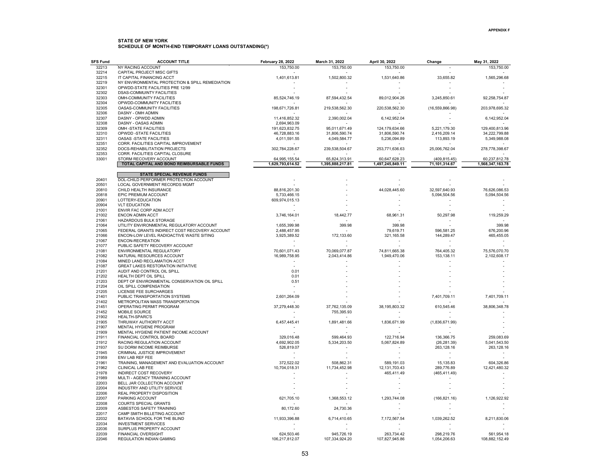| <b>SFS Fund</b> | <b>ACCOUNT TITLE</b>                                                                | <b>February 28, 2022</b> | March 31, 2022   | April 30, 2022   | Change          | May 31, 2022     |
|-----------------|-------------------------------------------------------------------------------------|--------------------------|------------------|------------------|-----------------|------------------|
| 32213           | NY RACING ACCOUNT                                                                   | 153,750.00               | 153,750.00       | 153,750.00       |                 | 153,750.00       |
| 32214           | CAPITAL PROJECT MISC GIFTS                                                          |                          |                  |                  |                 |                  |
| 32215           | IT CAPITAL FINANCING ACCT                                                           | 1,401,613.81             | 1,502,800.32     | 1,531,640.86     | 33,655.82       | 1,565,296.68     |
| 32219<br>32301  | NY ENVIRONMENTAL PROTECTION & SPILL REMEDIATION<br>OPWDD-STATE FACILITIES PRE 12/99 |                          |                  |                  |                 |                  |
| 32302           | <b>DSAS-COMMUINTY FACILITIES</b>                                                    |                          |                  |                  |                 |                  |
| 32303           | OMH-COMMUNITY FACILITIES                                                            | 85,524,746.19            | 87,594,432.54    | 89,012,904.26    | 3,245,850.61    | 92,258,754.87    |
| 32304           | OPWDD-COMMUNITY FACILITIES                                                          |                          |                  |                  |                 |                  |
| 32305           | OASAS-COMMUNITY FACILITIES                                                          | 198,671,726.81           | 219,538,562.30   | 220,538,562.30   | (16,559,866.98) | 203,978,695.32   |
| 32306           | DASNY - OMH ADMIN                                                                   |                          |                  |                  |                 |                  |
| 32307           | DASNY - OPWDD ADMIN                                                                 | 11,416,852.32            | 2,390,002.04     | 6,142,952.04     |                 | 6,142,952.04     |
| 32308           | DASNY - OASAS ADMIN                                                                 | 2.694.963.09             |                  |                  |                 |                  |
| 32309           | OMH-STATE FACILITIES                                                                | 191,623,832.75           | 95,011,671.49    | 124,179,634.66   | 5,221,179.30    | 129,400,813.96   |
| 32310           | OPWDD -STATE FACILITIES                                                             | 46,728,883.16            | 31,806,590.74    | 31,806,590.74    | 2,416,209.14    | 34,222,799.88    |
| 32311<br>32351  | <b>OASAS -STATE FACILITIES</b><br>CORR. FACILITIES CAPITAL IMPROVEMENT              | 4,011,591.55             | 4,049,584.77     | 5,236,094.89     | 113,893.19      | 5,349,988.08     |
| 32352           | DOCS-REHABILITATION PROJECTS                                                        | 302,784,228.67           | 239,538,504.67   | 253,771,636.63   | 25,006,762.04   | 278,778,398.67   |
| 32353           | CORR. FACILITIES CAPITAL CLOSURE                                                    |                          |                  |                  |                 |                  |
| 33001           | STORM RECOVERY ACCOUNT                                                              | 64,995,155.54            | 65,824,313.91    | 60,647,628.23    | (409, 815.45)   | 60,237,812.78    |
|                 | TOTAL CAPITAL AND BOND REIMBURSABLE FUNDS                                           | 1,629,793,614.52         | 1,395,888,217.81 | 1,497,245,849.11 | 71,101,314.67   | 1,568,347,163.78 |
|                 |                                                                                     |                          |                  |                  |                 |                  |
|                 | <b>STATE SPECIAL REVENUE FUNDS</b>                                                  |                          |                  |                  |                 |                  |
| 20401           | DOL-CHILD PERFORMER PROTECTION ACCOUNT                                              |                          |                  |                  |                 |                  |
| 20501           | <b>LOCAL GOVERNMENT RECORDS MGMT</b>                                                |                          |                  |                  |                 |                  |
| 20810           | CHILD HEALTH INSURANCE                                                              | 88,816,201.30            |                  | 44,028,445.60    | 32,597,640.93   | 76,626,086.53    |
| 20818           | EPIC PREMIUM ACCOUNT                                                                | 5,733,466.15             |                  |                  | 5,094,504.56    | 5,094,504.56     |
| 20901<br>20904  | LOTTERY-EDUCATION<br><b>VLT EDUCATION</b>                                           | 609,974,015.13           |                  |                  |                 |                  |
| 21001           | ENVIR FAC CORP ADM ACCT                                                             |                          |                  |                  |                 |                  |
| 21002           | <b>ENCON ADMIN ACCT</b>                                                             | 3,746,164.01             | 18,442.77        | 68,961.31        | 50,297.98       | 119,259.29       |
| 21061           | HAZARDOUS BULK STORAGE                                                              |                          |                  |                  |                 |                  |
| 21064           | UTILITY ENVIRONMENTAL REGULATORY ACCOUNT                                            | 1,655,399.98             | 399.98           | 399.98           |                 | 399.98           |
| 21065           | FEDERAL GRANTS INDIRECT COST RECOVERY ACCOUNT                                       | 2.488.457.95             |                  | 79.619.71        | 596.581.25      | 676,200.96       |
| 21066           | ENCON-LOW LEVEL RADIOACTIVE WASTE SITING                                            | 3,925,389.52             | 172,133.60       | 321,165.58       | 144,289.47      | 465,455.05       |
| 21067           | ENCON-RECREATION                                                                    |                          |                  |                  |                 |                  |
| 21077           | PUBLIC SAFETY RECOVERY ACCOUNT                                                      |                          |                  |                  |                 |                  |
| 21081           | ENVIRONMENTAL REGULATORY                                                            | 70,601,071.43            | 70,069,077.87    | 74,811,665.38    | 764,405.32      | 75,576,070.70    |
| 21082           | NATURAL RESOURCES ACCOUNT                                                           | 16,989,758.95            | 2,043,414.86     | 1,949,470.06     | 153,138.11      | 2,102,608.17     |
| 21084           | MINED LAND RECLAMATION ACCT                                                         |                          |                  |                  |                 |                  |
| 21087           | <b>GREAT LAKES RESTORATION INITIATIVE</b>                                           |                          |                  |                  |                 |                  |
| 21201           | AUDIT AND CONTROL OIL SPILL                                                         | 0.01                     |                  |                  |                 |                  |
| 21202           | HEALTH DEPT OIL SPILL                                                               | 0.01                     |                  |                  |                 |                  |
| 21203<br>21204  | DEPT OF ENVIRONMENTAL CONSERVATION OIL SPILL<br>OIL SPILL COMPENSATION              | 0.51                     |                  |                  |                 |                  |
| 21205           | LICENSE FEE SURCHARGES                                                              |                          |                  |                  |                 |                  |
| 21401           | PUBLIC TRANSPORTATION SYSTEMS                                                       | 2,601,264.09             |                  |                  | 7,401,709.11    | 7,401,709.11     |
| 21402           | METROPOLITAN MASS TRANSPORTATION                                                    |                          |                  |                  |                 |                  |
| 21451           | OPERATING PERMIT PROGRAM                                                            | 37,279,448.30            | 37,762,135.09    | 38,195,803.32    | 610,545.46      | 38,806,348.78    |
| 21452           | MOBILE SOURCE                                                                       |                          | 755,395.93       |                  |                 |                  |
| 21902           | HEALTH-SPARC'S                                                                      |                          |                  |                  |                 |                  |
| 21905           | THRUWAY AUTHORITY ACCT                                                              | 6,457,445.41             | 1,891,481.66     | 1,836,671.99     | (1,836,671.99)  |                  |
| 21907           | MENTAL HYGIENE PROGRAM                                                              |                          |                  |                  |                 |                  |
| 21909           | MENTAL HYGIENE PATIENT INCOME ACCOUNT                                               |                          |                  |                  |                 |                  |
| 21911           | FINANCIAL CONTROL BOARD                                                             | 329,016.48               | 599,464.93       | 122,716.94       | 136,366.75      | 259,083.69       |
| 21912           | RACING REGULATION ACCOUNT                                                           | 4,692,902.05             | 5,334,203.50     | 5,067,824.89     | (26, 281.39)    | 5,041,543.50     |
| 21937<br>21945  | SU DORM INCOME REIMBURSE<br>CRIMINAL JUSTICE IMPROVEMENT                            | 526,819.07               |                  |                  | 263,128.16      | 263,128.16       |
| 21959           | ENV LAB REF FEE                                                                     |                          |                  |                  |                 |                  |
| 21961           | TRAINING, MANAGEMENT AND EVALUATION ACCOUNT                                         | 372,522.02               | 508,862.31       | 589,191.03       | 15,135.83       | 604,326.86       |
| 21962           | <b>CLINICAL LAB FEE</b>                                                             | 10,704,018.31            | 11,734,452.98    | 12, 131, 703. 43 | 289,776.89      | 12,421,480.32    |
| 21978           | INDIRECT COST RECOVERY                                                              |                          |                  | 465,411.49       | (465, 411.49)   |                  |
| 21989           | MULTI - AGENCY TRAINING ACCOUNT                                                     |                          |                  |                  |                 |                  |
| 22003           | BELL JAR COLLECTION ACCOUNT                                                         |                          |                  |                  |                 |                  |
| 22004           | INDUSTRY AND UTILITY SERVICE                                                        |                          |                  |                  |                 |                  |
| 22006           | REAL PROPERTY DISPOSITION                                                           |                          |                  |                  |                 |                  |
| 22007           | PARKING ACCOUNT                                                                     | 621,705.10               | 1,368,553.12     | 1,293,744.08     | (166, 821.16)   | 1,126,922.92     |
| 22008           | COURTS SPECIAL GRANTS                                                               |                          |                  |                  |                 |                  |
| 22009           | ASBESTOS SAFETY TRAINING                                                            | 80,172.60                | 24,730.36        |                  |                 |                  |
| 22017           | CAMP SMITH BILLETING ACCOUNT                                                        |                          |                  |                  |                 |                  |
| 22032           | BATAVIA SCHOOL FOR THE BLIND                                                        | 11,933,396.88            | 6,714,410.65     | 7,172,567.54     | 1,039,262.52    | 8,211,830.06     |
| 22034<br>22036  | <b>INVESTMENT SERVICES</b><br>SURPLUS PROPERTY ACCOUNT                              |                          |                  |                  |                 |                  |
| 22039           | FINANCIAL OVERSIGHT                                                                 | 624,503.46               | 945,726.19       | 263,734.42       | 298,219.76      | 561,954.18       |
| 22046           | <b>REGULATION INDIAN GAMING</b>                                                     | 106.217.812.07           | 107.334.924.20   | 107.827.945.86   | 1.054.206.63    | 108.882.152.49   |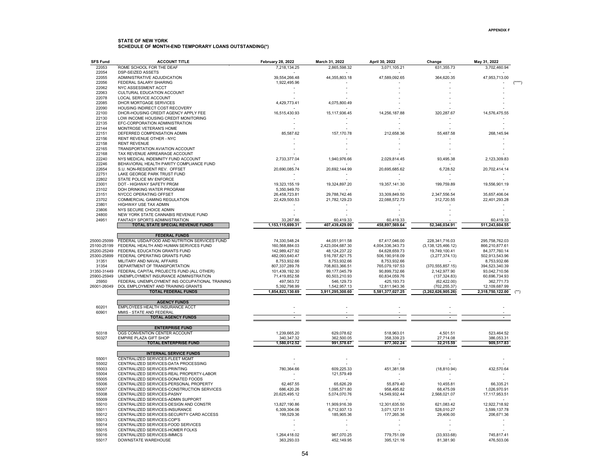| <b>SFS Fund</b>            | <b>ACCOUNT TITLE</b>                                                         | <b>February 28, 2022</b>         | March 31, 2022                     | April 30, 2022                  | Change                   | May 31, 2022                    |  |
|----------------------------|------------------------------------------------------------------------------|----------------------------------|------------------------------------|---------------------------------|--------------------------|---------------------------------|--|
| 22053                      | ROME SCHOOL FOR THE DEAF                                                     | 7,218,134.25                     | 2,865,598.32                       | 3,071,105.21                    | 631,355.73               | 3,702,460.94                    |  |
| 22054                      | <b>DSP-SEIZED ASSETS</b>                                                     |                                  |                                    |                                 |                          |                                 |  |
| 22055                      | ADMINISTRATIVE ADJUDICATION                                                  | 39,554,266.48                    | 44,355,803.18                      | 47,589,092.65                   | 364,620.35               | 47,953,713.00                   |  |
| 22056<br>22062             | FEDERAL SALARY SHARING<br>NYC ASSESSMENT ACCT                                | 1,922,495.96                     |                                    |                                 |                          |                                 |  |
| 22063                      | CULTURAL EDUCATION ACCOUNT                                                   |                                  |                                    |                                 |                          |                                 |  |
| 22078                      | <b>LOCAL SERVICE ACCOUNT</b>                                                 |                                  |                                    |                                 |                          |                                 |  |
| 22085                      | DHCR MORTGAGE SERVICES                                                       | 4,429,773.41                     | 4,075,800.49                       |                                 |                          |                                 |  |
| 22090                      | HOUSING INDIRECT COST RECOVERY                                               |                                  |                                    |                                 |                          |                                 |  |
| 22100                      | DHCR-HOUSING CREDIT AGENCY APPLY FEE                                         | 16,515,430.93                    | 15, 117, 936.45                    | 14,256,187.88                   | 320,287.67               | 14,576,475.55                   |  |
| 22130                      | LOW INCOME HOUSING CREDIT MONITORING                                         |                                  |                                    |                                 |                          |                                 |  |
| 22135                      | EFC-CORPORATION ADMINISTRATION                                               |                                  |                                    |                                 |                          |                                 |  |
| 22144                      | MONTROSE VETERAN'S HOME                                                      |                                  |                                    |                                 |                          |                                 |  |
| 22151                      | DEFERRED COMPENSATION ADMIN                                                  | 85,587.62                        | 157, 170.78                        | 212,658.36                      | 55,487.58                | 268,145.94                      |  |
| 22156<br>22158             | RENT REVENUE OTHER - NYC<br><b>RENT REVENUE</b>                              |                                  |                                    |                                 |                          |                                 |  |
| 22165                      | TRANSPORTATION AVIATION ACCOUNT                                              |                                  |                                    |                                 |                          |                                 |  |
| 22168                      | TAX REVENUE ARREARAGE ACCOUNT                                                |                                  |                                    |                                 |                          |                                 |  |
| 22240                      | NYS MEDICAL INDEMNITY FUND ACCOUNT                                           | 2,733,377.04                     | 1,940,976.66                       | 2,029,814.45                    | 93,495.38                | 2,123,309.83                    |  |
| 22246                      | BEHAVIORAL HEALTH PARITY COMPLIANCE FUND                                     |                                  |                                    |                                 |                          |                                 |  |
| 22654                      | S.U. NON-RESIDENT REV. OFFSET                                                | 20,690,085.74                    | 20,692,144.99                      | 20,695,685.62                   | 6,728.52                 | 20,702,414.14                   |  |
| 22751                      | LAKE GEORGE PARK TRUST FUND                                                  |                                  | $\sim$                             | $\sim$                          | $\sim$                   |                                 |  |
| 22802                      | STATE POLICE MV ENFORCE                                                      |                                  | a.                                 | i.                              | i.                       |                                 |  |
| 23001                      | DOT - HIGHWAY SAFETY PRGM                                                    | 19,323,155.19                    | 19,324,897.20                      | 19,357,141.30                   | 199,759.89               | 19,556,901.19                   |  |
| 23102<br>23151             | DOH DRINKING WATER PROGRAM<br>NYCCC OPERATING OFFSET                         | 5,350,949.70<br>26,458,723.81    | 29,788,742.46                      | 33,309,849.50                   | 2,347,556.54             | 35,657,406.04                   |  |
| 23702                      | COMMERCIAL GAMING REGULATION                                                 | 22,429,500.53                    | 21,782,129.23                      | 22,088,572.73                   | 312,720.55               | 22,401,293.28                   |  |
| 23801                      | HIGHWAY USE TAX ADMIN                                                        |                                  |                                    |                                 |                          |                                 |  |
| 23806                      | NYS SECURE CHOICE ADMIN                                                      |                                  | $\sim$                             |                                 |                          |                                 |  |
| 24800                      | NEW YORK STATE CANNABIS REVENUE FUND                                         | ÷                                | in 1919.                           |                                 |                          | - 20                            |  |
| 24951                      | <b>FANTASY SPORTS ADMINISTRATION</b>                                         | 33.267.86                        | 60.419.33                          | 60.419.33                       |                          | 60.419.33                       |  |
|                            | <b>TOTAL STATE SPECIAL REVENUE FUNDS</b>                                     | 1,153,115,699.31                 | 407,439,429.09                     | 458,897,569.64                  | 52,346,034.91            | 511,243,604.55                  |  |
|                            |                                                                              |                                  |                                    |                                 |                          |                                 |  |
|                            | <b>FEDERAL FUNDS</b>                                                         |                                  |                                    |                                 |                          |                                 |  |
| 25000-25099                | FEDERAL USDA/FOOD AND NUTRITION SERVICES FUND                                | 74,330,548.24                    | 44,051,911.58                      | 67,417,046.00                   | 228,341,716.03           | 295,758,762.03                  |  |
| 25100-25199                | FEDERAL HEALTH AND HUMAN SERVICES FUND                                       | 160,568,884.03                   | 2,423,004,687.30                   | 4,004,336,343.73                | (3, 138, 125, 466.12)    | 866,210,877.61                  |  |
| 25200-25249<br>25300-25899 | FEDERAL EDUCATION GRANTS FUND<br>FEDERAL OPERATING GRANTS FUND               | 142,989,427.92<br>482,093,640.47 | 48, 124, 237. 22<br>516,787,821.75 | 64,628,659.73<br>506,190,918.09 | 19,749,100.41            | 84,377,760.14<br>502,913,543.96 |  |
| 31351                      | MILITARY AND NAVAL AFFAIRS                                                   | 8,753,932.66                     | 8,753,932.66                       | 8,753,932.66                    | (3,277,374.13)           | 8,753,932.66                    |  |
| 31354                      | DEPARTMENT OF TRANSPORTATION                                                 | 807,337,289.78                   | 708,803,366.51                     | 765,079,197.53                  | (370, 555, 857.15)       | 394,523,340.39                  |  |
| 31350-31449                | FEDERAL CAPITAL PROJECTS FUND (ALL OTHER)                                    | 101,439,192.30                   | 99, 177, 045.79                    | 90,899,732.66                   | 2,142,977.90             | 93,042,710.56                   |  |
| 25900-25949                | UNEMPLOYMENT INSURANCE ADMINISTRATION                                        | 71,419,852.58                    | 60,503,210.93                      | 60,834,059.76                   | (137, 324.83)            | 60,696,734.93                   |  |
| 25950                      | FEDERAL UNEMPLOYMENT INS OCCUPATIONAL TRAINING                               | 497,563.72                       | 546,129.73                         | 425, 193.73                     | (62, 422.00)             | 362,771.73                      |  |
| 26001-26049                | DOL EMPLOYMENT AND TRAINING GRANTS                                           | 5,392,798.99                     | 1,542,957.13                       | 12,811,943.36                   | (702, 255.37)            | 12,109,687.99                   |  |
|                            | <b>TOTAL FEDERAL FUNDS</b>                                                   | 1,854,823,130.69                 | 3,911,295,300.60                   | 5,581,377,027.25                | (3,262,626,905.26)       | 2,318,750,122.00                |  |
|                            |                                                                              |                                  |                                    |                                 |                          |                                 |  |
|                            | <b>AGENCY FUNDS</b>                                                          |                                  |                                    |                                 |                          |                                 |  |
| 60201                      | EMPLOYEES HEALTH INSURANCE ACCT                                              |                                  |                                    |                                 |                          |                                 |  |
| 60901                      | MMIS - STATE AND FEDERAL<br><b>TOTAL AGENCY FUNDS</b>                        | $\blacksquare$                   | $\overline{\phantom{a}}$           | $\overline{\phantom{a}}$        | $\overline{\phantom{a}}$ | $\overline{a}$                  |  |
|                            |                                                                              |                                  |                                    |                                 |                          |                                 |  |
|                            | <b>ENTERPRISE FUND</b>                                                       |                                  |                                    |                                 |                          |                                 |  |
| 50318                      | OGS CONVENTION CENTER ACCOUNT                                                | 1,239,665.20                     | 629,078.62                         | 518,963.01                      | 4,501.51                 | 523,464.52                      |  |
| 50327                      | <b>EMPIRE PLAZA GIFT SHOP</b>                                                | 340,347.32                       | 362,500.05                         | 358,339.23                      | 27,714.08                | 386,053.31                      |  |
|                            | <b>TOTAL ENTERPRISE FUND</b>                                                 | 1,580,012.52                     | 991,578.67                         | 877,302.24                      | 32,215.59                | 909,517.83                      |  |
|                            |                                                                              |                                  |                                    |                                 |                          |                                 |  |
|                            | <b>INTERNAL SERVICE FUNDS</b>                                                |                                  |                                    |                                 |                          |                                 |  |
| 55001                      | CENTRALIZED SERVICES-FLEET MGMT                                              |                                  |                                    |                                 |                          |                                 |  |
| 55002                      | CENTRALIZED SERVICES-DATA PROCESSING                                         |                                  |                                    |                                 |                          |                                 |  |
| 55003                      | CENTRALIZED SERVICES-PRINTING                                                | 780,364.66                       | 609,225.33                         | 451,381.58                      | (18, 810.94)             | 432,570.64                      |  |
| 55004                      | CENTRALIZED SERVICES-REAL PROPERTY-LABOR                                     |                                  | 121,579.49                         | $\overline{a}$                  |                          |                                 |  |
| 55005<br>55006             | CENTRALIZED SERVICES-DONATED FOODS<br>CENTRALIZED SERVICES-PERSONAL PROPERTY | 62,467.55                        |                                    |                                 |                          |                                 |  |
| 55007                      | CENTRALIZED SERVICES-CONSTRUCTION SERVICES                                   | 686,420.26                       | 65,626.29<br>1,095,571.80          | 55,879.40<br>958,495.82         | 10,455.81<br>68,475.09   | 66,335.21<br>1,026,970.91       |  |
| 55008                      | CENTRALIZED SERVICES-PASNY                                                   | 20,625,495.12                    | 5,074,070.76                       | 14,549,932.44                   | 2,568,021.07             | 17,117,953.51                   |  |
| 55009                      | CENTRALIZED SERVICES-ADMIN SUPPORT                                           |                                  |                                    | $\sim$                          |                          | $\sim$                          |  |
| 55010                      | CENTRALIZED SERVICES-DESIGN AND CONSTR                                       | 13,827,190.86                    | 11,909,916.39                      | 12,301,635.50                   | 621,083.42               | 12,922,718.92                   |  |
| 55011                      | CENTRALIZED SERVICES-INSURANCE                                               | 6,309,304.06                     | 6,712,937.13                       | 3,071,127.51                    | 528,010.27               | 3,599,137.78                    |  |
| 55012                      | CENTRALIZED SERVICES-SECURITY CARD ACCESS                                    | 199,529.36                       | 185,905.36                         | 177,265.36                      | 29,406.00                | 206,671.36                      |  |
| 55013                      | CENTRALIZED SERVICES-COP'S                                                   |                                  |                                    |                                 |                          |                                 |  |
| 55014                      | CENTRALIZED SERVICES-FOOD SERVICES                                           |                                  |                                    |                                 |                          |                                 |  |
| 55015                      | CENTRALIZED SERVICES-HOMER FOLKS                                             |                                  |                                    |                                 |                          |                                 |  |
| 55016                      | CENTRALIZED SERVICES-IMMICS                                                  | 1,264,418.02                     | 967,070.25                         | 779,751.09                      | (33,933.68)              | 745,817.41                      |  |
| 55017                      | DOWNSTATE WAREHOUSE                                                          | 363.293.03                       | 452.149.95                         | 395.121.16                      | 81.381.90                | 476.503.06                      |  |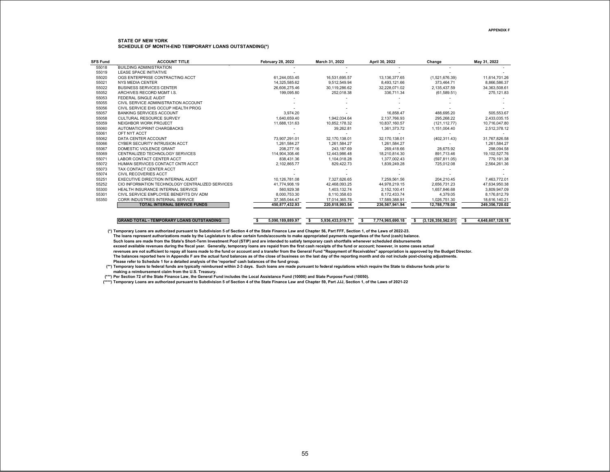| <b>SFS Fund</b> | <b>ACCOUNT TITLE</b>                             | <b>February 28, 2022</b> | March 31, 2022        | April 30, 2022         | Change                | May 31, 2022           |
|-----------------|--------------------------------------------------|--------------------------|-----------------------|------------------------|-----------------------|------------------------|
| 55018           | <b>BUILDING ADMINISTRATION</b>                   |                          |                       |                        |                       |                        |
| 55019           | <b>LEASE SPACE INITIATIVE</b>                    |                          |                       |                        |                       |                        |
| 55020           | OGS ENTERPRISE CONTRACTING ACCT                  | 61.244.053.45            | 16.531.695.57         | 13.136.377.65          | (1,521,676.39)        | 11.614.701.26          |
| 55021           | <b>NYS MEDIA CENTER</b>                          | 14.325.585.62            | 9.512.549.94          | 8.493.121.66           | 373.464.71            | 8.866.586.37           |
| 55022           | <b>BUSINESS SERVICES CENTER</b>                  | 26,606,275.46            | 30,119,286.62         | 32,228,071.02          | 2,135,437.59          | 34,363,508.61          |
| 55052           | ARCHIVES RECORD MGMT I.S.                        | 199.095.80               | 252,018.38            | 336,711.34             | (61, 589.51)          | 275,121.83             |
| 55053           | FEDERAL SINGLE AUDIT                             |                          |                       |                        |                       |                        |
| 55055           | CIVIL SERVICE ADMINISTRATION ACCOUNT             |                          |                       |                        |                       |                        |
| 55056           | CIVIL SERVICE EHS OCCUP HEALTH PROG              |                          |                       |                        |                       |                        |
| 55057           | BANKING SERVICES ACCOUNT                         | 3.974.20                 |                       | 16.858.47              | 488.695.20            | 505.553.67             |
| 55058           | <b>CULTURAL RESOURCE SURVEY</b>                  | 1.640.659.40             | 1.942.034.64          | 2.137.766.93           | 295.268.22            | 2,433,035.15           |
| 55059           | NEIGHBOR WORK PROJECT                            | 11.688.131.63            | 10.852.178.32         | 10.837.160.57          | (121.112.77)          | 10.716.047.80          |
| 55060           | AUTOMATIC/PRINT CHARGBACKS                       |                          | 39.262.81             | 1,361,373.72           | 1,151,004.40          | 2,512,378.12           |
| 55061           | OFT NYT ACCT                                     |                          |                       |                        |                       |                        |
| 55062           | DATA CENTER ACCOUNT                              | 73.907.291.01            | 32.170.138.01         | 32.170.138.01          | (402, 311.43)         | 31.767.826.58          |
| 55066           | <b>CYBER SECURITY INTRUSION ACCT</b>             | 1,261,584.27             | 1.261.584.27          | 1,261,584.27           |                       | 1.261.584.27           |
| 55067           | DOMESTIC VIOLENCE GRANT                          | 208.277.16               | 243.187.69            | 269.418.66             | 28.675.92             | 298.094.58             |
| 55069           | CENTRALIZED TECHNOLOGY SERVICES                  | 114.904.308.46           | 12.443.986.48         | 18.210.814.30          | 891.713.46            | 19.102.527.76          |
| 55071           | LABOR CONTACT CENTER ACCT                        | 838.431.36               | 1.104.018.28          | 1.377.002.43           | (597, 811.05)         | 779.191.38             |
| 55072           | HUMAN SERVICES CONTACT CNTR ACCT                 | 2,102,865.77             | 829,422.73            | 1,839,249.28           | 725,012.08            | 2,564,261.36           |
| 55073           | TAX CONTACT CENTER ACCT                          |                          |                       |                        |                       |                        |
| 55074           | <b>CIVIL RECOVERIES ACCT</b>                     |                          |                       |                        |                       |                        |
| 55251           | <b>EXECUTIVE DIRECTION INTERNAL AUDIT</b>        | 10,126,781.08            | 7.327.626.65          | 7.259.561.56           | 204.210.45            | 7.463.772.01           |
| 55252           | CIO INFORMATION TECHNOLOGY CENTRALIZED SERVICES  | 41.774.908.19            | 42.468.093.25         | 44.978.219.15          | 2.656.731.23          | 47.634.950.38          |
| 55300           | HEALTH INSURANCE INTERNAL SERVICE                | 560.929.38               | 1.403.132.74          | 2.152.100.41           | 1.657.846.68          | 3.809.947.09           |
| 55301           | CIVIL SERVICE EMPLOYEE BENEFITS DIV ADM          | 8,000,753.30             | 8,110,358.63          | 8,172,433.74           | 4,379.05              | 8,176,812.79           |
| 55350           | CORR INDUSTRIES INTERNAL SERVICE                 | 37.365.044.47            | 17.014.365.78         | 17.589.388.91          | 1.026.751.30          | 18.616.140.21          |
|                 | <b>TOTAL INTERNAL SERVICE FUNDS</b>              | 450.877.432.93           | 220.818.993.54        | 236.567.941.94         | 12.788.778.08         | 249.356.720.02         |
|                 |                                                  |                          |                       |                        |                       |                        |
|                 | <b>GRAND TOTAL - TEMPORARY LOANS OUTSTANDING</b> | 5.090.189.889.97<br>-S   | 5,936,433,519.71<br>s | 7.774.965.690.18<br>s. | (3, 126, 358, 562.01) | 4.648.607.128.18<br>-S |

**(\*) Temporary Loans are authorized pursuant to Subdivision 5 of Section 4 of the State Finance Law and Chapter 56, Part FFF, Section 1, of the Laws of 2022-23. The loans represent authorizations made by the Legislature to allow certain funds/accounts to make appropriated payments regardless of the fund (cash) balance. Such loans are made from the State's Short-Term Investment Pool (STIP) and are intended to satisfy temporary cash shortfalls whenever scheduled disbursements exceed available revenues during the fiscal year. Generally, temporary loans are repaid from the first cash receipts of the fund or account; however, in some cases actual revenues are not sufficient to repay all loans made to the fund or account and a transfer from the General Fund "Repayment of Receivables" appropriation is approved by the Budget Director. The balances reported here in Appendix F are the actual fund balances as of the close of business on the last day of the reporting month and do not include post-closing adjustments. Please refer to Schedule 1 for a detailed analysis of the 'reported' cash balances of the fund group.**

**(\*\*) Temporary loans to federal funds are typically reimbursed within 2-3 days. Such loans are made pursuant to federal regulations which require the State to disburse funds prior to making a reimbursement claim from the U.S. Treasury.**

**(\*\*\*) Per Section 72 of the State Finance Law, the General Fund includes the Local Assistance Fund (10000) and State Purpose Fund (10050).** 

**(\*\*\*\*) Temporary Loans are authorized pursuant to Subdivision 5 of Section 4 of the State Finance Law and Chapter 59, Part JJJ, Section 1, of the Laws of 2021-22**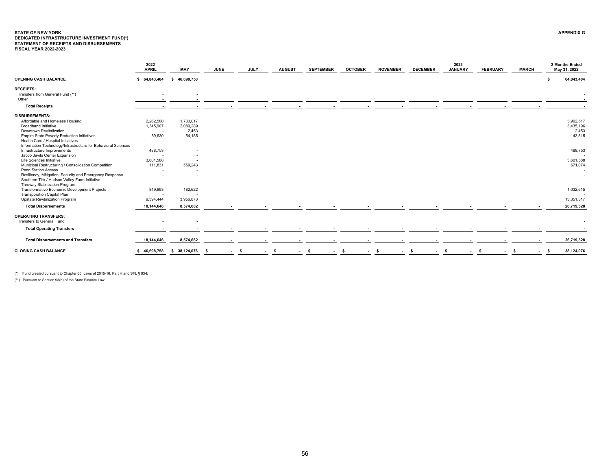## <span id="page-56-0"></span>**STATE OF NEW YORK APPENDIX GDEDICATED INFRASTRUCTURE INVESTMENT FUND(\*) STATEMENT OF RECEIPTS AND DISBURSEMENTS FISCAL YEAR 2022-2023**

|                                                               | 2022<br><b>APRIL</b>     | MAY               | <b>JUNE</b> | <b>JULY</b> | <b>AUGUST</b> | <b>SEPTEMBER</b> | <b>OCTOBER</b> | <b>NOVEMBER</b> | <b>DECEMBER</b> | 2023<br><b>JANUARY</b> | <b>FEBRUARY</b> | <b>MARCH</b> | 2 Months Ended<br>May 31, 2022 |
|---------------------------------------------------------------|--------------------------|-------------------|-------------|-------------|---------------|------------------|----------------|-----------------|-----------------|------------------------|-----------------|--------------|--------------------------------|
| <b>OPENING CASH BALANCE</b>                                   | \$64,843,404             | 46,698,758<br>- S |             |             |               |                  |                |                 |                 |                        |                 |              | 64,843,404                     |
| <b>RECEIPTS:</b>                                              |                          |                   |             |             |               |                  |                |                 |                 |                        |                 |              |                                |
| Transfers from General Fund (**)                              | $\overline{\phantom{0}}$ |                   |             |             |               |                  |                |                 |                 |                        |                 |              |                                |
| Other                                                         |                          |                   |             |             |               |                  |                |                 |                 |                        |                 |              |                                |
| <b>Total Receipts</b>                                         |                          |                   |             |             |               |                  |                |                 |                 |                        |                 |              |                                |
| <b>DISBURSEMENTS:</b>                                         |                          |                   |             |             |               |                  |                |                 |                 |                        |                 |              |                                |
| Affordable and Homeless Housing                               | 2,262,500                | 1,730,017         |             |             |               |                  |                |                 |                 |                        |                 |              | 3,992,517                      |
| <b>Broadband Initiative</b>                                   | 1,345,907                | 2,089,289         |             |             |               |                  |                |                 |                 |                        |                 |              | 3,435,196                      |
| <b>Downtown Revitalization</b>                                |                          | 2,453             |             |             |               |                  |                |                 |                 |                        |                 |              | 2,453                          |
| Empire State Poverty Reduction Initiatives                    | 89,630                   | 54,185            |             |             |               |                  |                |                 |                 |                        |                 |              | 143,815                        |
| Health Care / Hospital Initiatives                            |                          |                   |             |             |               |                  |                |                 |                 |                        |                 |              |                                |
| Information Technology/Infrastructure for Behavioral Sciences |                          |                   |             |             |               |                  |                |                 |                 |                        |                 |              |                                |
| Infrastructure Improvements                                   | 488,753                  |                   |             |             |               |                  |                |                 |                 |                        |                 |              | 488,753                        |
| Jacob Javits Center Expansion                                 |                          |                   |             |             |               |                  |                |                 |                 |                        |                 |              |                                |
| Life Sciences Initiative                                      | 3,601,588                |                   |             |             |               |                  |                |                 |                 |                        |                 |              | 3,601,588                      |
| Municipal Restructuring / Consolidation Competition           | 111,831                  | 559,243           |             |             |               |                  |                |                 |                 |                        |                 |              | 671,074                        |
| Penn Station Access                                           |                          |                   |             |             |               |                  |                |                 |                 |                        |                 |              |                                |
| Resiliency, Mitigation, Security and Emergency Response       |                          |                   |             |             |               |                  |                |                 |                 |                        |                 |              |                                |
| Southern Tier / Hudson Valley Farm Initiative                 |                          |                   |             |             |               |                  |                |                 |                 |                        |                 |              |                                |
| Thruway Stabilization Program                                 |                          |                   |             |             |               |                  |                |                 |                 |                        |                 |              |                                |
| Transformative Economic Development Projects                  | 849,993                  | 182,622           |             |             |               |                  |                |                 |                 |                        |                 |              | 1,032,615                      |
| <b>Transporation Capital Plan</b>                             |                          |                   |             |             |               |                  |                |                 |                 |                        |                 |              |                                |
| Upstate Revitalization Program                                | 9.394.444                | 3,956,873         |             |             |               |                  |                |                 |                 |                        |                 |              | 13,351,317                     |
| <b>Total Disbursements</b>                                    | 18,144,646               | 8,574,682         |             |             |               |                  |                |                 |                 |                        |                 |              | 26,719,328                     |
| <b>OPERATING TRANSFERS:</b>                                   |                          |                   |             |             |               |                  |                |                 |                 |                        |                 |              |                                |
| Transfers to General Fund                                     |                          |                   |             |             |               |                  |                |                 |                 |                        |                 |              |                                |
| <b>Total Operating Transfers</b>                              |                          |                   |             |             |               |                  |                |                 |                 |                        |                 |              |                                |
| <b>Total Disbursements and Transfers</b>                      | 18,144,646               | 8,574,682         |             |             |               |                  |                |                 |                 |                        |                 |              | 26,719,328                     |
| <b>CLOSING CASH BALANCE</b>                                   | \$46,698,758             | \$ 38,124,076     | - S         | - \$        | - \$          | - \$             | - \$           | - \$            | - \$            | - S                    |                 |              | 38,124,076                     |
|                                                               |                          |                   |             |             |               |                  |                |                 |                 |                        |                 |              |                                |

(\*) Fund created pursuant to Chapter 60, Laws of 2015-16, Part H and SFL § 93-b

(\*\*) Pursuant to Section 93(b) of the State Finance Law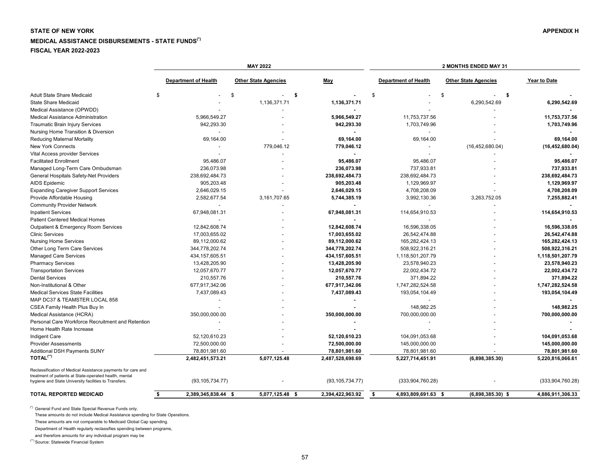# <span id="page-57-0"></span>**STATE OF NEW YORK** APPENDIX H **MEDICAL ASSISTANCE DISBURSEMENTS - STATE FUNDS(\*) FISCAL YEAR 2022-2023**

|                                                                                                                 |                             | <b>MAY 2022</b>             |                   |                             | 2 MONTHS ENDED MAY 31       |                   |
|-----------------------------------------------------------------------------------------------------------------|-----------------------------|-----------------------------|-------------------|-----------------------------|-----------------------------|-------------------|
|                                                                                                                 | <b>Department of Health</b> | <b>Other State Agencies</b> | May               | <b>Department of Health</b> | <b>Other State Agencies</b> | Year to Date      |
| <b>Adult State Share Medicaid</b>                                                                               | \$                          | Ŝ.                          | -\$               | \$                          | \$<br>\$<br>$\blacksquare$  |                   |
| <b>State Share Medicaid</b>                                                                                     |                             | 1,136,371.71                | 1,136,371.71      |                             | 6,290,542.69                | 6,290,542.69      |
| Medical Assistance (OPWDD)                                                                                      |                             |                             |                   |                             |                             |                   |
| Medical Assistance Administration                                                                               | 5,966,549.27                |                             | 5,966,549.27      | 11,753,737.56               |                             | 11,753,737.56     |
| Traumatic Brain Injury Services                                                                                 | 942,293.30                  |                             | 942,293.30        | 1,703,749.96                |                             | 1,703,749.96      |
| Nursing Home Transition & Diversion                                                                             |                             |                             |                   |                             |                             |                   |
| <b>Reducing Maternal Mortality</b>                                                                              | 69,164.00                   |                             | 69,164.00         | 69,164.00                   |                             | 69,164.00         |
| New York Connects                                                                                               |                             | 779,046.12                  | 779,046.12        | $\blacksquare$              | (16, 452, 680.04)           | (16, 452, 680.04) |
| Vital Access provider Services                                                                                  |                             |                             | $\blacksquare$    |                             |                             |                   |
| <b>Facilitated Enrollment</b>                                                                                   | 95,486.07                   |                             | 95,486.07         | 95,486.07                   |                             | 95,486.07         |
| Managed Long-Term Care Ombudsman                                                                                | 236,073.98                  |                             | 236,073.98        | 737,933.81                  |                             | 737,933.81        |
| General Hospitals Safety-Net Providers                                                                          | 238,692,484.73              |                             | 238,692,484.73    | 238,692,484.73              |                             | 238,692,484.73    |
| <b>AIDS Epidemic</b>                                                                                            | 905,203.48                  |                             | 905,203.48        | 1,129,969.97                |                             | 1,129,969.97      |
| <b>Expanding Caregiver Support Services</b>                                                                     | 2,646,029.15                |                             | 2,646,029.15      | 4,708,208.09                |                             | 4,708,208.09      |
| Provide Affordable Housing                                                                                      | 2,582,677.54                | 3,161,707.65                | 5,744,385.19      | 3,992,130.36                | 3,263,752.05                | 7,255,882.41      |
| <b>Community Provider Network</b>                                                                               |                             |                             |                   |                             |                             |                   |
| <b>Inpatient Services</b>                                                                                       | 67,948,081.31               |                             | 67,948,081.31     | 114,654,910.53              |                             | 114,654,910.53    |
| Patient Centered Medical Homes                                                                                  |                             |                             |                   |                             |                             |                   |
| Outpatient & Emergency Room Services                                                                            | 12,842,608.74               |                             | 12,842,608.74     | 16,596,338.05               |                             | 16,596,338.05     |
|                                                                                                                 |                             |                             |                   |                             |                             |                   |
| <b>Clinic Services</b>                                                                                          | 17,003,655.02               |                             | 17,003,655.02     | 26,542,474.88               |                             | 26,542,474.88     |
| <b>Nursing Home Services</b>                                                                                    | 89,112,000.62               |                             | 89,112,000.62     | 165,282,424.13              |                             | 165,282,424.13    |
| Other Long Term Care Services                                                                                   | 344,778,202.74              |                             | 344,778,202.74    | 508,922,316.21              |                             | 508,922,316.21    |
| <b>Managed Care Services</b>                                                                                    | 434, 157, 605.51            |                             | 434,157,605.51    | 1,118,501,207.79            |                             | 1,118,501,207.79  |
| <b>Pharmacy Services</b>                                                                                        | 13,428,205.90               |                             | 13,428,205.90     | 23,578,940.23               |                             | 23,578,940.23     |
| <b>Transportation Services</b>                                                                                  | 12,057,670.77               |                             | 12,057,670.77     | 22,002,434.72               |                             | 22,002,434.72     |
| <b>Dental Services</b>                                                                                          | 210,557.76                  |                             | 210,557.76        | 371,894.22                  |                             | 371,894.22        |
| Non-Institutional & Other                                                                                       | 677,917,342.06              |                             | 677,917,342.06    | 1,747,282,524.58            |                             | 1,747,282,524.58  |
| <b>Medical Services State Facilities</b>                                                                        | 7,437,089.43                |                             | 7,437,089.43      | 193,054,104.49              |                             | 193,054,104.49    |
| MAP DC37 & TEAMSTER LOCAL 858                                                                                   |                             |                             |                   |                             |                             |                   |
| CSEA Family Health Plus Buy In                                                                                  |                             |                             |                   | 148,982.25                  |                             | 148,982.25        |
| Medical Assistance (HCRA)                                                                                       | 350,000,000.00              |                             | 350,000,000.00    | 700,000,000.00              |                             | 700,000,000.00    |
| Personal Care Workforce Recruitment and Retention                                                               |                             |                             |                   |                             |                             |                   |
| Home Health Rate Increase                                                                                       |                             |                             |                   |                             |                             |                   |
| Indigent Care                                                                                                   | 52,120,610.23               |                             | 52,120,610.23     | 104,091,053.68              |                             | 104,091,053.68    |
| <b>Provider Assessments</b>                                                                                     | 72,500,000.00               |                             | 72,500,000.00     | 145,000,000.00              |                             | 145,000,000.00    |
| Additional DSH Payments SUNY                                                                                    | 78,801,981.60               |                             | 78,801,981.60     | 78,801,981.60               |                             | 78,801,981.60     |
| TOTAL <sup>(**)</sup>                                                                                           | 2,482,451,573.21            | 5,077,125.48                | 2,487,528,698.69  | 5,227,714,451.91            | (6,898,385.30)              | 5,220,816,066.61  |
| Reclassification of Medical Assistance payments for care and                                                    |                             |                             |                   |                             |                             |                   |
| treatment of patients at State-operated health, mental<br>hygiene and State University facilities to Transfers. | (93, 105, 734.77)           |                             | (93, 105, 734.77) | (333,904,760.28)            |                             | (333,904,760.28)  |
| <b>TOTAL REPORTED MEDICAID</b>                                                                                  |                             |                             |                   |                             |                             |                   |

(\*) General Fund and State Special Revenue Funds only.

These amounts do not include Medical Assistance spending for State Operations.

These amounts are not comparable to Medicaid Global Cap spending.

Department of Health regularly reclassifies spending between programs,

and therefore amounts for any individual program may be

(\*\*) Source: Statewide Financial System